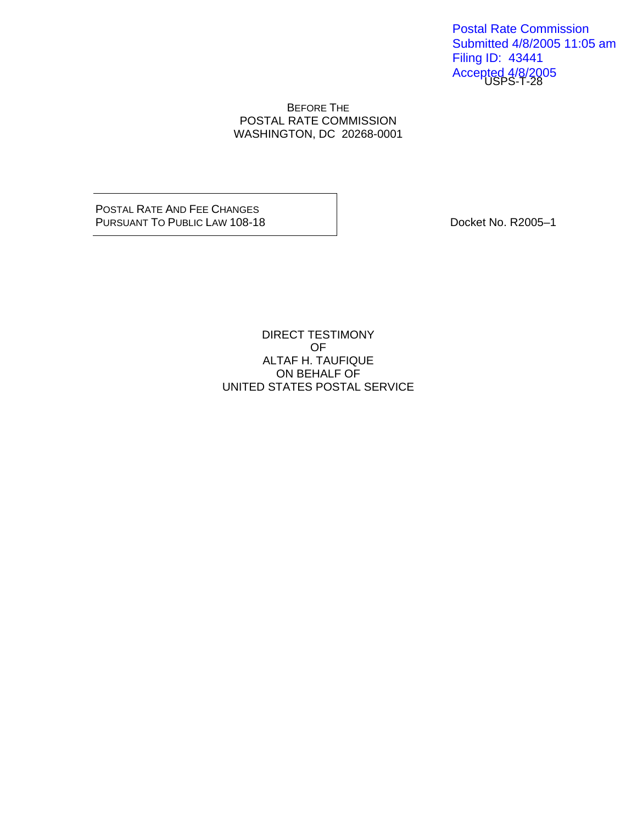Accepted 4/8/2005<br>USPS-T-28 Postal Rate Commission Submitted 4/8/2005 11:05 am Filing ID: 43441

#### BEFORE THE POSTAL RATE COMMISSION WASHINGTON, DC 20268-0001

POSTAL RATE AND FEE CHANGES PURSUANT TO PUBLIC LAW 108-18 DOCKET NO. R2005-1

DIRECT TESTIMONY OF ALTAF H. TAUFIQUE ON BEHALF OF UNITED STATES POSTAL SERVICE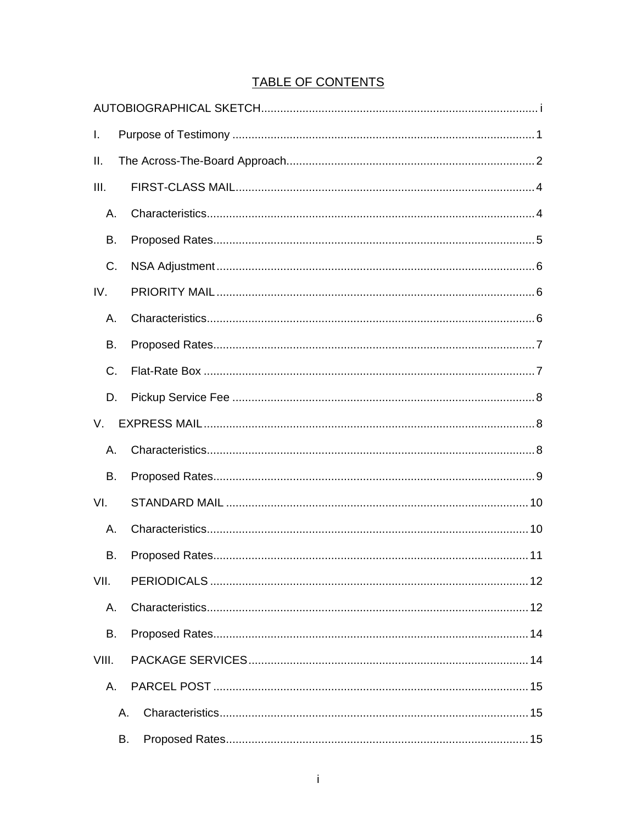# **TABLE OF CONTENTS**

| I.          |    |  |  |
|-------------|----|--|--|
| II.         |    |  |  |
| III.        |    |  |  |
| А.          |    |  |  |
| В.          |    |  |  |
| C.          |    |  |  |
| IV.         |    |  |  |
| А.          |    |  |  |
| В.          |    |  |  |
| C.          |    |  |  |
| D.          |    |  |  |
| $V_{\cdot}$ |    |  |  |
| Α.          |    |  |  |
| В.          |    |  |  |
| VI.         |    |  |  |
| А.          |    |  |  |
| В.          |    |  |  |
| VII.        |    |  |  |
| А.          |    |  |  |
| В.          |    |  |  |
| VIII.       |    |  |  |
| А.          |    |  |  |
|             | Α. |  |  |
|             | В. |  |  |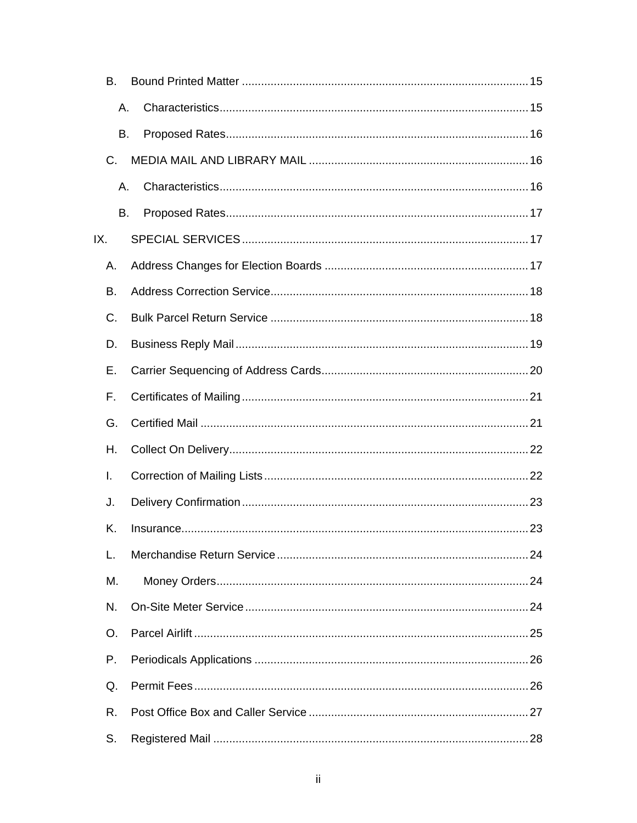| В.  |    |  |  |
|-----|----|--|--|
|     | Α. |  |  |
|     | В. |  |  |
| C.  |    |  |  |
|     | Α. |  |  |
|     | В. |  |  |
| IX. |    |  |  |
| Α.  |    |  |  |
| В.  |    |  |  |
| C.  |    |  |  |
| D.  |    |  |  |
| Е.  |    |  |  |
| F.  |    |  |  |
| G.  |    |  |  |
| Η.  |    |  |  |
| I.  |    |  |  |
| J.  |    |  |  |
| Κ.  |    |  |  |
| L.  |    |  |  |
| M.  |    |  |  |
| N.  |    |  |  |
| O.  |    |  |  |
| Р.  |    |  |  |
| Q.  |    |  |  |
| R.  |    |  |  |
| S.  |    |  |  |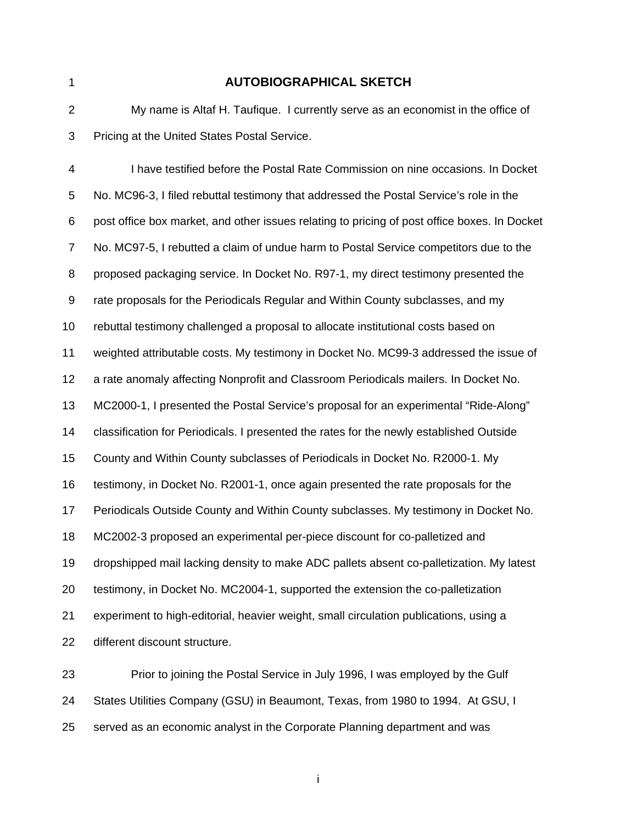#### 1 **AUTOBIOGRAPHICAL SKETCH**

2 My name is Altaf H. Taufique. I currently serve as an economist in the office of 3 Pricing at the United States Postal Service.

4 I have testified before the Postal Rate Commission on nine occasions. In Docket 5 No. MC96-3, I filed rebuttal testimony that addressed the Postal Service's role in the 6 post office box market, and other issues relating to pricing of post office boxes. In Docket 7 No. MC97-5, I rebutted a claim of undue harm to Postal Service competitors due to the 8 proposed packaging service. In Docket No. R97-1, my direct testimony presented the 9 rate proposals for the Periodicals Regular and Within County subclasses, and my 10 rebuttal testimony challenged a proposal to allocate institutional costs based on 11 weighted attributable costs. My testimony in Docket No. MC99-3 addressed the issue of 12 a rate anomaly affecting Nonprofit and Classroom Periodicals mailers. In Docket No. 13 MC2000-1, I presented the Postal Service's proposal for an experimental "Ride-Along" 14 classification for Periodicals. I presented the rates for the newly established Outside 15 County and Within County subclasses of Periodicals in Docket No. R2000-1. My 16 testimony, in Docket No. R2001-1, once again presented the rate proposals for the 17 Periodicals Outside County and Within County subclasses. My testimony in Docket No. 18 MC2002-3 proposed an experimental per-piece discount for co-palletized and 19 dropshipped mail lacking density to make ADC pallets absent co-palletization. My latest 20 testimony, in Docket No. MC2004-1, supported the extension the co-palletization 21 experiment to high-editorial, heavier weight, small circulation publications, using a 22 different discount structure.

23 Prior to joining the Postal Service in July 1996, I was employed by the Gulf 24 States Utilities Company (GSU) in Beaumont, Texas, from 1980 to 1994. At GSU, I 25 served as an economic analyst in the Corporate Planning department and was

in the contract of the contract of the contract of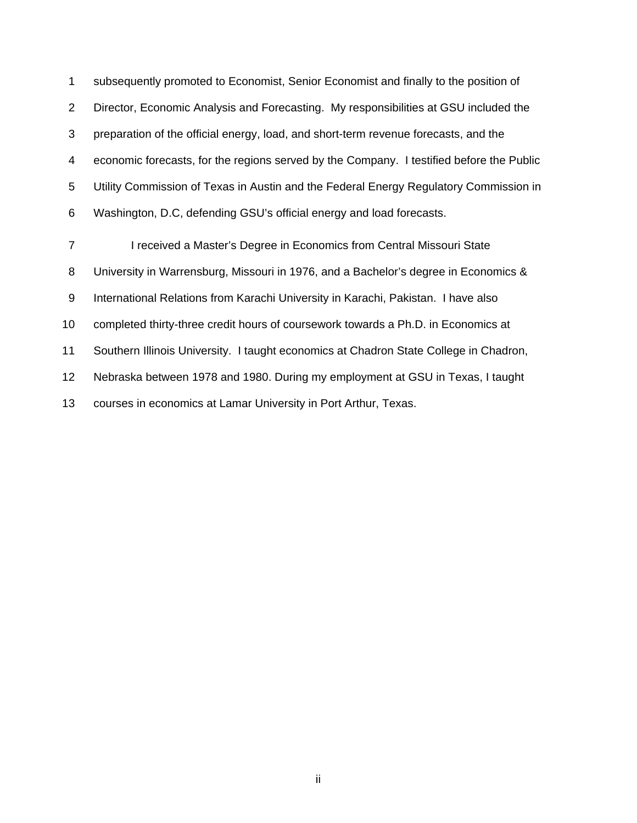1 subsequently promoted to Economist, Senior Economist and finally to the position of 2 Director, Economic Analysis and Forecasting. My responsibilities at GSU included the 3 preparation of the official energy, load, and short-term revenue forecasts, and the 4 economic forecasts, for the regions served by the Company. I testified before the Public 5 Utility Commission of Texas in Austin and the Federal Energy Regulatory Commission in 6 Washington, D.C, defending GSU's official energy and load forecasts. 7 I received a Master's Degree in Economics from Central Missouri State 8 University in Warrensburg, Missouri in 1976, and a Bachelor's degree in Economics & 9 International Relations from Karachi University in Karachi, Pakistan. I have also

10 completed thirty-three credit hours of coursework towards a Ph.D. in Economics at

11 Southern Illinois University. I taught economics at Chadron State College in Chadron,

12 Nebraska between 1978 and 1980. During my employment at GSU in Texas, I taught

13 courses in economics at Lamar University in Port Arthur, Texas.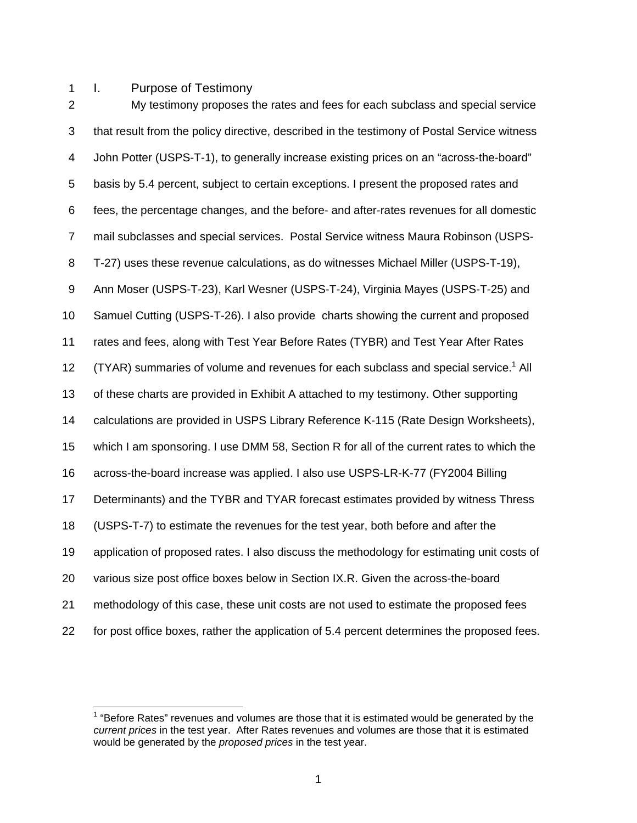1 I. Purpose of Testimony

2 My testimony proposes the rates and fees for each subclass and special service 3 that result from the policy directive, described in the testimony of Postal Service witness 4 John Potter (USPS-T-1), to generally increase existing prices on an "across-the-board" 5 basis by 5.4 percent, subject to certain exceptions. I present the proposed rates and 6 fees, the percentage changes, and the before- and after-rates revenues for all domestic 7 mail subclasses and special services. Postal Service witness Maura Robinson (USPS-8 T-27) uses these revenue calculations, as do witnesses Michael Miller (USPS-T-19), 9 Ann Moser (USPS-T-23), Karl Wesner (USPS-T-24), Virginia Mayes (USPS-T-25) and 10 Samuel Cutting (USPS-T-26). I also provide charts showing the current and proposed 11 rates and fees, along with Test Year Before Rates (TYBR) and Test Year After Rates 12 (TYAR) summaries of volume and revenues for each subclass and special service.<sup>1</sup> All 13 of these charts are provided in Exhibit A attached to my testimony. Other supporting 14 calculations are provided in USPS Library Reference K-115 (Rate Design Worksheets), 15 which I am sponsoring. I use DMM 58, Section R for all of the current rates to which the 16 across-the-board increase was applied. I also use USPS-LR-K-77 (FY2004 Billing 17 Determinants) and the TYBR and TYAR forecast estimates provided by witness Thress 18 (USPS-T-7) to estimate the revenues for the test year, both before and after the 19 application of proposed rates. I also discuss the methodology for estimating unit costs of 20 various size post office boxes below in Section IX.R. Given the across-the-board 21 methodology of this case, these unit costs are not used to estimate the proposed fees 22 for post office boxes, rather the application of 5.4 percent determines the proposed fees.

 $1$  "Before Rates" revenues and volumes are those that it is estimated would be generated by the *current prices* in the test year. After Rates revenues and volumes are those that it is estimated would be generated by the *proposed prices* in the test year.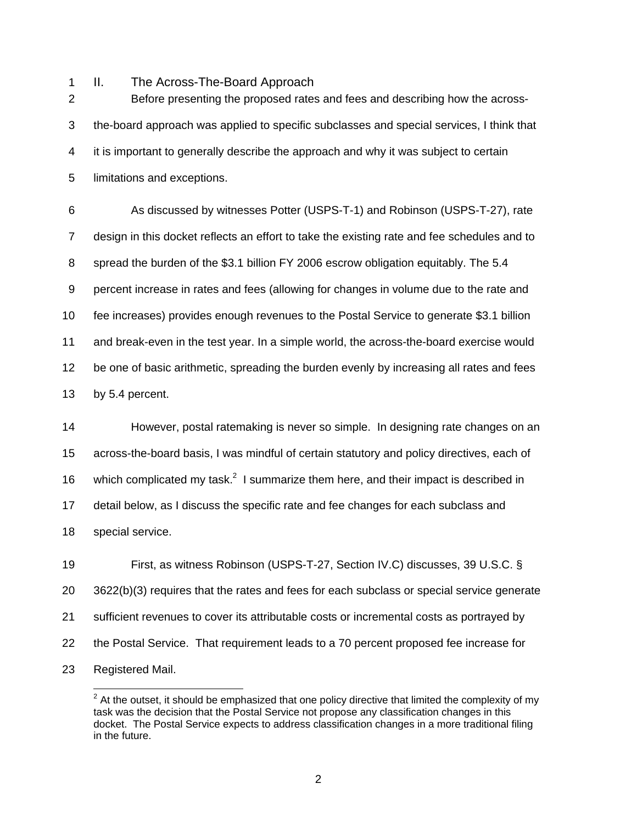1 II. The Across-The-Board Approach

2 Before presenting the proposed rates and fees and describing how the across-3 the-board approach was applied to specific subclasses and special services, I think that 4 it is important to generally describe the approach and why it was subject to certain 5 limitations and exceptions.

6 As discussed by witnesses Potter (USPS-T-1) and Robinson (USPS-T-27), rate 7 design in this docket reflects an effort to take the existing rate and fee schedules and to 8 spread the burden of the \$3.1 billion FY 2006 escrow obligation equitably. The 5.4 9 percent increase in rates and fees (allowing for changes in volume due to the rate and 10 fee increases) provides enough revenues to the Postal Service to generate \$3.1 billion 11 and break-even in the test year. In a simple world, the across-the-board exercise would 12 be one of basic arithmetic, spreading the burden evenly by increasing all rates and fees 13 by 5.4 percent.

14 However, postal ratemaking is never so simple. In designing rate changes on an 15 across-the-board basis, I was mindful of certain statutory and policy directives, each of 16 which complicated my task.<sup>2</sup> I summarize them here, and their impact is described in 17 detail below, as I discuss the specific rate and fee changes for each subclass and 18 special service.

19 First, as witness Robinson (USPS-T-27, Section IV.C) discusses, 39 U.S.C. § 20 3622(b)(3) requires that the rates and fees for each subclass or special service generate 21 sufficient revenues to cover its attributable costs or incremental costs as portrayed by 22 the Postal Service. That requirement leads to a 70 percent proposed fee increase for 23 Registered Mail.

<sup>&</sup>lt;u>2</u><br><sup>2</sup> At the outset, it should be emphasized that one policy directive that limited the complexity of my task was the decision that the Postal Service not propose any classification changes in this docket. The Postal Service expects to address classification changes in a more traditional filing in the future.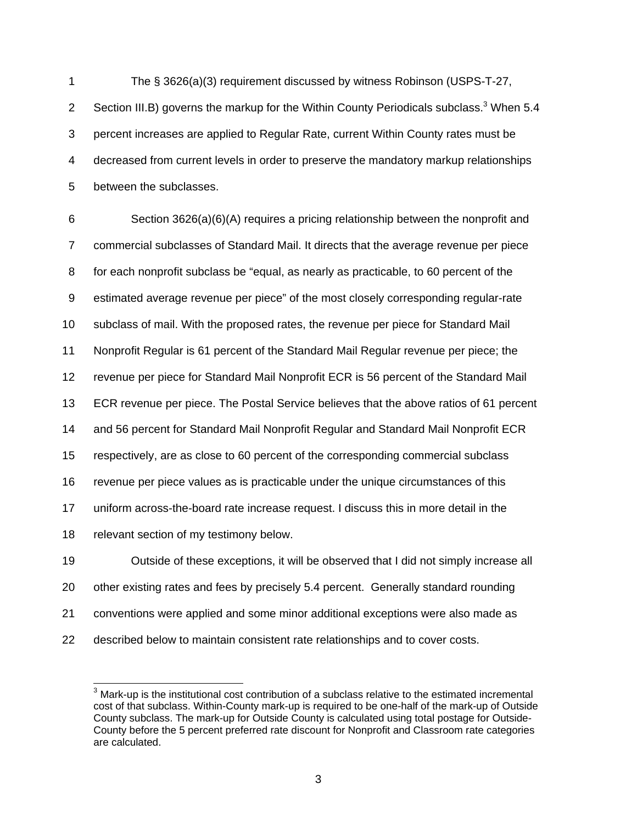1 The § 3626(a)(3) requirement discussed by witness Robinson (USPS-T-27, Section III.B) governs the markup for the Within County Periodicals subclass.<sup>3</sup> When 5.4 3 percent increases are applied to Regular Rate, current Within County rates must be 4 decreased from current levels in order to preserve the mandatory markup relationships 5 between the subclasses.

6 Section 3626(a)(6)(A) requires a pricing relationship between the nonprofit and 7 commercial subclasses of Standard Mail. It directs that the average revenue per piece 8 for each nonprofit subclass be "equal, as nearly as practicable, to 60 percent of the 9 estimated average revenue per piece" of the most closely corresponding regular-rate 10 subclass of mail. With the proposed rates, the revenue per piece for Standard Mail 11 Nonprofit Regular is 61 percent of the Standard Mail Regular revenue per piece; the 12 revenue per piece for Standard Mail Nonprofit ECR is 56 percent of the Standard Mail 13 ECR revenue per piece. The Postal Service believes that the above ratios of 61 percent 14 and 56 percent for Standard Mail Nonprofit Regular and Standard Mail Nonprofit ECR 15 respectively, are as close to 60 percent of the corresponding commercial subclass 16 revenue per piece values as is practicable under the unique circumstances of this 17 uniform across-the-board rate increase request. I discuss this in more detail in the 18 relevant section of my testimony below. 19 Outside of these exceptions, it will be observed that I did not simply increase all

20 other existing rates and fees by precisely 5.4 percent. Generally standard rounding 21 conventions were applied and some minor additional exceptions were also made as 22 described below to maintain consistent rate relationships and to cover costs.

 3 Mark-up is the institutional cost contribution of a subclass relative to the estimated incremental cost of that subclass. Within-County mark-up is required to be one-half of the mark-up of Outside County subclass. The mark-up for Outside County is calculated using total postage for Outside-County before the 5 percent preferred rate discount for Nonprofit and Classroom rate categories are calculated.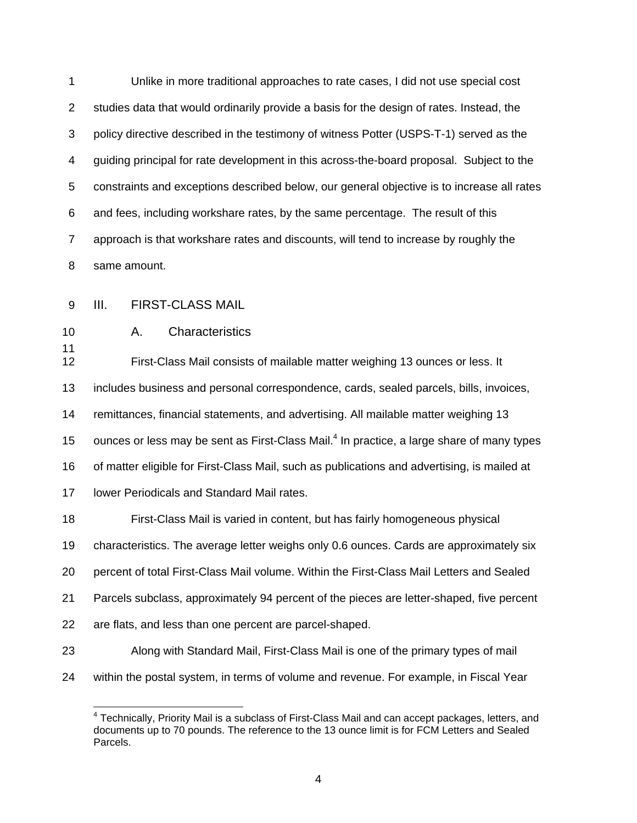1 Unlike in more traditional approaches to rate cases, I did not use special cost 2 studies data that would ordinarily provide a basis for the design of rates. Instead, the 3 policy directive described in the testimony of witness Potter (USPS-T-1) served as the 4 guiding principal for rate development in this across-the-board proposal. Subject to the 5 constraints and exceptions described below, our general objective is to increase all rates 6 and fees, including workshare rates, by the same percentage. The result of this 7 approach is that workshare rates and discounts, will tend to increase by roughly the 8 same amount.

9 III. FIRST-CLASS MAIL

11

10 A. Characteristics

12 First-Class Mail consists of mailable matter weighing 13 ounces or less. It 13 includes business and personal correspondence, cards, sealed parcels, bills, invoices, 14 remittances, financial statements, and advertising. All mailable matter weighing 13 15 ounces or less may be sent as First-Class Mail. $<sup>4</sup>$  In practice, a large share of many types</sup> 16 of matter eligible for First-Class Mail, such as publications and advertising, is mailed at 17 lower Periodicals and Standard Mail rates.

18 First-Class Mail is varied in content, but has fairly homogeneous physical 19 characteristics. The average letter weighs only 0.6 ounces. Cards are approximately six 20 percent of total First-Class Mail volume. Within the First-Class Mail Letters and Sealed 21 Parcels subclass, approximately 94 percent of the pieces are letter-shaped, five percent 22 are flats, and less than one percent are parcel-shaped.

- 23 Along with Standard Mail, First-Class Mail is one of the primary types of mail
- 24 within the postal system, in terms of volume and revenue. For example, in Fiscal Year

 4 Technically, Priority Mail is a subclass of First-Class Mail and can accept packages, letters, and documents up to 70 pounds. The reference to the 13 ounce limit is for FCM Letters and Sealed Parcels.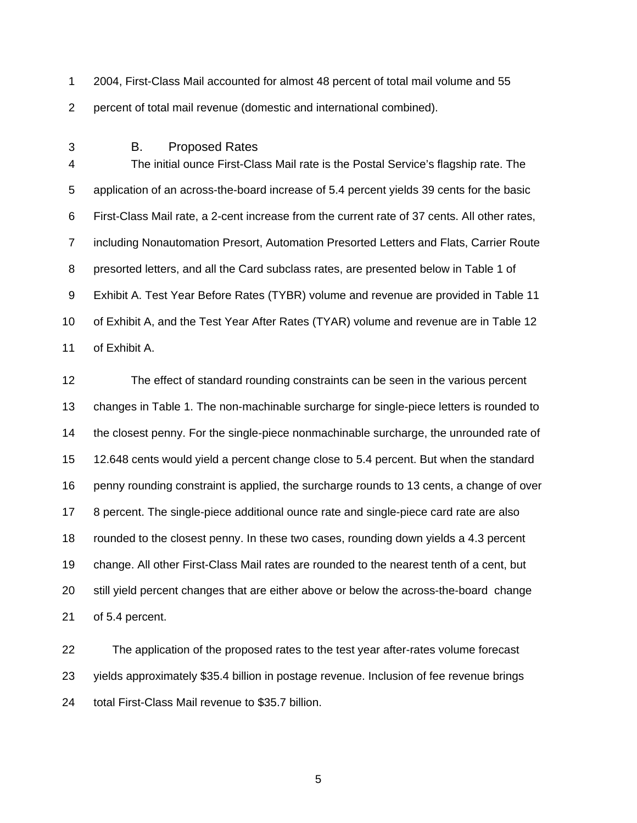1 2004, First-Class Mail accounted for almost 48 percent of total mail volume and 55 2 percent of total mail revenue (domestic and international combined).

3 B. Proposed Rates

4 The initial ounce First-Class Mail rate is the Postal Service's flagship rate. The 5 application of an across-the-board increase of 5.4 percent yields 39 cents for the basic 6 First-Class Mail rate, a 2-cent increase from the current rate of 37 cents. All other rates, 7 including Nonautomation Presort, Automation Presorted Letters and Flats, Carrier Route 8 presorted letters, and all the Card subclass rates, are presented below in Table 1 of 9 Exhibit A. Test Year Before Rates (TYBR) volume and revenue are provided in Table 11 10 of Exhibit A, and the Test Year After Rates (TYAR) volume and revenue are in Table 12 11 of Exhibit A.

12 The effect of standard rounding constraints can be seen in the various percent 13 changes in Table 1. The non-machinable surcharge for single-piece letters is rounded to 14 the closest penny. For the single-piece nonmachinable surcharge, the unrounded rate of 15 12.648 cents would yield a percent change close to 5.4 percent. But when the standard 16 penny rounding constraint is applied, the surcharge rounds to 13 cents, a change of over 17 8 percent. The single-piece additional ounce rate and single-piece card rate are also 18 rounded to the closest penny. In these two cases, rounding down yields a 4.3 percent 19 change. All other First-Class Mail rates are rounded to the nearest tenth of a cent, but 20 still yield percent changes that are either above or below the across-the-board change 21 of 5.4 percent.

22 The application of the proposed rates to the test year after-rates volume forecast 23 yields approximately \$35.4 billion in postage revenue. Inclusion of fee revenue brings 24 total First-Class Mail revenue to \$35.7 billion.

 $\sim$  5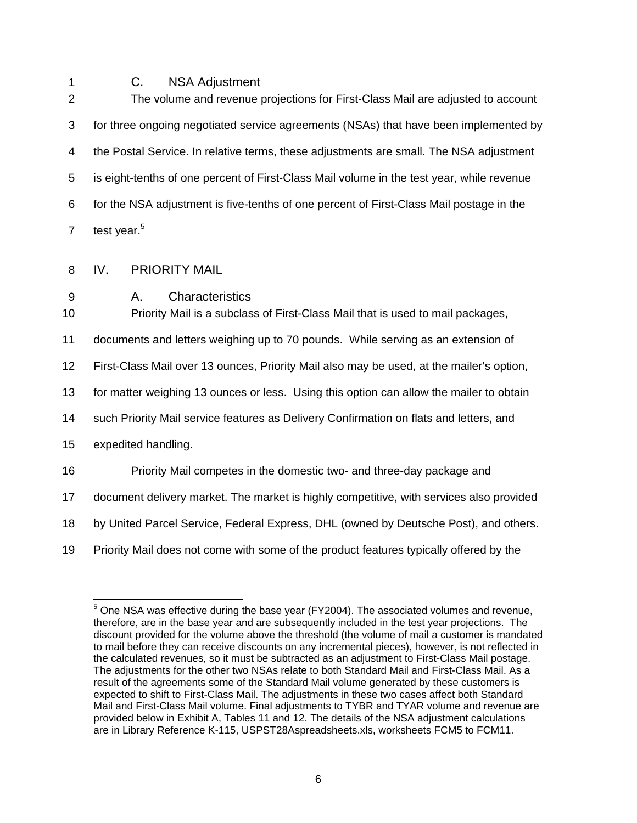## 1 C. NSA Adjustment

2 The volume and revenue projections for First-Class Mail are adjusted to account 3 for three ongoing negotiated service agreements (NSAs) that have been implemented by 4 the Postal Service. In relative terms, these adjustments are small. The NSA adjustment 5 is eight-tenths of one percent of First-Class Mail volume in the test year, while revenue 6 for the NSA adjustment is five-tenths of one percent of First-Class Mail postage in the 7 test year. $5$ 

- 8 IV. PRIORITY MAIL
- 9 A. Characteristics

10 Priority Mail is a subclass of First-Class Mail that is used to mail packages,

11 documents and letters weighing up to 70 pounds. While serving as an extension of

12 First-Class Mail over 13 ounces, Priority Mail also may be used, at the mailer's option,

13 for matter weighing 13 ounces or less. Using this option can allow the mailer to obtain

14 such Priority Mail service features as Delivery Confirmation on flats and letters, and

15 expedited handling.

 $\overline{a}$ 

16 Priority Mail competes in the domestic two- and three-day package and

17 document delivery market. The market is highly competitive, with services also provided

18 by United Parcel Service, Federal Express, DHL (owned by Deutsche Post), and others.

19 Priority Mail does not come with some of the product features typically offered by the

 $5$  One NSA was effective during the base year (FY2004). The associated volumes and revenue, therefore, are in the base year and are subsequently included in the test year projections. The discount provided for the volume above the threshold (the volume of mail a customer is mandated to mail before they can receive discounts on any incremental pieces), however, is not reflected in the calculated revenues, so it must be subtracted as an adjustment to First-Class Mail postage. The adjustments for the other two NSAs relate to both Standard Mail and First-Class Mail. As a result of the agreements some of the Standard Mail volume generated by these customers is expected to shift to First-Class Mail. The adjustments in these two cases affect both Standard Mail and First-Class Mail volume. Final adjustments to TYBR and TYAR volume and revenue are provided below in Exhibit A, Tables 11 and 12. The details of the NSA adjustment calculations are in Library Reference K-115, USPST28Aspreadsheets.xls, worksheets FCM5 to FCM11.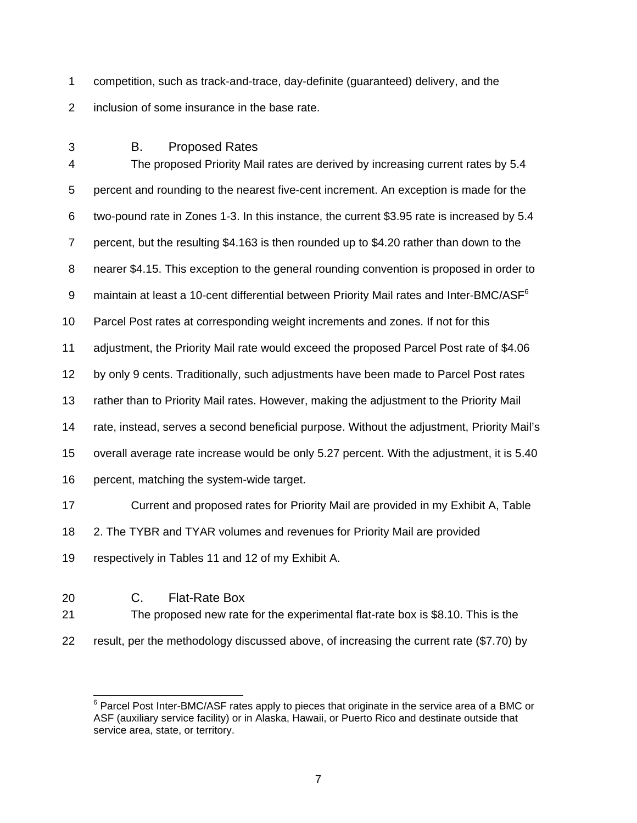- 1 competition, such as track-and-trace, day-definite (guaranteed) delivery, and the 2 inclusion of some insurance in the base rate.
- 3 B. Proposed Rates

4 The proposed Priority Mail rates are derived by increasing current rates by 5.4 5 percent and rounding to the nearest five-cent increment. An exception is made for the 6 two-pound rate in Zones 1-3. In this instance, the current \$3.95 rate is increased by 5.4 7 percent, but the resulting \$4.163 is then rounded up to \$4.20 rather than down to the 8 nearer \$4.15. This exception to the general rounding convention is proposed in order to 9 maintain at least a 10-cent differential between Priority Mail rates and Inter-BMC/ASF<sup>6</sup> 10 Parcel Post rates at corresponding weight increments and zones. If not for this 11 adjustment, the Priority Mail rate would exceed the proposed Parcel Post rate of \$4.06 12 by only 9 cents. Traditionally, such adjustments have been made to Parcel Post rates 13 rather than to Priority Mail rates. However, making the adjustment to the Priority Mail 14 rate, instead, serves a second beneficial purpose. Without the adjustment, Priority Mail's 15 overall average rate increase would be only 5.27 percent. With the adjustment, it is 5.40 16 percent, matching the system-wide target. 17 Current and proposed rates for Priority Mail are provided in my Exhibit A, Table 18 2. The TYBR and TYAR volumes and revenues for Priority Mail are provided 19 respectively in Tables 11 and 12 of my Exhibit A.

- 20 C. Flat-Rate Box
- 21 The proposed new rate for the experimental flat-rate box is \$8.10. This is the
- 22 result, per the methodology discussed above, of increasing the current rate (\$7.70) by

<sup>————————————————————&</sup>lt;br><sup>6</sup> Parcel Post Inter-BMC/ASF rates apply to pieces that originate in the service area of a BMC or ASF (auxiliary service facility) or in Alaska, Hawaii, or Puerto Rico and destinate outside that service area, state, or territory.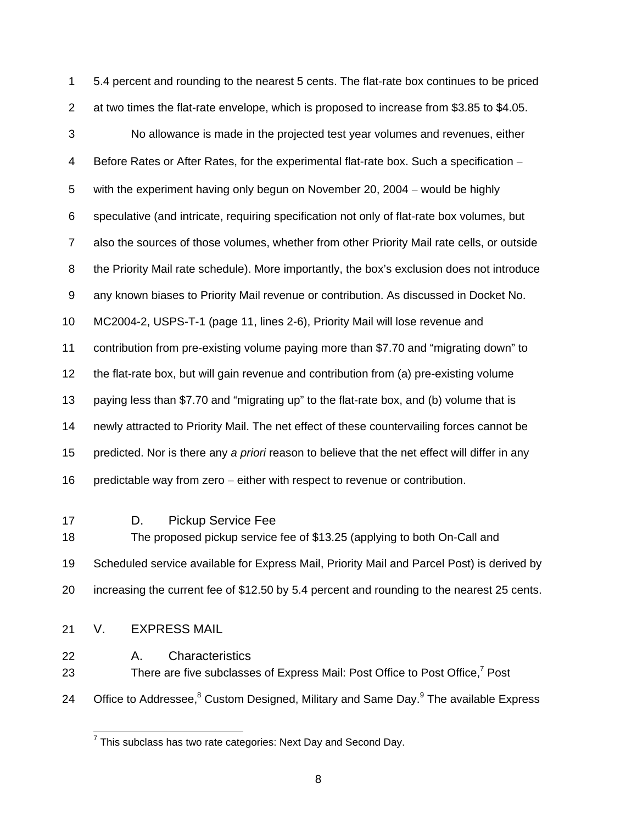1 5.4 percent and rounding to the nearest 5 cents. The flat-rate box continues to be priced 2 at two times the flat-rate envelope, which is proposed to increase from \$3.85 to \$4.05. 3 No allowance is made in the projected test year volumes and revenues, either 4 Before Rates or After Rates, for the experimental flat-rate box. Such a specification − 5 with the experiment having only begun on November 20, 2004 − would be highly 6 speculative (and intricate, requiring specification not only of flat-rate box volumes, but 7 also the sources of those volumes, whether from other Priority Mail rate cells, or outside 8 the Priority Mail rate schedule). More importantly, the box's exclusion does not introduce 9 any known biases to Priority Mail revenue or contribution. As discussed in Docket No. 10 MC2004-2, USPS-T-1 (page 11, lines 2-6), Priority Mail will lose revenue and 11 contribution from pre-existing volume paying more than \$7.70 and "migrating down" to 12 the flat-rate box, but will gain revenue and contribution from (a) pre-existing volume 13 paying less than \$7.70 and "migrating up" to the flat-rate box, and (b) volume that is 14 newly attracted to Priority Mail. The net effect of these countervailing forces cannot be 15 predicted. Nor is there any *a priori* reason to believe that the net effect will differ in any 16 predictable way from zero − either with respect to revenue or contribution. 17 D. Pickup Service Fee 18 The proposed pickup service fee of \$13.25 (applying to both On-Call and

19 Scheduled service available for Express Mail, Priority Mail and Parcel Post) is derived by 20 increasing the current fee of \$12.50 by 5.4 percent and rounding to the nearest 25 cents.

- 21 V. EXPRESS MAIL
- 22 A. Characteristics

23 There are five subclasses of Express Mail: Post Office to Post Office,<sup>7</sup> Post

24 Office to Addressee,<sup>8</sup> Custom Designed, Military and Same Day.<sup>9</sup> The available Express

 7 This subclass has two rate categories: Next Day and Second Day.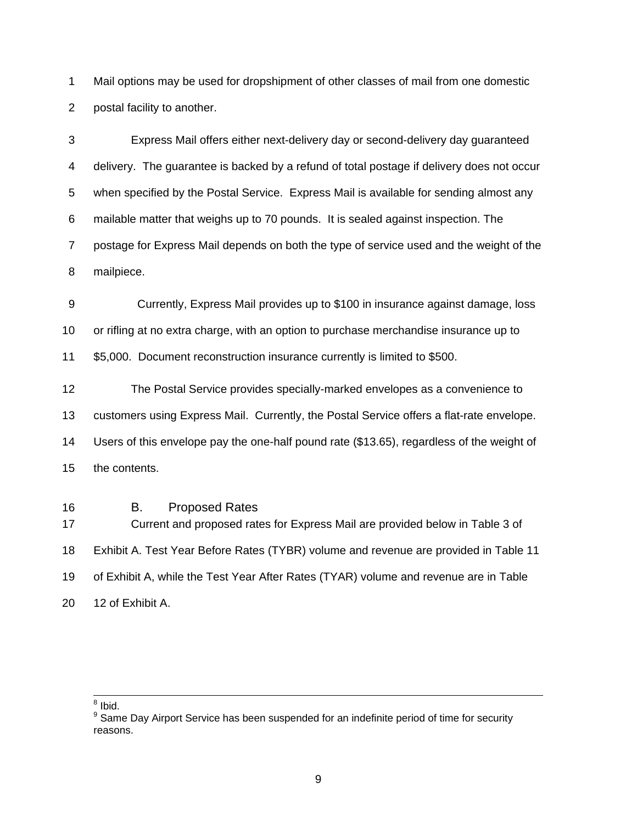1 Mail options may be used for dropshipment of other classes of mail from one domestic 2 postal facility to another.

3 Express Mail offers either next-delivery day or second-delivery day guaranteed 4 delivery. The guarantee is backed by a refund of total postage if delivery does not occur 5 when specified by the Postal Service. Express Mail is available for sending almost any 6 mailable matter that weighs up to 70 pounds. It is sealed against inspection. The 7 postage for Express Mail depends on both the type of service used and the weight of the 8 mailpiece.

9 Currently, Express Mail provides up to \$100 in insurance against damage, loss 10 or rifling at no extra charge, with an option to purchase merchandise insurance up to 11 \$5,000. Document reconstruction insurance currently is limited to \$500.

12 The Postal Service provides specially-marked envelopes as a convenience to 13 customers using Express Mail. Currently, the Postal Service offers a flat-rate envelope. 14 Users of this envelope pay the one-half pound rate (\$13.65), regardless of the weight of 15 the contents.

16 B. Proposed Rates

17 Current and proposed rates for Express Mail are provided below in Table 3 of 18 Exhibit A. Test Year Before Rates (TYBR) volume and revenue are provided in Table 11 19 of Exhibit A, while the Test Year After Rates (TYAR) volume and revenue are in Table 20 12 of Exhibit A.

 $\frac{1}{8}$  Ibid.

<sup>&</sup>lt;sup>9</sup> Same Day Airport Service has been suspended for an indefinite period of time for security reasons.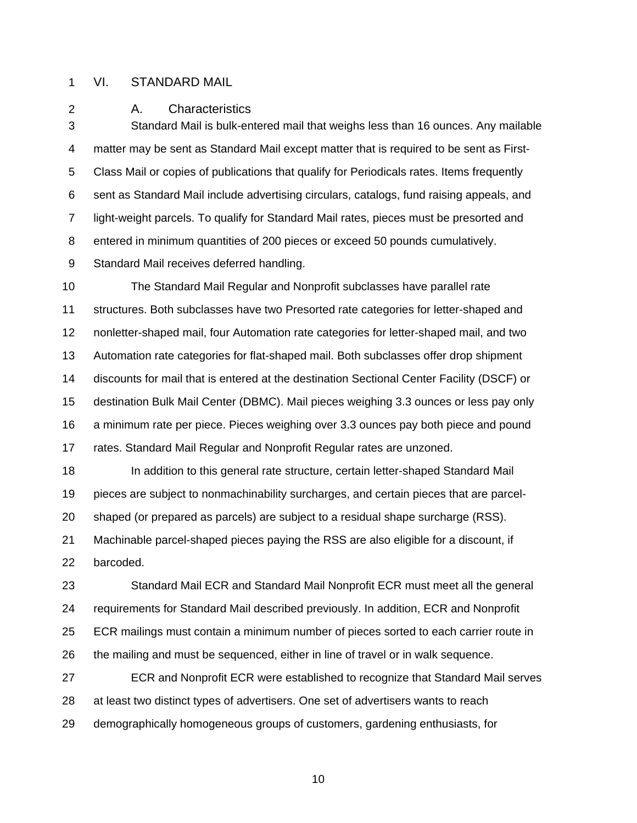#### 1 VI. STANDARD MAIL

2 A. Characteristics

3 Standard Mail is bulk-entered mail that weighs less than 16 ounces. Any mailable 4 matter may be sent as Standard Mail except matter that is required to be sent as First-5 Class Mail or copies of publications that qualify for Periodicals rates. Items frequently 6 sent as Standard Mail include advertising circulars, catalogs, fund raising appeals, and 7 light-weight parcels. To qualify for Standard Mail rates, pieces must be presorted and 8 entered in minimum quantities of 200 pieces or exceed 50 pounds cumulatively. 9 Standard Mail receives deferred handling.

10 The Standard Mail Regular and Nonprofit subclasses have parallel rate 11 structures. Both subclasses have two Presorted rate categories for letter-shaped and 12 nonletter-shaped mail, four Automation rate categories for letter-shaped mail, and two 13 Automation rate categories for flat-shaped mail. Both subclasses offer drop shipment 14 discounts for mail that is entered at the destination Sectional Center Facility (DSCF) or 15 destination Bulk Mail Center (DBMC). Mail pieces weighing 3.3 ounces or less pay only 16 a minimum rate per piece. Pieces weighing over 3.3 ounces pay both piece and pound 17 rates. Standard Mail Regular and Nonprofit Regular rates are unzoned.

18 In addition to this general rate structure, certain letter-shaped Standard Mail 19 pieces are subject to nonmachinability surcharges, and certain pieces that are parcel-20 shaped (or prepared as parcels) are subject to a residual shape surcharge (RSS). 21 Machinable parcel-shaped pieces paying the RSS are also eligible for a discount, if 22 barcoded.

23 Standard Mail ECR and Standard Mail Nonprofit ECR must meet all the general 24 requirements for Standard Mail described previously. In addition, ECR and Nonprofit 25 ECR mailings must contain a minimum number of pieces sorted to each carrier route in 26 the mailing and must be sequenced, either in line of travel or in walk sequence.

27 ECR and Nonprofit ECR were established to recognize that Standard Mail serves 28 at least two distinct types of advertisers. One set of advertisers wants to reach 29 demographically homogeneous groups of customers, gardening enthusiasts, for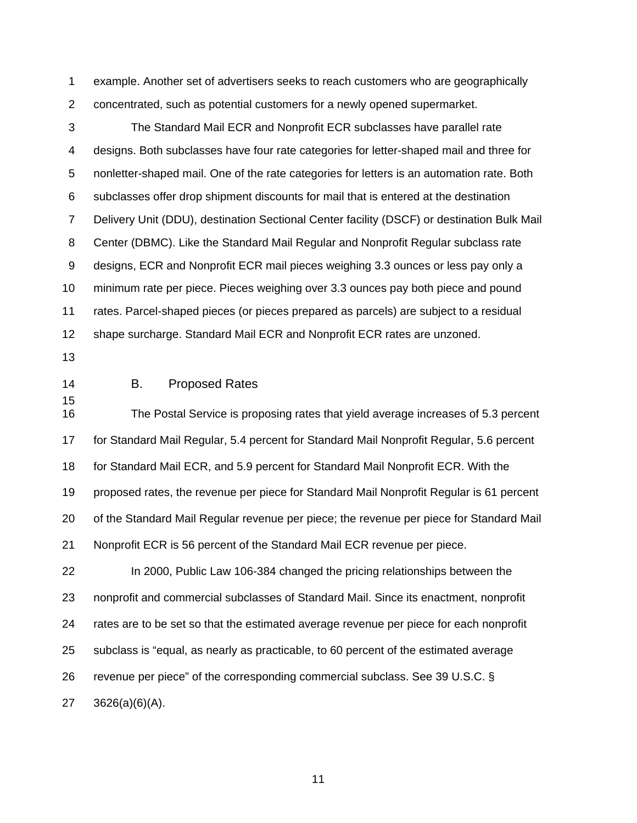1 example. Another set of advertisers seeks to reach customers who are geographically 2 concentrated, such as potential customers for a newly opened supermarket.

3 The Standard Mail ECR and Nonprofit ECR subclasses have parallel rate 4 designs. Both subclasses have four rate categories for letter-shaped mail and three for 5 nonletter-shaped mail. One of the rate categories for letters is an automation rate. Both 6 subclasses offer drop shipment discounts for mail that is entered at the destination 7 Delivery Unit (DDU), destination Sectional Center facility (DSCF) or destination Bulk Mail 8 Center (DBMC). Like the Standard Mail Regular and Nonprofit Regular subclass rate 9 designs, ECR and Nonprofit ECR mail pieces weighing 3.3 ounces or less pay only a 10 minimum rate per piece. Pieces weighing over 3.3 ounces pay both piece and pound 11 rates. Parcel-shaped pieces (or pieces prepared as parcels) are subject to a residual 12 shape surcharge. Standard Mail ECR and Nonprofit ECR rates are unzoned.

- 13
- 15

## 14 B. Proposed Rates

16 The Postal Service is proposing rates that yield average increases of 5.3 percent 17 for Standard Mail Regular, 5.4 percent for Standard Mail Nonprofit Regular, 5.6 percent 18 for Standard Mail ECR, and 5.9 percent for Standard Mail Nonprofit ECR. With the 19 proposed rates, the revenue per piece for Standard Mail Nonprofit Regular is 61 percent 20 of the Standard Mail Regular revenue per piece; the revenue per piece for Standard Mail 21 Nonprofit ECR is 56 percent of the Standard Mail ECR revenue per piece.

22 In 2000, Public Law 106-384 changed the pricing relationships between the 23 nonprofit and commercial subclasses of Standard Mail. Since its enactment, nonprofit 24 rates are to be set so that the estimated average revenue per piece for each nonprofit 25 subclass is "equal, as nearly as practicable, to 60 percent of the estimated average 26 revenue per piece" of the corresponding commercial subclass. See 39 U.S.C. § 27 3626(a)(6)(A).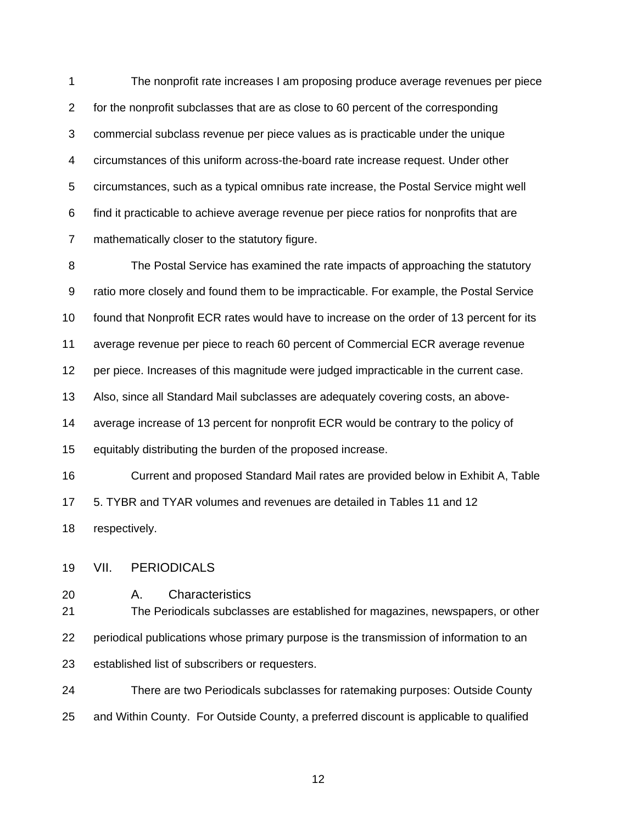1 The nonprofit rate increases I am proposing produce average revenues per piece 2 for the nonprofit subclasses that are as close to 60 percent of the corresponding 3 commercial subclass revenue per piece values as is practicable under the unique 4 circumstances of this uniform across-the-board rate increase request. Under other 5 circumstances, such as a typical omnibus rate increase, the Postal Service might well 6 find it practicable to achieve average revenue per piece ratios for nonprofits that are 7 mathematically closer to the statutory figure.

8 The Postal Service has examined the rate impacts of approaching the statutory 9 ratio more closely and found them to be impracticable. For example, the Postal Service 10 found that Nonprofit ECR rates would have to increase on the order of 13 percent for its 11 average revenue per piece to reach 60 percent of Commercial ECR average revenue 12 per piece. Increases of this magnitude were judged impracticable in the current case. 13 Also, since all Standard Mail subclasses are adequately covering costs, an above-14 average increase of 13 percent for nonprofit ECR would be contrary to the policy of 15 equitably distributing the burden of the proposed increase. 16 Current and proposed Standard Mail rates are provided below in Exhibit A, Table 17 5. TYBR and TYAR volumes and revenues are detailed in Tables 11 and 12

18 respectively.

- 19 VII. PERIODICALS
- 20 A. Characteristics

21 The Periodicals subclasses are established for magazines, newspapers, or other 22 periodical publications whose primary purpose is the transmission of information to an 23 established list of subscribers or requesters.

24 There are two Periodicals subclasses for ratemaking purposes: Outside County 25 and Within County. For Outside County, a preferred discount is applicable to qualified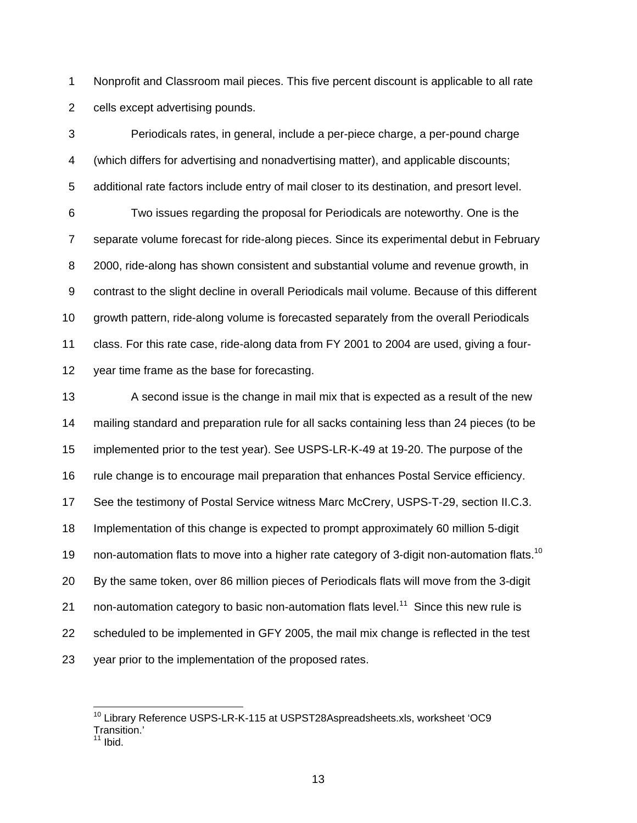1 Nonprofit and Classroom mail pieces. This five percent discount is applicable to all rate 2 cells except advertising pounds.

3 Periodicals rates, in general, include a per-piece charge, a per-pound charge 4 (which differs for advertising and nonadvertising matter), and applicable discounts; 5 additional rate factors include entry of mail closer to its destination, and presort level. 6 Two issues regarding the proposal for Periodicals are noteworthy. One is the 7 separate volume forecast for ride-along pieces. Since its experimental debut in February 8 2000, ride-along has shown consistent and substantial volume and revenue growth, in 9 contrast to the slight decline in overall Periodicals mail volume. Because of this different 10 growth pattern, ride-along volume is forecasted separately from the overall Periodicals 11 class. For this rate case, ride-along data from FY 2001 to 2004 are used, giving a four-12 year time frame as the base for forecasting.

13 A second issue is the change in mail mix that is expected as a result of the new 14 mailing standard and preparation rule for all sacks containing less than 24 pieces (to be 15 implemented prior to the test year). See USPS-LR-K-49 at 19-20. The purpose of the 16 rule change is to encourage mail preparation that enhances Postal Service efficiency. 17 See the testimony of Postal Service witness Marc McCrery, USPS-T-29, section II.C.3. 18 Implementation of this change is expected to prompt approximately 60 million 5-digit 19 non-automation flats to move into a higher rate category of 3-digit non-automation flats.<sup>10</sup> 20 By the same token, over 86 million pieces of Periodicals flats will move from the 3-digit 21 non-automation category to basic non-automation flats level.<sup>11</sup> Since this new rule is 22 scheduled to be implemented in GFY 2005, the mail mix change is reflected in the test 23 year prior to the implementation of the proposed rates.

<sup>&</sup>lt;sup>10</sup> Library Reference USPS-LR-K-115 at USPST28Aspreadsheets.xls, worksheet 'OC9 Transition.'  $<sup>1</sup>$  Ibid.</sup>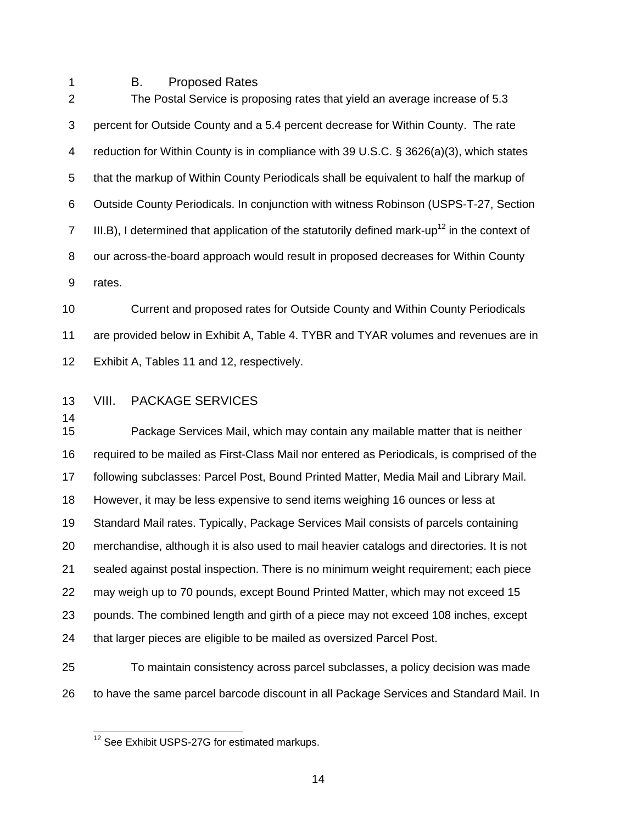#### 1 B. Proposed Rates

2 The Postal Service is proposing rates that yield an average increase of 5.3 3 percent for Outside County and a 5.4 percent decrease for Within County. The rate 4 reduction for Within County is in compliance with 39 U.S.C. § 3626(a)(3), which states 5 that the markup of Within County Periodicals shall be equivalent to half the markup of 6 Outside County Periodicals. In conjunction with witness Robinson (USPS-T-27, Section III.B), I determined that application of the statutorily defined mark-up<sup>12</sup> in the context of 8 our across-the-board approach would result in proposed decreases for Within County 9 rates.

10 Current and proposed rates for Outside County and Within County Periodicals 11 are provided below in Exhibit A, Table 4. TYBR and TYAR volumes and revenues are in 12 Exhibit A, Tables 11 and 12, respectively.

## 13 VIII. PACKAGE SERVICES

14

15 Package Services Mail, which may contain any mailable matter that is neither 16 required to be mailed as First-Class Mail nor entered as Periodicals, is comprised of the 17 following subclasses: Parcel Post, Bound Printed Matter, Media Mail and Library Mail. 18 However, it may be less expensive to send items weighing 16 ounces or less at 19 Standard Mail rates. Typically, Package Services Mail consists of parcels containing 20 merchandise, although it is also used to mail heavier catalogs and directories. It is not 21 sealed against postal inspection. There is no minimum weight requirement; each piece 22 may weigh up to 70 pounds, except Bound Printed Matter, which may not exceed 15 23 pounds. The combined length and girth of a piece may not exceed 108 inches, except 24 that larger pieces are eligible to be mailed as oversized Parcel Post.

25 To maintain consistency across parcel subclasses, a policy decision was made 26 to have the same parcel barcode discount in all Package Services and Standard Mail. In

<sup>&</sup>lt;sup>12</sup> See Exhibit USPS-27G for estimated markups.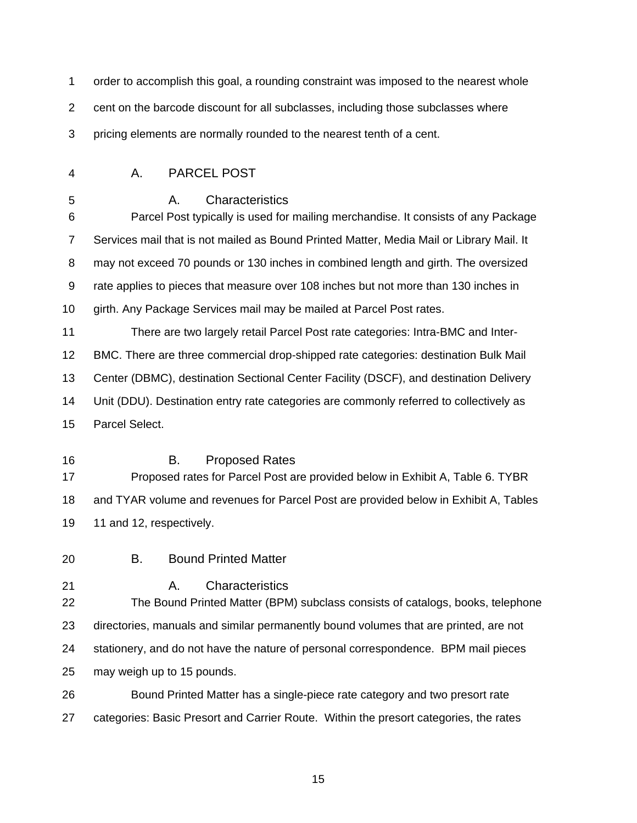| 1              | order to accomplish this goal, a rounding constraint was imposed to the nearest whole                        |  |  |
|----------------|--------------------------------------------------------------------------------------------------------------|--|--|
| $\overline{2}$ | cent on the barcode discount for all subclasses, including those subclasses where                            |  |  |
| 3              | pricing elements are normally rounded to the nearest tenth of a cent.                                        |  |  |
| 4              | <b>PARCEL POST</b><br>А.                                                                                     |  |  |
| 5<br>6         | Characteristics<br>А.<br>Parcel Post typically is used for mailing merchandise. It consists of any Package   |  |  |
| $\overline{7}$ | Services mail that is not mailed as Bound Printed Matter, Media Mail or Library Mail. It                     |  |  |
| 8              | may not exceed 70 pounds or 130 inches in combined length and girth. The oversized                           |  |  |
| 9              | rate applies to pieces that measure over 108 inches but not more than 130 inches in                          |  |  |
| 10             | girth. Any Package Services mail may be mailed at Parcel Post rates.                                         |  |  |
| 11             | There are two largely retail Parcel Post rate categories: Intra-BMC and Inter-                               |  |  |
| 12             | BMC. There are three commercial drop-shipped rate categories: destination Bulk Mail                          |  |  |
| 13             | Center (DBMC), destination Sectional Center Facility (DSCF), and destination Delivery                        |  |  |
| 14             | Unit (DDU). Destination entry rate categories are commonly referred to collectively as                       |  |  |
| 15             | Parcel Select.                                                                                               |  |  |
| 16<br>17       | В.<br><b>Proposed Rates</b><br>Proposed rates for Parcel Post are provided below in Exhibit A, Table 6. TYBR |  |  |
| 18             | and TYAR volume and revenues for Parcel Post are provided below in Exhibit A, Tables                         |  |  |
| 19             | 11 and 12, respectively.                                                                                     |  |  |
| 20             | <b>Bound Printed Matter</b><br>В.                                                                            |  |  |
| 21<br>22       | Characteristics<br>Α.<br>The Bound Printed Matter (BPM) subclass consists of catalogs, books, telephone      |  |  |
| 23             | directories, manuals and similar permanently bound volumes that are printed, are not                         |  |  |
| 24             | stationery, and do not have the nature of personal correspondence. BPM mail pieces                           |  |  |
| 25             | may weigh up to 15 pounds.                                                                                   |  |  |
| 26             | Bound Printed Matter has a single-piece rate category and two presort rate                                   |  |  |
| 27             | categories: Basic Presort and Carrier Route. Within the presort categories, the rates                        |  |  |

<u>15 and 20 and 20 and 20 and 20 and 20 and 20 and 20 and 20 and 20 and 20 and 20 and 20 and 20 and 20 and 20 an</u>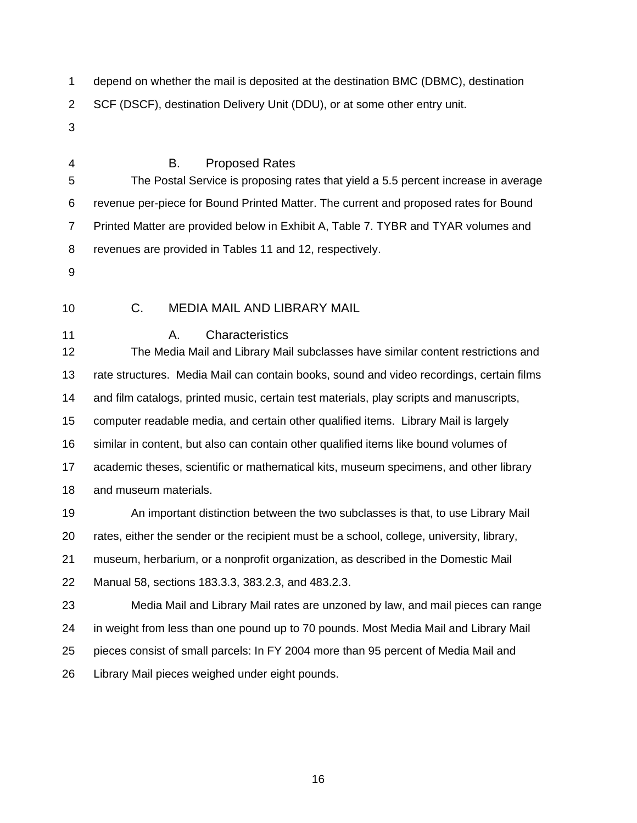1 depend on whether the mail is deposited at the destination BMC (DBMC), destination 2 SCF (DSCF), destination Delivery Unit (DDU), or at some other entry unit.

- 3
- 

## 4 B. Proposed Rates

5 The Postal Service is proposing rates that yield a 5.5 percent increase in average 6 revenue per-piece for Bound Printed Matter. The current and proposed rates for Bound 7 Printed Matter are provided below in Exhibit A, Table 7. TYBR and TYAR volumes and 8 revenues are provided in Tables 11 and 12, respectively.

- 9
- 

## 10 C. MEDIA MAIL AND LIBRARY MAIL

11 **A.** Characteristics

12 The Media Mail and Library Mail subclasses have similar content restrictions and 13 rate structures. Media Mail can contain books, sound and video recordings, certain films 14 and film catalogs, printed music, certain test materials, play scripts and manuscripts, 15 computer readable media, and certain other qualified items. Library Mail is largely 16 similar in content, but also can contain other qualified items like bound volumes of 17 academic theses, scientific or mathematical kits, museum specimens, and other library 18 and museum materials.

19 An important distinction between the two subclasses is that, to use Library Mail 20 rates, either the sender or the recipient must be a school, college, university, library, 21 museum, herbarium, or a nonprofit organization, as described in the Domestic Mail 22 Manual 58, sections 183.3.3, 383.2.3, and 483.2.3.

23 Media Mail and Library Mail rates are unzoned by law, and mail pieces can range 24 in weight from less than one pound up to 70 pounds. Most Media Mail and Library Mail 25 pieces consist of small parcels: In FY 2004 more than 95 percent of Media Mail and 26 Library Mail pieces weighed under eight pounds.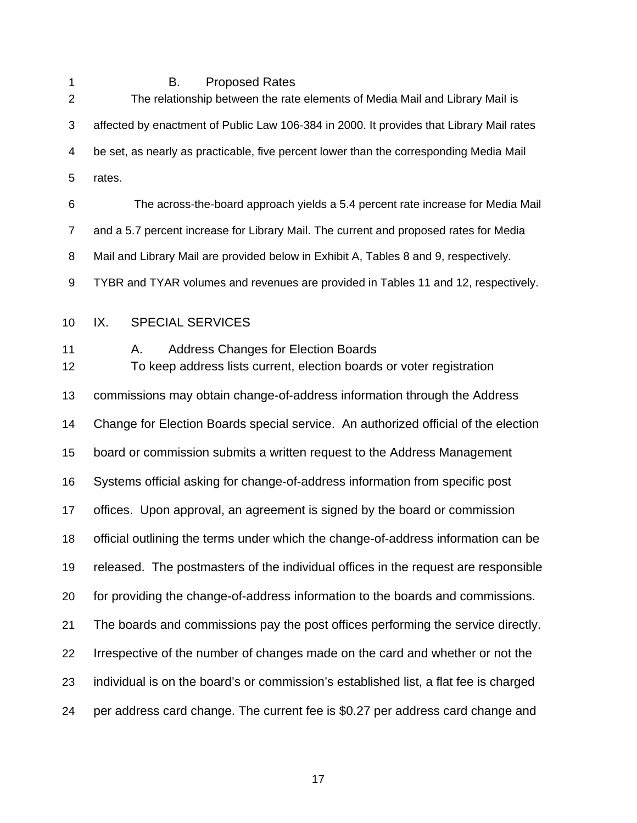1 B. Proposed Rates

| $\overline{2}$ | The relationship between the rate elements of Media Mail and Library Mail is                                             |  |  |
|----------------|--------------------------------------------------------------------------------------------------------------------------|--|--|
| 3              | affected by enactment of Public Law 106-384 in 2000. It provides that Library Mail rates                                 |  |  |
| 4              | be set, as nearly as practicable, five percent lower than the corresponding Media Mail                                   |  |  |
| 5              | rates.                                                                                                                   |  |  |
| 6              | The across-the-board approach yields a 5.4 percent rate increase for Media Mail                                          |  |  |
| $\overline{7}$ | and a 5.7 percent increase for Library Mail. The current and proposed rates for Media                                    |  |  |
| 8              | Mail and Library Mail are provided below in Exhibit A, Tables 8 and 9, respectively.                                     |  |  |
| 9              | TYBR and TYAR volumes and revenues are provided in Tables 11 and 12, respectively.                                       |  |  |
| 10             | IX.<br><b>SPECIAL SERVICES</b>                                                                                           |  |  |
| 11<br>12       | <b>Address Changes for Election Boards</b><br>А.<br>To keep address lists current, election boards or voter registration |  |  |
| 13             | commissions may obtain change-of-address information through the Address                                                 |  |  |
| 14             | Change for Election Boards special service. An authorized official of the election                                       |  |  |
| 15             | board or commission submits a written request to the Address Management                                                  |  |  |
| 16             | Systems official asking for change-of-address information from specific post                                             |  |  |
| 17             | offices. Upon approval, an agreement is signed by the board or commission                                                |  |  |
| 18             | official outlining the terms under which the change-of-address information can be                                        |  |  |
| 19             | released. The postmasters of the individual offices in the request are responsible                                       |  |  |
| 20             | for providing the change-of-address information to the boards and commissions.                                           |  |  |
| 21             | The boards and commissions pay the post offices performing the service directly.                                         |  |  |
| 22             | Irrespective of the number of changes made on the card and whether or not the                                            |  |  |
| 23             | individual is on the board's or commission's established list, a flat fee is charged                                     |  |  |
| 24             | per address card change. The current fee is \$0.27 per address card change and                                           |  |  |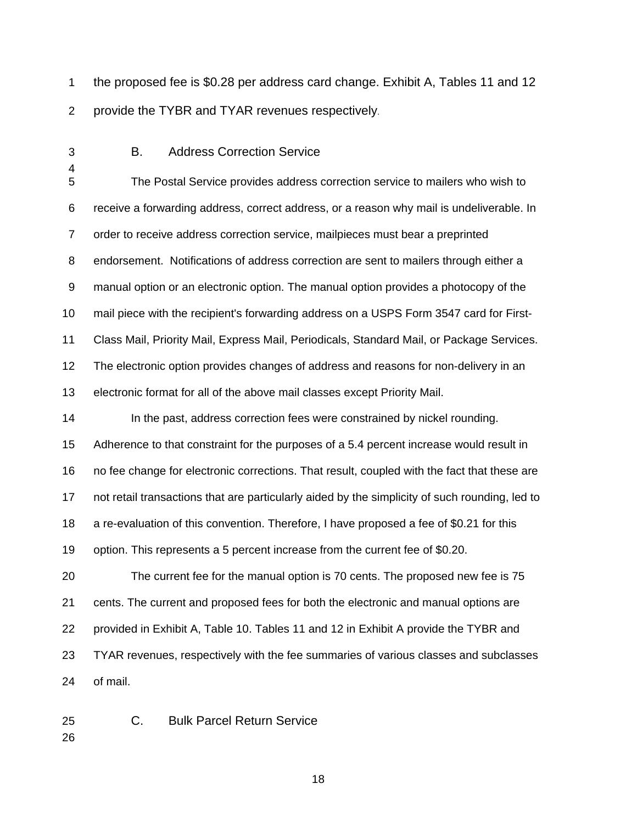1 the proposed fee is \$0.28 per address card change. Exhibit A, Tables 11 and 12 2 provide the TYBR and TYAR revenues respectively.

4

## 3 B. Address Correction Service

5 The Postal Service provides address correction service to mailers who wish to 6 receive a forwarding address, correct address, or a reason why mail is undeliverable. In 7 order to receive address correction service, mailpieces must bear a preprinted 8 endorsement. Notifications of address correction are sent to mailers through either a 9 manual option or an electronic option. The manual option provides a photocopy of the 10 mail piece with the recipient's forwarding address on a USPS Form 3547 card for First-11 Class Mail, Priority Mail, Express Mail, Periodicals, Standard Mail, or Package Services. 12 The electronic option provides changes of address and reasons for non-delivery in an 13 electronic format for all of the above mail classes except Priority Mail.

14 In the past, address correction fees were constrained by nickel rounding. 15 Adherence to that constraint for the purposes of a 5.4 percent increase would result in 16 no fee change for electronic corrections. That result, coupled with the fact that these are 17 not retail transactions that are particularly aided by the simplicity of such rounding, led to 18 a re-evaluation of this convention. Therefore, I have proposed a fee of \$0.21 for this 19 option. This represents a 5 percent increase from the current fee of \$0.20.

20 The current fee for the manual option is 70 cents. The proposed new fee is 75 21 cents. The current and proposed fees for both the electronic and manual options are 22 provided in Exhibit A, Table 10. Tables 11 and 12 in Exhibit A provide the TYBR and 23 TYAR revenues, respectively with the fee summaries of various classes and subclasses 24 of mail.

25 C. Bulk Parcel Return Service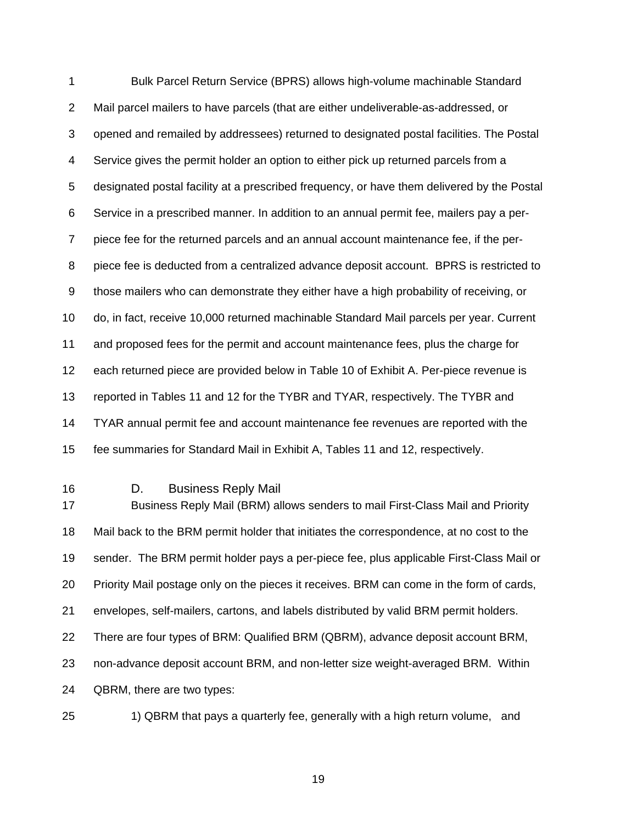1 Bulk Parcel Return Service (BPRS) allows high-volume machinable Standard 2 Mail parcel mailers to have parcels (that are either undeliverable-as-addressed, or 3 opened and remailed by addressees) returned to designated postal facilities. The Postal 4 Service gives the permit holder an option to either pick up returned parcels from a 5 designated postal facility at a prescribed frequency, or have them delivered by the Postal 6 Service in a prescribed manner. In addition to an annual permit fee, mailers pay a per-7 piece fee for the returned parcels and an annual account maintenance fee, if the per-8 piece fee is deducted from a centralized advance deposit account. BPRS is restricted to 9 those mailers who can demonstrate they either have a high probability of receiving, or 10 do, in fact, receive 10,000 returned machinable Standard Mail parcels per year. Current 11 and proposed fees for the permit and account maintenance fees, plus the charge for 12 each returned piece are provided below in Table 10 of Exhibit A. Per-piece revenue is 13 reported in Tables 11 and 12 for the TYBR and TYAR, respectively. The TYBR and 14 TYAR annual permit fee and account maintenance fee revenues are reported with the 15 fee summaries for Standard Mail in Exhibit A, Tables 11 and 12, respectively.

16 D. Business Reply Mail

17 Business Reply Mail (BRM) allows senders to mail First-Class Mail and Priority 18 Mail back to the BRM permit holder that initiates the correspondence, at no cost to the 19 sender. The BRM permit holder pays a per-piece fee, plus applicable First-Class Mail or 20 Priority Mail postage only on the pieces it receives. BRM can come in the form of cards, 21 envelopes, self-mailers, cartons, and labels distributed by valid BRM permit holders. 22 There are four types of BRM: Qualified BRM (QBRM), advance deposit account BRM, 23 non-advance deposit account BRM, and non-letter size weight-averaged BRM. Within 24 QBRM, there are two types:



25 1) QBRM that pays a quarterly fee, generally with a high return volume, and

<u>19 and the contract of the contract of the contract of the contract of the contract of the contract of the con</u>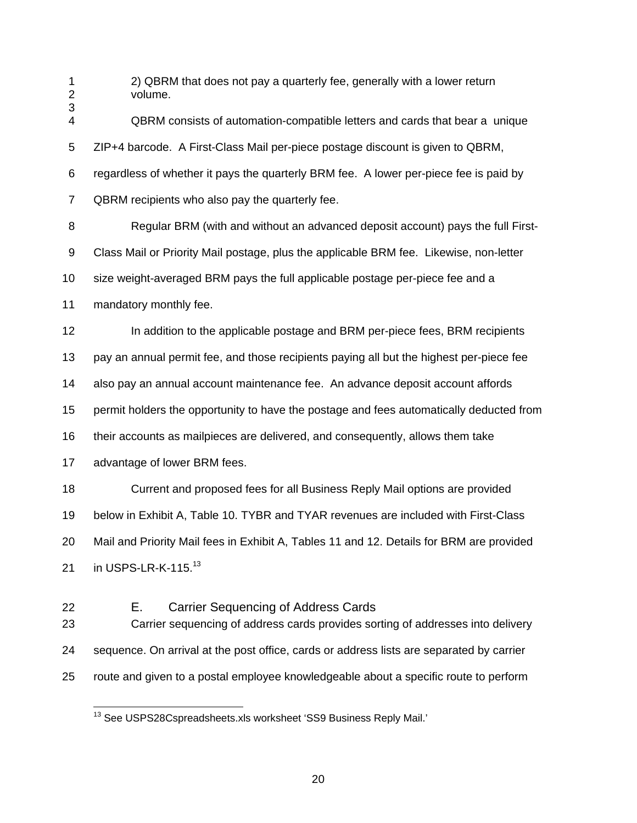1 2) QBRM that does not pay a quarterly fee, generally with a lower return 2 volume. 3 4 QBRM consists of automation-compatible letters and cards that bear a unique 5 ZIP+4 barcode. A First-Class Mail per-piece postage discount is given to QBRM, 6 regardless of whether it pays the quarterly BRM fee. A lower per-piece fee is paid by 7 QBRM recipients who also pay the quarterly fee. 8 Regular BRM (with and without an advanced deposit account) pays the full First-9 Class Mail or Priority Mail postage, plus the applicable BRM fee. Likewise, non-letter 10 size weight-averaged BRM pays the full applicable postage per-piece fee and a 11 mandatory monthly fee. 12 In addition to the applicable postage and BRM per-piece fees, BRM recipients 13 pay an annual permit fee, and those recipients paying all but the highest per-piece fee 14 also pay an annual account maintenance fee. An advance deposit account affords 15 permit holders the opportunity to have the postage and fees automatically deducted from 16 their accounts as mailpieces are delivered, and consequently, allows them take 17 advantage of lower BRM fees. 18 Current and proposed fees for all Business Reply Mail options are provided 19 below in Exhibit A, Table 10. TYBR and TYAR revenues are included with First-Class 20 Mail and Priority Mail fees in Exhibit A, Tables 11 and 12. Details for BRM are provided 21 in USPS-LR-K-115. $^{13}$ 22 E. Carrier Sequencing of Address Cards 23 Carrier sequencing of address cards provides sorting of addresses into delivery 24 sequence. On arrival at the post office, cards or address lists are separated by carrier

25 route and given to a postal employee knowledgeable about a specific route to perform

 $13$  See USPS28Cspreadsheets.xls worksheet 'SS9 Business Reply Mail.'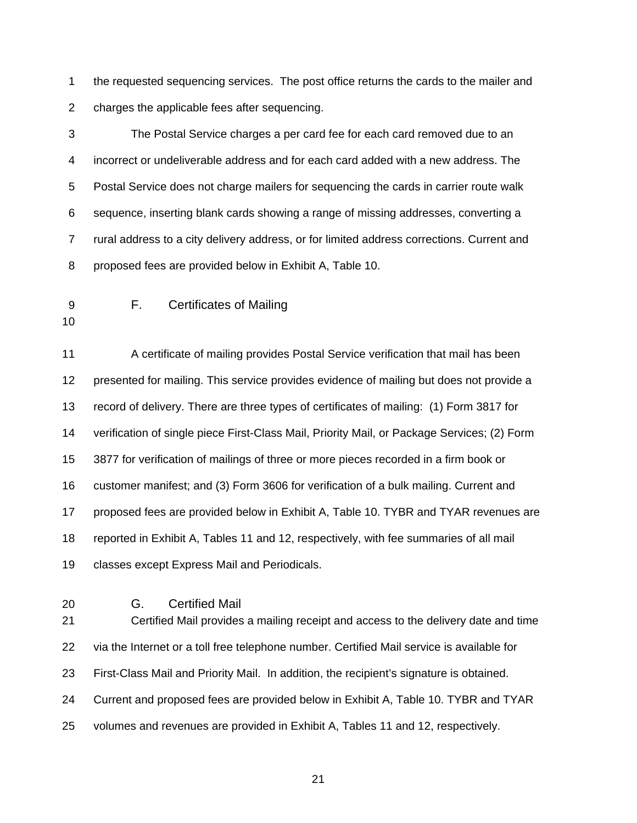1 the requested sequencing services. The post office returns the cards to the mailer and 2 charges the applicable fees after sequencing.

3 The Postal Service charges a per card fee for each card removed due to an 4 incorrect or undeliverable address and for each card added with a new address. The 5 Postal Service does not charge mailers for sequencing the cards in carrier route walk 6 sequence, inserting blank cards showing a range of missing addresses, converting a 7 rural address to a city delivery address, or for limited address corrections. Current and 8 proposed fees are provided below in Exhibit A, Table 10.

9 F. Certificates of Mailing

10

11 A certificate of mailing provides Postal Service verification that mail has been 12 presented for mailing. This service provides evidence of mailing but does not provide a 13 record of delivery. There are three types of certificates of mailing: (1) Form 3817 for 14 verification of single piece First-Class Mail, Priority Mail, or Package Services; (2) Form 15 3877 for verification of mailings of three or more pieces recorded in a firm book or 16 customer manifest; and (3) Form 3606 for verification of a bulk mailing. Current and 17 proposed fees are provided below in Exhibit A, Table 10. TYBR and TYAR revenues are 18 reported in Exhibit A, Tables 11 and 12, respectively, with fee summaries of all mail 19 classes except Express Mail and Periodicals.

#### 20 G. Certified Mail

21 Certified Mail provides a mailing receipt and access to the delivery date and time 22 via the Internet or a toll free telephone number. Certified Mail service is available for 23 First-Class Mail and Priority Mail. In addition, the recipient's signature is obtained. 24 Current and proposed fees are provided below in Exhibit A, Table 10. TYBR and TYAR 25 volumes and revenues are provided in Exhibit A, Tables 11 and 12, respectively.

<u>21 and 21</u>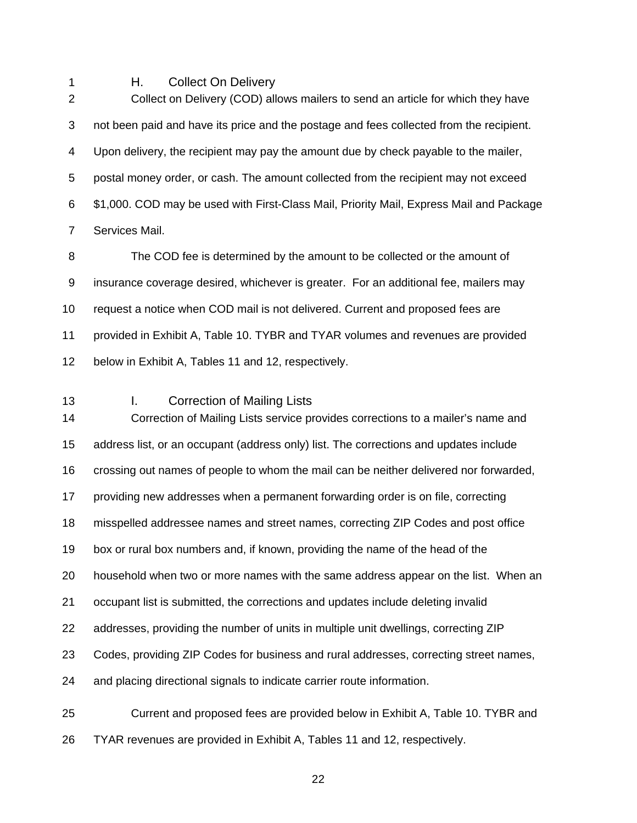1 H. Collect On Delivery

2 Collect on Delivery (COD) allows mailers to send an article for which they have 3 not been paid and have its price and the postage and fees collected from the recipient. 4 Upon delivery, the recipient may pay the amount due by check payable to the mailer, 5 postal money order, or cash. The amount collected from the recipient may not exceed 6 \$1,000. COD may be used with First-Class Mail, Priority Mail, Express Mail and Package 7 Services Mail.

8 The COD fee is determined by the amount to be collected or the amount of 9 insurance coverage desired, whichever is greater. For an additional fee, mailers may 10 request a notice when COD mail is not delivered. Current and proposed fees are 11 provided in Exhibit A, Table 10. TYBR and TYAR volumes and revenues are provided 12 below in Exhibit A, Tables 11 and 12, respectively.

### 13 I. Correction of Mailing Lists

14 Correction of Mailing Lists service provides corrections to a mailer's name and 15 address list, or an occupant (address only) list. The corrections and updates include 16 crossing out names of people to whom the mail can be neither delivered nor forwarded, 17 providing new addresses when a permanent forwarding order is on file, correcting 18 misspelled addressee names and street names, correcting ZIP Codes and post office 19 box or rural box numbers and, if known, providing the name of the head of the 20 household when two or more names with the same address appear on the list. When an 21 occupant list is submitted, the corrections and updates include deleting invalid 22 addresses, providing the number of units in multiple unit dwellings, correcting ZIP 23 Codes, providing ZIP Codes for business and rural addresses, correcting street names, 24 and placing directional signals to indicate carrier route information. 25 Current and proposed fees are provided below in Exhibit A, Table 10. TYBR and

26 TYAR revenues are provided in Exhibit A, Tables 11 and 12, respectively.

<u>22 and 23 and 23 and 23 and 23 and 23 and 23 and 23 and 23 and 23 and 23 and 23 and 23 and 23 and 23 and 23 a</u>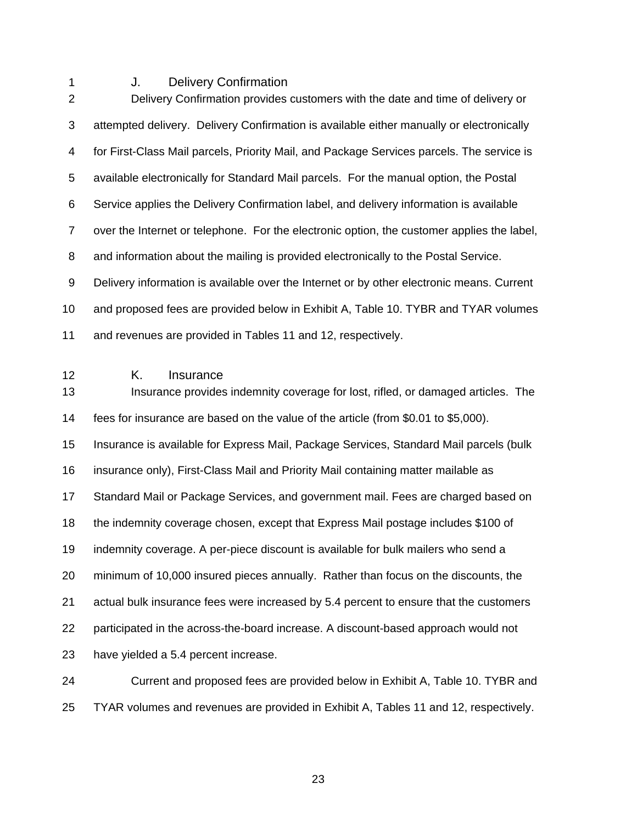1 J. Delivery Confirmation

2 Delivery Confirmation provides customers with the date and time of delivery or 3 attempted delivery. Delivery Confirmation is available either manually or electronically 4 for First-Class Mail parcels, Priority Mail, and Package Services parcels. The service is 5 available electronically for Standard Mail parcels. For the manual option, the Postal 6 Service applies the Delivery Confirmation label, and delivery information is available 7 over the Internet or telephone. For the electronic option, the customer applies the label, 8 and information about the mailing is provided electronically to the Postal Service. 9 Delivery information is available over the Internet or by other electronic means. Current 10 and proposed fees are provided below in Exhibit A, Table 10. TYBR and TYAR volumes 11 and revenues are provided in Tables 11 and 12, respectively. 12 K. Insurance 13 Insurance provides indemnity coverage for lost, rifled, or damaged articles. The 14 fees for insurance are based on the value of the article (from \$0.01 to \$5,000). 15 Insurance is available for Express Mail, Package Services, Standard Mail parcels (bulk 16 insurance only), First-Class Mail and Priority Mail containing matter mailable as 17 Standard Mail or Package Services, and government mail. Fees are charged based on 18 the indemnity coverage chosen, except that Express Mail postage includes \$100 of 19 indemnity coverage. A per-piece discount is available for bulk mailers who send a 20 minimum of 10,000 insured pieces annually. Rather than focus on the discounts, the 21 actual bulk insurance fees were increased by 5.4 percent to ensure that the customers 22 participated in the across-the-board increase. A discount-based approach would not 23 have yielded a 5.4 percent increase.

24 Current and proposed fees are provided below in Exhibit A, Table 10. TYBR and 25 TYAR volumes and revenues are provided in Exhibit A, Tables 11 and 12, respectively.

<u>23 and 23 and 23 and 23 and 23 and 23 and 23 and 23 and 23 and 23 and 23 and 23 and 23 and 23 and 23 and 23 and 23 and 23 and 23 and 23 and 23 and 23 and 23 and 23 and 23 and 23 and 23 and 23 and 23 and 23 and 23 and 23 a</u>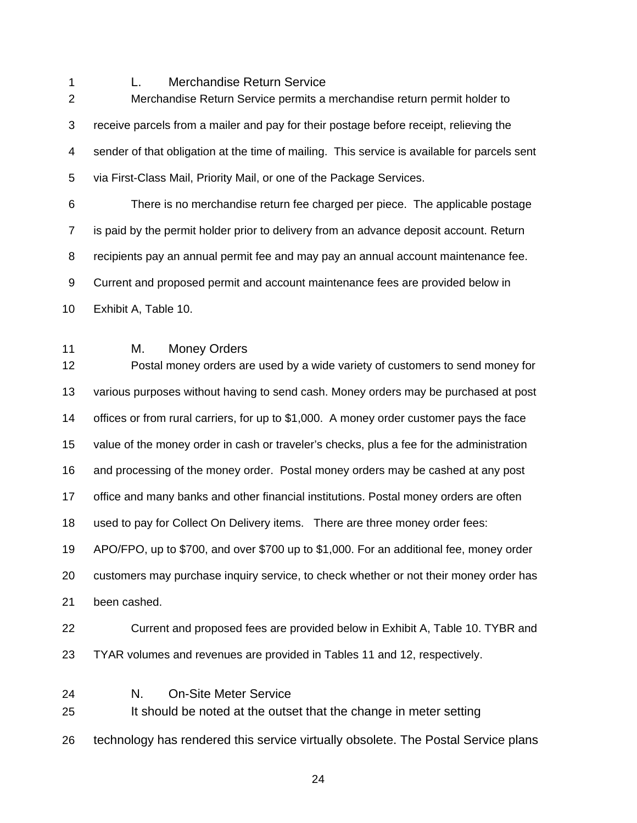1 L. Merchandise Return Service

| $\overline{2}$ | Merchandise Return Service permits a merchandise return permit holder to                                   |  |  |
|----------------|------------------------------------------------------------------------------------------------------------|--|--|
| 3              | receive parcels from a mailer and pay for their postage before receipt, relieving the                      |  |  |
| 4              | sender of that obligation at the time of mailing. This service is available for parcels sent               |  |  |
| 5              | via First-Class Mail, Priority Mail, or one of the Package Services.                                       |  |  |
| 6              | There is no merchandise return fee charged per piece. The applicable postage                               |  |  |
| $\overline{7}$ | is paid by the permit holder prior to delivery from an advance deposit account. Return                     |  |  |
| 8              | recipients pay an annual permit fee and may pay an annual account maintenance fee.                         |  |  |
| 9              | Current and proposed permit and account maintenance fees are provided below in                             |  |  |
| 10             | Exhibit A, Table 10.                                                                                       |  |  |
| 11<br>12       | М.<br><b>Money Orders</b><br>Postal money orders are used by a wide variety of customers to send money for |  |  |
| 13             | various purposes without having to send cash. Money orders may be purchased at post                        |  |  |
| 14             | offices or from rural carriers, for up to \$1,000. A money order customer pays the face                    |  |  |
| 15             | value of the money order in cash or traveler's checks, plus a fee for the administration                   |  |  |
| 16             | and processing of the money order. Postal money orders may be cashed at any post                           |  |  |
| 17             | office and many banks and other financial institutions. Postal money orders are often                      |  |  |
| 18             | used to pay for Collect On Delivery items. There are three money order fees:                               |  |  |
| 19             | APO/FPO, up to \$700, and over \$700 up to \$1,000. For an additional fee, money order                     |  |  |
| 20             | customers may purchase inquiry service, to check whether or not their money order has                      |  |  |
| 21             | been cashed.                                                                                               |  |  |
| 22             | Current and proposed fees are provided below in Exhibit A, Table 10. TYBR and                              |  |  |
| 23             | TYAR volumes and revenues are provided in Tables 11 and 12, respectively.                                  |  |  |
| 24<br>25       | <b>On-Site Meter Service</b><br>N.<br>It should be noted at the outset that the change in meter setting    |  |  |
| 26             | technology has rendered this service virtually obsolete. The Postal Service plans                          |  |  |

<u>24 a duais anns an 24 an t-</u>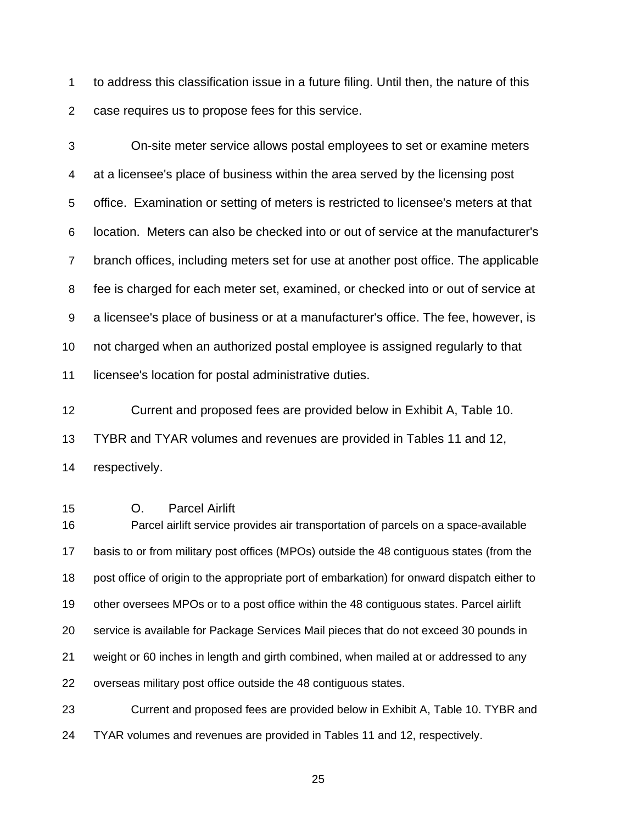1 to address this classification issue in a future filing. Until then, the nature of this 2 case requires us to propose fees for this service.

3 On-site meter service allows postal employees to set or examine meters 4 at a licensee's place of business within the area served by the licensing post 5 office. Examination or setting of meters is restricted to licensee's meters at that 6 location. Meters can also be checked into or out of service at the manufacturer's 7 branch offices, including meters set for use at another post office. The applicable 8 fee is charged for each meter set, examined, or checked into or out of service at 9 a licensee's place of business or at a manufacturer's office. The fee, however, is 10 not charged when an authorized postal employee is assigned regularly to that 11 licensee's location for postal administrative duties.

12 Current and proposed fees are provided below in Exhibit A, Table 10. 13 TYBR and TYAR volumes and revenues are provided in Tables 11 and 12, 14 respectively.

15 O. Parcel Airlift 16 Parcel airlift service provides air transportation of parcels on a space-available 17 basis to or from military post offices (MPOs) outside the 48 contiguous states (from the 18 post office of origin to the appropriate port of embarkation) for onward dispatch either to 19 other oversees MPOs or to a post office within the 48 contiguous states. Parcel airlift 20 service is available for Package Services Mail pieces that do not exceed 30 pounds in 21 weight or 60 inches in length and girth combined, when mailed at or addressed to any 22 overseas military post office outside the 48 contiguous states. 23 Current and proposed fees are provided below in Exhibit A, Table 10. TYBR and

24 TYAR volumes and revenues are provided in Tables 11 and 12, respectively.

<u>25 and 25 and 26 and 26 and 26 and 26 and 26 and 26 and 26 and 26 and 26 and 26 and 26 and 26 and 26 and 26 and 26 and 26 and 26 and 26 and 26 and 26 and 26 and 26 and 26 and 27 and 27 and 27 and 27 and 27 and 27 and 27 a</u>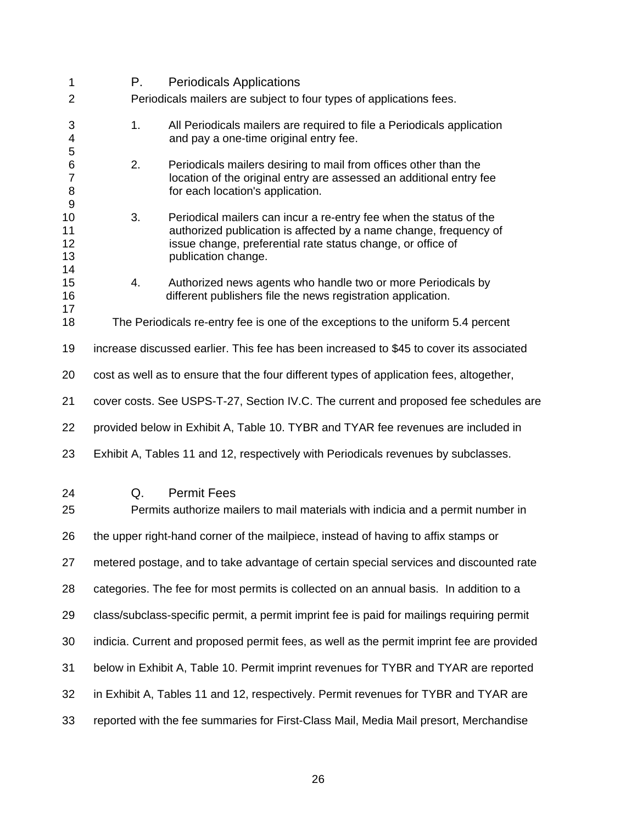| 1                                                | Р.                                                                                         | <b>Periodicals Applications</b>                                                                                                                                                                                               |  |
|--------------------------------------------------|--------------------------------------------------------------------------------------------|-------------------------------------------------------------------------------------------------------------------------------------------------------------------------------------------------------------------------------|--|
| $\overline{c}$                                   |                                                                                            | Periodicals mailers are subject to four types of applications fees.                                                                                                                                                           |  |
| 3<br>4<br>5                                      | 1.                                                                                         | All Periodicals mailers are required to file a Periodicals application<br>and pay a one-time original entry fee.                                                                                                              |  |
| $\,6$<br>$\overline{7}$<br>8<br>$\boldsymbol{9}$ | 2.                                                                                         | Periodicals mailers desiring to mail from offices other than the<br>location of the original entry are assessed an additional entry fee<br>for each location's application.                                                   |  |
| 10<br>11<br>12<br>13<br>14                       | 3.                                                                                         | Periodical mailers can incur a re-entry fee when the status of the<br>authorized publication is affected by a name change, frequency of<br>issue change, preferential rate status change, or office of<br>publication change. |  |
| 15<br>16<br>17                                   | 4.                                                                                         | Authorized news agents who handle two or more Periodicals by<br>different publishers file the news registration application.                                                                                                  |  |
| 18                                               |                                                                                            | The Periodicals re-entry fee is one of the exceptions to the uniform 5.4 percent                                                                                                                                              |  |
| 19                                               | increase discussed earlier. This fee has been increased to \$45 to cover its associated    |                                                                                                                                                                                                                               |  |
| 20                                               | cost as well as to ensure that the four different types of application fees, altogether,   |                                                                                                                                                                                                                               |  |
| 21                                               | cover costs. See USPS-T-27, Section IV.C. The current and proposed fee schedules are       |                                                                                                                                                                                                                               |  |
| 22                                               | provided below in Exhibit A, Table 10. TYBR and TYAR fee revenues are included in          |                                                                                                                                                                                                                               |  |
| 23                                               |                                                                                            | Exhibit A, Tables 11 and 12, respectively with Periodicals revenues by subclasses.                                                                                                                                            |  |
| 24<br>25                                         | Q.                                                                                         | <b>Permit Fees</b><br>Permits authorize mailers to mail materials with indicia and a permit number in                                                                                                                         |  |
| 26                                               |                                                                                            | the upper right-hand corner of the mailpiece, instead of having to affix stamps or                                                                                                                                            |  |
| 27                                               |                                                                                            | metered postage, and to take advantage of certain special services and discounted rate                                                                                                                                        |  |
| 28                                               | categories. The fee for most permits is collected on an annual basis. In addition to a     |                                                                                                                                                                                                                               |  |
| 29                                               | class/subclass-specific permit, a permit imprint fee is paid for mailings requiring permit |                                                                                                                                                                                                                               |  |
| 30                                               | indicia. Current and proposed permit fees, as well as the permit imprint fee are provided  |                                                                                                                                                                                                                               |  |
| 31                                               | below in Exhibit A, Table 10. Permit imprint revenues for TYBR and TYAR are reported       |                                                                                                                                                                                                                               |  |
| 32                                               | in Exhibit A, Tables 11 and 12, respectively. Permit revenues for TYBR and TYAR are        |                                                                                                                                                                                                                               |  |
| 33                                               | reported with the fee summaries for First-Class Mail, Media Mail presort, Merchandise      |                                                                                                                                                                                                                               |  |

 $\sim$  26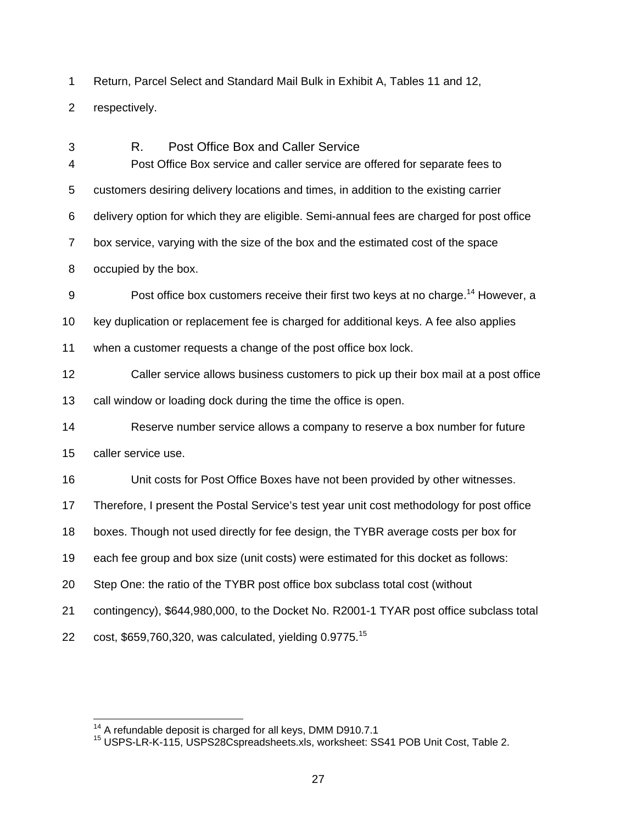1 Return, Parcel Select and Standard Mail Bulk in Exhibit A, Tables 11 and 12,

2 respectively.

3 R. Post Office Box and Caller Service 4 Post Office Box service and caller service are offered for separate fees to 5 customers desiring delivery locations and times, in addition to the existing carrier 6 delivery option for which they are eligible. Semi-annual fees are charged for post office 7 box service, varying with the size of the box and the estimated cost of the space 8 occupied by the box. 9 Post office box customers receive their first two keys at no charge.<sup>14</sup> However, a 10 key duplication or replacement fee is charged for additional keys. A fee also applies 11 when a customer requests a change of the post office box lock. 12 Caller service allows business customers to pick up their box mail at a post office 13 call window or loading dock during the time the office is open. 14 Reserve number service allows a company to reserve a box number for future 15 caller service use. 16 Unit costs for Post Office Boxes have not been provided by other witnesses. 17 Therefore, I present the Postal Service's test year unit cost methodology for post office 18 boxes. Though not used directly for fee design, the TYBR average costs per box for 19 each fee group and box size (unit costs) were estimated for this docket as follows: 20 Step One: the ratio of the TYBR post office box subclass total cost (without 21 contingency), \$644,980,000, to the Docket No. R2001-1 TYAR post office subclass total 22 cost,  $$659,760,320$ , was calculated, yielding 0.9775.<sup>15</sup>

<sup>&</sup>lt;sup>14</sup> A refundable deposit is charged for all keys, DMM D910.7.1<br><sup>15</sup> USPS-LR-K-115, USPS28Cspreadsheets.xls, worksheet: SS41 POB Unit Cost, Table 2.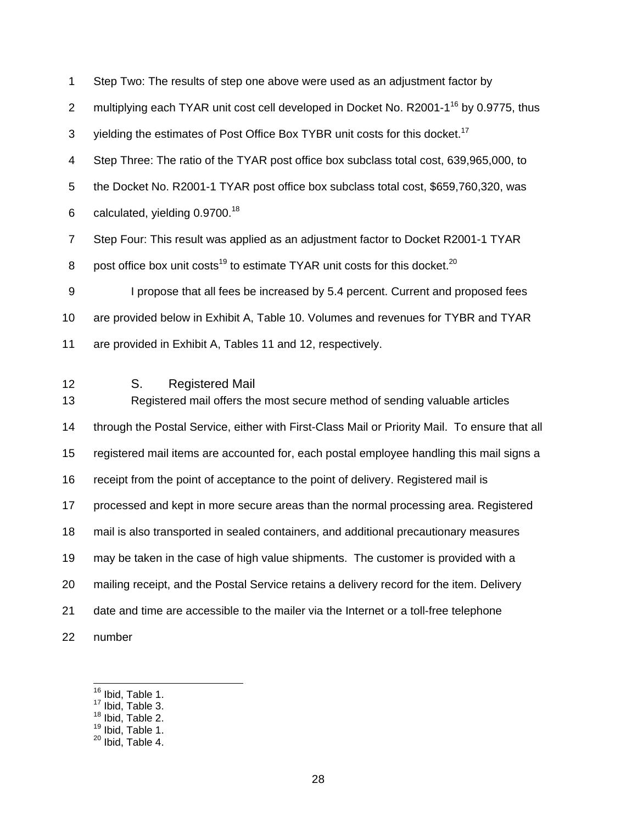1 Step Two: The results of step one above were used as an adjustment factor by 2 multiplying each TYAR unit cost cell developed in Docket No. R2001-1<sup>16</sup> by 0.9775, thus 3 yielding the estimates of Post Office Box TYBR unit costs for this docket.<sup>17</sup> 4 Step Three: The ratio of the TYAR post office box subclass total cost, 639,965,000, to 5 the Docket No. R2001-1 TYAR post office box subclass total cost, \$659,760,320, was 6 calculated, yielding  $0.9700^{18}$ 7 Step Four: This result was applied as an adjustment factor to Docket R2001-1 TYAR 8 post office box unit costs<sup>19</sup> to estimate TYAR unit costs for this docket.<sup>20</sup> 9 I propose that all fees be increased by 5.4 percent. Current and proposed fees 10 are provided below in Exhibit A, Table 10. Volumes and revenues for TYBR and TYAR 11 are provided in Exhibit A, Tables 11 and 12, respectively. 12 S. Registered Mail 13 Registered mail offers the most secure method of sending valuable articles 14 through the Postal Service, either with First-Class Mail or Priority Mail. To ensure that all 15 registered mail items are accounted for, each postal employee handling this mail signs a 16 receipt from the point of acceptance to the point of delivery. Registered mail is 17 processed and kept in more secure areas than the normal processing area. Registered 18 mail is also transported in sealed containers, and additional precautionary measures 19 may be taken in the case of high value shipments. The customer is provided with a 20 mailing receipt, and the Postal Service retains a delivery record for the item. Delivery 21 date and time are accessible to the mailer via the Internet or a toll-free telephone 22 number

<sup>&</sup>lt;sup>16</sup> Ibid, Table 1.

 $17$  Ibid, Table 3.

 $18$  Ibid, Table 2.

<sup>&</sup>lt;sup>19</sup> Ibid, Table 1.

 $20$  Ibid, Table 4.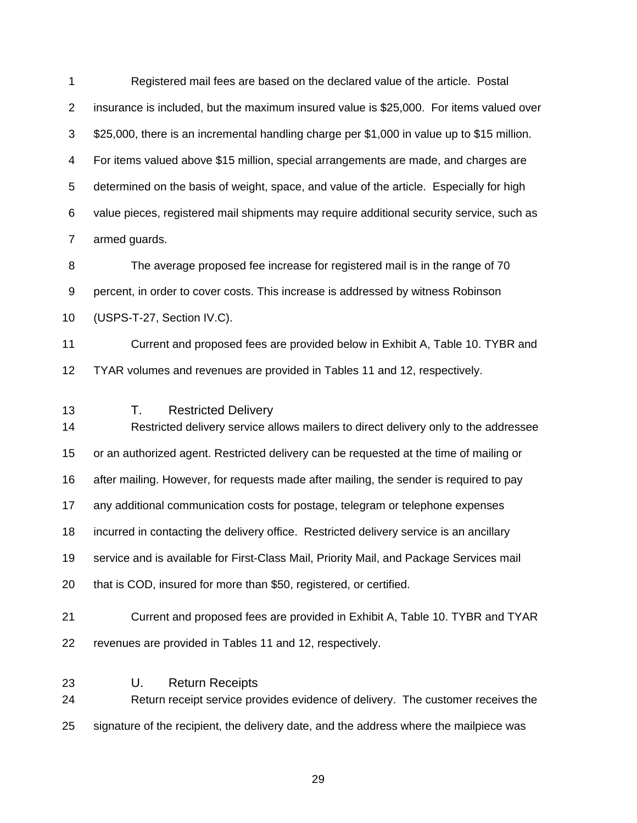1 Registered mail fees are based on the declared value of the article. Postal 2 insurance is included, but the maximum insured value is \$25,000. For items valued over 3 \$25,000, there is an incremental handling charge per \$1,000 in value up to \$15 million. 4 For items valued above \$15 million, special arrangements are made, and charges are 5 determined on the basis of weight, space, and value of the article. Especially for high 6 value pieces, registered mail shipments may require additional security service, such as 7 armed guards. 8 The average proposed fee increase for registered mail is in the range of 70 9 percent, in order to cover costs. This increase is addressed by witness Robinson 10 (USPS-T-27, Section IV.C). 11 Current and proposed fees are provided below in Exhibit A, Table 10. TYBR and 12 TYAR volumes and revenues are provided in Tables 11 and 12, respectively. 13 T. Restricted Delivery 14 Restricted delivery service allows mailers to direct delivery only to the addressee 15 or an authorized agent. Restricted delivery can be requested at the time of mailing or 16 after mailing. However, for requests made after mailing, the sender is required to pay 17 any additional communication costs for postage, telegram or telephone expenses 18 incurred in contacting the delivery office. Restricted delivery service is an ancillary 19 service and is available for First-Class Mail, Priority Mail, and Package Services mail 20 that is COD, insured for more than \$50, registered, or certified. 21 Current and proposed fees are provided in Exhibit A, Table 10. TYBR and TYAR 22 revenues are provided in Tables 11 and 12, respectively. 23 U. Return Receipts 24 Return receipt service provides evidence of delivery. The customer receives the 25 signature of the recipient, the delivery date, and the address where the mailpiece was

<u>29 and 29 and 29 and 29 and 29 and 29 and 29 and 29 and 29 and 29 and 29 and 29 and 29 and 29 and 29 and 29 and 29 and 2012 and 2012 and 2012 and 2012 and 2012 and 2012 and 2012 and 2012 and 2012 and 2012 and 2012 and 201</u>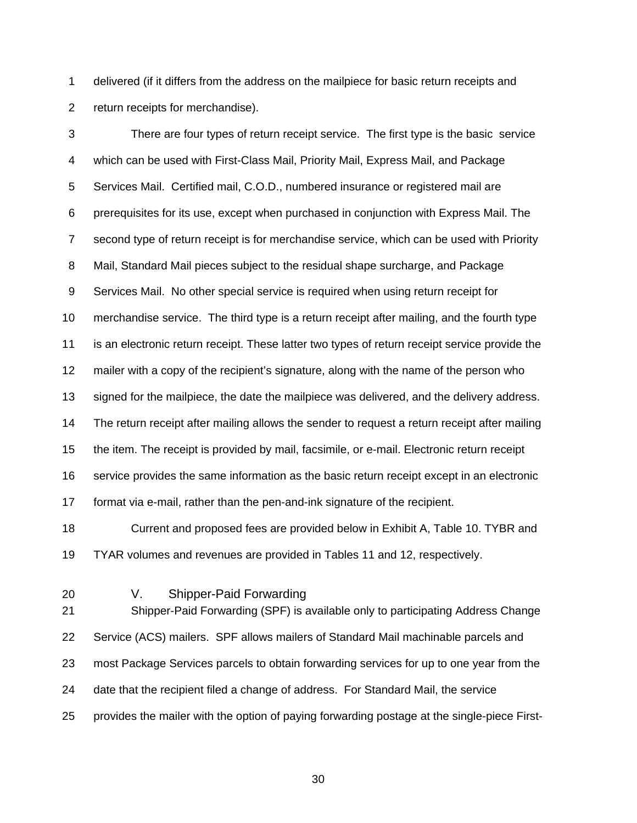1 delivered (if it differs from the address on the mailpiece for basic return receipts and 2 return receipts for merchandise).

3 There are four types of return receipt service. The first type is the basic service 4 which can be used with First-Class Mail, Priority Mail, Express Mail, and Package 5 Services Mail. Certified mail, C.O.D., numbered insurance or registered mail are 6 prerequisites for its use, except when purchased in conjunction with Express Mail. The 7 second type of return receipt is for merchandise service, which can be used with Priority 8 Mail, Standard Mail pieces subject to the residual shape surcharge, and Package 9 Services Mail. No other special service is required when using return receipt for 10 merchandise service. The third type is a return receipt after mailing, and the fourth type 11 is an electronic return receipt. These latter two types of return receipt service provide the 12 mailer with a copy of the recipient's signature, along with the name of the person who 13 signed for the mailpiece, the date the mailpiece was delivered, and the delivery address. 14 The return receipt after mailing allows the sender to request a return receipt after mailing 15 the item. The receipt is provided by mail, facsimile, or e-mail. Electronic return receipt 16 service provides the same information as the basic return receipt except in an electronic 17 format via e-mail, rather than the pen-and-ink signature of the recipient.

18 Current and proposed fees are provided below in Exhibit A, Table 10. TYBR and 19 TYAR volumes and revenues are provided in Tables 11 and 12, respectively.

20 V. Shipper-Paid Forwarding

21 Shipper-Paid Forwarding (SPF) is available only to participating Address Change 22 Service (ACS) mailers. SPF allows mailers of Standard Mail machinable parcels and 23 most Package Services parcels to obtain forwarding services for up to one year from the 24 date that the recipient filed a change of address. For Standard Mail, the service 25 provides the mailer with the option of paying forwarding postage at the single-piece First-

 $30<sup>2</sup>$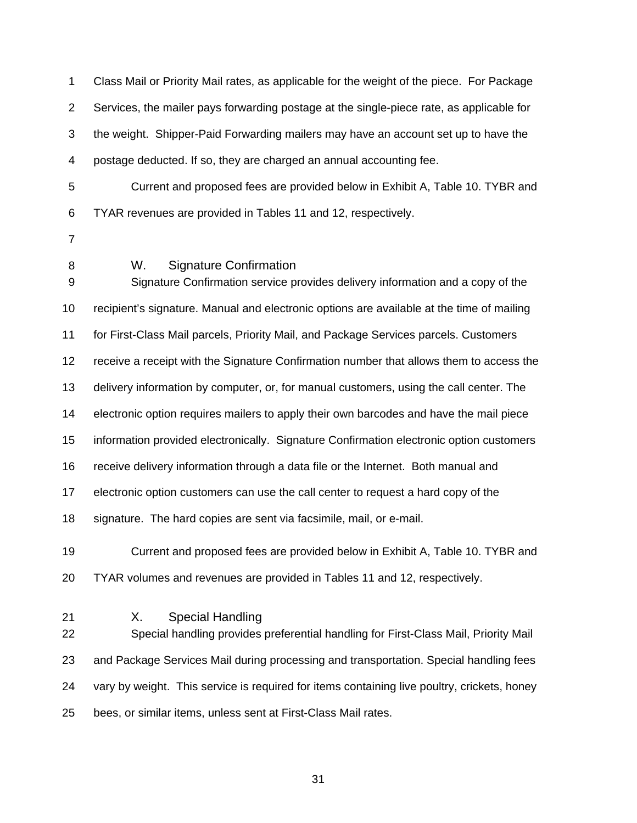1 Class Mail or Priority Mail rates, as applicable for the weight of the piece. For Package 2 Services, the mailer pays forwarding postage at the single-piece rate, as applicable for 3 the weight. Shipper-Paid Forwarding mailers may have an account set up to have the 4 postage deducted. If so, they are charged an annual accounting fee.

5 Current and proposed fees are provided below in Exhibit A, Table 10. TYBR and 6 TYAR revenues are provided in Tables 11 and 12, respectively.

- 7
- 

8 W. Signature Confirmation

9 Signature Confirmation service provides delivery information and a copy of the 10 recipient's signature. Manual and electronic options are available at the time of mailing 11 for First-Class Mail parcels, Priority Mail, and Package Services parcels. Customers 12 receive a receipt with the Signature Confirmation number that allows them to access the 13 delivery information by computer, or, for manual customers, using the call center. The 14 electronic option requires mailers to apply their own barcodes and have the mail piece 15 information provided electronically. Signature Confirmation electronic option customers 16 receive delivery information through a data file or the Internet. Both manual and 17 electronic option customers can use the call center to request a hard copy of the 18 signature. The hard copies are sent via facsimile, mail, or e-mail.

19 Current and proposed fees are provided below in Exhibit A, Table 10. TYBR and 20 TYAR volumes and revenues are provided in Tables 11 and 12, respectively.

21 X. Special Handling

22 Special handling provides preferential handling for First-Class Mail, Priority Mail 23 and Package Services Mail during processing and transportation. Special handling fees 24 vary by weight. This service is required for items containing live poultry, crickets, honey 25 bees, or similar items, unless sent at First-Class Mail rates.

<u>31 - John Stein, amerikansk politiker (</u>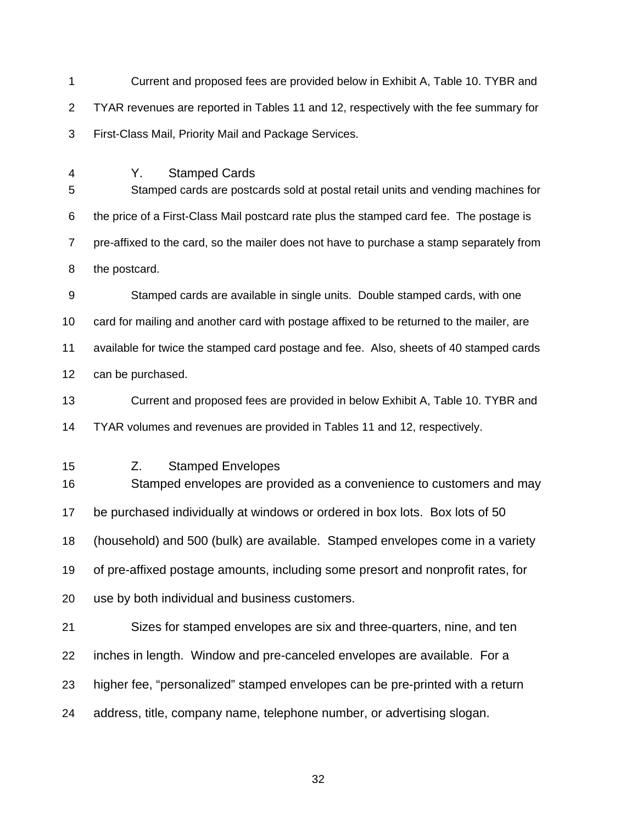1 Current and proposed fees are provided below in Exhibit A, Table 10. TYBR and 2 TYAR revenues are reported in Tables 11 and 12, respectively with the fee summary for 3 First-Class Mail, Priority Mail and Package Services.

4 Y. Stamped Cards

5 Stamped cards are postcards sold at postal retail units and vending machines for 6 the price of a First-Class Mail postcard rate plus the stamped card fee. The postage is 7 pre-affixed to the card, so the mailer does not have to purchase a stamp separately from 8 the postcard.

9 Stamped cards are available in single units. Double stamped cards, with one 10 card for mailing and another card with postage affixed to be returned to the mailer, are 11 available for twice the stamped card postage and fee. Also, sheets of 40 stamped cards 12 can be purchased.

13 Current and proposed fees are provided in below Exhibit A, Table 10. TYBR and 14 TYAR volumes and revenues are provided in Tables 11 and 12, respectively.

15 Z. Stamped Envelopes

16 Stamped envelopes are provided as a convenience to customers and may 17 be purchased individually at windows or ordered in box lots. Box lots of 50 18 (household) and 500 (bulk) are available. Stamped envelopes come in a variety 19 of pre-affixed postage amounts, including some presort and nonprofit rates, for 20 use by both individual and business customers.

21 Sizes for stamped envelopes are six and three-quarters, nine, and ten 22 inches in length. Window and pre-canceled envelopes are available. For a 23 higher fee, "personalized" stamped envelopes can be pre-printed with a return 24 address, title, company name, telephone number, or advertising slogan.

<u>32 and 2010 and 2010 and 2010 and 2010 and 2010 and 2010 and 2010 and 2010 and 2010 and 2010 and 2010 and 201</u>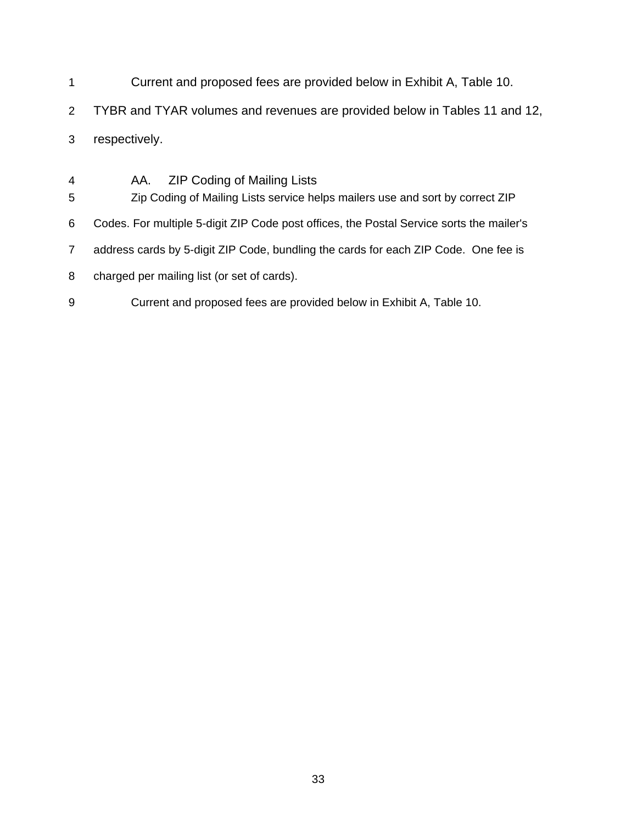- 1 Current and proposed fees are provided below in Exhibit A, Table 10.
- 2 TYBR and TYAR volumes and revenues are provided below in Tables 11 and 12,
- 3 respectively.
- 4 AA. ZIP Coding of Mailing Lists 5 Zip Coding of Mailing Lists service helps mailers use and sort by correct ZIP 6 Codes. For multiple 5-digit ZIP Code post offices, the Postal Service sorts the mailer's 7 address cards by 5-digit ZIP Code, bundling the cards for each ZIP Code. One fee is 8 charged per mailing list (or set of cards). 9 Current and proposed fees are provided below in Exhibit A, Table 10.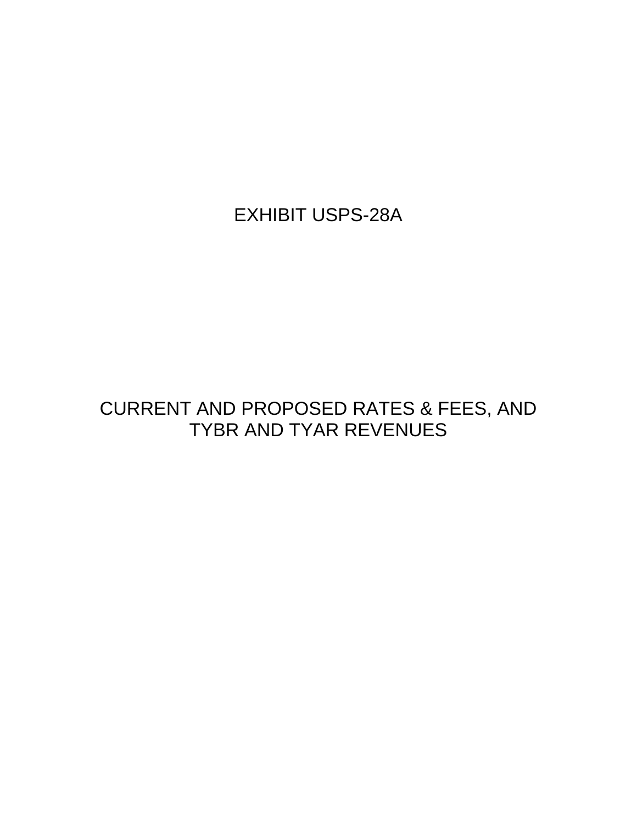EXHIBIT USPS-28A

## CURRENT AND PROPOSED RATES & FEES, AND TYBR AND TYAR REVENUES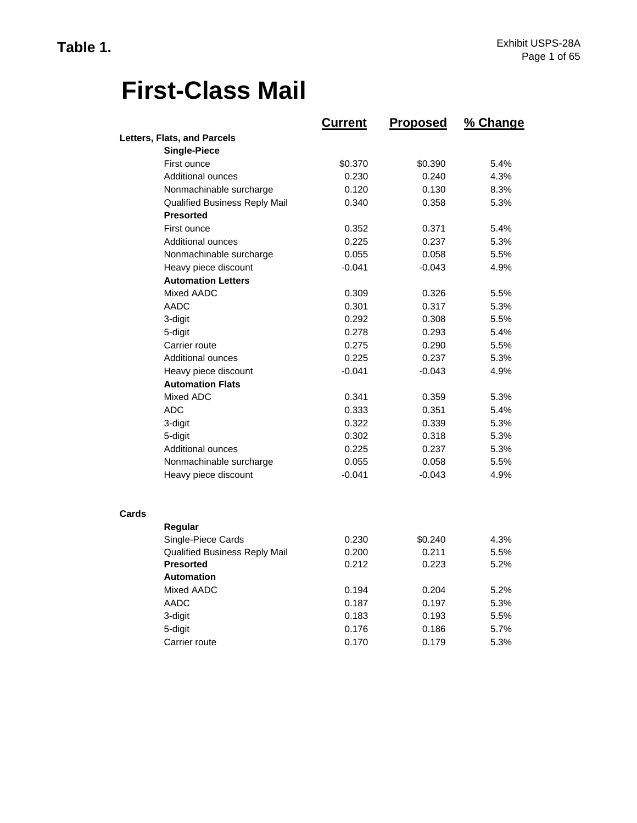# **First-Class Mail**

|       |                                      | <b>Current</b> | Proposed | % Change |
|-------|--------------------------------------|----------------|----------|----------|
|       | Letters, Flats, and Parcels          |                |          |          |
|       | <b>Single-Piece</b>                  |                |          |          |
|       | First ounce                          | \$0.370        | \$0.390  | 5.4%     |
|       | <b>Additional ounces</b>             | 0.230          | 0.240    | 4.3%     |
|       | Nonmachinable surcharge              | 0.120          | 0.130    | 8.3%     |
|       | <b>Qualified Business Reply Mail</b> | 0.340          | 0.358    | 5.3%     |
|       | <b>Presorted</b>                     |                |          |          |
|       | First ounce                          | 0.352          | 0.371    | 5.4%     |
|       | <b>Additional ounces</b>             | 0.225          | 0.237    | 5.3%     |
|       | Nonmachinable surcharge              | 0.055          | 0.058    | 5.5%     |
|       | Heavy piece discount                 | $-0.041$       | $-0.043$ | 4.9%     |
|       | <b>Automation Letters</b>            |                |          |          |
|       | Mixed AADC                           | 0.309          | 0.326    | 5.5%     |
|       | AADC                                 | 0.301          | 0.317    | 5.3%     |
|       | 3-digit                              | 0.292          | 0.308    | 5.5%     |
|       | 5-digit                              | 0.278          | 0.293    | 5.4%     |
|       | Carrier route                        | 0.275          | 0.290    | 5.5%     |
|       | <b>Additional ounces</b>             | 0.225          | 0.237    | 5.3%     |
|       | Heavy piece discount                 | $-0.041$       | $-0.043$ | 4.9%     |
|       | <b>Automation Flats</b>              |                |          |          |
|       | Mixed ADC                            | 0.341          | 0.359    | 5.3%     |
|       | ADC                                  | 0.333          | 0.351    | 5.4%     |
|       | 3-digit                              | 0.322          | 0.339    | 5.3%     |
|       | 5-digit                              | 0.302          | 0.318    | 5.3%     |
|       | <b>Additional ounces</b>             | 0.225          | 0.237    | 5.3%     |
|       | Nonmachinable surcharge              | 0.055          | 0.058    | 5.5%     |
|       | Heavy piece discount                 | $-0.041$       | $-0.043$ | 4.9%     |
| Cards |                                      |                |          |          |
|       | Regular                              |                |          |          |
|       | Single-Piece Cards                   | 0.230          | \$0.240  | 4.3%     |
|       | Qualified Business Reply Mail        | 0.200          | 0.211    | 5.5%     |
|       | <b>Presorted</b>                     | 0.212          | 0.223    | 5.2%     |
|       | <b>Automation</b>                    |                |          |          |
|       | Mixed AADC                           | 0.194          | 0.204    | 5.2%     |
|       | AADC                                 | 0.187          | 0.197    | 5.3%     |
|       | 3-digit                              | 0.183          | 0.193    | 5.5%     |
|       | 5-digit                              | 0.176          | 0.186    | 5.7%     |
|       | Carrier route                        | 0.170          | 0.179    | 5.3%     |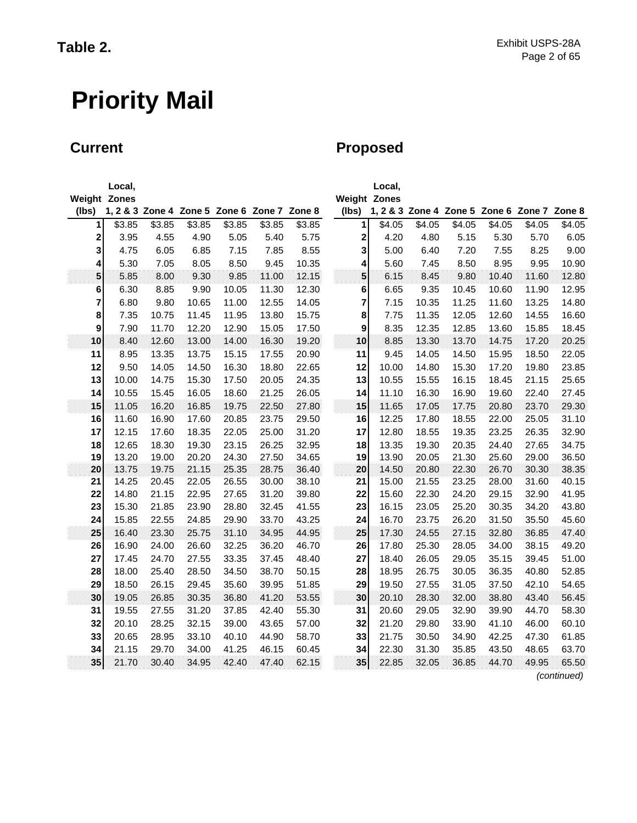## **Current Current Proposed**

|                     | Local, |        |        |        |                                             |        |                     | Local, |        |                                             |        |        |             |
|---------------------|--------|--------|--------|--------|---------------------------------------------|--------|---------------------|--------|--------|---------------------------------------------|--------|--------|-------------|
| <b>Weight Zones</b> |        |        |        |        |                                             |        | <b>Weight Zones</b> |        |        |                                             |        |        |             |
| (lbs)               |        |        |        |        | 1, 2 & 3 Zone 4 Zone 5 Zone 6 Zone 7 Zone 8 |        | (lbs)               |        |        | 1, 2 & 3 Zone 4 Zone 5 Zone 6 Zone 7 Zone 8 |        |        |             |
| 1                   | \$3.85 | \$3.85 | \$3.85 | \$3.85 | \$3.85                                      | \$3.85 | $\mathbf{1}$        | \$4.05 | \$4.05 | \$4.05                                      | \$4.05 | \$4.05 | \$4.05      |
| 2                   | 3.95   | 4.55   | 4.90   | 5.05   | 5.40                                        | 5.75   | 2                   | 4.20   | 4.80   | 5.15                                        | 5.30   | 5.70   | 6.05        |
| 3                   | 4.75   | 6.05   | 6.85   | 7.15   | 7.85                                        | 8.55   | 3                   | 5.00   | 6.40   | 7.20                                        | 7.55   | 8.25   | 9.00        |
| $\vert$             | 5.30   | 7.05   | 8.05   | 8.50   | 9.45                                        | 10.35  | $\vert$             | 5.60   | 7.45   | 8.50                                        | 8.95   | 9.95   | 10.90       |
| 5                   | 5.85   | 8.00   | 9.30   | 9.85   | 11.00                                       | 12.15  | 5                   | 6.15   | 8.45   | 9.80                                        | 10.40  | 11.60  | 12.80       |
| $6\phantom{a}$      | 6.30   | 8.85   | 9.90   | 10.05  | 11.30                                       | 12.30  | $6\vert$            | 6.65   | 9.35   | 10.45                                       | 10.60  | 11.90  | 12.95       |
| 7                   | 6.80   | 9.80   | 10.65  | 11.00  | 12.55                                       | 14.05  | 7                   | 7.15   | 10.35  | 11.25                                       | 11.60  | 13.25  | 14.80       |
| 8                   | 7.35   | 10.75  | 11.45  | 11.95  | 13.80                                       | 15.75  | 8                   | 7.75   | 11.35  | 12.05                                       | 12.60  | 14.55  | 16.60       |
| 9                   | 7.90   | 11.70  | 12.20  | 12.90  | 15.05                                       | 17.50  | 9                   | 8.35   | 12.35  | 12.85                                       | 13.60  | 15.85  | 18.45       |
| 10                  | 8.40   | 12.60  | 13.00  | 14.00  | 16.30                                       | 19.20  | 10                  | 8.85   | 13.30  | 13.70                                       | 14.75  | 17.20  | 20.25       |
| 11                  | 8.95   | 13.35  | 13.75  | 15.15  | 17.55                                       | 20.90  | 11                  | 9.45   | 14.05  | 14.50                                       | 15.95  | 18.50  | 22.05       |
| 12                  | 9.50   | 14.05  | 14.50  | 16.30  | 18.80                                       | 22.65  | 12                  | 10.00  | 14.80  | 15.30                                       | 17.20  | 19.80  | 23.85       |
| 13                  | 10.00  | 14.75  | 15.30  | 17.50  | 20.05                                       | 24.35  | 13                  | 10.55  | 15.55  | 16.15                                       | 18.45  | 21.15  | 25.65       |
| 14                  | 10.55  | 15.45  | 16.05  | 18.60  | 21.25                                       | 26.05  | 14                  | 11.10  | 16.30  | 16.90                                       | 19.60  | 22.40  | 27.45       |
| 15                  | 11.05  | 16.20  | 16.85  | 19.75  | 22.50                                       | 27.80  | 15                  | 11.65  | 17.05  | 17.75                                       | 20.80  | 23.70  | 29.30       |
| 16                  | 11.60  | 16.90  | 17.60  | 20.85  | 23.75                                       | 29.50  | 16                  | 12.25  | 17.80  | 18.55                                       | 22.00  | 25.05  | 31.10       |
| 17                  | 12.15  | 17.60  | 18.35  | 22.05  | 25.00                                       | 31.20  | 17                  | 12.80  | 18.55  | 19.35                                       | 23.25  | 26.35  | 32.90       |
| 18                  | 12.65  | 18.30  | 19.30  | 23.15  | 26.25                                       | 32.95  | 18                  | 13.35  | 19.30  | 20.35                                       | 24.40  | 27.65  | 34.75       |
| 19                  | 13.20  | 19.00  | 20.20  | 24.30  | 27.50                                       | 34.65  | 19                  | 13.90  | 20.05  | 21.30                                       | 25.60  | 29.00  | 36.50       |
| 20                  | 13.75  | 19.75  | 21.15  | 25.35  | 28.75                                       | 36.40  | 20                  | 14.50  | 20.80  | 22.30                                       | 26.70  | 30.30  | 38.35       |
| 21                  | 14.25  | 20.45  | 22.05  | 26.55  | 30.00                                       | 38.10  | 21                  | 15.00  | 21.55  | 23.25                                       | 28.00  | 31.60  | 40.15       |
| 22                  | 14.80  | 21.15  | 22.95  | 27.65  | 31.20                                       | 39.80  | 22                  | 15.60  | 22.30  | 24.20                                       | 29.15  | 32.90  | 41.95       |
| 23                  | 15.30  | 21.85  | 23.90  | 28.80  | 32.45                                       | 41.55  | 23                  | 16.15  | 23.05  | 25.20                                       | 30.35  | 34.20  | 43.80       |
| 24                  | 15.85  | 22.55  | 24.85  | 29.90  | 33.70                                       | 43.25  | 24                  | 16.70  | 23.75  | 26.20                                       | 31.50  | 35.50  | 45.60       |
| 25                  | 16.40  | 23.30  | 25.75  | 31.10  | 34.95                                       | 44.95  | 25                  | 17.30  | 24.55  | 27.15                                       | 32.80  | 36.85  | 47.40       |
| 26                  | 16.90  | 24.00  | 26.60  | 32.25  | 36.20                                       | 46.70  | 26                  | 17.80  | 25.30  | 28.05                                       | 34.00  | 38.15  | 49.20       |
| 27                  | 17.45  | 24.70  | 27.55  | 33.35  | 37.45                                       | 48.40  | 27                  | 18.40  | 26.05  | 29.05                                       | 35.15  | 39.45  | 51.00       |
| 28                  | 18.00  | 25.40  | 28.50  | 34.50  | 38.70                                       | 50.15  | 28                  | 18.95  | 26.75  | 30.05                                       | 36.35  | 40.80  | 52.85       |
| 29                  | 18.50  | 26.15  | 29.45  | 35.60  | 39.95                                       | 51.85  | 29                  | 19.50  | 27.55  | 31.05                                       | 37.50  | 42.10  | 54.65       |
| 30                  | 19.05  | 26.85  | 30.35  | 36.80  | 41.20                                       | 53.55  | 30                  | 20.10  | 28.30  | 32.00                                       | 38.80  | 43.40  | 56.45       |
| 31                  | 19.55  | 27.55  | 31.20  | 37.85  | 42.40                                       | 55.30  | 31                  | 20.60  | 29.05  | 32.90                                       | 39.90  | 44.70  | 58.30       |
| 32                  | 20.10  | 28.25  | 32.15  | 39.00  | 43.65                                       | 57.00  | 32                  | 21.20  | 29.80  | 33.90                                       | 41.10  | 46.00  | 60.10       |
| 33                  | 20.65  | 28.95  | 33.10  | 40.10  | 44.90                                       | 58.70  | 33                  | 21.75  | 30.50  | 34.90                                       | 42.25  | 47.30  | 61.85       |
| 34                  | 21.15  | 29.70  | 34.00  | 41.25  | 46.15                                       | 60.45  | 34                  | 22.30  | 31.30  | 35.85                                       | 43.50  | 48.65  | 63.70       |
| 35                  | 21.70  | 30.40  | 34.95  | 42.40  | 47.40                                       | 62.15  | 35                  | 22.85  | 32.05  | 36.85                                       | 44.70  | 49.95  | 65.50       |
|                     |        |        |        |        |                                             |        |                     |        |        |                                             |        |        | (continued) |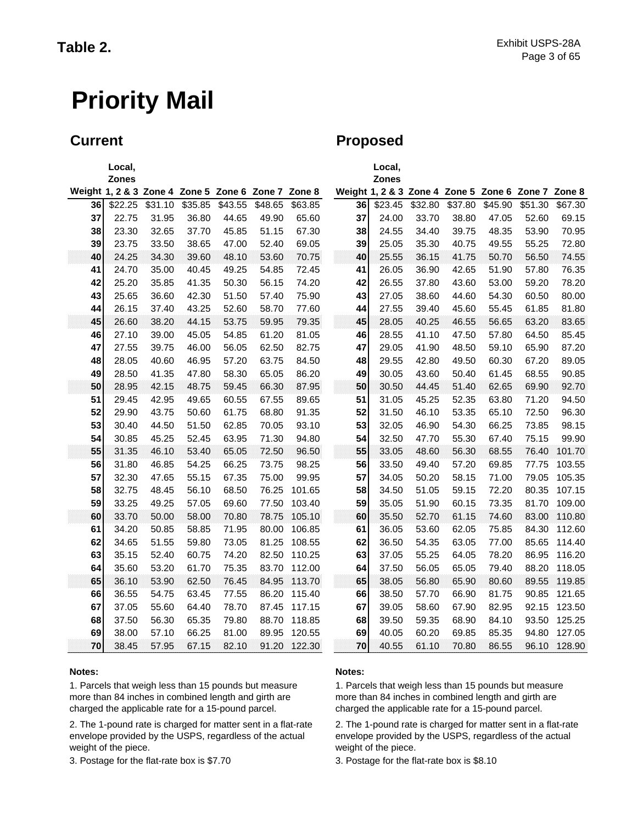### **Current Current Proposed**

|    | Local,                                             |         |         |         |         |         |    | Local,                                             |         |         |         |         |         |
|----|----------------------------------------------------|---------|---------|---------|---------|---------|----|----------------------------------------------------|---------|---------|---------|---------|---------|
|    | <b>Zones</b>                                       |         |         |         |         |         |    | <b>Zones</b>                                       |         |         |         |         |         |
|    | Weight 1, 2 & 3 Zone 4 Zone 5 Zone 6 Zone 7 Zone 8 |         |         |         |         |         |    | Weight 1, 2 & 3 Zone 4 Zone 5 Zone 6 Zone 7 Zone 8 |         |         |         |         |         |
| 36 | \$22.25                                            | \$31.10 | \$35.85 | \$43.55 | \$48.65 | \$63.85 | 36 | \$23.45                                            | \$32.80 | \$37.80 | \$45.90 | \$51.30 | \$67.30 |
| 37 | 22.75                                              | 31.95   | 36.80   | 44.65   | 49.90   | 65.60   | 37 | 24.00                                              | 33.70   | 38.80   | 47.05   | 52.60   | 69.15   |
| 38 | 23.30                                              | 32.65   | 37.70   | 45.85   | 51.15   | 67.30   | 38 | 24.55                                              | 34.40   | 39.75   | 48.35   | 53.90   | 70.95   |
| 39 | 23.75                                              | 33.50   | 38.65   | 47.00   | 52.40   | 69.05   | 39 | 25.05                                              | 35.30   | 40.75   | 49.55   | 55.25   | 72.80   |
| 40 | 24.25                                              | 34.30   | 39.60   | 48.10   | 53.60   | 70.75   | 40 | 25.55                                              | 36.15   | 41.75   | 50.70   | 56.50   | 74.55   |
| 41 | 24.70                                              | 35.00   | 40.45   | 49.25   | 54.85   | 72.45   | 41 | 26.05                                              | 36.90   | 42.65   | 51.90   | 57.80   | 76.35   |
| 42 | 25.20                                              | 35.85   | 41.35   | 50.30   | 56.15   | 74.20   | 42 | 26.55                                              | 37.80   | 43.60   | 53.00   | 59.20   | 78.20   |
| 43 | 25.65                                              | 36.60   | 42.30   | 51.50   | 57.40   | 75.90   | 43 | 27.05                                              | 38.60   | 44.60   | 54.30   | 60.50   | 80.00   |
| 44 | 26.15                                              | 37.40   | 43.25   | 52.60   | 58.70   | 77.60   | 44 | 27.55                                              | 39.40   | 45.60   | 55.45   | 61.85   | 81.80   |
| 45 | 26.60                                              | 38.20   | 44.15   | 53.75   | 59.95   | 79.35   | 45 | 28.05                                              | 40.25   | 46.55   | 56.65   | 63.20   | 83.65   |
| 46 | 27.10                                              | 39.00   | 45.05   | 54.85   | 61.20   | 81.05   | 46 | 28.55                                              | 41.10   | 47.50   | 57.80   | 64.50   | 85.45   |
| 47 | 27.55                                              | 39.75   | 46.00   | 56.05   | 62.50   | 82.75   | 47 | 29.05                                              | 41.90   | 48.50   | 59.10   | 65.90   | 87.20   |
| 48 | 28.05                                              | 40.60   | 46.95   | 57.20   | 63.75   | 84.50   | 48 | 29.55                                              | 42.80   | 49.50   | 60.30   | 67.20   | 89.05   |
| 49 | 28.50                                              | 41.35   | 47.80   | 58.30   | 65.05   | 86.20   | 49 | 30.05                                              | 43.60   | 50.40   | 61.45   | 68.55   | 90.85   |
| 50 | 28.95                                              | 42.15   | 48.75   | 59.45   | 66.30   | 87.95   | 50 | 30.50                                              | 44.45   | 51.40   | 62.65   | 69.90   | 92.70   |
| 51 | 29.45                                              | 42.95   | 49.65   | 60.55   | 67.55   | 89.65   | 51 | 31.05                                              | 45.25   | 52.35   | 63.80   | 71.20   | 94.50   |
| 52 | 29.90                                              | 43.75   | 50.60   | 61.75   | 68.80   | 91.35   | 52 | 31.50                                              | 46.10   | 53.35   | 65.10   | 72.50   | 96.30   |
| 53 | 30.40                                              | 44.50   | 51.50   | 62.85   | 70.05   | 93.10   | 53 | 32.05                                              | 46.90   | 54.30   | 66.25   | 73.85   | 98.15   |
| 54 | 30.85                                              | 45.25   | 52.45   | 63.95   | 71.30   | 94.80   | 54 | 32.50                                              | 47.70   | 55.30   | 67.40   | 75.15   | 99.90   |
| 55 | 31.35                                              | 46.10   | 53.40   | 65.05   | 72.50   | 96.50   | 55 | 33.05                                              | 48.60   | 56.30   | 68.55   | 76.40   | 101.70  |
| 56 | 31.80                                              | 46.85   | 54.25   | 66.25   | 73.75   | 98.25   | 56 | 33.50                                              | 49.40   | 57.20   | 69.85   | 77.75   | 103.55  |
| 57 | 32.30                                              | 47.65   | 55.15   | 67.35   | 75.00   | 99.95   | 57 | 34.05                                              | 50.20   | 58.15   | 71.00   | 79.05   | 105.35  |
| 58 | 32.75                                              | 48.45   | 56.10   | 68.50   | 76.25   | 101.65  | 58 | 34.50                                              | 51.05   | 59.15   | 72.20   | 80.35   | 107.15  |
| 59 | 33.25                                              | 49.25   | 57.05   | 69.60   | 77.50   | 103.40  | 59 | 35.05                                              | 51.90   | 60.15   | 73.35   | 81.70   | 109.00  |
| 60 | 33.70                                              | 50.00   | 58.00   | 70.80   | 78.75   | 105.10  | 60 | 35.50                                              | 52.70   | 61.15   | 74.60   | 83.00   | 110.80  |
| 61 | 34.20                                              | 50.85   | 58.85   | 71.95   | 80.00   | 106.85  | 61 | 36.05                                              | 53.60   | 62.05   | 75.85   | 84.30   | 112.60  |
| 62 | 34.65                                              | 51.55   | 59.80   | 73.05   | 81.25   | 108.55  | 62 | 36.50                                              | 54.35   | 63.05   | 77.00   | 85.65   | 114.40  |
| 63 | 35.15                                              | 52.40   | 60.75   | 74.20   | 82.50   | 110.25  | 63 | 37.05                                              | 55.25   | 64.05   | 78.20   | 86.95   | 116.20  |
| 64 | 35.60                                              | 53.20   | 61.70   | 75.35   | 83.70   | 112.00  | 64 | 37.50                                              | 56.05   | 65.05   | 79.40   | 88.20   | 118.05  |
| 65 | 36.10                                              | 53.90   | 62.50   | 76.45   | 84.95   | 113.70  | 65 | 38.05                                              | 56.80   | 65.90   | 80.60   | 89.55   | 119.85  |
| 66 | 36.55                                              | 54.75   | 63.45   | 77.55   | 86.20   | 115.40  | 66 | 38.50                                              | 57.70   | 66.90   | 81.75   | 90.85   | 121.65  |
| 67 | 37.05                                              | 55.60   | 64.40   | 78.70   | 87.45   | 117.15  | 67 | 39.05                                              | 58.60   | 67.90   | 82.95   | 92.15   | 123.50  |
| 68 | 37.50                                              | 56.30   | 65.35   | 79.80   | 88.70   | 118.85  | 68 | 39.50                                              | 59.35   | 68.90   | 84.10   | 93.50   | 125.25  |
| 69 | 38.00                                              | 57.10   | 66.25   | 81.00   | 89.95   | 120.55  | 69 | 40.05                                              | 60.20   | 69.85   | 85.35   | 94.80   | 127.05  |
| 70 | 38.45                                              | 57.95   | 67.15   | 82.10   | 91.20   | 122.30  | 70 | 40.55                                              | 61.10   | 70.80   | 86.55   | 96.10   | 128.90  |

#### **Notes: Notes:**

1. Parcels that weigh less than 15 pounds but measure more than 84 inches in combined length and girth are charged the applicable rate for a 15-pound parcel.

2. The 1-pound rate is charged for matter sent in a flat-rate envelope provided by the USPS, regardless of the actual weight of the piece.

1. Parcels that weigh less than 15 pounds but measure more than 84 inches in combined length and girth are charged the applicable rate for a 15-pound parcel.

2. The 1-pound rate is charged for matter sent in a flat-rate envelope provided by the USPS, regardless of the actual weight of the piece.

3. Postage for the flat-rate box is \$7.70 3. Postage for the flat-rate box is \$8.10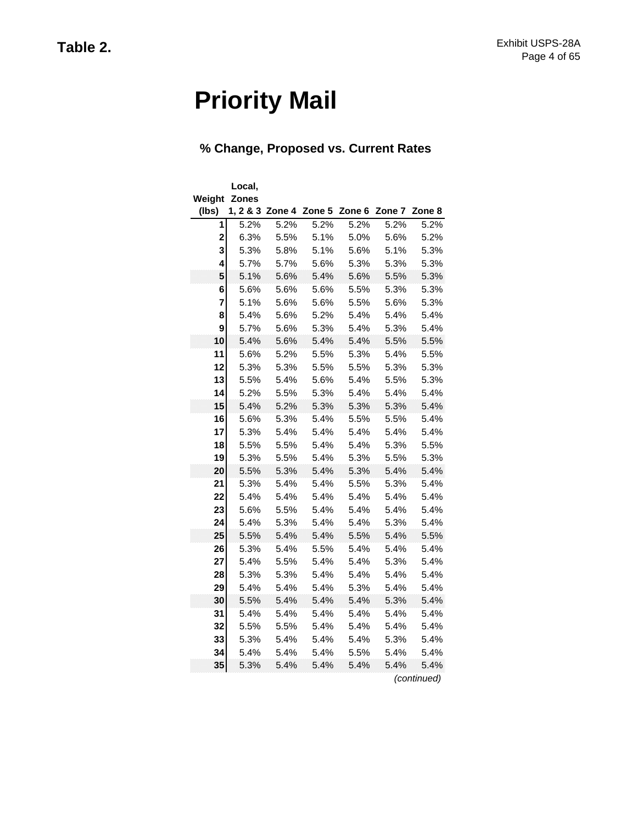### **% Change, Proposed vs. Current Rates**

| Weight         | Local,<br><b>Zones</b> |      |                                             |      |      |                     |
|----------------|------------------------|------|---------------------------------------------|------|------|---------------------|
| (lbs)          |                        |      | 1, 2 & 3 Zone 4 Zone 5 Zone 6 Zone 7 Zone 8 |      |      |                     |
| 1              | 5.2%                   | 5.2% | 5.2%                                        | 5.2% | 5.2% | 5.2%                |
| $\overline{c}$ | 6.3%                   | 5.5% | 5.1%                                        | 5.0% | 5.6% | 5.2%                |
| 3              | 5.3%                   | 5.8% | 5.1%                                        | 5.6% | 5.1% | 5.3%                |
| 4              | 5.7%                   | 5.7% | 5.6%                                        | 5.3% | 5.3% | 5.3%                |
| 5              | 5.1%                   | 5.6% | 5.4%                                        | 5.6% | 5.5% | 5.3%                |
| 6              | 5.6%                   | 5.6% | 5.6%                                        | 5.5% | 5.3% | 5.3%                |
| 7              | 5.1%                   | 5.6% | 5.6%                                        | 5.5% | 5.6% | 5.3%                |
| 8              | 5.4%                   | 5.6% | 5.2%                                        | 5.4% | 5.4% | 5.4%                |
| 9              | 5.7%                   | 5.6% | 5.3%                                        | 5.4% | 5.3% | 5.4%                |
| 10             | 5.4%                   | 5.6% | 5.4%                                        | 5.4% | 5.5% | 5.5%                |
| 11             | 5.6%                   | 5.2% | 5.5%                                        | 5.3% | 5.4% | 5.5%                |
| 12             | 5.3%                   | 5.3% | 5.5%                                        | 5.5% | 5.3% | 5.3%                |
| 13             | 5.5%                   | 5.4% | 5.6%                                        | 5.4% | 5.5% | 5.3%                |
| 14             | 5.2%                   | 5.5% | 5.3%                                        | 5.4% | 5.4% | 5.4%                |
| 15             | 5.4%                   | 5.2% | 5.3%                                        | 5.3% | 5.3% | 5.4%                |
| 16             | 5.6%                   | 5.3% | 5.4%                                        | 5.5% | 5.5% | 5.4%                |
| 17             | 5.3%                   | 5.4% | 5.4%                                        | 5.4% | 5.4% | 5.4%                |
| 18             | 5.5%                   | 5.5% | 5.4%                                        | 5.4% | 5.3% | 5.5%                |
| 19             | 5.3%                   | 5.5% | 5.4%                                        | 5.3% | 5.5% | 5.3%                |
| 20             | 5.5%                   | 5.3% | 5.4%                                        | 5.3% | 5.4% | 5.4%                |
| 21             | 5.3%                   | 5.4% | 5.4%                                        | 5.5% | 5.3% | 5.4%                |
| 22             | 5.4%                   | 5.4% | 5.4%                                        | 5.4% | 5.4% | 5.4%                |
| 23             | 5.6%                   | 5.5% | 5.4%                                        | 5.4% | 5.4% | 5.4%                |
| 24             | 5.4%                   | 5.3% | 5.4%                                        | 5.4% | 5.3% | 5.4%                |
| 25             | 5.5%                   | 5.4% | 5.4%                                        | 5.5% | 5.4% | 5.5%                |
| 26             | 5.3%                   | 5.4% | 5.5%                                        | 5.4% | 5.4% | 5.4%                |
| 27             | 5.4%                   | 5.5% | 5.4%                                        | 5.4% | 5.3% | 5.4%                |
| 28             | 5.3%                   | 5.3% | 5.4%                                        | 5.4% | 5.4% | 5.4%                |
| 29             | 5.4%                   | 5.4% | 5.4%                                        | 5.3% | 5.4% | 5.4%                |
| 30             | 5.5%                   | 5.4% | 5.4%                                        | 5.4% | 5.3% | 5.4%                |
| 31             | 5.4%                   | 5.4% | 5.4%                                        | 5.4% | 5.4% | 5.4%                |
| 32             | 5.5%                   | 5.5% | 5.4%                                        | 5.4% | 5.4% | 5.4%                |
| 33             | 5.3%                   | 5.4% | 5.4%                                        | 5.4% | 5.3% | 5.4%                |
| 34             | 5.4%                   | 5.4% | 5.4%                                        | 5.5% | 5.4% | 5.4%                |
| 35             | 5.3%                   | 5.4% | 5.4%                                        | 5.4% | 5.4% | 5.4%<br>(continued) |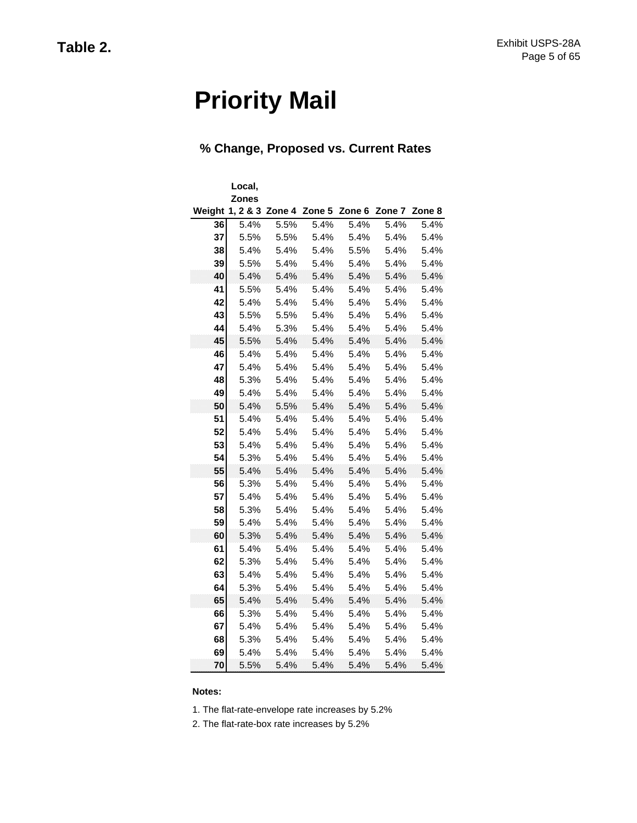### **% Change, Proposed vs. Current Rates**

|        | Local,       |      |      |                                             |      |      |
|--------|--------------|------|------|---------------------------------------------|------|------|
|        | <b>Zones</b> |      |      |                                             |      |      |
| Weight |              |      |      | 1, 2 & 3 Zone 4 Zone 5 Zone 6 Zone 7 Zone 8 |      |      |
| 36     | 5.4%         | 5.5% | 5.4% | 5.4%                                        | 5.4% | 5.4% |
| 37     | 5.5%         | 5.5% | 5.4% | 5.4%                                        | 5.4% | 5.4% |
| 38     | 5.4%         | 5.4% | 5.4% | 5.5%                                        | 5.4% | 5.4% |
| 39     | 5.5%         | 5.4% | 5.4% | 5.4%                                        | 5.4% | 5.4% |
| 40     | 5.4%         | 5.4% | 5.4% | 5.4%                                        | 5.4% | 5.4% |
| 41     | 5.5%         | 5.4% | 5.4% | 5.4%                                        | 5.4% | 5.4% |
| 42     | 5.4%         | 5.4% | 5.4% | 5.4%                                        | 5.4% | 5.4% |
| 43     | 5.5%         | 5.5% | 5.4% | 5.4%                                        | 5.4% | 5.4% |
| 44     | 5.4%         | 5.3% | 5.4% | 5.4%                                        | 5.4% | 5.4% |
| 45     | 5.5%         | 5.4% | 5.4% | 5.4%                                        | 5.4% | 5.4% |
| 46     | 5.4%         | 5.4% | 5.4% | 5.4%                                        | 5.4% | 5.4% |
| 47     | 5.4%         | 5.4% | 5.4% | 5.4%                                        | 5.4% | 5.4% |
| 48     | 5.3%         | 5.4% | 5.4% | 5.4%                                        | 5.4% | 5.4% |
| 49     | 5.4%         | 5.4% | 5.4% | 5.4%                                        | 5.4% | 5.4% |
| 50     | 5.4%         | 5.5% | 5.4% | 5.4%                                        | 5.4% | 5.4% |
| 51     | 5.4%         | 5.4% | 5.4% | 5.4%                                        | 5.4% | 5.4% |
| 52     | 5.4%         | 5.4% | 5.4% | 5.4%                                        | 5.4% | 5.4% |
| 53     | 5.4%         | 5.4% | 5.4% | 5.4%                                        | 5.4% | 5.4% |
| 54     | 5.3%         | 5.4% | 5.4% | 5.4%                                        | 5.4% | 5.4% |
| 55     | 5.4%         | 5.4% | 5.4% | 5.4%                                        | 5.4% | 5.4% |
| 56     | 5.3%         | 5.4% | 5.4% | 5.4%                                        | 5.4% | 5.4% |
| 57     | 5.4%         | 5.4% | 5.4% | 5.4%                                        | 5.4% | 5.4% |
| 58     | 5.3%         | 5.4% | 5.4% | 5.4%                                        | 5.4% | 5.4% |
| 59     | 5.4%         | 5.4% | 5.4% | 5.4%                                        | 5.4% | 5.4% |
| 60     | 5.3%         | 5.4% | 5.4% | 5.4%                                        | 5.4% | 5.4% |
| 61     | 5.4%         | 5.4% | 5.4% | 5.4%                                        | 5.4% | 5.4% |
| 62     | 5.3%         | 5.4% | 5.4% | 5.4%                                        | 5.4% | 5.4% |
| 63     | 5.4%         | 5.4% | 5.4% | 5.4%                                        | 5.4% | 5.4% |
| 64     | 5.3%         | 5.4% | 5.4% | 5.4%                                        | 5.4% | 5.4% |
| 65     | 5.4%         | 5.4% | 5.4% | 5.4%                                        | 5.4% | 5.4% |
| 66     | 5.3%         | 5.4% | 5.4% | 5.4%                                        | 5.4% | 5.4% |
| 67     | 5.4%         | 5.4% | 5.4% | 5.4%                                        | 5.4% | 5.4% |
| 68     | 5.3%         | 5.4% | 5.4% | 5.4%                                        | 5.4% | 5.4% |
| 69     | 5.4%         | 5.4% | 5.4% | 5.4%                                        | 5.4% | 5.4% |
| 70     | 5.5%         | 5.4% | 5.4% | 5.4%                                        | 5.4% | 5.4% |

#### **Notes:**

1. The flat-rate-envelope rate increases by 5.2%

2. The flat-rate-box rate increases by 5.2%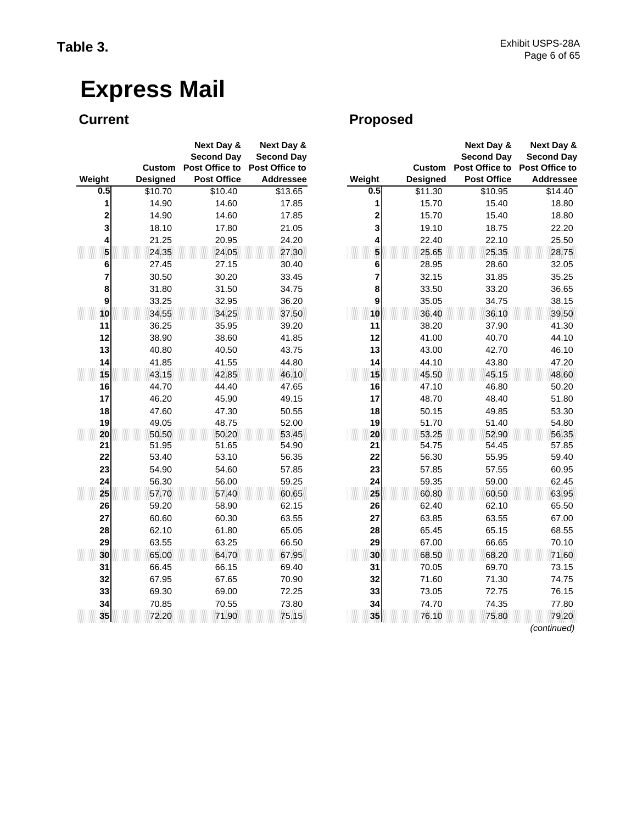|               |                 | Next Day &<br><b>Second Day</b> | Next Day &<br><b>Second Day</b> |               |
|---------------|-----------------|---------------------------------|---------------------------------|---------------|
|               | Custom          | Post Office to                  | Post Office to                  |               |
| Weight<br>0.5 | <b>Designed</b> | <b>Post Office</b>              | <b>Addressee</b>                | Weight<br>0.5 |
|               | \$10.70         | \$10.40                         | \$13.65                         |               |
| 1             | 14.90           | 14.60                           | 17.85                           | 1             |
| 2             | 14.90           | 14.60                           | 17.85                           | 2             |
| 3             | 18.10           | 17.80                           | 21.05                           | 3             |
| 4             | 21.25           | 20.95                           | 24.20                           | 4             |
| 5             | 24.35           | 24.05                           | 27.30                           | 5             |
| 6<br>7        | 27.45           | 27.15                           | 30.40                           | 6<br>7        |
|               | 30.50           | 30.20                           | 33.45                           |               |
| 8             | 31.80           | 31.50                           | 34.75                           | 8             |
| 9             | 33.25           | 32.95                           | 36.20                           | 9             |
| 10            | 34.55           | 34.25                           | 37.50                           | 10            |
| 11            | 36.25           | 35.95                           | 39.20                           | 11            |
| 12            | 38.90           | 38.60                           | 41.85                           | 12            |
| 13            | 40.80           | 40.50                           | 43.75                           | 13            |
| 14            | 41.85           | 41.55                           | 44.80                           | 14            |
| 15            | 43.15           | 42.85                           | 46.10                           | 15            |
| 16            | 44.70           | 44.40                           | 47.65                           | 16            |
| 17            | 46.20           | 45.90                           | 49.15                           | 17            |
| 18<br>19      | 47.60           | 47.30<br>48.75                  | 50.55                           | 18            |
| 20            | 49.05<br>50.50  | 50.20                           | 52.00<br>53.45                  | 19<br>20      |
| 21            | 51.95           | 51.65                           | 54.90                           | 21            |
| 22            | 53.40           | 53.10                           | 56.35                           | 22            |
| 23            | 54.90           | 54.60                           | 57.85                           | 23            |
| 24            | 56.30           | 56.00                           | 59.25                           | 24            |
| 25            | 57.70           | 57.40                           | 60.65                           | 25            |
| 26            | 59.20           | 58.90                           | 62.15                           | 26            |
| 27            | 60.60           | 60.30                           | 63.55                           | 27            |
| 28            | 62.10           | 61.80                           | 65.05                           | 28            |
| 29            | 63.55           | 63.25                           | 66.50                           | 29            |
| 30            | 65.00           | 64.70                           | 67.95                           | 30            |
| 31            | 66.45           | 66.15                           | 69.40                           | 31            |
| 32            | 67.95           | 67.65                           | 70.90                           | 32            |
| 33            | 69.30           | 69.00                           | 72.25                           | 33            |
| 34            | 70.85           | 70.55                           | 73.80                           | 34            |
| 35            | 72.20           | 71.90                           | 75.15                           | 35            |

## **Current Current Proposed**

|                         | Custom          | Next Day &<br><b>Second Day</b><br>Post Office to | <b>Next Day &amp;</b><br><b>Second Day</b><br>Post Office to |          | <b>Custom</b>   | Next Day &<br><b>Second Day</b><br><b>Post Office to</b> | <b>Next Day &amp;</b><br><b>Second Day</b><br>Post Office to |
|-------------------------|-----------------|---------------------------------------------------|--------------------------------------------------------------|----------|-----------------|----------------------------------------------------------|--------------------------------------------------------------|
| յht                     | <b>Designed</b> | <b>Post Office</b>                                | <b>Addressee</b>                                             | Weight   | <b>Designed</b> | <b>Post Office</b>                                       | <b>Addressee</b>                                             |
| $\overline{0.5}$        | \$10.70         | \$10.40                                           | \$13.65                                                      | 0.5      | \$11.30         | \$10.95                                                  | \$14.40                                                      |
| 1                       | 14.90           | 14.60                                             | 17.85                                                        | 1        | 15.70           | 15.40                                                    | 18.80                                                        |
| 2                       | 14.90           | 14.60                                             | 17.85                                                        | 2        | 15.70           | 15.40                                                    | 18.80                                                        |
| $\overline{\mathbf{3}}$ | 18.10           | 17.80                                             | 21.05                                                        | 3        | 19.10           | 18.75                                                    | 22.20                                                        |
| 4                       | 21.25           | 20.95                                             | 24.20                                                        | 4        | 22.40           | 22.10                                                    | 25.50                                                        |
| 5                       | 24.35           | 24.05                                             | 27.30                                                        | 5        | 25.65           | 25.35                                                    | 28.75                                                        |
| $\bf 6$                 | 27.45           | 27.15                                             | 30.40                                                        | 6        | 28.95           | 28.60                                                    | 32.05                                                        |
| 7                       | 30.50           | 30.20                                             | 33.45                                                        | 7        | 32.15           | 31.85                                                    | 35.25                                                        |
| 8                       | 31.80           | 31.50                                             | 34.75                                                        | 8        | 33.50           | 33.20                                                    | 36.65                                                        |
| $\boldsymbol{9}$        | 33.25           | 32.95                                             | 36.20                                                        | 9        | 35.05           | 34.75                                                    | 38.15                                                        |
| 10                      | 34.55           | 34.25                                             | 37.50                                                        | 10       | 36.40           | 36.10                                                    | 39.50                                                        |
| 11                      | 36.25           | 35.95                                             | 39.20                                                        | 11       | 38.20           | 37.90                                                    | 41.30                                                        |
| 12                      | 38.90           | 38.60                                             | 41.85                                                        | 12       | 41.00           | 40.70                                                    | 44.10                                                        |
| 13                      | 40.80           | 40.50                                             | 43.75                                                        | 13       | 43.00           | 42.70                                                    | 46.10                                                        |
| 14                      | 41.85           | 41.55                                             | 44.80                                                        | 14       | 44.10           | 43.80                                                    | 47.20                                                        |
| 15                      | 43.15           | 42.85                                             | 46.10                                                        | 15       | 45.50           | 45.15                                                    | 48.60                                                        |
| 16                      | 44.70           | 44.40                                             | 47.65                                                        | 16       | 47.10           | 46.80                                                    | 50.20                                                        |
| 17                      | 46.20           | 45.90                                             | 49.15                                                        | 17       | 48.70           | 48.40                                                    | 51.80                                                        |
| 18                      | 47.60           | 47.30                                             | 50.55                                                        | 18       | 50.15           | 49.85                                                    | 53.30                                                        |
| 19<br>20                | 49.05<br>50.50  | 48.75<br>50.20                                    | 52.00<br>53.45                                               | 19<br>20 | 51.70<br>53.25  | 51.40<br>52.90                                           | 54.80<br>56.35                                               |
| 21                      | 51.95           | 51.65                                             | 54.90                                                        | 21       | 54.75           | 54.45                                                    | 57.85                                                        |
| 22                      | 53.40           | 53.10                                             | 56.35                                                        | 22       | 56.30           | 55.95                                                    | 59.40                                                        |
| 23                      | 54.90           | 54.60                                             | 57.85                                                        | 23       | 57.85           | 57.55                                                    | 60.95                                                        |
| 24                      | 56.30           | 56.00                                             | 59.25                                                        | 24       | 59.35           | 59.00                                                    | 62.45                                                        |
| 25                      | 57.70           | 57.40                                             | 60.65                                                        | 25       | 60.80           | 60.50                                                    | 63.95                                                        |
| 26                      | 59.20           | 58.90                                             | 62.15                                                        | 26       | 62.40           | 62.10                                                    | 65.50                                                        |
| 27                      | 60.60           | 60.30                                             | 63.55                                                        | 27       | 63.85           | 63.55                                                    | 67.00                                                        |
| 28                      | 62.10           | 61.80                                             | 65.05                                                        | 28       | 65.45           | 65.15                                                    | 68.55                                                        |
| 29                      | 63.55           | 63.25                                             | 66.50                                                        | 29       | 67.00           | 66.65                                                    | 70.10                                                        |
| 30                      | 65.00           | 64.70                                             | 67.95                                                        | 30       | 68.50           | 68.20                                                    | 71.60                                                        |
| 31                      | 66.45           | 66.15                                             | 69.40                                                        | 31       | 70.05           | 69.70                                                    | 73.15                                                        |
| 32                      | 67.95           | 67.65                                             | 70.90                                                        | 32       | 71.60           | 71.30                                                    | 74.75                                                        |
| 33                      | 69.30           | 69.00                                             | 72.25                                                        | 33       | 73.05           | 72.75                                                    | 76.15                                                        |
| 34                      | 70.85           | 70.55                                             | 73.80                                                        | 34       | 74.70           | 74.35                                                    | 77.80                                                        |
| 35                      | 72.20           | 71.90                                             | 75.15                                                        | 35       | 76.10           | 75.80                                                    | 79.20<br>(continued)                                         |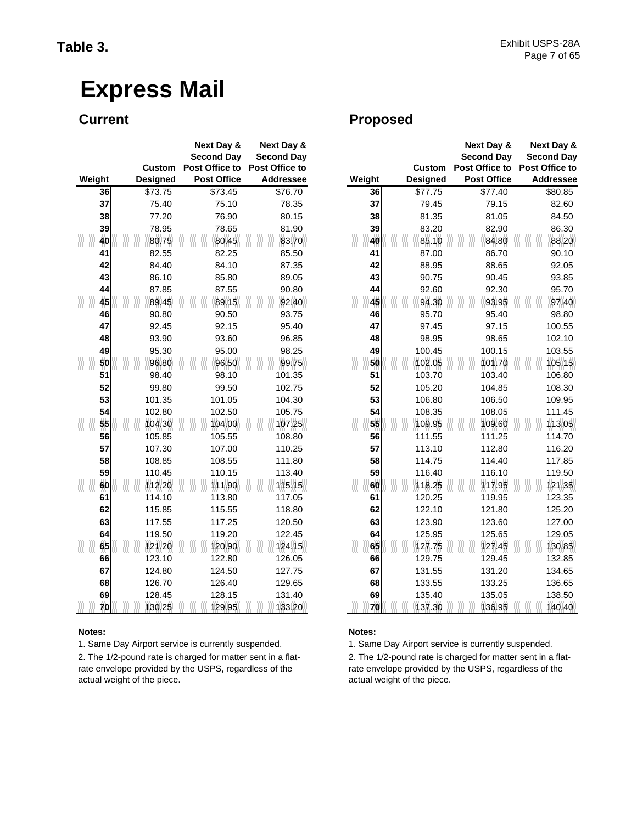|        |               | <b>Next Day &amp;</b>               | Next Day &                          |        |
|--------|---------------|-------------------------------------|-------------------------------------|--------|
|        | <b>Custom</b> | <b>Second Day</b><br>Post Office to | <b>Second Day</b><br>Post Office to |        |
| Weight | Designed      | <b>Post Office</b>                  | Addressee                           | Weight |
| 36     | \$73.75       | \$73.45                             | \$76.70                             | 36     |
| 37     | 75.40         | 75.10                               | 78.35                               | 37     |
| 38     | 77.20         | 76.90                               | 80.15                               | 38     |
| 39     | 78.95         | 78.65                               | 81.90                               | 39     |
| 40     | 80.75         | 80.45                               | 83.70                               | 40     |
| 41     | 82.55         | 82.25                               | 85.50                               | 41     |
| 42     | 84.40         | 84.10                               | 87.35                               | 42     |
| 43     | 86.10         | 85.80                               | 89.05                               | 43     |
| 44     | 87.85         | 87.55                               | 90.80                               | 44     |
| 45     | 89.45         | 89.15                               | 92.40                               | 45     |
| 46     | 90.80         | 90.50                               | 93.75                               | 46     |
| 47     | 92.45         | 92.15                               | 95.40                               | 47     |
| 48     | 93.90         | 93.60                               | 96.85                               | 48     |
| 49     | 95.30         | 95.00                               | 98.25                               | 49     |
| 50     | 96.80         | 96.50                               | 99.75                               | 50     |
| 51     | 98.40         | 98.10                               | 101.35                              | 51     |
| 52     | 99.80         | 99.50                               | 102.75                              | 52     |
| 53     | 101.35        | 101.05                              | 104.30                              | 53     |
| 54     | 102.80        | 102.50                              | 105.75                              | 54     |
| 55     | 104.30        | 104.00                              | 107.25                              | 55     |
| 56     | 105.85        | 105.55                              | 108.80                              | 56     |
| 57     | 107.30        | 107.00                              | 110.25                              | 57     |
| 58     | 108.85        | 108.55                              | 111.80                              | 58     |
| 59     | 110.45        | 110.15                              | 113.40                              | 59     |
| 60     | 112.20        | 111.90                              | 115.15                              | 60     |
| 61     | 114.10        | 113.80                              | 117.05                              | 61     |
| 62     | 115.85        | 115.55                              | 118.80                              | 62     |
| 63     | 117.55        | 117.25                              | 120.50                              | 63     |
| 64     | 119.50        | 119.20                              | 122.45                              | 64     |
| 65     | 121.20        | 120.90                              | 124.15                              | 65     |
| 66     | 123.10        | 122.80                              | 126.05                              | 66     |
| 67     | 124.80        | 124.50                              | 127.75                              | 67     |
| 68     | 126.70        | 126.40                              | 129.65                              | 68     |
| 69     | 128.45        | 128.15                              | 131.40                              | 69     |
| 70     | 130.25        | 129.95                              | 133.20                              | 70     |

1. Same Day Airport service is currently suspended.

2. The 1/2-pound rate is charged for matter sent in a flatrate envelope provided by the USPS, regardless of the actual weight of the piece.

### **Current Current Proposed**

|    |                 | Next Day &<br><b>Second Day</b> | Next Day &<br><b>Second Day</b> |        |                 | <b>Next Day &amp;</b><br><b>Second Day</b> | <b>Next Day &amp;</b><br><b>Second Day</b> |
|----|-----------------|---------------------------------|---------------------------------|--------|-----------------|--------------------------------------------|--------------------------------------------|
|    | <b>Custom</b>   | Post Office to                  | Post Office to                  |        | <b>Custom</b>   | Post Office to                             | Post Office to                             |
| ht | <b>Designed</b> | <b>Post Office</b>              | <b>Addressee</b>                | Weight | <b>Designed</b> | <b>Post Office</b>                         | <b>Addressee</b>                           |
| 36 | \$73.75         | \$73.45                         | \$76.70                         | 36     | \$77.75         | \$77.40                                    | \$80.85                                    |
| 37 | 75.40           | 75.10                           | 78.35                           | 37     | 79.45           | 79.15                                      | 82.60                                      |
| 38 | 77.20           | 76.90                           | 80.15                           | 38     | 81.35           | 81.05                                      | 84.50                                      |
| 39 | 78.95           | 78.65                           | 81.90                           | 39     | 83.20           | 82.90                                      | 86.30                                      |
| 40 | 80.75           | 80.45                           | 83.70                           | 40     | 85.10           | 84.80                                      | 88.20                                      |
| 41 | 82.55           | 82.25                           | 85.50                           | 41     | 87.00           | 86.70                                      | 90.10                                      |
| 42 | 84.40           | 84.10                           | 87.35                           | 42     | 88.95           | 88.65                                      | 92.05                                      |
| 43 | 86.10           | 85.80                           | 89.05                           | 43     | 90.75           | 90.45                                      | 93.85                                      |
| 44 | 87.85           | 87.55                           | 90.80                           | 44     | 92.60           | 92.30                                      | 95.70                                      |
| 45 | 89.45           | 89.15                           | 92.40                           | 45     | 94.30           | 93.95                                      | 97.40                                      |
| 46 | 90.80           | 90.50                           | 93.75                           | 46     | 95.70           | 95.40                                      | 98.80                                      |
| 47 | 92.45           | 92.15                           | 95.40                           | 47     | 97.45           | 97.15                                      | 100.55                                     |
| 48 | 93.90           | 93.60                           | 96.85                           | 48     | 98.95           | 98.65                                      | 102.10                                     |
| 49 | 95.30           | 95.00                           | 98.25                           | 49     | 100.45          | 100.15                                     | 103.55                                     |
| 50 | 96.80           | 96.50                           | 99.75                           | 50     | 102.05          | 101.70                                     | 105.15                                     |
| 51 | 98.40           | 98.10                           | 101.35                          | 51     | 103.70          | 103.40                                     | 106.80                                     |
| 52 | 99.80           | 99.50                           | 102.75                          | 52     | 105.20          | 104.85                                     | 108.30                                     |
| 53 | 101.35          | 101.05                          | 104.30                          | 53     | 106.80          | 106.50                                     | 109.95                                     |
| 54 | 102.80          | 102.50                          | 105.75                          | 54     | 108.35          | 108.05                                     | 111.45                                     |
| 55 | 104.30          | 104.00                          | 107.25                          | 55     | 109.95          | 109.60                                     | 113.05                                     |
| 56 | 105.85          | 105.55                          | 108.80                          | 56     | 111.55          | 111.25                                     | 114.70                                     |
| 57 | 107.30          | 107.00                          | 110.25                          | 57     | 113.10          | 112.80                                     | 116.20                                     |
| 58 | 108.85          | 108.55                          | 111.80                          | 58     | 114.75          | 114.40                                     | 117.85                                     |
| 59 | 110.45          | 110.15                          | 113.40                          | 59     | 116.40          | 116.10                                     | 119.50                                     |
| 60 | 112.20          | 111.90                          | 115.15                          | 60     | 118.25          | 117.95                                     | 121.35                                     |
| 61 | 114.10          | 113.80                          | 117.05                          | 61     | 120.25          | 119.95                                     | 123.35                                     |
| 62 | 115.85          | 115.55                          | 118.80                          | 62     | 122.10          | 121.80                                     | 125.20                                     |
| 63 | 117.55          | 117.25                          | 120.50                          | 63     | 123.90          | 123.60                                     | 127.00                                     |
| 64 | 119.50          | 119.20                          | 122.45                          | 64     | 125.95          | 125.65                                     | 129.05                                     |
| 65 | 121.20          | 120.90                          | 124.15                          | 65     | 127.75          | 127.45                                     | 130.85                                     |
| 66 | 123.10          | 122.80                          | 126.05                          | 66     | 129.75          | 129.45                                     | 132.85                                     |
| 67 | 124.80          | 124.50                          | 127.75                          | 67     | 131.55          | 131.20                                     | 134.65                                     |
| 68 | 126.70          | 126.40                          | 129.65                          | 68     | 133.55          | 133.25                                     | 136.65                                     |
| 69 | 128.45          | 128.15                          | 131.40                          | 69     | 135.40          | 135.05                                     | 138.50                                     |
| 70 | 130.25          | 129.95                          | 133.20                          | 70     | 137.30          | 136.95                                     | 140.40                                     |

#### **Notes: Notes:**

1. Same Day Airport service is currently suspended.

2. The 1/2-pound rate is charged for matter sent in a flatrate envelope provided by the USPS, regardless of the actual weight of the piece.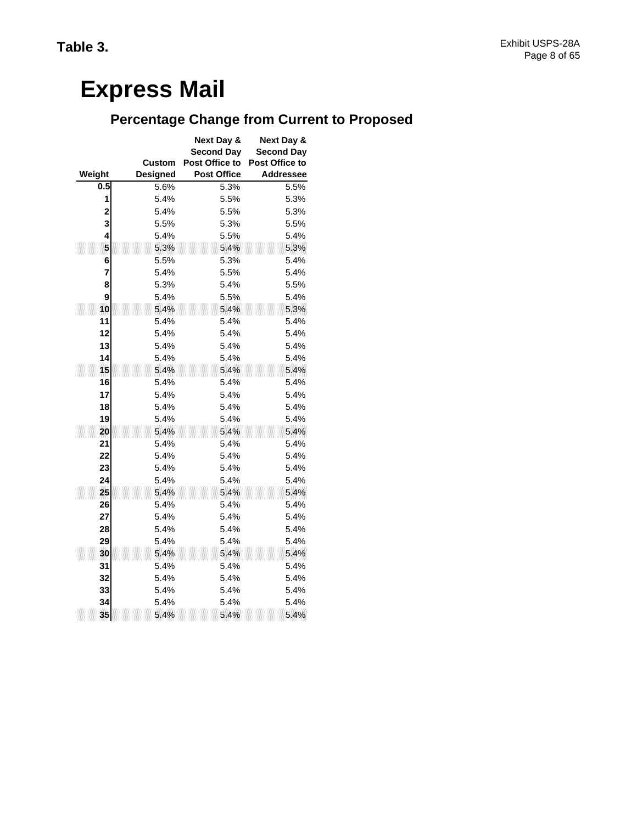## **Percentage Change from Current to Proposed**

|        |                 | <b>Next Day &amp;</b> | Next Day &        |
|--------|-----------------|-----------------------|-------------------|
|        |                 | <b>Second Day</b>     | <b>Second Day</b> |
|        | Custom          | Post Office to        | Post Office to    |
| Weight | <b>Designed</b> | <b>Post Office</b>    | <b>Addressee</b>  |
| 0.5    | 5.6%            | 5.3%                  | 5.5%              |
| 1      | 5.4%            | 5.5%                  | 5.3%              |
| 2      | 5.4%            | 5.5%                  | 5.3%              |
| 3      | 5.5%            | 5.3%                  | 5.5%              |
| 4      | 5.4%            | 5.5%                  | 5.4%              |
| 5      | 5.3%            | 5.4%                  | 5.3%              |
| 6<br>7 | 5.5%            | 5.3%<br>5.5%          | 5.4%<br>5.4%      |
| 8      | 5.4%<br>5.3%    | 5.4%                  | 5.5%              |
| 9      | 5.4%            | 5.5%                  | 5.4%              |
| 10     | 5.4%            | 5.4%                  | 5.3%              |
| 11     | 5.4%            | 5.4%                  | 5.4%              |
| 12     | 5.4%            | 5.4%                  | 5.4%              |
| 13     | 5.4%            | 5.4%                  | 5.4%              |
| 14     | 5.4%            | 5.4%                  | 5.4%              |
| 15     | 5.4%            | 5.4%                  | 5.4%              |
| 16     | 5.4%            | 5.4%                  | 5.4%              |
| 17     | 5.4%            | 5.4%                  | 5.4%              |
| 18     | 5.4%            | 5.4%                  | 5.4%              |
| 19     | 5.4%            | 5.4%                  | 5.4%              |
| 20     | 5.4%            | 5.4%                  | 5.4%              |
| 21     | 5.4%            | 5.4%                  | 5.4%              |
| 22     | 5.4%            | 5.4%                  | 5.4%              |
| 23     | 5.4%            | 5.4%                  | 5.4%              |
| 24     | 5.4%            | 5.4%                  | 5.4%              |
| 25     | 5.4%            | 5.4%                  | 5.4%              |
| 26     | 5.4%            | 5.4%                  | 5.4%              |
| 27     | 5.4%            | 5.4%                  | 5.4%              |
| 28     | 5.4%            | 5.4%                  | 5.4%              |
| 29     | 5.4%            | 5.4%                  | 5.4%              |
| 30     | 5.4%            | 5.4%                  | 5.4%              |
| 31     | 5.4%            | 5.4%                  | 5.4%              |
| 32     | 5.4%            | 5.4%                  | 5.4%              |
| 33     | 5.4%            | 5.4%                  | 5.4%              |
| 34     | 5.4%            | 5.4%                  | 5.4%              |
| 35     | 5.4%            | 5.4%                  | 5.4%              |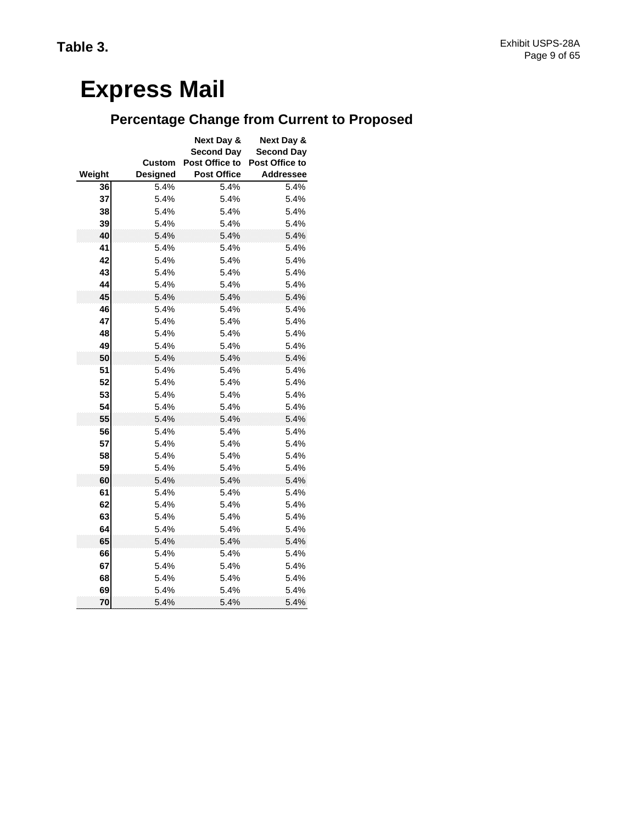## **Percentage Change from Current to Proposed**

|          |                 | Next Day &<br><b>Second Day</b> | Next Day &<br><b>Second Day</b> |
|----------|-----------------|---------------------------------|---------------------------------|
|          | Custom          | Post Office to                  | Post Office to                  |
| Weight   | <b>Designed</b> | <b>Post Office</b>              | <b>Addressee</b>                |
| 36       | 5.4%            | 5.4%                            | 5.4%                            |
| 37       | 5.4%            | 5.4%                            | 5.4%                            |
| 38       | 5.4%            | 5.4%                            | 5.4%                            |
| 39       | 5.4%            | 5.4%                            | 5.4%                            |
| 40       | 5.4%            | 5.4%                            | 5.4%                            |
| 41       | 5.4%            | 5.4%                            | 5.4%                            |
| 42       | 5.4%            | 5.4%                            | 5.4%                            |
| 43       | 5.4%            | 5.4%                            | 5.4%                            |
| 44       | 5.4%            | 5.4%                            | 5.4%                            |
| 45       | 5.4%            | 5.4%                            | 5.4%                            |
| 46       | 5.4%            | 5.4%                            | 5.4%                            |
| 47       | 5.4%            | 5.4%                            | 5.4%                            |
| 48       | 5.4%            | 5.4%                            | 5.4%                            |
| 49       | 5.4%            | 5.4%                            | 5.4%                            |
| 50       | 5.4%            | 5.4%                            | 5.4%                            |
| 51       | 5.4%            | 5.4%                            | 5.4%                            |
| 52       | 5.4%            | 5.4%                            | 5.4%                            |
| 53       | 5.4%            | 5.4%                            | 5.4%                            |
| 54       | 5.4%            | 5.4%                            | 5.4%                            |
| 55       | 5.4%            | 5.4%                            | 5.4%                            |
| 56       | 5.4%            | 5.4%                            | 5.4%                            |
| 57       | 5.4%            | 5.4%                            | 5.4%                            |
| 58       | 5.4%            | 5.4%                            | 5.4%                            |
| 59       | 5.4%            | 5.4%                            | 5.4%                            |
| 60       | 5.4%            | 5.4%                            | 5.4%                            |
| 61       | 5.4%            | 5.4%                            | 5.4%                            |
| 62       | 5.4%            | 5.4%                            | 5.4%                            |
| 63       | 5.4%            | 5.4%                            | 5.4%                            |
| 64       | 5.4%            | 5.4%                            | 5.4%                            |
| 65       | 5.4%            | 5.4%                            | 5.4%                            |
| 66       | 5.4%            | 5.4%                            | 5.4%                            |
| 67       | 5.4%            | 5.4%                            | 5.4%                            |
| 68<br>69 | 5.4%<br>5.4%    | 5.4%<br>5.4%                    | 5.4%<br>5.4%                    |
| 70       | 5.4%            | 5.4%                            | 5.4%                            |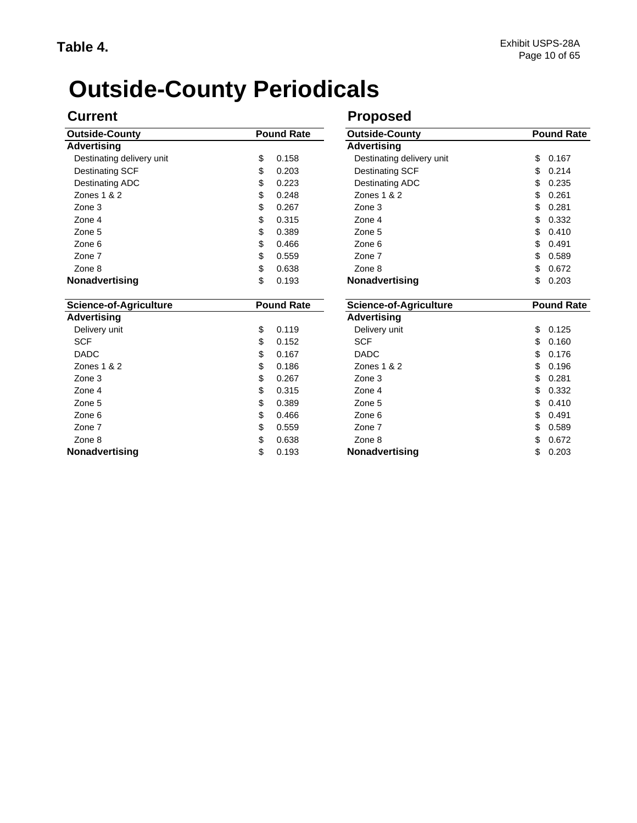# **Outside-County Periodicals**

**Nonadvertising**

| <b>Outside-County</b>         | <b>Pound Rate</b> | Outside-County         |  |
|-------------------------------|-------------------|------------------------|--|
| <b>Advertising</b>            |                   | <b>Advertising</b>     |  |
| Destinating delivery unit     | \$<br>0.158       | Destinating deliv      |  |
| Destinating SCF               | \$<br>0.203       | <b>Destinating SCF</b> |  |
| Destinating ADC               | \$<br>0.223       | Destinating ADC        |  |
| Zones $1 & 2$                 | \$<br>0.248       | Zones 1 & 2            |  |
| Zone 3                        | \$<br>0.267       | Zone 3                 |  |
| Zone 4                        | \$<br>0.315       | Zone 4                 |  |
| Zone 5                        | \$<br>0.389       | Zone 5                 |  |
| Zone 6                        | \$<br>0.466       | Zone 6                 |  |
| Zone 7                        | \$<br>0.559       | Zone 7                 |  |
| Zone 8                        | \$<br>0.638       | Zone 8                 |  |
| <b>Nonadvertising</b>         | \$<br>0.193       | <b>Nonadvertising</b>  |  |
| <b>Science-of-Agriculture</b> | <b>Pound Rate</b> | Science-of-Agri        |  |

#### $$ 0.167$  $$ 0.186$  $$ 0.315$  $$ 0.389$  $$ 0.466$  Zone 7 Zone 6 DADC Delivery unit SCF **Advertising** Zone 4 Zone 5 Zone 3 Zone 8 Zones 1 & 2

### **Current Current Proposed**

| Pound Rate |       | <b>Outside-County</b>         | <b>Pound Rate</b> |
|------------|-------|-------------------------------|-------------------|
|            |       | <b>Advertising</b>            |                   |
| \$         | 0.158 | Destinating delivery unit     | \$<br>0.167       |
| \$         | 0.203 | <b>Destinating SCF</b>        | \$<br>0.214       |
| \$         | 0.223 | <b>Destinating ADC</b>        | \$<br>0.235       |
| \$         | 0.248 | Zones 1 & 2                   | \$<br>0.261       |
| \$         | 0.267 | Zone 3                        | \$<br>0.281       |
| \$         | 0.315 | Zone 4                        | \$<br>0.332       |
| \$         | 0.389 | Zone 5                        | \$<br>0.410       |
| \$         | 0.466 | Zone 6                        | \$<br>0.491       |
| \$         | 0.559 | Zone 7                        | \$<br>0.589       |
| \$         | 0.638 | Zone 8                        | \$<br>0.672       |
| \$         | 0.193 | Nonadvertising                | \$<br>0.203       |
| Pound Rate |       | <b>Science-of-Agriculture</b> | <b>Pound Rate</b> |
|            |       | <b>Advertising</b>            |                   |
| \$         | 0.119 | Delivery unit                 | \$<br>0.125       |
| \$         | 0.152 | <b>SCF</b>                    | \$<br>0.160       |
| \$         | 0.167 | <b>DADC</b>                   | \$<br>0.176       |
| \$         | 0.186 | Zones 1 & 2                   | \$<br>0.196       |
| \$         | 0.267 | Zone 3                        | \$<br>0.281       |
| \$         | 0.315 | Zone 4                        | \$<br>0.332       |
| \$         | 0.389 | Zone 5                        | \$<br>0.410       |
| \$         | 0.466 | Zone 6                        | \$<br>0.491       |
| \$         | 0.559 | Zone 7                        | \$<br>0.589       |
| \$         | 0.638 | Zone 8                        | \$<br>0.672       |
| \$         | 0.193 | <b>Nonadvertising</b>         | \$<br>0.203       |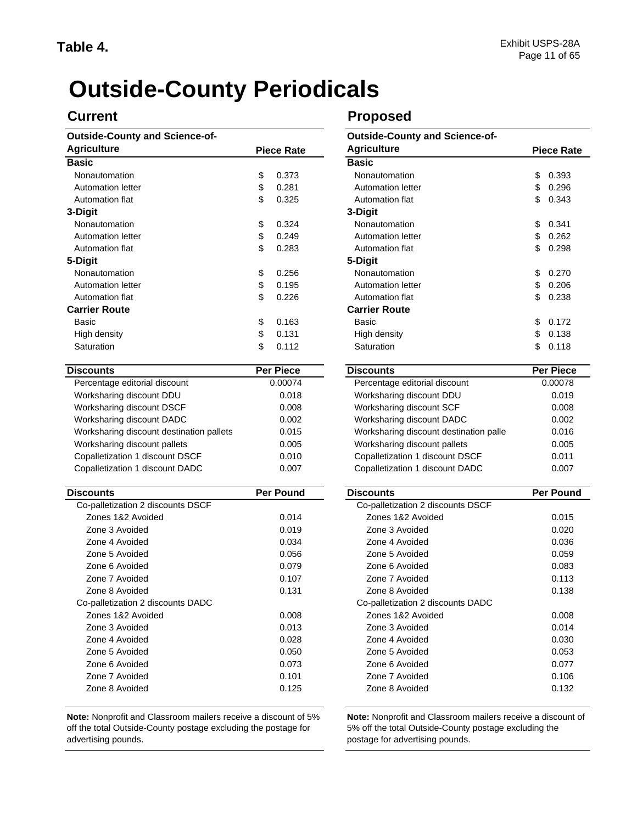# **Outside-County Periodicals**

#### **Outside-County and Science-of-**

| <b>Agriculture</b>                       |    | <b>Piece Rate</b> | <b>Agriculture</b>                     |    | <b>Piece Ra</b>  |  |
|------------------------------------------|----|-------------------|----------------------------------------|----|------------------|--|
| <b>Basic</b>                             |    |                   | <b>Basic</b>                           |    |                  |  |
| Nonautomation                            | \$ | 0.373             | Nonautomation                          | \$ | 0.393            |  |
| Automation letter                        | \$ | 0.281             | Automation letter                      | \$ | 0.296            |  |
| Automation flat                          | \$ | 0.325             | Automation flat                        | \$ | 0.343            |  |
| 3-Digit                                  |    |                   | 3-Digit                                |    |                  |  |
| Nonautomation                            | \$ | 0.324             | Nonautomation                          | \$ | 0.341            |  |
| <b>Automation letter</b>                 | \$ | 0.249             | Automation letter                      | \$ | 0.262            |  |
| Automation flat                          | \$ | 0.283             | Automation flat                        | \$ | 0.298            |  |
| 5-Digit                                  |    |                   | 5-Digit                                |    |                  |  |
| Nonautomation                            | \$ | 0.256             | Nonautomation                          | \$ | 0.270            |  |
| Automation letter                        | \$ | 0.195             | Automation letter                      | \$ | 0.206            |  |
| Automation flat                          | \$ | 0.226             | Automation flat                        | \$ | 0.238            |  |
| <b>Carrier Route</b>                     |    |                   | <b>Carrier Route</b>                   |    |                  |  |
| Basic                                    | \$ | 0.163             | Basic                                  | \$ | 0.172            |  |
| High density                             | \$ | 0.131             | High density                           | \$ | 0.138            |  |
| Saturation                               | \$ | 0.112             | Saturation                             | \$ | 0.118            |  |
| <b>Discounts</b>                         |    | <b>Per Piece</b>  | <b>Discounts</b>                       |    | <b>Per Piece</b> |  |
| Percentage editorial discount            |    | 0.00074           | Percentage editorial discount          |    | 0.00078          |  |
| Worksharing discount DDU                 |    | 0.018             | Worksharing discount DDU               |    | 0.019            |  |
| Worksharing discount DSCF                |    | 0.008             | Worksharing discount SCF               |    | 0.008            |  |
| Worksharing discount DADC                |    | 0.002             | Worksharing discount DADC              |    | 0.002            |  |
| Worksharing discount destination pallets |    | 0.015             | Worksharing discount destination palle |    | 0.016            |  |
| Worksharing discount pallets             |    | 0.005             | Worksharing discount pallets           |    | 0.005            |  |
| Copalletization 1 discount DSCF          |    | 0.010             | Copalletization 1 discount DSCF        |    | 0.011            |  |
| Copalletization 1 discount DADC          |    | 0.007             | Copalletization 1 discount DADC        |    | 0.007            |  |
| <b>Discounts</b>                         |    | <b>Per Pound</b>  | <b>Discounts</b>                       |    | <b>Per Pour</b>  |  |
| Co-palletization 2 discounts DSCF        |    |                   | Co-palletization 2 discounts DSCF      |    |                  |  |
| Zones 1&2 Avoided                        |    | 0.014             | Zones 1&2 Avoided                      |    | 0.015            |  |
| Zone 3 Avoided                           |    | 0.019             | Zone 3 Avoided                         |    | 0.020            |  |
| Zone 4 Avoided                           |    | 0.034             | Zone 4 Avoided                         |    | 0.036            |  |
| Zone 5 Avoided                           |    | 0.056             | Zone 5 Avoided                         |    | 0.059            |  |
| Zone 6 Avoided                           |    | 0.079             | Zone 6 Avoided                         |    | 0.083            |  |
| Zone 7 Avoided                           |    | 0.107             | Zone 7 Avoided                         |    | 0.113            |  |
| Zone 8 Avoided                           |    | 0.131             | Zone 8 Avoided                         |    | 0.138            |  |
| Co-palletization 2 discounts DADC        |    |                   | Co-palletization 2 discounts DADC      |    |                  |  |
| Zones 1&2 Avoided                        |    | 0.008             | Zones 1&2 Avoided                      |    | 0.008            |  |
| Zone 3 Avoided                           |    | 0.013             | Zone 3 Avoided                         |    | 0.014            |  |
| Zone 4 Avoided                           |    | 0.028             | Zone 4 Avoided                         |    | 0.030            |  |
| Zone 5 Avoided                           |    | 0.050             | Zone 5 Avoided                         |    | 0.053            |  |
| Zone 6 Avoided                           |    | 0.073             | Zone 6 Avoided                         |    | 0.077            |  |
| Zone 7 Avoided                           |    | 0.101             | Zone 7 Avoided                         |    | 0.106            |  |
| Zone 8 Avoided                           |    | 0.125             | Zone 8 Avoided                         |    | 0.132            |  |
|                                          |    |                   |                                        |    |                  |  |

**Note:** Nonprofit and Classroom mailers receive a discount of 5% off the total Outside-County postage excluding the postage for advertising pounds.

### **Current Current Proposed**

|             | <b>Outside-County and Science-of-</b>  |                   |
|-------------|----------------------------------------|-------------------|
| Piece Rate  | <b>Agriculture</b>                     | <b>Piece Rate</b> |
|             | <b>Basic</b>                           |                   |
| \$<br>0.373 | Nonautomation                          | \$<br>0.393       |
| \$<br>0.281 | <b>Automation letter</b>               | \$<br>0.296       |
| \$<br>0.325 | Automation flat                        | \$<br>0.343       |
|             | 3-Digit                                |                   |
| \$<br>0.324 | Nonautomation                          | \$<br>0.341       |
| \$<br>0.249 | Automation letter                      | \$<br>0.262       |
| \$<br>0.283 | Automation flat                        | \$<br>0.298       |
|             | 5-Digit                                |                   |
| \$<br>0.256 | Nonautomation                          | \$<br>0.270       |
| \$<br>0.195 | Automation letter                      | \$<br>0.206       |
| \$<br>0.226 | Automation flat                        | \$<br>0.238       |
|             | <b>Carrier Route</b>                   |                   |
| \$<br>0.163 | Basic                                  | \$<br>0.172       |
| \$<br>0.131 | High density                           | \$<br>0.138       |
| \$<br>0.112 | Saturation                             | \$<br>0.118       |
| Per Piece   | <b>Discounts</b>                       | <b>Per Piece</b>  |
| 0.00074     | Percentage editorial discount          | 0.00078           |
| 0.018       | Worksharing discount DDU               | 0.019             |
| 0.008       | Worksharing discount SCF               | 0.008             |
| 0.002       | Worksharing discount DADC              | 0.002             |
| 0.015       | Worksharing discount destination palle | 0.016             |
| 0.005       | Worksharing discount pallets           | 0.005             |
| 0.010       | Copalletization 1 discount DSCF        | 0.011             |
| 0.007       | Copalletization 1 discount DADC        | 0.007             |
| Per Pound   | <b>Discounts</b>                       | <b>Per Pound</b>  |
|             | Co-palletization 2 discounts DSCF      |                   |
| 0.014       | Zones 1&2 Avoided                      | 0.015             |
| 0.019       | Zone 3 Avoided                         | 0.020             |
| 0.034       | Zone 4 Avoided                         | 0.036             |
| 0.056       | Zone 5 Avoided                         | 0.059             |
| 0.079       | Zone 6 Avoided                         | 0.083             |
| 0.107       | Zone 7 Avoided                         | 0.113             |
| 0.131       | Zone 8 Avoided                         | 0.138             |
|             | Co-palletization 2 discounts DADC      |                   |
| 0.008       | Zones 1&2 Avoided                      | 0.008             |
| 0.013       | Zone 3 Avoided                         | 0.014             |
| 0.028       | Zone 4 Avoided                         | 0.030             |
| 0.050       | Zone 5 Avoided                         | 0.053             |
| 0.073       | Zone 6 Avoided                         | 0.077             |
| 0.101       | Zone 7 Avoided                         | 0.106             |
| 0.125       | Zone 8 Avoided                         | 0.132             |

**Note:** Nonprofit and Classroom mailers receive a discount of 5% off the total Outside-County postage excluding the postage for advertising pounds.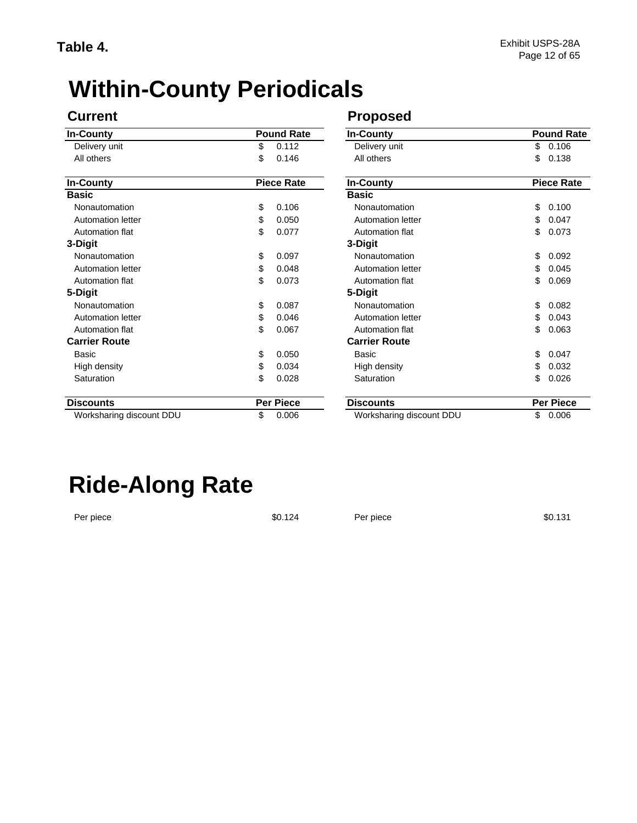# **Within-County Periodicals**

| <b>In-County</b>         | <b>Pound Rate</b> |                   | <b>In-County</b>         | <b>Pound Rate</b> |                   |
|--------------------------|-------------------|-------------------|--------------------------|-------------------|-------------------|
| Delivery unit            | \$                | 0.112             | Delivery unit            | \$                | 0.106             |
| All others               | \$                | 0.146             | All others               | \$                | 0.138             |
| <b>In-County</b>         |                   | <b>Piece Rate</b> | <b>In-County</b>         |                   | <b>Piece Rate</b> |
| <b>Basic</b>             |                   |                   | <b>Basic</b>             |                   |                   |
| Nonautomation            | \$                | 0.106             | Nonautomation            | \$                | 0.100             |
| Automation letter        | \$                | 0.050             | Automation letter        | \$                | 0.047             |
| Automation flat          | \$                | 0.077             | Automation flat          | \$                | 0.073             |
| 3-Digit                  |                   |                   | 3-Digit                  |                   |                   |
| Nonautomation            | \$                | 0.097             | Nonautomation            | \$                | 0.092             |
| <b>Automation letter</b> | \$                | 0.048             | Automation letter        | \$                | 0.045             |
| Automation flat          | \$                | 0.073             | Automation flat          | \$                | 0.069             |
| 5-Digit                  |                   |                   | 5-Digit                  |                   |                   |
| Nonautomation            | \$                | 0.087             | Nonautomation            | \$                | 0.082             |
| Automation letter        | \$                | 0.046             | Automation letter        | \$                | 0.043             |
| Automation flat          | \$                | 0.067             | Automation flat          | \$                | 0.063             |
| <b>Carrier Route</b>     |                   |                   | <b>Carrier Route</b>     |                   |                   |
| Basic                    | \$                | 0.050             | Basic                    | \$                | 0.047             |
| High density             | \$                | 0.034             | High density             | \$                | 0.032             |
| Saturation               | \$                | 0.028             | Saturation               | \$                | 0.026             |
| <b>Discounts</b>         |                   | <b>Per Piece</b>  | <b>Discounts</b>         |                   | <b>Per Piece</b>  |
| Worksharing discount DDU | \$                | 0.006             | Worksharing discount DDU | \$                | 0.006             |

### **Current Current Proposed**

| Pound Rate  |                          | <b>Pound Rate</b> |
|-------------|--------------------------|-------------------|
|             | In-County                |                   |
| \$<br>0.112 | Delivery unit            | 0.106<br>\$       |
| \$<br>0.146 | All others               | \$<br>0.138       |
| Piece Rate  | <b>In-County</b>         | <b>Piece Rate</b> |
|             | <b>Basic</b>             |                   |
| \$<br>0.106 | Nonautomation            | \$<br>0.100       |
| \$<br>0.050 | <b>Automation letter</b> | \$<br>0.047       |
| \$<br>0.077 | Automation flat          | \$<br>0.073       |
|             | 3-Digit                  |                   |
| \$<br>0.097 | Nonautomation            | \$<br>0.092       |
| \$<br>0.048 | <b>Automation letter</b> | \$<br>0.045       |
| \$<br>0.073 | Automation flat          | \$<br>0.069       |
|             | 5-Digit                  |                   |
| \$<br>0.087 | Nonautomation            | 0.082<br>\$       |
| \$<br>0.046 | <b>Automation letter</b> | \$<br>0.043       |
| \$<br>0.067 | Automation flat          | \$<br>0.063       |
|             | <b>Carrier Route</b>     |                   |
| \$<br>0.050 | <b>Basic</b>             | \$<br>0.047       |
| \$<br>0.034 | High density             | \$<br>0.032       |
| \$<br>0.028 | Saturation               | \$<br>0.026       |
| Per Piece   | <b>Discounts</b>         | <b>Per Piece</b>  |
| \$<br>0.006 | Worksharing discount DDU | \$<br>0.006       |

# **Ride-Along Rate**

Per piece \$0.131 \$0.124 \$0.124 Per piece \$0.131 Per piece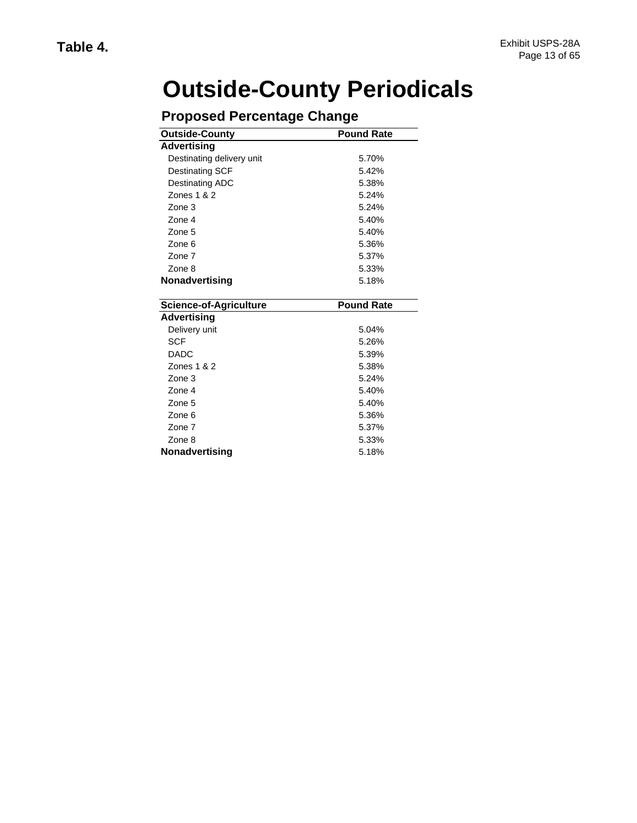# **Outside-County Periodicals**

| <b>Outside-County</b>         | <b>Pound Rate</b> |
|-------------------------------|-------------------|
| <b>Advertising</b>            |                   |
| Destinating delivery unit     | 5.70%             |
| Destinating SCF               | 5.42%             |
| Destinating ADC               | 5.38%             |
| Zones 1 & 2                   | 5.24%             |
| Zone 3                        | 5.24%             |
| Zone 4                        | 5.40%             |
| Zone 5                        | 5.40%             |
| Zone 6                        | 5.36%             |
| Zone 7                        | 5.37%             |
| Zone 8                        | 5.33%             |
| Nonadvertising                | 5.18%             |
| <b>Science-of-Agriculture</b> | <b>Pound Rate</b> |
| <b>Advertising</b>            |                   |
|                               |                   |
| Delivery unit                 | 5.04%             |
| <b>SCF</b>                    | 5.26%             |
| <b>DADC</b>                   | 5.39%             |
| Zones 1 & 2                   | 5.38%             |
| Zone 3                        | 5.24%             |
| Zone 4                        | 5.40%             |
| Zone 5                        | 5.40%             |
| Zone 6                        | 5.36%             |
| Zone 7                        | 5.37%             |
| Zone 8                        | 5.33%             |

## **Proposed Percentage Change**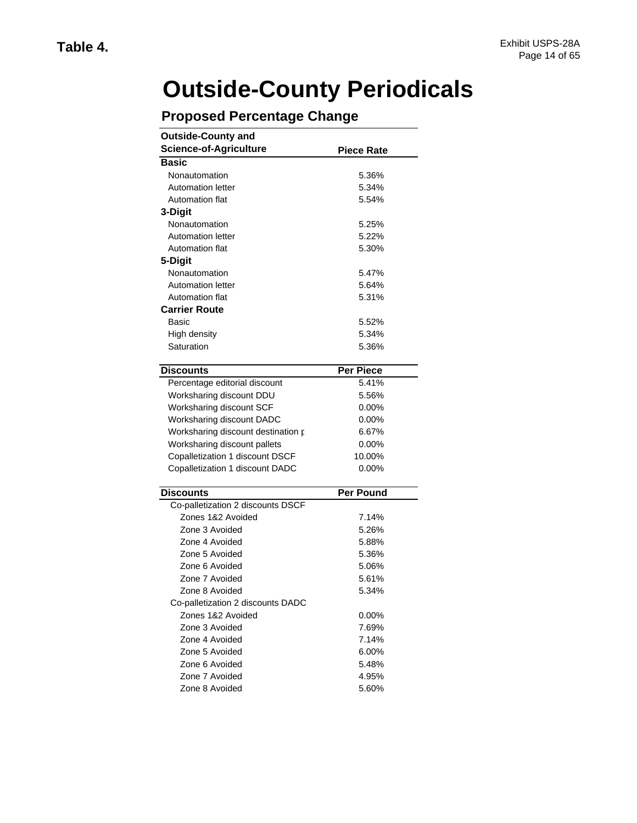# **Outside-County Periodicals**

| <b>Outside-County and</b><br><b>Science-of-Agriculture</b> | <b>Piece Rate</b> |
|------------------------------------------------------------|-------------------|
| <b>Basic</b>                                               |                   |
| Nonautomation                                              | 5.36%             |
| <b>Automation letter</b>                                   | 5.34%             |
| Automation flat                                            | 5.54%             |
| 3-Digit                                                    |                   |
| Nonautomation                                              | 5.25%             |
| <b>Automation letter</b>                                   | 5.22%             |
| Automation flat                                            | 5.30%             |
| 5-Digit                                                    |                   |
| Nonautomation                                              | 5.47%             |
| <b>Automation letter</b>                                   | 5.64%             |
| Automation flat                                            | 5.31%             |
| <b>Carrier Route</b>                                       |                   |
| Basic                                                      | 5.52%             |
| High density                                               | 5.34%             |
| Saturation                                                 | 5.36%             |
|                                                            |                   |
| <b>Discounts</b>                                           | <b>Per Piece</b>  |
| Percentage editorial discount                              | 5.41%             |
| Worksharing discount DDU                                   | 5.56%             |
| Worksharing discount SCF                                   | $0.00\%$          |
| Worksharing discount DADC                                  | $0.00\%$          |
| Worksharing discount destination p                         | 6.67%             |
| Worksharing discount pallets                               | $0.00\%$          |
| Copalletization 1 discount DSCF                            | 10.00%            |
| Copalletization 1 discount DADC                            | $0.00\%$          |
| Discounts                                                  | <b>Per Pound</b>  |
| Co-palletization 2 discounts DSCF                          |                   |
| Zones 1&2 Avoided                                          | 7.14%             |
| Zone 3 Avoided                                             | 5.26%             |
| Zone 4 Avoided                                             | 5.88%             |
| Zone 5 Avoided                                             | 5.36%             |
| Zone 6 Avoided                                             | 5.06%             |
| Zone 7 Avoided                                             | 5.61%             |
| Zone 8 Avoided                                             | 5.34%             |
| Co-palletization 2 discounts DADC                          |                   |
| Zones 1&2 Avoided                                          | $0.00\%$          |
| Zone 3 Avoided                                             | 7.69%             |
| Zone 4 Avoided                                             | 7.14%             |
|                                                            |                   |
| Zone 5 Avoided                                             | $6.00\%$          |
| Zone 6 Avoided                                             | 5.48%             |
| Zone 7 Avoided                                             | 4.95%             |
| Zone 8 Avoided                                             | 5.60%             |

## **Proposed Percentage Change**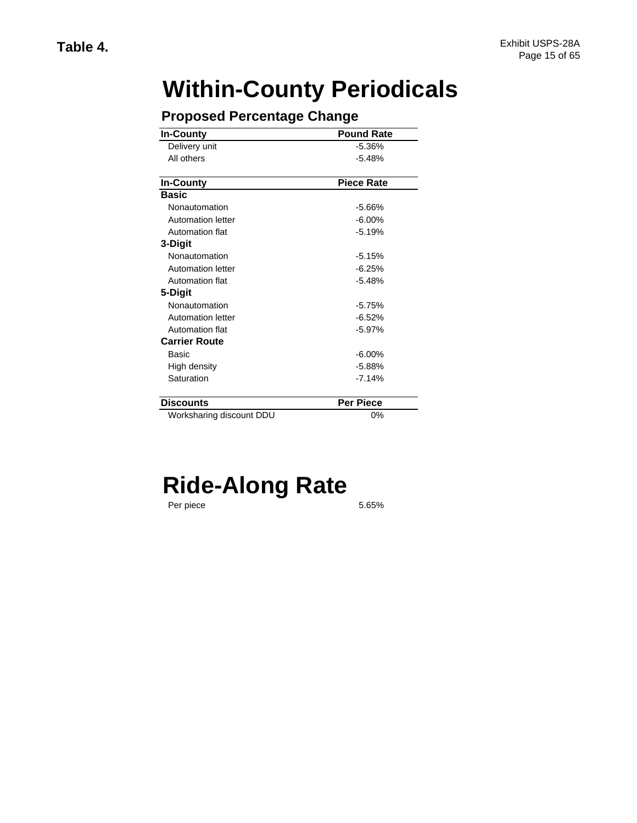# **Within-County Periodicals**

| <b>In-County</b>         | <b>Pound Rate</b> |  |  |  |
|--------------------------|-------------------|--|--|--|
| Delivery unit            | $-5.36%$          |  |  |  |
| All others               | $-5.48%$          |  |  |  |
| In-County                | <b>Piece Rate</b> |  |  |  |
| <b>Basic</b>             |                   |  |  |  |
|                          |                   |  |  |  |
| Nonautomation            | $-5.66%$          |  |  |  |
| Automation letter        | $-6.00%$          |  |  |  |
| Automation flat          | $-5.19%$          |  |  |  |
| 3-Digit                  |                   |  |  |  |
| Nonautomation            | $-5.15%$          |  |  |  |
| Automation letter        | $-6.25%$          |  |  |  |
| Automation flat          | $-5.48%$          |  |  |  |
| 5-Digit                  |                   |  |  |  |
| Nonautomation            | $-5.75%$          |  |  |  |
| <b>Automation letter</b> | $-6.52%$          |  |  |  |
| Automation flat          | $-5.97%$          |  |  |  |
| <b>Carrier Route</b>     |                   |  |  |  |
| Basic                    | $-6.00%$          |  |  |  |
| High density             | $-5.88%$          |  |  |  |
| Saturation               | $-7.14%$          |  |  |  |
| <b>Discounts</b>         | Per Piece         |  |  |  |
| Worksharing discount DDU | 0%                |  |  |  |

### **Proposed Percentage Change**

# **Ride-Along Rate**

Per piece

5.65%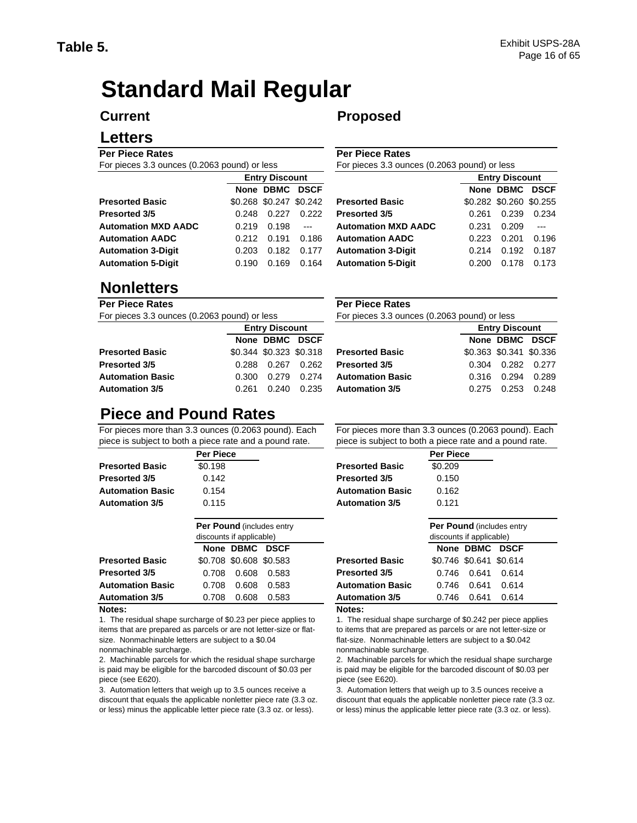# **Standard Mail Regular**

#### **Current**

#### **Letters**

**Per Piece Rates**  For pieces 3.3 ounces (0.2063 pound) or less

|                            |       | <b>Entry Discount</b> |                         |                            |       | <b>Entry Discount</b> |                |  |
|----------------------------|-------|-----------------------|-------------------------|----------------------------|-------|-----------------------|----------------|--|
|                            |       | None DBMC DSCF        |                         |                            |       | None DBMC DS          |                |  |
| <b>Presorted Basic</b>     |       |                       | \$0.268 \$0.247 \$0.242 | <b>Presorted Basic</b>     |       | \$0.282 \$0.260 \$0.2 |                |  |
| Presorted 3/5              | 0.248 | 0.227                 | 0.222                   | <b>Presorted 3/5</b>       | 0.261 | 0.239                 | 0.2            |  |
| <b>Automation MXD AADC</b> | 0.219 | 0.198                 | $---$                   | <b>Automation MXD AADC</b> | 0.231 | 0.209                 | $\overline{a}$ |  |
| <b>Automation AADC</b>     | 0.212 | 0.191                 | 0.186                   | <b>Automation AADC</b>     | 0.223 | 0.201                 | 0.1            |  |
| <b>Automation 3-Digit</b>  | 0.203 | 0.182                 | 0.177                   | <b>Automation 3-Digit</b>  | 0.214 | 0.192                 | 0.1            |  |
| <b>Automation 5-Digit</b>  | 0.190 | 0.169                 | 0.164                   | <b>Automation 5-Digit</b>  | 0.200 | 0.178                 | 0.1            |  |
|                            |       |                       |                         |                            |       |                       |                |  |

### **Proposed**

**Per Piece Rates**  For pieces 3.3 ounces (0.2063 pound) or less

| <b>Entry Discount</b> |                         |             |                            | <b>Entry Discount</b> |                         |             |  |  |
|-----------------------|-------------------------|-------------|----------------------------|-----------------------|-------------------------|-------------|--|--|
|                       | None DBMC               | <b>DSCF</b> |                            |                       | None DBMC               | <b>DSCF</b> |  |  |
|                       | \$0.268 \$0.247 \$0.242 |             | <b>Presorted Basic</b>     |                       | \$0.282 \$0.260 \$0.255 |             |  |  |
| 0.248                 | 0.227                   | 0.222       | <b>Presorted 3/5</b>       | 0.261                 | 0.239                   | 0.234       |  |  |
| 0.219                 | 0.198                   | $---$       | <b>Automation MXD AADC</b> | 0.231                 | 0.209                   |             |  |  |
| 0.212                 | 0.191                   | 0.186       | <b>Automation AADC</b>     | 0.223                 | 0.201                   | 0.196       |  |  |
| 0.203                 | 0.182                   | 0.177       | <b>Automation 3-Digit</b>  | 0.214                 | 0.192                   | 0.187       |  |  |
| 0.190                 | 0.169                   | 0.164       | <b>Automation 5-Digit</b>  | 0.200                 | 0.178                   | 0.173       |  |  |
|                       |                         |             |                            |                       |                         |             |  |  |

### **Nonletters**

| Per Piece Rates                              |       |                         |       | <b>Per Piece Rates</b>  |
|----------------------------------------------|-------|-------------------------|-------|-------------------------|
| For pieces 3.3 ounces (0.2063 pound) or less |       |                         |       | For pieces 3.3 oune     |
|                                              |       |                         |       |                         |
|                                              |       | None DBMC DSCF          |       |                         |
| <b>Presorted Basic</b>                       |       | \$0.344 \$0.323 \$0.318 |       | <b>Presorted Basic</b>  |
| <b>Presorted 3/5</b>                         | 0.288 | 0.267                   | 0.262 | <b>Presorted 3/5</b>    |
| <b>Automation Basic</b>                      | 0.300 | 0.279                   | 0.274 | <b>Automation Basic</b> |
| <b>Automation 3/5</b>                        | 0.261 | 0.240                   | 0.235 | <b>Automation 3/5</b>   |

#### **Per Piece Rates**  For pieces 3.3 ounces (0.2063 pound) or less

| <b>Entry Discount</b> |                |                         |                         |       | <b>Entry Discount</b>   |                 |  |
|-----------------------|----------------|-------------------------|-------------------------|-------|-------------------------|-----------------|--|
|                       | None DBMC DSCF |                         |                         |       | None DBMC DSCF          |                 |  |
|                       |                | \$0.344 \$0.323 \$0.318 | Presorted Basic         |       | \$0.363 \$0.341 \$0.336 |                 |  |
| 0.288                 | 0.267          | 0.262                   | <b>Presorted 3/5</b>    | 0.304 |                         | $0.282$ $0.277$ |  |
| 0.300                 | 0.279          | 0.274                   | <b>Automation Basic</b> | 0.316 | 0.294                   | 0.289           |  |
| 0.261                 | 0.240          | 0.235                   | <b>Automation 3/5</b>   | 0.275 | 0.253                   | 0.248           |  |
|                       |                |                         |                         |       |                         |                 |  |

## **Piece and Pound Rates**

For pieces more than 3.3 ounces (0.2063 pound). Each piece is subject to both a piece rate and a pound rate.

| <b>Per Piece</b> |  |
|------------------|--|
| \$0.198          |  |
| 0.142            |  |
| 0.154            |  |
| 0.115            |  |
|                  |  |

|                         | <b>Per Pound (includes entry)</b><br>discounts if applicable) |                         |       |                         |
|-------------------------|---------------------------------------------------------------|-------------------------|-------|-------------------------|
|                         |                                                               | None DBMC DSCF          |       |                         |
| <b>Presorted Basic</b>  |                                                               | \$0.708 \$0.608 \$0.583 |       | <b>Presorted Basic</b>  |
| <b>Presorted 3/5</b>    | 0.708                                                         | 0.608                   | 0.583 | <b>Presorted 3/5</b>    |
| <b>Automation Basic</b> | 0.708                                                         | 0.608                   | 0.583 | <b>Automation Basic</b> |
| <b>Automation 3/5</b>   | 0.708                                                         | 0.608                   | 0.583 | <b>Automation 3/5</b>   |
| $\cdots$                |                                                               |                         |       |                         |

#### **Notes:**

1. The residual shape surcharge of \$0.23 per piece applies to items that are prepared as parcels or are not letter-size or flatsize. Nonmachinable letters are subject to a \$0.04 nonmachinable surcharge.

2. Machinable parcels for which the residual shape surcharge is paid may be eligible for the barcoded discount of \$0.03 per piece (see E620).

3. Automation letters that weigh up to 3.5 ounces receive a discount that equals the applicable nonletter piece rate (3.3 oz. or less) minus the applicable letter piece rate (3.3 oz. or less).

For pieces more than 3.3 ounces (0.2063 pound). Each piece is subject to both a piece rate and a pound rate.

| Per Piece |                         | <b>Per Piece</b> |  |
|-----------|-------------------------|------------------|--|
| \$0.198   | <b>Presorted Basic</b>  | \$0.209          |  |
| 0.142     | <b>Presorted 3/5</b>    | 0.150            |  |
| 0.154     | <b>Automation Basic</b> | 0.162            |  |
| 0.115     | <b>Automation 3/5</b>   | 0.121            |  |
|           |                         |                  |  |

| Per Pound (includes entry<br>discounts if applicable) |                         |       |                         | <b>Per Pound (includes entry)</b><br>discounts if applicable) |                         |       |  |
|-------------------------------------------------------|-------------------------|-------|-------------------------|---------------------------------------------------------------|-------------------------|-------|--|
|                                                       | None DBMC DSCF          |       |                         |                                                               | None DBMC               | DSCF  |  |
|                                                       | \$0.708 \$0.608 \$0.583 |       | <b>Presorted Basic</b>  |                                                               | \$0.746 \$0.641 \$0.614 |       |  |
| 0.708                                                 | 0.608                   | 0.583 | <b>Presorted 3/5</b>    | 0.746                                                         | 0.641                   | 0.614 |  |
| 0.708                                                 | 0.608                   | 0.583 | <b>Automation Basic</b> | 0.746                                                         | 0.641                   | 0.614 |  |
| 0.708                                                 | 0.608                   | 0.583 | <b>Automation 3/5</b>   | 0.746                                                         | 0.641                   | 0.614 |  |
|                                                       |                         |       |                         |                                                               |                         |       |  |

#### **Notes:**

1. The residual shape surcharge of \$0.242 per piece applies to items that are prepared as parcels or are not letter-size or flat-size. Nonmachinable letters are subject to a \$0.042 nonmachinable surcharge.

2. Machinable parcels for which the residual shape surcharge is paid may be eligible for the barcoded discount of \$0.03 per piece (see E620).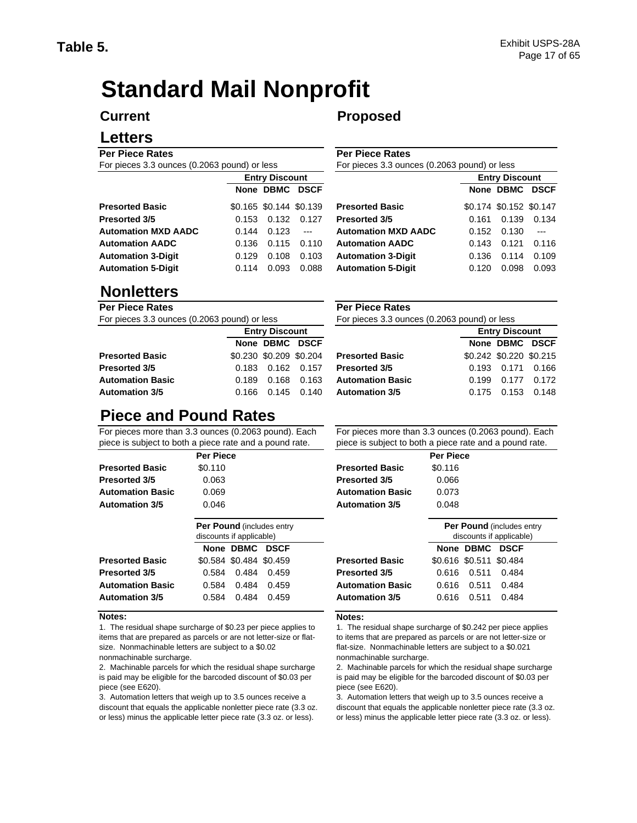# **Standard Mail Nonprofit**

#### **Current**

#### **Letters**

**Per Piece Rates**  For pieces 3.3 ounces (0.2063 pound) or less

| TUI DIECES J.J UUIICES (U.ZUUJ DUUIIU) UI IESS |       |                         | TUI DIECES J.J UUIICES (U.ZUUJ DUUIIU) UI IESS |                            |                       |                       |                |
|------------------------------------------------|-------|-------------------------|------------------------------------------------|----------------------------|-----------------------|-----------------------|----------------|
|                                                |       | <b>Entry Discount</b>   |                                                |                            | <b>Entry Discount</b> |                       |                |
|                                                |       | None DBMC DSCF          |                                                |                            |                       | None DBMC DS          |                |
| <b>Presorted Basic</b>                         |       | \$0.165 \$0.144 \$0.139 |                                                | <b>Presorted Basic</b>     |                       | \$0.174 \$0.152 \$0.1 |                |
| Presorted 3/5                                  | 0.153 | 0.132                   | 0.127                                          | Presorted 3/5              | 0.161                 | 0.139                 | 0.1            |
| <b>Automation MXD AADC</b>                     | 0.144 | 0.123                   | $---$                                          | <b>Automation MXD AADC</b> | 0.152                 | 0.130                 | $\overline{a}$ |
| <b>Automation AADC</b>                         | 0.136 | 0.115                   | 0.110                                          | <b>Automation AADC</b>     | 0.143                 | 0.121                 | 0.1            |
| <b>Automation 3-Digit</b>                      | 0.129 | 0.108                   | 0.103                                          | <b>Automation 3-Digit</b>  | 0.136                 | 0.114                 | 0.1            |
| <b>Automation 5-Digit</b>                      | 0.114 | 0.093                   | 0.088                                          | <b>Automation 5-Digit</b>  | 0.120                 | 0.098                 | 0.0            |
|                                                |       |                         |                                                |                            |                       |                       |                |

### **Nonletters**

#### **Per Piece Rates**  For pieces 3.3 ounces (0.2063 pound) or less

| FUI DIECES 3.3 OUNCES (0.2003 DOUND) ON IESS | FUI DIECES 3.3 UUIK |                         |               |                         |
|----------------------------------------------|---------------------|-------------------------|---------------|-------------------------|
|                                              |                     | <b>Entry Discount</b>   |               |                         |
|                                              |                     | None DBMC DSCF          |               |                         |
| <b>Presorted Basic</b>                       |                     | \$0.230 \$0.209 \$0.204 |               | <b>Presorted Basic</b>  |
| Presorted 3/5                                | 0.183               |                         |               | <b>Presorted 3/5</b>    |
| Automation Basic                             | 0.189               | 0.168                   | 0.163         | <b>Automation Basic</b> |
| Automation 3/5                               | 0.166               |                         | $0.145$ 0.140 | <b>Automation 3/5</b>   |

### **Proposed**

**Per Piece Rates**  For pieces 3.3 ounces (0.2063 pound) or less

| <b>Entry Discount</b> |                         |             |                            | <b>Entry Discount</b> |                         |             |  |
|-----------------------|-------------------------|-------------|----------------------------|-----------------------|-------------------------|-------------|--|
|                       | None DBMC               | <b>DSCF</b> |                            |                       | None DBMC               | <b>DSCF</b> |  |
|                       | \$0.165 \$0.144 \$0.139 |             | <b>Presorted Basic</b>     |                       | \$0.174 \$0.152 \$0.147 |             |  |
| 0.153                 | 0.132                   | 0.127       | Presorted 3/5              | 0.161                 | 0.139                   | 0.134       |  |
| 0.144                 | 0.123                   | $---$       | <b>Automation MXD AADC</b> | 0.152                 | 0.130                   |             |  |
| 0.136                 | 0.115                   | 0.110       | <b>Automation AADC</b>     | 0.143                 | 0.121                   | 0.116       |  |
| 0.129                 | 0.108                   | 0.103       | <b>Automation 3-Digit</b>  | 0.136                 | 0.114                   | 0.109       |  |
| 0.114                 | 0.093                   | 0.088       | <b>Automation 5-Digit</b>  | 0.120                 | 0.098                   | 0.093       |  |

| <b>Per Piece Rates</b>                       |  |
|----------------------------------------------|--|
| For pieces 3.3 ounces (0.2063 pound) or less |  |

| <b>Entry Discount</b> |                         |               |                         | <b>Entry Discount</b> |                         |       |  |
|-----------------------|-------------------------|---------------|-------------------------|-----------------------|-------------------------|-------|--|
|                       | None DBMC DSCF          |               |                         |                       | None DBMC DSCF          |       |  |
|                       | \$0.230 \$0.209 \$0.204 |               | <b>Presorted Basic</b>  |                       | \$0.242 \$0.220 \$0.215 |       |  |
| 0.183                 | 0.162   0.157           |               | <b>Presorted 3/5</b>    | 0.193                 | 0.171 0.166             |       |  |
| 0.189                 | 0.168                   | 0.163         | <b>Automation Basic</b> | 0.199                 | 0.177                   | 0.172 |  |
| 0.166                 |                         | $0.145$ 0.140 | <b>Automation 3/5</b>   | 0.175                 | 0.153                   | 0.148 |  |
|                       |                         |               |                         |                       |                         |       |  |

### **Piece and Pound Rates**

For pieces more than 3.3 ounces (0.2063 pound). Each piece is subject to both a piece rate and a pound rate.

|                         | <b>Per Piece</b>                                              |                         | <b>Per Piece</b>                                     |
|-------------------------|---------------------------------------------------------------|-------------------------|------------------------------------------------------|
| <b>Presorted Basic</b>  | \$0.110                                                       | <b>Presorted Basic</b>  | \$0.116                                              |
| <b>Presorted 3/5</b>    | 0.063                                                         | <b>Presorted 3/5</b>    | 0.066                                                |
| <b>Automation Basic</b> | 0.069                                                         | <b>Automation Basic</b> | 0.073                                                |
| <b>Automation 3/5</b>   | 0.046                                                         | <b>Automation 3/5</b>   | 0.048                                                |
|                         | <b>Per Pound (includes entry)</b><br>discounts if applicable) |                         | <b>Per Pound (includes)</b><br>discounts if applicab |
|                         | None DBMC<br><b>DSCF</b>                                      |                         | None DBMC<br><b>DSCF</b>                             |
| <b>Presorted Basic</b>  | \$0.584 \$0.484 \$0.459                                       | <b>Presorted Basic</b>  | \$0.616 \$0.511 \$0.484                              |
| <b>Presorted 3/5</b>    | 0.484<br>0.459<br>0.584                                       | <b>Presorted 3/5</b>    | 0.484<br>0.511<br>0.616                              |

#### **Notes:**

1. The residual shape surcharge of \$0.23 per piece applies to items that are prepared as parcels or are not letter-size or flatsize. Nonmachinable letters are subject to a \$0.02 nonmachinable surcharge.

2. Machinable parcels for which the residual shape surcharge is paid may be eligible for the barcoded discount of \$0.03 per piece (see E620).

3. Automation letters that weigh up to 3.5 ounces receive a discount that equals the applicable nonletter piece rate (3.3 oz. or less) minus the applicable letter piece rate (3.3 oz. or less).

For pieces more than 3.3 ounces (0.2063 pound). Each piece is subject to both a piece rate and a pound rate.

| $1000$ to babloot to both a ploco rate and a pound rate |                  |  |  |  |
|---------------------------------------------------------|------------------|--|--|--|
|                                                         | <b>Per Piece</b> |  |  |  |
| Presorted Basic                                         | \$0.116          |  |  |  |
| resorted 3/5 <sup>,</sup>                               | 0.066            |  |  |  |
| \utomation Basic                                        | 0.073            |  |  |  |
| utomation 3/5                                           | 0.048            |  |  |  |

|                         | <b>Per Pound (includes entry)</b><br>discounts if applicable) |                         |       |                         |                         |                | <b>Per Pound (includes entry)</b><br>discounts if applicable) |  |
|-------------------------|---------------------------------------------------------------|-------------------------|-------|-------------------------|-------------------------|----------------|---------------------------------------------------------------|--|
|                         |                                                               | None DBMC DSCF          |       |                         |                         | None DBMC DSCF |                                                               |  |
| <b>Presorted Basic</b>  |                                                               | \$0.584 \$0.484 \$0.459 |       | <b>Presorted Basic</b>  | \$0.616 \$0.511 \$0.484 |                |                                                               |  |
| Presorted 3/5           | 0.584                                                         | 0.484                   | 0.459 | <b>Presorted 3/5</b>    | 0.616                   | 0.511          | 0.484                                                         |  |
| <b>Automation Basic</b> | 0.584                                                         | 0.484                   | 0.459 | <b>Automation Basic</b> | 0.616                   | 0.511          | 0.484                                                         |  |
| <b>Automation 3/5</b>   | 0.584                                                         | 0.484                   | 0.459 | <b>Automation 3/5</b>   | 0.616                   | 0.511          | 0.484                                                         |  |
|                         |                                                               |                         |       |                         |                         |                |                                                               |  |

#### **Notes:**

1. The residual shape surcharge of \$0.242 per piece applies to items that are prepared as parcels or are not letter-size or flat-size. Nonmachinable letters are subject to a \$0.021 nonmachinable surcharge.

2. Machinable parcels for which the residual shape surcharge is paid may be eligible for the barcoded discount of \$0.03 per piece (see E620).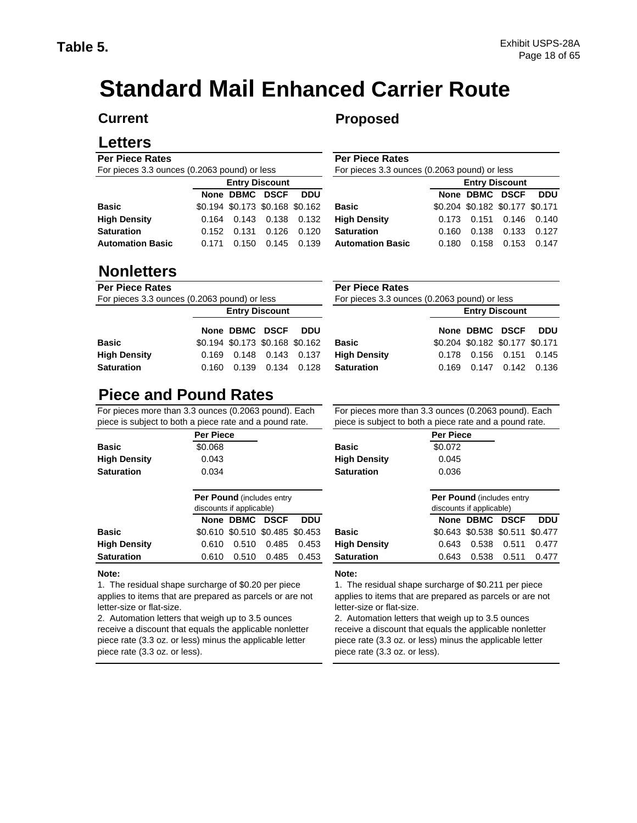# **Standard Mail Enhanced Carrier Route**

#### **Current**

### **Letters**

#### **Per Piece Rates**  For pieces 3.3 ounces (0.2063 pound) or less

| $\frac{1}{2}$ . The same state of the same state $\frac{1}{2}$ is the state of $\frac{1}{2}$ |                       |                                 |  |            |                         |  |
|----------------------------------------------------------------------------------------------|-----------------------|---------------------------------|--|------------|-------------------------|--|
|                                                                                              | <b>Entry Discount</b> |                                 |  |            |                         |  |
|                                                                                              |                       | None DBMC DSCF                  |  | <b>DDU</b> |                         |  |
| <b>Basic</b>                                                                                 |                       | \$0.194 \$0.173 \$0.168 \$0.162 |  |            | <b>Basic</b>            |  |
| <b>High Density</b>                                                                          |                       | 0.164  0.143  0.138  0.132      |  |            | <b>High Density</b>     |  |
| <b>Saturation</b>                                                                            |                       | 0.152 0.131 0.126 0.120         |  |            | <b>Saturation</b>       |  |
| <b>Automation Basic</b>                                                                      |                       | 0.171 0.150 0.145 0.139         |  |            | <b>Automation Basic</b> |  |
|                                                                                              |                       |                                 |  |            |                         |  |

### **Nonletters**

#### **Per Piece Rates**

For pieces 3.3 ounces (0.2063 pound) or less

| <b>Entry Discount</b> |  |  |                                                                                                                |  |  |  |
|-----------------------|--|--|----------------------------------------------------------------------------------------------------------------|--|--|--|
|                       |  |  |                                                                                                                |  |  |  |
|                       |  |  |                                                                                                                |  |  |  |
|                       |  |  |                                                                                                                |  |  |  |
|                       |  |  |                                                                                                                |  |  |  |
|                       |  |  | None DBMC DSCF DDU<br>\$0.194 \$0.173 \$0.168 \$0.162<br>0.169  0.148  0.143  0.137<br>0.160 0.139 0.134 0.128 |  |  |  |

## **Piece and Pound Rates**

For pieces more than 3.3 ounces (0.2063 pound). Each piece is subject to both a piece rate and a pound rate.

|                     | <b>Per Piece</b>                                              |                   |
|---------------------|---------------------------------------------------------------|-------------------|
| Basic               | \$0.068                                                       | <b>Basic</b>      |
| <b>High Density</b> | 0.043                                                         | <b>High Dens</b>  |
| <b>Saturation</b>   | 0.034                                                         | <b>Saturation</b> |
|                     |                                                               |                   |
|                     | <b>Per Pound (includes entry)</b><br>discounts if applicable) |                   |
|                     | None DBMC DSCF<br>DDU                                         |                   |
| <b>Basic</b>        | \$0.610 \$0.510 \$0.485 \$0.453                               | <b>Basic</b>      |

## **Note:**

1. The residual shape surcharge of \$0.20 per piece applies to items that are prepared as parcels or are not letter-size or flat-size.

2. Automation letters that weigh up to 3.5 ounces receive a discount that equals the applicable nonletter piece rate (3.3 oz. or less) minus the applicable letter piece rate (3.3 oz. or less).

#### **Proposed**

**Per Piece Rates** 

For pieces 3.3 ounces (0.2063 pound) or less

| <b>Entry Discount</b> |                                 |       |                            |                         | <b>Entry Discount</b> |                                 |                   |            |  |
|-----------------------|---------------------------------|-------|----------------------------|-------------------------|-----------------------|---------------------------------|-------------------|------------|--|
|                       | None DBMC DSCF DDU              |       |                            |                         |                       | None DBMC DSCF                  |                   | <b>DDU</b> |  |
|                       | \$0.194 \$0.173 \$0.168 \$0.162 |       |                            | <b>Basic</b>            |                       | \$0.204 \$0.182 \$0.177 \$0.171 |                   |            |  |
|                       |                                 |       | 0.164  0.143  0.138  0.132 | <b>High Density</b>     |                       | 0.173  0.151  0.146  0.140      |                   |            |  |
|                       | 0.152 0.131 0.126               |       | 0.120                      | <b>Saturation</b>       | 0.160                 |                                 | 0.138 0.133 0.127 |            |  |
| 0.171                 | 0.150                           | 0.145 | 0.139                      | <b>Automation Basic</b> | 0.180                 |                                 | $0.158$ 0.153     | 0.147      |  |

#### **None DBMC DSCF DDU** \$0.204 \$0.182 \$0.177 \$0.171 0.169 0.148 0.143 0.137 0.178 0.156 0.151 0.145 0.160 0.139 0.134 0.128 0.169 0.147 0.142 0.136 **Basic High Density Saturation Per Piece Rates**  For pieces 3.3 ounces (0.2063 pound) or less **Entry Discount**

For pieces more than 3.3 ounces (0.2063 pound). Each piece is subject to both a piece rate and a pound rate.

|           | proposito opploat to positive proposition of the propriet ratio. |                  |  |  |  |  |
|-----------|------------------------------------------------------------------|------------------|--|--|--|--|
| Per Piece |                                                                  | <b>Per Piece</b> |  |  |  |  |
| \$0.068   | <b>Basic</b>                                                     | \$0.072          |  |  |  |  |
| 0.043     | <b>High Density</b>                                              | 0.045            |  |  |  |  |
| 0.034     | <b>Saturation</b>                                                | 0.036            |  |  |  |  |
|           |                                                                  |                  |  |  |  |  |

|                     | <b>Per Pound (includes entry)</b><br>discounts if applicable) |                |                                 |            | <b>Per Pound (includes entry)</b><br>discounts if applicable) |                                 |                |             |       |
|---------------------|---------------------------------------------------------------|----------------|---------------------------------|------------|---------------------------------------------------------------|---------------------------------|----------------|-------------|-------|
|                     |                                                               | None DBMC DSCF |                                 | <b>DDU</b> |                                                               |                                 | None DBMC DSCF |             | DDU   |
| Basic               |                                                               |                | \$0.610 \$0.510 \$0.485 \$0.453 |            | <b>Basic</b>                                                  | \$0.643 \$0.538 \$0.511 \$0.477 |                |             |       |
| <b>High Density</b> | 0.610                                                         | 0.510          | 0.485                           | 0.453      | <b>High Density</b>                                           | 0.643                           |                | 0.538 0.511 | 0.477 |
| <b>Saturation</b>   | 0.610                                                         | 0.510          | 0.485                           | 0.453      | <b>Saturation</b>                                             | 0.643                           | 0.538          | 0.511       | 0.477 |

#### **Note:**

1. The residual shape surcharge of \$0.211 per piece applies to items that are prepared as parcels or are not letter-size or flat-size.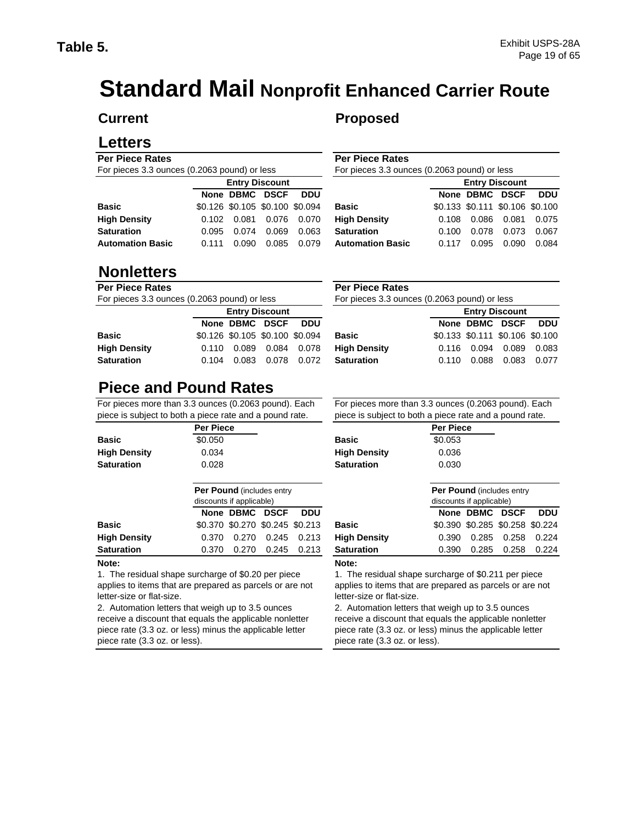# **Standard Mail Nonprofit Enhanced Carrier Route**

#### **Current**

### **Letters**

#### **Per Piece Rates**  For pieces 3.3 ounces (0.2063 pound) or less

| <b>1</b> Of process old carriers (c.2000 pouring) or rood |                       |                                 |                   |            |  |  |  |
|-----------------------------------------------------------|-----------------------|---------------------------------|-------------------|------------|--|--|--|
|                                                           | <b>Entry Discount</b> |                                 |                   |            |  |  |  |
|                                                           |                       | None DBMC DSCF                  |                   | <b>DDU</b> |  |  |  |
| <b>Basic</b>                                              |                       | \$0.126 \$0.105 \$0.100 \$0.094 |                   |            |  |  |  |
| <b>High Density</b>                                       |                       | 0.102  0.081  0.076  0.070      |                   |            |  |  |  |
| <b>Saturation</b>                                         | 0.095                 |                                 | 0.074 0.069       | 0.063      |  |  |  |
| <b>Automation Basic</b>                                   | 0.111                 |                                 | 0.090 0.085 0.079 |            |  |  |  |
|                                                           |                       |                                 |                   |            |  |  |  |

### **Nonletters**

#### **Per Piece Rates**

For pieces 3.3 ounces (0.2063 pound) or less

|                     | <b>Entry Discount</b> |                                 |                   |  |                   |
|---------------------|-----------------------|---------------------------------|-------------------|--|-------------------|
|                     |                       | None DBMC DSCF DDU              |                   |  |                   |
| <b>Basic</b>        |                       | \$0.126 \$0.105 \$0.100 \$0.094 |                   |  | <b>Basic</b>      |
| <b>High Density</b> |                       | 0.110 0.089 0.084 0.078         |                   |  | <b>High Dens</b>  |
| <b>Saturation</b>   | 0.104                 |                                 | 0.083 0.078 0.072 |  | <b>Saturation</b> |

## **Proposed**

**Per Piece Rates** 

For pieces 3.3 ounces (0.2063 pound) or less

| <b>DDU</b>                                      |
|-------------------------------------------------|
| \$0.133 \$0.111 \$0.106 \$0.100                 |
| 0.075                                           |
| 0.067                                           |
| 0.084                                           |
| None DBMC DSCF<br>0.086 0.081<br>0.073<br>0.090 |

#### **Per Piece Rates**

For pieces 3.3 ounces (0.2063 pound) or less

| <b>Entry Discount</b> |                                 |  |                            |              |       | <b>Entry Discount</b> |                                 |  |  |  |
|-----------------------|---------------------------------|--|----------------------------|--------------|-------|-----------------------|---------------------------------|--|--|--|
|                       | None DBMC DSCF DDU              |  |                            |              |       |                       | None DBMC DSCF DDU              |  |  |  |
|                       | \$0.126 \$0.105 \$0.100 \$0.094 |  |                            | <b>Basic</b> |       |                       | \$0.133 \$0.111 \$0.106 \$0.100 |  |  |  |
|                       |                                 |  | 0.110  0.089  0.084  0.078 | Hiah Densitv |       |                       | 0.116 0.094 0.089 0.083         |  |  |  |
| 0.104                 |                                 |  | 0.083 0.078 0.072          | Saturation   | 0.110 |                       | 0.088  0.083  0.077             |  |  |  |
|                       |                                 |  |                            |              |       |                       |                                 |  |  |  |

## **Piece and Pound Rates**

For pieces more than 3.3 ounces (0.2063 pound). Each piece is subject to both a piece rate and a pound rate.

|                     | <b>Per Piece</b>                                              |                     | <b>Per Piece</b>         |
|---------------------|---------------------------------------------------------------|---------------------|--------------------------|
| <b>Basic</b>        | \$0.050                                                       | <b>Basic</b>        | \$0.053                  |
| <b>High Density</b> | 0.034                                                         | <b>High Density</b> | 0.036                    |
| <b>Saturation</b>   | 0.028                                                         | <b>Saturation</b>   | 0.030                    |
|                     | <b>Per Pound (includes entry)</b><br>discounts if applicable) |                     | Per Poun<br>discounts if |
|                     | None DBMC<br><b>DDU</b><br><b>DSCF</b>                        |                     | None D                   |
| <b>Basic</b>        | \$0.370 \$0.270 \$0.245 \$0.213                               | <b>Basic</b>        | $$0.390$ \$              |

|                     | NONE DBMC DSCF DDU |                                 |                                              |  | None DBMC DSCF DDU              |  |
|---------------------|--------------------|---------------------------------|----------------------------------------------|--|---------------------------------|--|
| Basic               |                    | \$0.370 \$0.270 \$0.245 \$0.213 | Basic                                        |  | \$0.390 \$0.285 \$0.258 \$0.224 |  |
| <b>High Density</b> |                    |                                 | $0.370$ $0.270$ $0.245$ $0.213$ High Density |  | 0.390 0.285 0.258 0.224         |  |
| Saturation          |                    | 0.370 0.270 0.245 0.213         | Saturation                                   |  | 0.390 0.285 0.258 0.224         |  |
| .                   |                    |                                 |                                              |  |                                 |  |

#### **Note:**

1. The residual shape surcharge of \$0.20 per piece applies to items that are prepared as parcels or are not letter-size or flat-size.

2. Automation letters that weigh up to 3.5 ounces receive a discount that equals the applicable nonletter piece rate (3.3 oz. or less) minus the applicable letter piece rate (3.3 oz. or less).

For pieces more than 3.3 ounces (0.2063 pound). Each piece is subject to both a piece rate and a pound rate.

|                     | <b>Per Pie</b> |
|---------------------|----------------|
| <b>Basic</b>        | \$0.053        |
| <b>High Density</b> | 0.036          |
| <b>Saturation</b>   | 0.030          |

| Per Pound (includes entry<br>discounts if applicable) |                                 |       | <b>Per Pound (includes entry)</b><br>discounts if applicable) |                     |       |                |                                 |            |
|-------------------------------------------------------|---------------------------------|-------|---------------------------------------------------------------|---------------------|-------|----------------|---------------------------------|------------|
|                                                       | None DBMC DSCF                  |       | <b>DDU</b>                                                    |                     |       | None DBMC DSCF |                                 | <b>DDU</b> |
|                                                       | \$0.370 \$0.270 \$0.245 \$0.213 |       |                                                               | <b>Basic</b>        |       |                | \$0.390 \$0.285 \$0.258 \$0.224 |            |
| 0.370                                                 | 0.270                           | 0.245 | 0.213                                                         | <b>High Density</b> | 0.390 | 0.285          | 0.258                           | 0.224      |
| 0.370                                                 | 0.270                           | 0.245 | 0.213                                                         | <b>Saturation</b>   | 0.390 | 0.285          | 0.258                           | 0.224      |
|                                                       |                                 |       |                                                               |                     |       |                |                                 |            |

#### **Note:**

1. The residual shape surcharge of \$0.211 per piece applies to items that are prepared as parcels or are not letter-size or flat-size.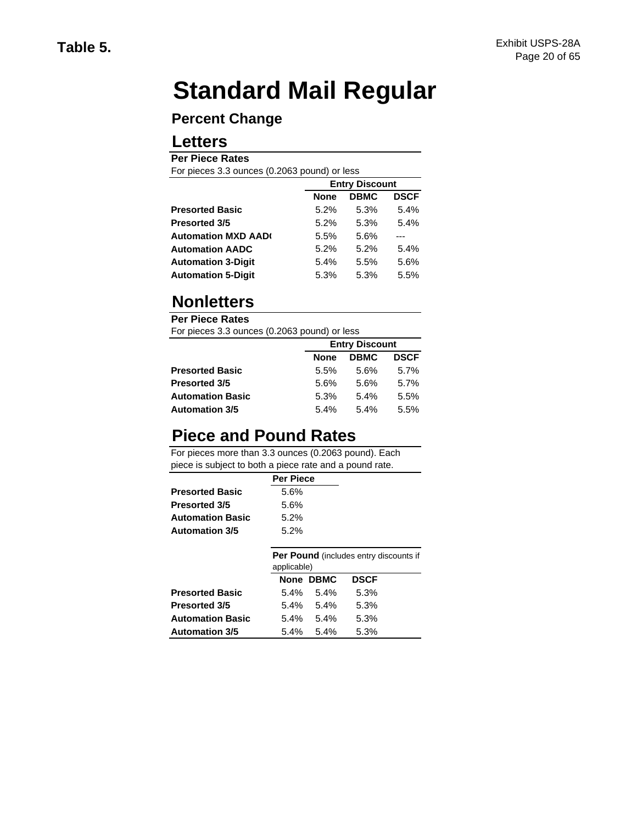# **Standard Mail Regular**

### **Percent Change**

### **Letters**

#### **Per Piece Rates**

For pieces 3.3 ounces (0.2063 pound) or less

|                           | <b>Entry Discount</b> |             |             |  |
|---------------------------|-----------------------|-------------|-------------|--|
|                           | <b>None</b>           | <b>DBMC</b> | <b>DSCF</b> |  |
| <b>Presorted Basic</b>    | 5.2%                  | 5.3%        | 5.4%        |  |
| <b>Presorted 3/5</b>      | 5.2%                  | 5.3%        | 5.4%        |  |
| <b>Automation MXD AAD</b> | 5.5%                  | 5.6%        |             |  |
| <b>Automation AADC</b>    | 5.2%                  | 5.2%        | 5.4%        |  |
| <b>Automation 3-Digit</b> | 5.4%                  | 5.5%        | 5.6%        |  |
| <b>Automation 5-Digit</b> | 5.3%                  | 5.3%        | 5.5%        |  |

## **Nonletters**

**Per Piece Rates**  For pieces 3.3 ounces (0.2063 pound) or less

| <b>1</b> Of process ord carried (created pouring) or roce |         |                       |             |  |  |
|-----------------------------------------------------------|---------|-----------------------|-------------|--|--|
|                                                           |         | <b>Entry Discount</b> |             |  |  |
|                                                           | None    | <b>DBMC</b>           | <b>DSCF</b> |  |  |
| <b>Presorted Basic</b>                                    | 5.5%    | 5.6%                  | 5.7%        |  |  |
| <b>Presorted 3/5</b>                                      | 5.6%    | 5.6%                  | 5.7%        |  |  |
| <b>Automation Basic</b>                                   | 5.3%    | $5.4\%$               | 5.5%        |  |  |
| <b>Automation 3/5</b>                                     | $5.4\%$ | 5.4%                  | 5.5%        |  |  |

## **Piece and Pound Rates**

|                        | <b>Per Piece</b> |                                               |
|------------------------|------------------|-----------------------------------------------|
| <b>Presorted Basic</b> | 5.6%             |                                               |
| Presorted 3/5          | 5.6%             |                                               |
| Automation Basic       | 5.2%             |                                               |
| Automation 3/5         | 5.2%             |                                               |
|                        |                  |                                               |
|                        |                  | <b>Per Pound</b> (includes entry discounts if |

|                        | applicable) |                 |             |  |  |
|------------------------|-------------|-----------------|-------------|--|--|
|                        |             | None DBMC       | <b>DSCF</b> |  |  |
| <b>Presorted Basic</b> |             | $5.4\%$ $5.4\%$ | 5.3%        |  |  |
| Presorted 3/5          |             | $5.4\%$ $5.4\%$ | 5.3%        |  |  |
| Automation Basic       |             | $5.4\%$ $5.4\%$ | 5.3%        |  |  |
| Automation 3/5         |             | $5.4\%$ $5.4\%$ | 5.3%        |  |  |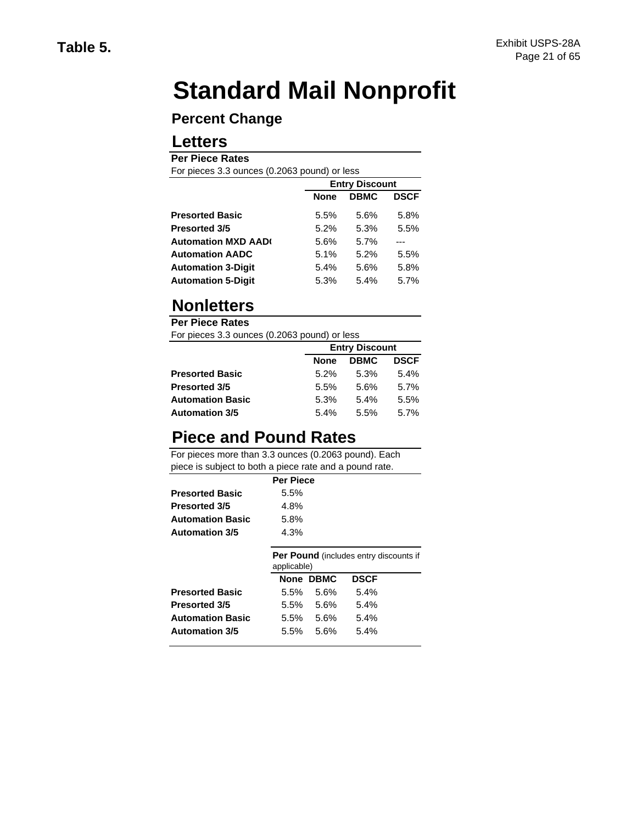# **Standard Mail Nonprofit**

### **Percent Change**

### **Letters**

#### **Per Piece Rates**

For pieces 3.3 ounces (0.2063 pound) or less

|                           |             | <b>Entry Discount</b> |             |  |  |
|---------------------------|-------------|-----------------------|-------------|--|--|
|                           | <b>None</b> | <b>DBMC</b>           | <b>DSCF</b> |  |  |
| <b>Presorted Basic</b>    | 5.5%        | 5.6%                  | 5.8%        |  |  |
| <b>Presorted 3/5</b>      | 5.2%        | 5.3%                  | 5.5%        |  |  |
| <b>Automation MXD AAD</b> | 5.6%        | 5.7%                  |             |  |  |
| <b>Automation AADC</b>    | 5.1%        | 5.2%                  | 5.5%        |  |  |
| <b>Automation 3-Digit</b> | 5.4%        | 5.6%                  | 5.8%        |  |  |
| <b>Automation 5-Digit</b> | 5.3%        | 5.4%                  | 5.7%        |  |  |

## **Nonletters**

**Per Piece Rates** 

For pieces 3.3 ounces (0.2063 pound) or less

|                         |         | <b>Entry Discount</b> |             |  |  |
|-------------------------|---------|-----------------------|-------------|--|--|
|                         | None    | <b>DBMC</b>           | <b>DSCF</b> |  |  |
| <b>Presorted Basic</b>  | $5.2\%$ | 5.3%                  | $5.4\%$     |  |  |
| <b>Presorted 3/5</b>    | 5.5%    | 5.6%                  | 5.7%        |  |  |
| <b>Automation Basic</b> | 5.3%    | 5.4%                  | 5.5%        |  |  |
| <b>Automation 3/5</b>   | $5.4\%$ | 5.5%                  | 5.7%        |  |  |

## **Piece and Pound Rates**

|                         | <b>Per Piece</b> |           |                                               |  |
|-------------------------|------------------|-----------|-----------------------------------------------|--|
| <b>Presorted Basic</b>  | 5.5%             |           |                                               |  |
| <b>Presorted 3/5</b>    | 4.8%             |           |                                               |  |
| <b>Automation Basic</b> | 5.8%             |           |                                               |  |
| <b>Automation 3/5</b>   | 4.3%             |           |                                               |  |
|                         | applicable)      |           | <b>Per Pound</b> (includes entry discounts if |  |
|                         |                  | None DBMC | <b>DSCF</b>                                   |  |
| <b>Presorted Basic</b>  | 5.5%             | 5.6%      | 5.4%                                          |  |
| <b>Presorted 3/5</b>    | $5.5\%$          | 5.6%      | 5.4%                                          |  |
| <b>Automation Basic</b> | $5.5\%$          | 5.6%      | 5.4%                                          |  |
| <b>Automation 3/5</b>   | 5.5%             | 5.6%      | 5.4%                                          |  |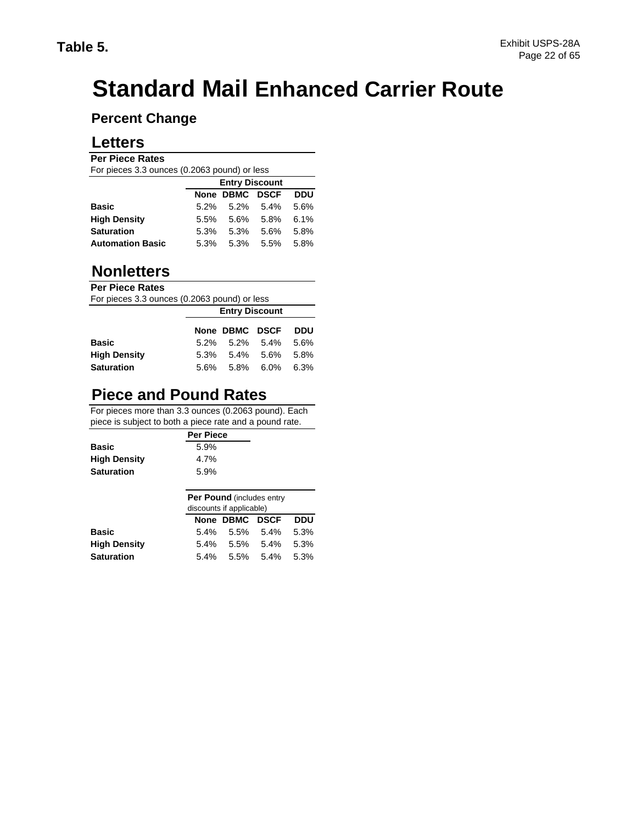# **Standard Mail Enhanced Carrier Route**

### **Percent Change**

### **Letters**

#### **Per Piece Rates**

|                         | For pieces 3.3 ounces (0.2063 pound) or less |                |                 |            |  |  |
|-------------------------|----------------------------------------------|----------------|-----------------|------------|--|--|
|                         | <b>Entry Discount</b>                        |                |                 |            |  |  |
|                         |                                              | None DBMC DSCF |                 | <b>DDU</b> |  |  |
| <b>Basic</b>            |                                              | 5.2% 5.2% 5.4% |                 | 5.6%       |  |  |
| <b>High Density</b>     | $5.5\%$                                      | 5.6% 5.8%      |                 | 6.1%       |  |  |
| <b>Saturation</b>       | 5.3%                                         | 5.3%           | 5.6%            | 5.8%       |  |  |
| <b>Automation Basic</b> | 5.3%                                         |                | $5.3\%$ $5.5\%$ | 5.8%       |  |  |

### **Nonletters**

#### **Per Piece Rates**

For pieces 3.3 ounces (0.2063 pound) or less

|                     | <b>Entry Discount</b>           |  |  |  |
|---------------------|---------------------------------|--|--|--|
|                     | None DBMC DSCF DDU              |  |  |  |
| <b>Basic</b>        | $5.2\%$ $5.2\%$ $5.4\%$ $5.6\%$ |  |  |  |
| <b>High Density</b> | 5.3% 5.4% 5.6% 5.8%             |  |  |  |
| <b>Saturation</b>   | 5.6% 5.8% 6.0% 6.3%             |  |  |  |

## **Piece and Pound Rates**

|                     | <b>Per Piece</b> |
|---------------------|------------------|
| <b>Basic</b>        | 5.9%             |
| <b>High Density</b> | 4.7%             |
| <b>Saturation</b>   | 5.9%             |

|                     | <b>Per Pound (includes entry)</b> |  |                     |     |  |  |  |  |  |  |  |  |  |
|---------------------|-----------------------------------|--|---------------------|-----|--|--|--|--|--|--|--|--|--|
|                     | discounts if applicable)          |  |                     |     |  |  |  |  |  |  |  |  |  |
|                     |                                   |  | None DBMC DSCF      | DDU |  |  |  |  |  |  |  |  |  |
| <b>Basic</b>        |                                   |  | 5.4% 5.5% 5.4% 5.3% |     |  |  |  |  |  |  |  |  |  |
| <b>High Density</b> | $5.4\%$                           |  | 5.5% 5.4% 5.3%      |     |  |  |  |  |  |  |  |  |  |
| <b>Saturation</b>   | $5.4\%$                           |  | 5.5% 5.4% 5.3%      |     |  |  |  |  |  |  |  |  |  |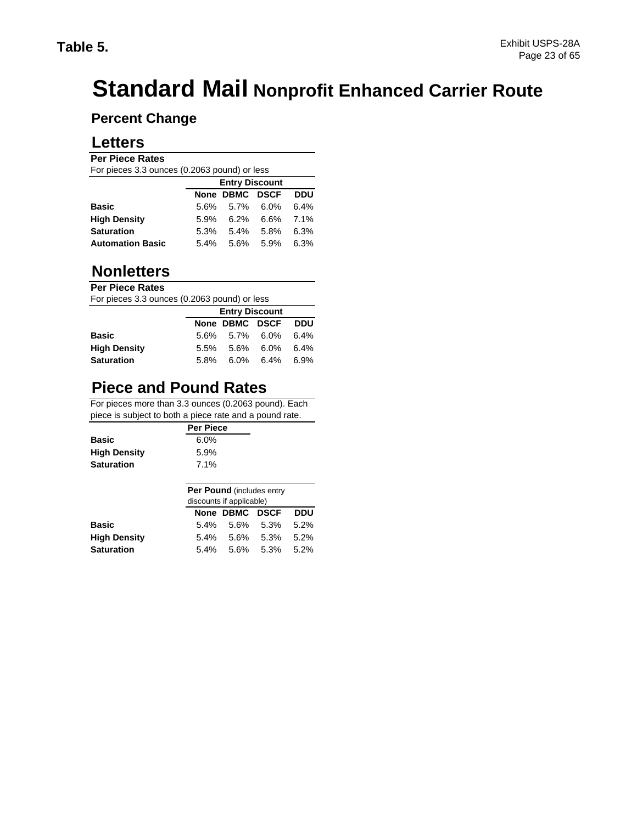# **Standard Mail Nonprofit Enhanced Carrier Route**

### **Percent Change**

### **Letters**

## **Per Piece Rates**

| For pieces 3.3 ounces (0.2063 pound) or less |         |                       |           |            |  |  |  |  |  |  |  |
|----------------------------------------------|---------|-----------------------|-----------|------------|--|--|--|--|--|--|--|
|                                              |         | <b>Entry Discount</b> |           |            |  |  |  |  |  |  |  |
|                                              |         | None DBMC DSCF        |           | <b>DDU</b> |  |  |  |  |  |  |  |
| <b>Basic</b>                                 |         | 5.6% 5.7% 6.0%        |           | 6.4%       |  |  |  |  |  |  |  |
| <b>High Density</b>                          | 5.9%    |                       | 6.2% 6.6% | 7.1%       |  |  |  |  |  |  |  |
| <b>Saturation</b>                            | $5.3\%$ | 5.4%                  | 5.8%      | 6.3%       |  |  |  |  |  |  |  |
| <b>Automation Basic</b>                      | $5.4\%$ |                       | 5.6% 5.9% | 6.3%       |  |  |  |  |  |  |  |

### **Nonletters**

#### **Per Piece Rates**

For pieces 3.3 ounces (0.2063 pound) or less

|                     | <b>Entry Discount</b>           |  |  |  |  |  |  |  |  |  |
|---------------------|---------------------------------|--|--|--|--|--|--|--|--|--|
|                     | None DBMC DSCF DDU              |  |  |  |  |  |  |  |  |  |
| <b>Basic</b>        | 5.6% 5.7% 6.0% 6.4%             |  |  |  |  |  |  |  |  |  |
| <b>High Density</b> | $5.5\%$ $5.6\%$ $6.0\%$ $6.4\%$ |  |  |  |  |  |  |  |  |  |
| <b>Saturation</b>   | 5.8% 6.0% 6.4% 6.9%             |  |  |  |  |  |  |  |  |  |

## **Piece and Pound Rates**

|                     | <b>Per Piece</b> |  |
|---------------------|------------------|--|
| Basic               | $6.0\%$          |  |
| <b>High Density</b> | 5.9%             |  |
| Saturation          | 7.1%             |  |
|                     |                  |  |

| <b>Per Pound (includes entry)</b><br>discounts if applicable) |  |  |                                   |  |  |  |  |  |  |  |
|---------------------------------------------------------------|--|--|-----------------------------------|--|--|--|--|--|--|--|
| None DBMC DSCF<br>DDU                                         |  |  |                                   |  |  |  |  |  |  |  |
|                                                               |  |  | $5.2\%$                           |  |  |  |  |  |  |  |
| $5.4\%$                                                       |  |  | $5.2\%$                           |  |  |  |  |  |  |  |
| 5.4% 5.6% 5.3%<br>$5.2\%$                                     |  |  |                                   |  |  |  |  |  |  |  |
|                                                               |  |  | 5.4% 5.6% 5.3%<br>$5.6\%$ $5.3\%$ |  |  |  |  |  |  |  |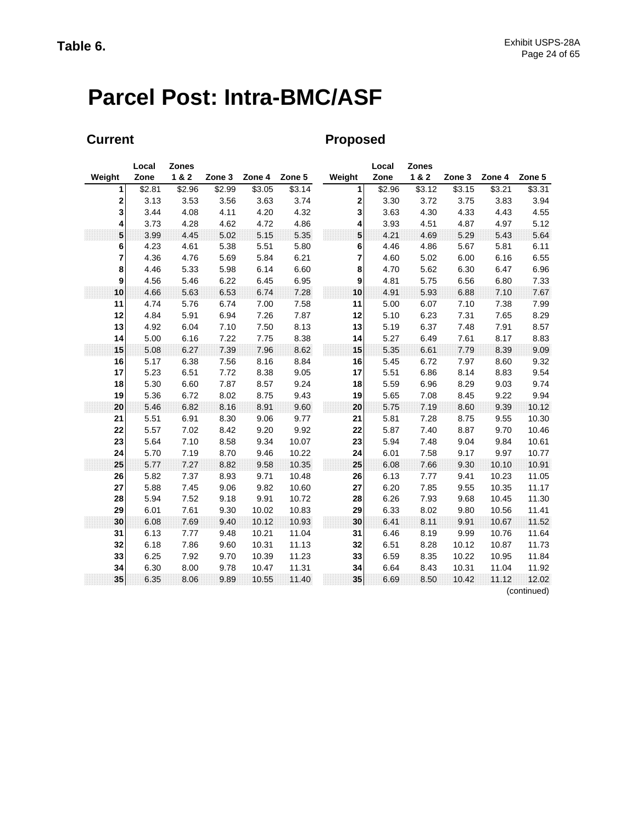# **Parcel Post: Intra-BMC/ASF**

### **Current Current Proposed**

|                         | Local  | <b>Zones</b> |        |        |        |              | Local  | <b>Zones</b> |        |        |                     |
|-------------------------|--------|--------------|--------|--------|--------|--------------|--------|--------------|--------|--------|---------------------|
| Weight                  | Zone   | 1 & 2        | Zone 3 | Zone 4 | Zone 5 | Weight       | Zone   | 1&2          | Zone 3 | Zone 4 | Zone 5              |
| 1                       | \$2.81 | \$2.96       | \$2.99 | \$3.05 | \$3.14 | $\mathbf{1}$ | \$2.96 | \$3.12       | \$3.15 | \$3.21 | \$3.31              |
| $\overline{\mathbf{c}}$ | 3.13   | 3.53         | 3.56   | 3.63   | 3.74   | 2            | 3.30   | 3.72         | 3.75   | 3.83   | 3.94                |
| 3                       | 3.44   | 4.08         | 4.11   | 4.20   | 4.32   | $\mathbf{3}$ | 3.63   | 4.30         | 4.33   | 4.43   | 4.55                |
| 4                       | 3.73   | 4.28         | 4.62   | 4.72   | 4.86   | 4            | 3.93   | 4.51         | 4.87   | 4.97   | 5.12                |
| 5                       | 3.99   | 4.45         | 5.02   | 5.15   | 5.35   | 5            | 4.21   | 4.69         | 5.29   | 5.43   | 5.64                |
| 6                       | 4.23   | 4.61         | 5.38   | 5.51   | 5.80   | 6            | 4.46   | 4.86         | 5.67   | 5.81   | 6.11                |
| $\overline{7}$          | 4.36   | 4.76         | 5.69   | 5.84   | 6.21   | 7            | 4.60   | 5.02         | 6.00   | 6.16   | 6.55                |
| 8                       | 4.46   | 5.33         | 5.98   | 6.14   | 6.60   | 8            | 4.70   | 5.62         | 6.30   | 6.47   | 6.96                |
| 9                       | 4.56   | 5.46         | 6.22   | 6.45   | 6.95   | 9            | 4.81   | 5.75         | 6.56   | 6.80   | 7.33                |
| 10                      | 4.66   | 5.63         | 6.53   | 6.74   | 7.28   | 10           | 4.91   | 5.93         | 6.88   | 7.10   | 7.67                |
| 11                      | 4.74   | 5.76         | 6.74   | 7.00   | 7.58   | 11           | 5.00   | 6.07         | 7.10   | 7.38   | 7.99                |
| 12                      | 4.84   | 5.91         | 6.94   | 7.26   | 7.87   | 12           | 5.10   | 6.23         | 7.31   | 7.65   | 8.29                |
| 13                      | 4.92   | 6.04         | 7.10   | 7.50   | 8.13   | 13           | 5.19   | 6.37         | 7.48   | 7.91   | 8.57                |
| 14                      | 5.00   | 6.16         | 7.22   | 7.75   | 8.38   | 14           | 5.27   | 6.49         | 7.61   | 8.17   | 8.83                |
| 15                      | 5.08   | 6.27         | 7.39   | 7.96   | 8.62   | 15           | 5.35   | 6.61         | 7.79   | 8.39   | 9.09                |
| 16                      | 5.17   | 6.38         | 7.56   | 8.16   | 8.84   | 16           | 5.45   | 6.72         | 7.97   | 8.60   | 9.32                |
| 17                      | 5.23   | 6.51         | 7.72   | 8.38   | 9.05   | 17           | 5.51   | 6.86         | 8.14   | 8.83   | 9.54                |
| 18                      | 5.30   | 6.60         | 7.87   | 8.57   | 9.24   | 18           | 5.59   | 6.96         | 8.29   | 9.03   | 9.74                |
| 19                      | 5.36   | 6.72         | 8.02   | 8.75   | 9.43   | 19           | 5.65   | 7.08         | 8.45   | 9.22   | 9.94                |
| 20                      | 5.46   | 6.82         | 8.16   | 8.91   | 9.60   | 20           | 5.75   | 7.19         | 8.60   | 9.39   | 10.12               |
| 21                      | 5.51   | 6.91         | 8.30   | 9.06   | 9.77   | 21           | 5.81   | 7.28         | 8.75   | 9.55   | 10.30               |
| 22                      | 5.57   | 7.02         | 8.42   | 9.20   | 9.92   | 22           | 5.87   | 7.40         | 8.87   | 9.70   | 10.46               |
| 23                      | 5.64   | 7.10         | 8.58   | 9.34   | 10.07  | 23           | 5.94   | 7.48         | 9.04   | 9.84   | 10.61               |
| 24                      | 5.70   | 7.19         | 8.70   | 9.46   | 10.22  | 24           | 6.01   | 7.58         | 9.17   | 9.97   | 10.77               |
| 25                      | 5.77   | 7.27         | 8.82   | 9.58   | 10.35  | 25           | 6.08   | 7.66         | 9.30   | 10.10  | 10.91               |
| 26                      | 5.82   | 7.37         | 8.93   | 9.71   | 10.48  | 26           | 6.13   | 7.77         | 9.41   | 10.23  | 11.05               |
| 27                      | 5.88   | 7.45         | 9.06   | 9.82   | 10.60  | 27           | 6.20   | 7.85         | 9.55   | 10.35  | 11.17               |
| 28                      | 5.94   | 7.52         | 9.18   | 9.91   | 10.72  | 28           | 6.26   | 7.93         | 9.68   | 10.45  | 11.30               |
| 29                      | 6.01   | 7.61         | 9.30   | 10.02  | 10.83  | 29           | 6.33   | 8.02         | 9.80   | 10.56  | 11.41               |
| 30                      | 6.08   | 7.69         | 9.40   | 10.12  | 10.93  | 30           | 6.41   | 8.11         | 9.91   | 10.67  | 11.52               |
| 31                      | 6.13   | 7.77         | 9.48   | 10.21  | 11.04  | 31           | 6.46   | 8.19         | 9.99   | 10.76  | 11.64               |
| 32                      | 6.18   | 7.86         | 9.60   | 10.31  | 11.13  | 32           | 6.51   | 8.28         | 10.12  | 10.87  | 11.73               |
| 33                      | 6.25   | 7.92         | 9.70   | 10.39  | 11.23  | 33           | 6.59   | 8.35         | 10.22  | 10.95  | 11.84               |
| 34                      | 6.30   | 8.00         | 9.78   | 10.47  | 11.31  | 34           | 6.64   | 8.43         | 10.31  | 11.04  | 11.92               |
| 35                      | 6.35   | 8.06         | 9.89   | 10.55  | 11.40  | 35           | 6.69   | 8.50         | 10.42  | 11.12  | 12.02<br>(constant) |

(continued)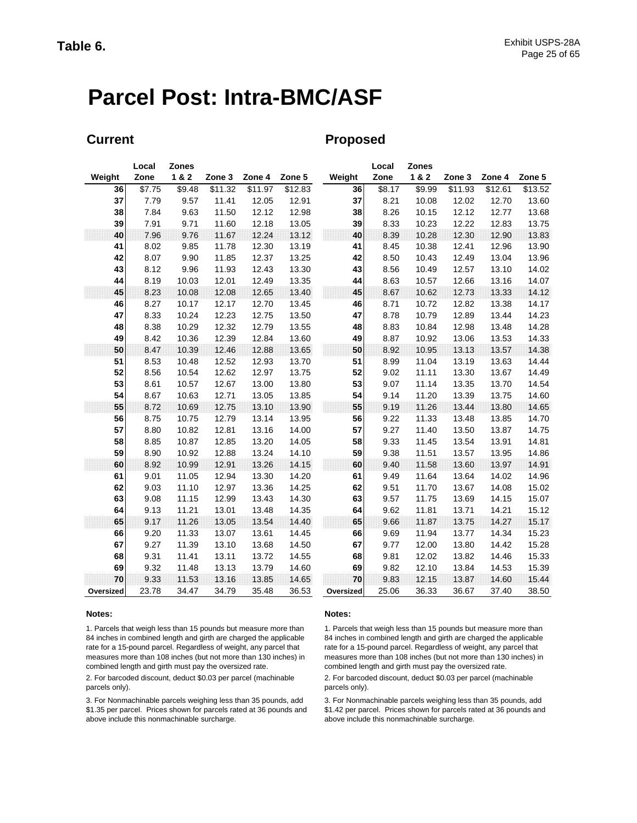# **Parcel Post: Intra-BMC/ASF**

### **Current Current Proposed**

| 1&2<br>1&2<br>Weight<br>Zone<br>Zone 3<br>Zone 4<br>Zone 5<br>Weight<br>Zone<br>Zone 4<br>Zone 3<br>$\overline{$}7.75$<br>\$9.48<br>\$11.32<br>\$11.97<br>\$12.83<br>\$8.17<br>\$9.99<br>\$11.93<br>\$12.61<br>36<br>36<br>37<br>37<br>7.79<br>9.57<br>11.41<br>12.05<br>12.91<br>8.21<br>10.08<br>12.02<br>12.70<br>38<br>7.84<br>9.63<br>11.50<br>12.12<br>12.98<br>38<br>8.26<br>10.15<br>12.12<br>12.77<br>9.71<br>8.33<br>39<br>7.91<br>11.60<br>12.18<br>13.05<br>39<br>10.23<br>12.22<br>12.83 | Zone 5<br>\$13.52<br>13.60<br>13.68<br>13.75<br>13.83<br>13.90<br>13.96<br>14.02 |
|-------------------------------------------------------------------------------------------------------------------------------------------------------------------------------------------------------------------------------------------------------------------------------------------------------------------------------------------------------------------------------------------------------------------------------------------------------------------------------------------------------|----------------------------------------------------------------------------------|
|                                                                                                                                                                                                                                                                                                                                                                                                                                                                                                       |                                                                                  |
|                                                                                                                                                                                                                                                                                                                                                                                                                                                                                                       |                                                                                  |
|                                                                                                                                                                                                                                                                                                                                                                                                                                                                                                       |                                                                                  |
|                                                                                                                                                                                                                                                                                                                                                                                                                                                                                                       |                                                                                  |
|                                                                                                                                                                                                                                                                                                                                                                                                                                                                                                       |                                                                                  |
| 40<br>12.24<br>13.12<br>40<br>8.39<br>10.28<br>12.90<br>7.96<br>9.76<br>11.67<br>12.30                                                                                                                                                                                                                                                                                                                                                                                                                |                                                                                  |
| 8.02<br>9.85<br>11.78<br>12.30<br>13.19<br>8.45<br>10.38<br>12.41<br>12.96<br>41<br>41                                                                                                                                                                                                                                                                                                                                                                                                                |                                                                                  |
| 42<br>8.07<br>9.90<br>12.37<br>13.25<br>42<br>8.50<br>13.04<br>11.85<br>10.43<br>12.49                                                                                                                                                                                                                                                                                                                                                                                                                |                                                                                  |
| 43<br>9.96<br>13.30<br>43<br>8.56<br>12.57<br>8.12<br>11.93<br>12.43<br>10.49<br>13.10                                                                                                                                                                                                                                                                                                                                                                                                                |                                                                                  |
| 8.19<br>8.63<br>44<br>10.03<br>12.01<br>12.49<br>13.35<br>44<br>10.57<br>12.66<br>13.16                                                                                                                                                                                                                                                                                                                                                                                                               | 14.07                                                                            |
| 45<br>8.23<br>12.65<br>45<br>8.67<br>12.73<br>10.08<br>12.08<br>13.40<br>10.62<br>13.33                                                                                                                                                                                                                                                                                                                                                                                                               | 14.12                                                                            |
| 8.27<br>12.17<br>12.70<br>8.71<br>13.38<br>46<br>10.17<br>13.45<br>46<br>10.72<br>12.82                                                                                                                                                                                                                                                                                                                                                                                                               | 14.17                                                                            |
| 47<br>8.33<br>10.24<br>12.23<br>12.75<br>13.50<br>47<br>8.78<br>10.79<br>12.89<br>13.44                                                                                                                                                                                                                                                                                                                                                                                                               | 14.23                                                                            |
| 48<br>8.38<br>10.29<br>12.32<br>12.79<br>13.55<br>48<br>8.83<br>10.84<br>12.98<br>13.48                                                                                                                                                                                                                                                                                                                                                                                                               | 14.28                                                                            |
| 49<br>8.42<br>10.36<br>12.39<br>12.84<br>13.60<br>49<br>8.87<br>10.92<br>13.06<br>13.53                                                                                                                                                                                                                                                                                                                                                                                                               | 14.33                                                                            |
| 50<br>50<br>8.47<br>10.39<br>12.46<br>12.88<br>13.65<br>8.92<br>10.95<br>13.13<br>13.57                                                                                                                                                                                                                                                                                                                                                                                                               | 14.38                                                                            |
| 51<br>8.53<br>10.48<br>12.52<br>12.93<br>13.70<br>51<br>8.99<br>11.04<br>13.19<br>13.63                                                                                                                                                                                                                                                                                                                                                                                                               | 14.44                                                                            |
| 52<br>52<br>8.56<br>10.54<br>12.62<br>12.97<br>13.75<br>9.02<br>11.11<br>13.30<br>13.67                                                                                                                                                                                                                                                                                                                                                                                                               | 14.49                                                                            |
| 53<br>53<br>8.61<br>10.57<br>12.67<br>13.00<br>13.80<br>9.07<br>11.14<br>13.35<br>13.70                                                                                                                                                                                                                                                                                                                                                                                                               | 14.54                                                                            |
| 54<br>12.71<br>54<br>8.67<br>10.63<br>13.05<br>13.85<br>9.14<br>11.20<br>13.39<br>13.75                                                                                                                                                                                                                                                                                                                                                                                                               | 14.60                                                                            |
| 55<br>12.75<br>55<br>9.19<br>11.26<br>8.72<br>10.69<br>13.10<br>13.90<br>13.44<br>13.80                                                                                                                                                                                                                                                                                                                                                                                                               | 14.65                                                                            |
| 56<br>12.79<br>13.95<br>11.33<br>8.75<br>10.75<br>13.14<br>56<br>9.22<br>13.48<br>13.85                                                                                                                                                                                                                                                                                                                                                                                                               | 14.70                                                                            |
| 57<br>14.00<br>57<br>8.80<br>10.82<br>12.81<br>13.16<br>9.27<br>11.40<br>13.50<br>13.87                                                                                                                                                                                                                                                                                                                                                                                                               | 14.75                                                                            |
| 58<br>8.85<br>10.87<br>12.85<br>13.20<br>58<br>9.33<br>13.54<br>14.05<br>11.45<br>13.91                                                                                                                                                                                                                                                                                                                                                                                                               | 14.81                                                                            |
| 59<br>8.90<br>10.92<br>12.88<br>13.24<br>59<br>9.38<br>11.51<br>13.57<br>13.95<br>14.10                                                                                                                                                                                                                                                                                                                                                                                                               | 14.86                                                                            |
| 10.99<br>12.91<br>60<br>8.92<br>13.26<br>14.15<br>60<br>9.40<br>11.58<br>13.60<br>13.97                                                                                                                                                                                                                                                                                                                                                                                                               | 14.91                                                                            |
| 61<br>9.01<br>11.05<br>12.94<br>13.30<br>14.20<br>61<br>9.49<br>11.64<br>13.64<br>14.02                                                                                                                                                                                                                                                                                                                                                                                                               | 14.96                                                                            |
| 62<br>9.03<br>11.10<br>12.97<br>13.36<br>14.25<br>62<br>9.51<br>11.70<br>13.67<br>14.08                                                                                                                                                                                                                                                                                                                                                                                                               | 15.02                                                                            |
| 63<br>63<br>9.08<br>12.99<br>13.43<br>14.30<br>9.57<br>11.75<br>13.69<br>14.15<br>11.15                                                                                                                                                                                                                                                                                                                                                                                                               | 15.07                                                                            |
| 9.62<br>64<br>9.13<br>11.21<br>13.01<br>13.48<br>14.35<br>64<br>11.81<br>13.71<br>14.21                                                                                                                                                                                                                                                                                                                                                                                                               | 15.12                                                                            |
| 65<br>9.17<br>11.26<br>13.05<br>13.54<br>65<br>13.75<br>14.27<br>14.40<br>9.66<br>11.87                                                                                                                                                                                                                                                                                                                                                                                                               | 15.17                                                                            |
| 9.20<br>13.77<br>66<br>11.33<br>13.07<br>13.61<br>14.45<br>66<br>9.69<br>11.94<br>14.34                                                                                                                                                                                                                                                                                                                                                                                                               | 15.23                                                                            |
| 67<br>9.27<br>11.39<br>67<br>9.77<br>13.10<br>13.68<br>14.50<br>12.00<br>13.80<br>14.42                                                                                                                                                                                                                                                                                                                                                                                                               | 15.28                                                                            |
| 68<br>9.31<br>68<br>9.81<br>11.41<br>13.11<br>13.72<br>14.55<br>12.02<br>13.82<br>14.46                                                                                                                                                                                                                                                                                                                                                                                                               | 15.33                                                                            |
| 69<br>9.32<br>13.79<br>14.60<br>69<br>9.82<br>12.10<br>13.84<br>11.48<br>13.13<br>14.53                                                                                                                                                                                                                                                                                                                                                                                                               | 15.39                                                                            |
| 9.33<br>9.83<br>70<br>11.53<br>13.16<br>13.85<br>14.65<br>70<br>12.15<br>13.87<br>14.60                                                                                                                                                                                                                                                                                                                                                                                                               | 15.44                                                                            |
| 23.78<br>34.79<br>25.06<br>36.33<br>34.47<br>35.48<br>36.53<br>36.67<br>37.40<br>Oversized<br>Oversized                                                                                                                                                                                                                                                                                                                                                                                               | 38.50                                                                            |

1. Parcels that weigh less than 15 pounds but measure more than 84 inches in combined length and girth are charged the applicable rate for a 15-pound parcel. Regardless of weight, any parcel that measures more than 108 inches (but not more than 130 inches) in combined length and girth must pay the oversized rate.

2. For barcoded discount, deduct \$0.03 per parcel (machinable parcels only).

3. For Nonmachinable parcels weighing less than 35 pounds, add \$1.35 per parcel. Prices shown for parcels rated at 36 pounds and above include this nonmachinable surcharge.

#### **Notes: Notes:**

1. Parcels that weigh less than 15 pounds but measure more than 84 inches in combined length and girth are charged the applicable rate for a 15-pound parcel. Regardless of weight, any parcel that measures more than 108 inches (but not more than 130 inches) in combined length and girth must pay the oversized rate.

2. For barcoded discount, deduct \$0.03 per parcel (machinable parcels only).

3. For Nonmachinable parcels weighing less than 35 pounds, add \$1.42 per parcel. Prices shown for parcels rated at 36 pounds and above include this nonmachinable surcharge.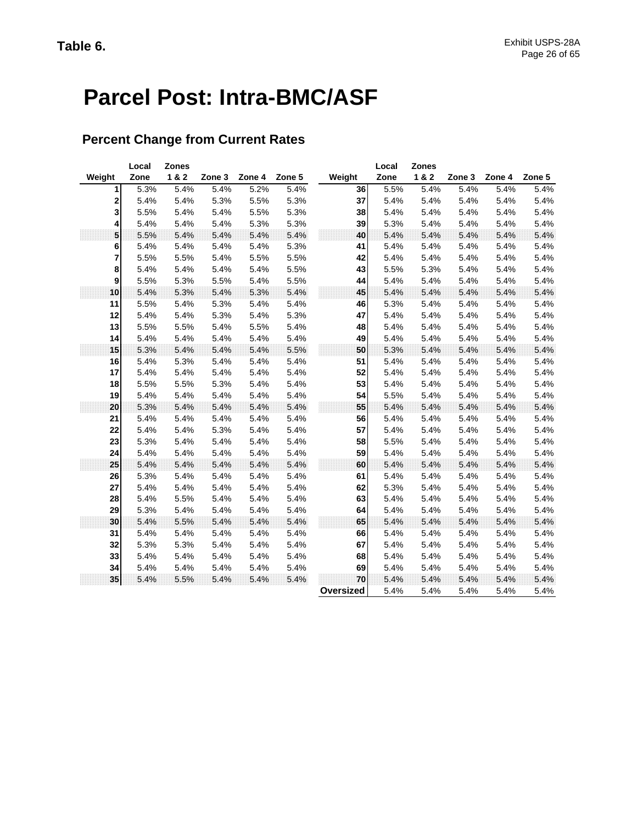# **Parcel Post: Intra-BMC/ASF**

### **Percent Change from Current Rates**

|        | Local | <b>Zones</b> |        |        |        |           | Local | <b>Zones</b> |        |        |        |
|--------|-------|--------------|--------|--------|--------|-----------|-------|--------------|--------|--------|--------|
| Weight | Zone  | 1 & 2        | Zone 3 | Zone 4 | Zone 5 | Weight    | Zone  | 1&2          | Zone 3 | Zone 4 | Zone 5 |
| 1      | 5.3%  | 5.4%         | 5.4%   | 5.2%   | 5.4%   | 36        | 5.5%  | 5.4%         | 5.4%   | 5.4%   | 5.4%   |
| 2      | 5.4%  | 5.4%         | 5.3%   | 5.5%   | 5.3%   | 37        | 5.4%  | 5.4%         | 5.4%   | 5.4%   | 5.4%   |
| 3      | 5.5%  | 5.4%         | 5.4%   | 5.5%   | 5.3%   | 38        | 5.4%  | 5.4%         | 5.4%   | 5.4%   | 5.4%   |
| 4      | 5.4%  | 5.4%         | 5.4%   | 5.3%   | 5.3%   | 39        | 5.3%  | 5.4%         | 5.4%   | 5.4%   | 5.4%   |
| 5      | 5.5%  | 5.4%         | 5.4%   | 5.4%   | 5.4%   | 40        | 5.4%  | 5.4%         | 5.4%   | 5.4%   | 5.4%   |
| 6      | 5.4%  | 5.4%         | 5.4%   | 5.4%   | 5.3%   | 41        | 5.4%  | 5.4%         | 5.4%   | 5.4%   | 5.4%   |
| 7      | 5.5%  | 5.5%         | 5.4%   | 5.5%   | 5.5%   | 42        | 5.4%  | 5.4%         | 5.4%   | 5.4%   | 5.4%   |
| 8      | 5.4%  | 5.4%         | 5.4%   | 5.4%   | 5.5%   | 43        | 5.5%  | 5.3%         | 5.4%   | 5.4%   | 5.4%   |
| 9      | 5.5%  | 5.3%         | 5.5%   | 5.4%   | 5.5%   | 44        | 5.4%  | 5.4%         | 5.4%   | 5.4%   | 5.4%   |
| 10     | 5.4%  | 5.3%         | 5.4%   | 5.3%   | 5.4%   | 45        | 5.4%  | 5.4%         | 5.4%   | 5.4%   | 5.4%   |
| 11     | 5.5%  | 5.4%         | 5.3%   | 5.4%   | 5.4%   | 46        | 5.3%  | 5.4%         | 5.4%   | 5.4%   | 5.4%   |
| 12     | 5.4%  | 5.4%         | 5.3%   | 5.4%   | 5.3%   | 47        | 5.4%  | 5.4%         | 5.4%   | 5.4%   | 5.4%   |
| 13     | 5.5%  | 5.5%         | 5.4%   | 5.5%   | 5.4%   | 48        | 5.4%  | 5.4%         | 5.4%   | 5.4%   | 5.4%   |
| 14     | 5.4%  | 5.4%         | 5.4%   | 5.4%   | 5.4%   | 49        | 5.4%  | 5.4%         | 5.4%   | 5.4%   | 5.4%   |
| 15     | 5.3%  | 5.4%         | 5.4%   | 5.4%   | 5.5%   | 50        | 5.3%  | 5.4%         | 5.4%   | 5.4%   | 5.4%   |
| 16     | 5.4%  | 5.3%         | 5.4%   | 5.4%   | 5.4%   | 51        | 5.4%  | 5.4%         | 5.4%   | 5.4%   | 5.4%   |
| 17     | 5.4%  | 5.4%         | 5.4%   | 5.4%   | 5.4%   | 52        | 5.4%  | 5.4%         | 5.4%   | 5.4%   | 5.4%   |
| 18     | 5.5%  | 5.5%         | 5.3%   | 5.4%   | 5.4%   | 53        | 5.4%  | 5.4%         | 5.4%   | 5.4%   | 5.4%   |
| 19     | 5.4%  | 5.4%         | 5.4%   | 5.4%   | 5.4%   | 54        | 5.5%  | 5.4%         | 5.4%   | 5.4%   | 5.4%   |
| 20     | 5.3%  | 5.4%         | 5.4%   | 5.4%   | 5.4%   | 55        | 5.4%  | 5.4%         | 5.4%   | 5.4%   | 5.4%   |
| 21     | 5.4%  | 5.4%         | 5.4%   | 5.4%   | 5.4%   | 56        | 5.4%  | 5.4%         | 5.4%   | 5.4%   | 5.4%   |
| 22     | 5.4%  | 5.4%         | 5.3%   | 5.4%   | 5.4%   | 57        | 5.4%  | 5.4%         | 5.4%   | 5.4%   | 5.4%   |
| 23     | 5.3%  | 5.4%         | 5.4%   | 5.4%   | 5.4%   | 58        | 5.5%  | 5.4%         | 5.4%   | 5.4%   | 5.4%   |
| 24     | 5.4%  | 5.4%         | 5.4%   | 5.4%   | 5.4%   | 59        | 5.4%  | 5.4%         | 5.4%   | 5.4%   | 5.4%   |
| 25     | 5.4%  | 5.4%         | 5.4%   | 5.4%   | 5.4%   | 60        | 5.4%  | 5.4%         | 5.4%   | 5.4%   | 5.4%   |
| 26     | 5.3%  | 5.4%         | 5.4%   | 5.4%   | 5.4%   | 61        | 5.4%  | 5.4%         | 5.4%   | 5.4%   | 5.4%   |
| 27     | 5.4%  | 5.4%         | 5.4%   | 5.4%   | 5.4%   | 62        | 5.3%  | 5.4%         | 5.4%   | 5.4%   | 5.4%   |
| 28     | 5.4%  | 5.5%         | 5.4%   | 5.4%   | 5.4%   | 63        | 5.4%  | 5.4%         | 5.4%   | 5.4%   | 5.4%   |
| 29     | 5.3%  | 5.4%         | 5.4%   | 5.4%   | 5.4%   | 64        | 5.4%  | 5.4%         | 5.4%   | 5.4%   | 5.4%   |
| 30     | 5.4%  | 5.5%         | 5.4%   | 5.4%   | 5.4%   | 65        | 5.4%  | 5.4%         | 5.4%   | 5.4%   | 5.4%   |
| 31     | 5.4%  | 5.4%         | 5.4%   | 5.4%   | 5.4%   | 66        | 5.4%  | 5.4%         | 5.4%   | 5.4%   | 5.4%   |
| 32     | 5.3%  | 5.3%         | 5.4%   | 5.4%   | 5.4%   | 67        | 5.4%  | 5.4%         | 5.4%   | 5.4%   | 5.4%   |
| 33     | 5.4%  | 5.4%         | 5.4%   | 5.4%   | 5.4%   | 68        | 5.4%  | 5.4%         | 5.4%   | 5.4%   | 5.4%   |
| 34     | 5.4%  | 5.4%         | 5.4%   | 5.4%   | 5.4%   | 69        | 5.4%  | 5.4%         | 5.4%   | 5.4%   | 5.4%   |
| 35     | 5.4%  | 5.5%         | 5.4%   | 5.4%   | 5.4%   | 70        | 5.4%  | 5.4%         | 5.4%   | 5.4%   | 5.4%   |
|        |       |              |        |        |        | Oversized | 5.4%  | 5.4%         | 5.4%   | 5.4%   | 5.4%   |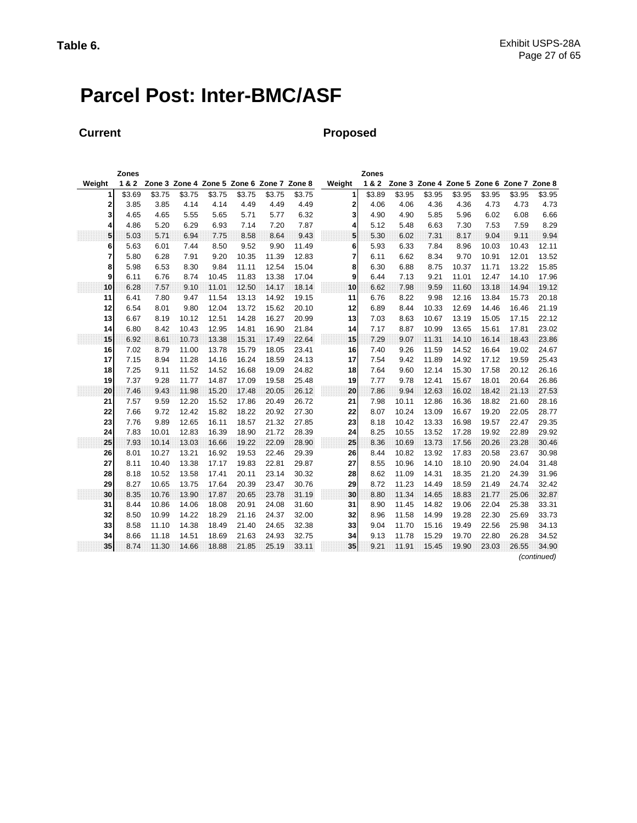# **Parcel Post: Inter-BMC/ASF**

### **Current Proposed**

|        | Zones  |        |        |                                           |        |        |        |        | Zones  |        |        |        |        |                                           |             |
|--------|--------|--------|--------|-------------------------------------------|--------|--------|--------|--------|--------|--------|--------|--------|--------|-------------------------------------------|-------------|
| Weight | 1&2    |        |        | Zone 3 Zone 4 Zone 5 Zone 6 Zone 7 Zone 8 |        |        |        | Weight | 1&2    |        |        |        |        | Zone 3 Zone 4 Zone 5 Zone 6 Zone 7 Zone 8 |             |
| 1      | \$3.69 | \$3.75 | \$3.75 | \$3.75                                    | \$3.75 | \$3.75 | \$3.75 | 1      | \$3.89 | \$3.95 | \$3.95 | \$3.95 | \$3.95 | \$3.95                                    | \$3.95      |
| 2      | 3.85   | 3.85   | 4.14   | 4.14                                      | 4.49   | 4.49   | 4.49   | 2      | 4.06   | 4.06   | 4.36   | 4.36   | 4.73   | 4.73                                      | 4.73        |
| 3      | 4.65   | 4.65   | 5.55   | 5.65                                      | 5.71   | 5.77   | 6.32   | 3      | 4.90   | 4.90   | 5.85   | 5.96   | 6.02   | 6.08                                      | 6.66        |
| 4      | 4.86   | 5.20   | 6.29   | 6.93                                      | 7.14   | 7.20   | 7.87   | 4      | 5.12   | 5.48   | 6.63   | 7.30   | 7.53   | 7.59                                      | 8.29        |
| 5      | 5.03   | 5.71   | 6.94   | 7.75                                      | 8.58   | 8.64   | 9.43   | 5      | 5.30   | 602    | 7.31   | 8.17   | 9.04   | 9.11                                      | 9.94        |
| 6      | 5.63   | 6.01   | 7.44   | 8.50                                      | 9.52   | 9.90   | 11.49  | 6      | 5.93   | 6.33   | 7.84   | 8.96   | 10.03  | 10.43                                     | 12.11       |
| 7      | 5.80   | 6.28   | 7.91   | 9.20                                      | 10.35  | 11.39  | 12.83  | 7      | 6.11   | 6.62   | 8.34   | 9.70   | 10.91  | 12.01                                     | 13.52       |
| 8      | 5.98   | 6.53   | 8.30   | 9.84                                      | 11.11  | 12.54  | 15.04  | 8      | 6.30   | 6.88   | 8.75   | 10.37  | 11.71  | 13.22                                     | 15.85       |
| 9      | 6.11   | 6.76   | 8.74   | 10.45                                     | 11.83  | 13.38  | 17.04  | 9      | 6.44   | 7.13   | 9.21   | 11.01  | 12.47  | 14.10                                     | 17.96       |
| 10     | 6.28   | 7.57   | 9.10   | 11.01                                     | 12.50  | 14.17  | 18.14  | 10     | 6.62   | 7.98   | 9.59   | 11.60  | 13.18  | 14.94                                     | 19.12       |
| 11     | 6.41   | 7.80   | 9.47   | 11.54                                     | 13.13  | 14.92  | 19.15  | 11     | 6.76   | 8.22   | 9.98   | 12.16  | 13.84  | 15.73                                     | 20.18       |
| 12     | 6.54   | 8.01   | 9.80   | 12.04                                     | 13.72  | 15.62  | 20.10  | 12     | 6.89   | 8.44   | 10.33  | 12.69  | 14.46  | 16.46                                     | 21.19       |
| 13     | 6.67   | 8.19   | 10.12  | 12.51                                     | 14.28  | 16.27  | 20.99  | 13     | 7.03   | 8.63   | 10.67  | 13.19  | 15.05  | 17.15                                     | 22.12       |
| 14     | 6.80   | 8.42   | 10.43  | 12.95                                     | 14.81  | 16.90  | 21.84  | 14     | 7.17   | 8.87   | 10.99  | 13.65  | 15.61  | 17.81                                     | 23.02       |
| 15     | 6.92   | 8.61   | 10.73  | 13.38                                     | 15.31  | 17.49  | 22.64  | 15     | 7.29   | 9.07   | 11.31  | 14.10  | 16.14  | 18.43                                     | 23.86       |
| 16     | 7.02   | 8.79   | 11.00  | 13.78                                     | 15.79  | 18.05  | 23.41  | 16     | 7.40   | 9.26   | 11.59  | 14.52  | 16.64  | 19.02                                     | 24.67       |
| 17     | 7.15   | 8.94   | 11.28  | 14.16                                     | 16.24  | 18.59  | 24.13  | 17     | 7.54   | 9.42   | 11.89  | 14.92  | 17.12  | 19.59                                     | 25.43       |
| 18     | 7.25   | 9.11   | 11.52  | 14.52                                     | 16.68  | 19.09  | 24.82  | 18     | 7.64   | 9.60   | 12.14  | 15.30  | 17.58  | 20.12                                     | 26.16       |
| 19     | 7.37   | 9.28   | 11.77  | 14.87                                     | 17.09  | 19.58  | 25.48  | 19     | 7.77   | 9.78   | 12.41  | 15.67  | 18.01  | 20.64                                     | 26.86       |
| 20     | 7.46   | 9.43   | 11.98  | 15.20                                     | 17.48  | 20.05  | 26.12  | 20     | 7.86   | 9.94   | 12.63  | 16.02  | 18.42  | 21.13                                     | 27.53       |
| 21     | 7.57   | 9.59   | 12.20  | 15.52                                     | 17.86  | 20.49  | 26.72  | 21     | 7.98   | 10.11  | 12.86  | 16.36  | 18.82  | 21.60                                     | 28.16       |
| 22     | 7.66   | 9.72   | 12.42  | 15.82                                     | 18.22  | 20.92  | 27.30  | 22     | 8.07   | 10.24  | 13.09  | 16.67  | 19.20  | 22.05                                     | 28.77       |
| 23     | 7.76   | 9.89   | 12.65  | 16.11                                     | 18.57  | 21.32  | 27.85  | 23     | 8.18   | 10.42  | 13.33  | 16.98  | 19.57  | 22.47                                     | 29.35       |
| 24     | 7.83   | 10.01  | 12.83  | 16.39                                     | 18.90  | 21.72  | 28.39  | 24     | 8.25   | 10.55  | 13.52  | 17.28  | 19.92  | 22.89                                     | 29.92       |
| 25     | 7.93   | 10.14  | 13.03  | 16.66                                     | 19.22  | 22.09  | 28.90  | 25     | 8.36   | 10.69  | 13.73  | 17.56  | 20.26  | 23.28                                     | 30.46       |
| 26     | 8.01   | 10.27  | 13.21  | 16.92                                     | 19.53  | 22.46  | 29.39  | 26     | 8.44   | 10.82  | 13.92  | 17.83  | 20.58  | 23.67                                     | 30.98       |
| 27     | 8.11   | 10.40  | 13.38  | 17.17                                     | 19.83  | 22.81  | 29.87  | 27     | 8.55   | 10.96  | 14.10  | 18.10  | 20.90  | 24.04                                     | 31.48       |
| 28     | 8.18   | 10.52  | 13.58  | 17.41                                     | 20.11  | 23.14  | 30.32  | 28     | 8.62   | 11.09  | 14.31  | 18.35  | 21.20  | 24.39                                     | 31.96       |
| 29     | 8.27   | 10.65  | 13.75  | 17.64                                     | 20.39  | 23.47  | 30.76  | 29     | 8.72   | 11.23  | 14.49  | 18.59  | 21.49  | 24.74                                     | 32.42       |
| 30     | 8.35   | 10.76  | 13.90  | 17.87                                     | 20.65  | 23.78  | 31.19  | 30     | 8.80   | 11.34  | 14.65  | 18.83  | 21.77  | 25.06                                     | 32.87       |
| 31     | 8.44   | 10.86  | 14.06  | 18.08                                     | 20.91  | 24.08  | 31.60  | 31     | 8.90   | 11.45  | 14.82  | 19.06  | 22.04  | 25.38                                     | 33.31       |
| 32     | 8.50   | 10.99  | 14.22  | 18.29                                     | 21.16  | 24.37  | 32.00  | 32     | 8.96   | 11.58  | 14.99  | 19.28  | 22.30  | 25.69                                     | 33.73       |
| 33     | 8.58   | 11.10  | 14.38  | 18.49                                     | 21.40  | 24.65  | 32.38  | 33     | 9.04   | 11.70  | 15.16  | 19.49  | 22.56  | 25.98                                     | 34.13       |
| 34     | 8.66   | 11.18  | 14.51  | 18.69                                     | 21.63  | 24.93  | 32.75  | 34     | 9.13   | 11.78  | 15.29  | 19.70  | 22.80  | 26.28                                     | 34.52       |
| 35     | 8.74   | 11.30  | 14.66  | 18.88                                     | 21.85  | 25.19  | 33.11  | 35     | 9.21   | 11.91  | 15.45  | 19.90  | 23.03  | 26.55                                     | 34.90       |
|        |        |        |        |                                           |        |        |        |        |        |        |        |        |        |                                           | (continued) |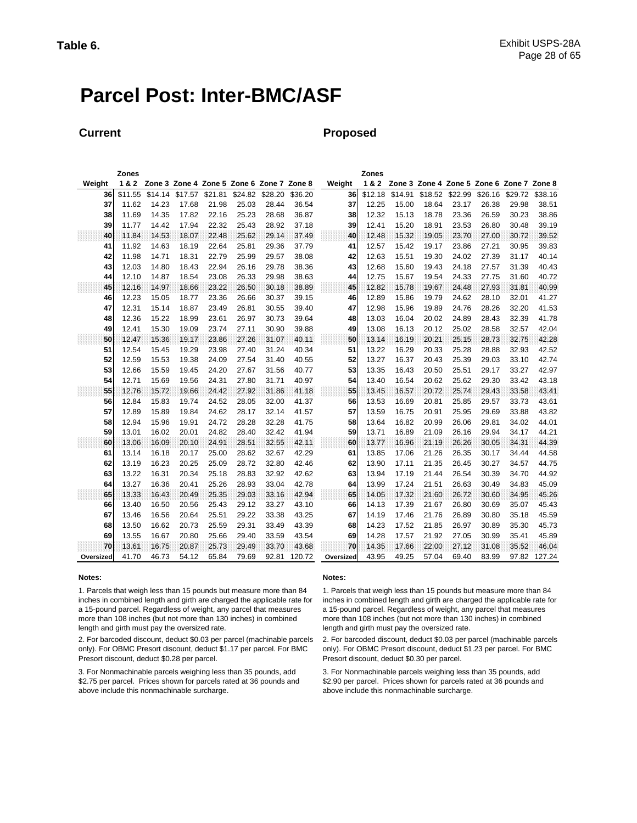## **Parcel Post: Inter-BMC/ASF**

#### **Current Proposed**

|           | Zones   |         |         |                                           |         |         |         |           | Zones   |         |         |         |         |                                           |         |
|-----------|---------|---------|---------|-------------------------------------------|---------|---------|---------|-----------|---------|---------|---------|---------|---------|-------------------------------------------|---------|
| Weiaht    | 1&2     |         |         | Zone 3 Zone 4 Zone 5 Zone 6 Zone 7 Zone 8 |         |         |         | Weight    | 1&2     |         |         |         |         | Zone 3 Zone 4 Zone 5 Zone 6 Zone 7 Zone 8 |         |
| 36        | \$11.55 | \$14.14 | \$17.57 | \$21.81                                   | \$24.82 | \$28.20 | \$36.20 | 36        | \$12.18 | \$14.91 | \$18.52 | \$22.99 | \$26.16 | \$29.72                                   | \$38.16 |
| 37        | 11.62   | 14.23   | 17.68   | 21.98                                     | 25.03   | 28.44   | 36.54   | 37        | 12.25   | 15.00   | 18.64   | 23.17   | 26.38   | 29.98                                     | 38.51   |
| 38        | 11.69   | 14.35   | 17.82   | 22.16                                     | 25.23   | 28.68   | 36.87   | 38        | 12.32   | 15.13   | 18.78   | 23.36   | 26.59   | 30.23                                     | 38.86   |
| 39        | 11.77   | 14.42   | 17.94   | 22.32                                     | 25.43   | 28.92   | 37.18   | 39        | 12.41   | 15.20   | 18.91   | 23.53   | 26.80   | 30.48                                     | 39.19   |
| 40        | 11.84   | 14.53   | 18.07   | 22.48                                     | 25.62   | 29.14   | 37.49   | 40        | 12.48   | 15.32   | 19.05   | 23.70   | 27.00   | 30.72                                     | 39.52   |
| 41        | 11.92   | 14.63   | 18.19   | 22.64                                     | 25.81   | 29.36   | 37.79   | 41        | 12.57   | 15.42   | 19.17   | 23.86   | 27.21   | 30.95                                     | 39.83   |
| 42        | 11.98   | 14.71   | 18.31   | 22.79                                     | 25.99   | 29.57   | 38.08   | 42        | 12.63   | 15.51   | 19.30   | 24.02   | 27.39   | 31.17                                     | 40.14   |
| 43        | 12.03   | 14.80   | 18.43   | 22.94                                     | 26.16   | 29.78   | 38.36   | 43        | 12.68   | 15.60   | 19.43   | 24.18   | 27.57   | 31.39                                     | 40.43   |
| 44        | 12.10   | 14.87   | 18.54   | 23.08                                     | 26.33   | 29.98   | 38.63   | 44        | 12.75   | 15.67   | 19.54   | 24.33   | 27.75   | 31.60                                     | 40.72   |
| 45        | 12.16   | 14.97   | 18.66   | 23.22                                     | 26.50   | 30.18   | 38.89   | 45        | 12.82   | 15.78   | 19.67   | 24.48   | 27.93   | 31.81                                     | 40.99   |
| 46        | 12.23   | 15.05   | 18.77   | 23.36                                     | 26.66   | 30.37   | 39.15   | 46        | 12.89   | 15.86   | 19.79   | 24.62   | 28.10   | 32.01                                     | 41.27   |
| 47        | 12.31   | 15.14   | 18.87   | 23.49                                     | 26.81   | 30.55   | 39.40   | 47        | 12.98   | 15.96   | 19.89   | 24.76   | 28.26   | 32.20                                     | 41.53   |
| 48        | 12.36   | 15.22   | 18.99   | 23.61                                     | 26.97   | 30.73   | 39.64   | 48        | 13.03   | 16.04   | 20.02   | 24.89   | 28.43   | 32.39                                     | 41.78   |
| 49        | 12.41   | 15.30   | 19.09   | 23.74                                     | 27.11   | 30.90   | 39.88   | 49        | 13.08   | 16.13   | 20.12   | 25.02   | 28.58   | 32.57                                     | 42.04   |
| 50        | 12.47   | 15.36   | 19.17   | 23.86                                     | 27.26   | 31.07   | 40.11   | 50        | 13.14   | 16.19   | 20.21   | 25.15   | 28.73   | 32.75                                     | 42.28   |
| 51        | 12.54   | 15.45   | 19.29   | 23.98                                     | 27.40   | 31.24   | 40.34   | 51        | 13.22   | 16.29   | 20.33   | 25.28   | 28.88   | 32.93                                     | 42.52   |
| 52        | 12.59   | 15.53   | 19.38   | 24.09                                     | 27.54   | 31.40   | 40.55   | 52        | 13.27   | 16.37   | 20.43   | 25.39   | 29.03   | 33.10                                     | 42.74   |
| 53        | 12.66   | 15.59   | 19.45   | 24.20                                     | 27.67   | 31.56   | 40.77   | 53        | 13.35   | 16.43   | 20.50   | 25.51   | 29.17   | 33.27                                     | 42.97   |
| 54        | 12.71   | 15.69   | 19.56   | 24.31                                     | 27.80   | 31.71   | 40.97   | 54        | 13.40   | 16.54   | 20.62   | 25.62   | 29.30   | 33.42                                     | 43.18   |
| 55        | 12.76   | 15.72   | 19.66   | 24.42                                     | 27.92   | 31.86   | 41.18   | 55        | 13.45   | 16.57   | 20.72   | 25.74   | 29.43   | 33.58                                     | 43.41   |
| 56        | 12.84   | 15.83   | 19.74   | 24.52                                     | 28.05   | 32.00   | 41.37   | 56        | 13.53   | 16.69   | 20.81   | 25.85   | 29.57   | 33.73                                     | 43.61   |
| 57        | 12.89   | 15.89   | 19.84   | 24.62                                     | 28.17   | 32.14   | 41.57   | 57        | 13.59   | 16.75   | 20.91   | 25.95   | 29.69   | 33.88                                     | 43.82   |
| 58        | 12.94   | 15.96   | 19.91   | 24.72                                     | 28.28   | 32.28   | 41.75   | 58        | 13.64   | 16.82   | 20.99   | 26.06   | 29.81   | 34.02                                     | 44.01   |
| 59        | 13.01   | 16.02   | 20.01   | 24.82                                     | 28.40   | 32.42   | 41.94   | 59        | 13.71   | 16.89   | 21.09   | 26.16   | 29.94   | 34.17                                     | 44.21   |
| 60        | 13.06   | 16.09   | 20.10   | 24.91                                     | 28.51   | 32.55   | 42.11   | 60        | 13.77   | 16.96   | 21.19   | 26.26   | 30.05   | 34.31                                     | 44.39   |
| 61        | 13.14   | 16.18   | 20.17   | 25.00                                     | 28.62   | 32.67   | 42.29   | 61        | 13.85   | 17.06   | 21.26   | 26.35   | 30.17   | 34.44                                     | 44.58   |
| 62        | 13.19   | 16.23   | 20.25   | 25.09                                     | 28.72   | 32.80   | 42.46   | 62        | 13.90   | 17.11   | 21.35   | 26.45   | 30.27   | 34.57                                     | 44.75   |
| 63        | 13.22   | 16.31   | 20.34   | 25.18                                     | 28.83   | 32.92   | 42.62   | 63        | 13.94   | 17.19   | 21.44   | 26.54   | 30.39   | 34.70                                     | 44.92   |
| 64        | 13.27   | 16.36   | 20.41   | 25.26                                     | 28.93   | 33.04   | 42.78   | 64        | 13.99   | 17.24   | 21.51   | 26.63   | 30.49   | 34.83                                     | 45.09   |
| 65        | 13.33   | 16.43   | 20.49   | 25.35                                     | 29.03   | 33.16   | 42.94   | 65        | 14.05   | 17.32   | 21.60   | 26.72   | 30.60   | 34.95                                     | 45.26   |
| 66        | 13.40   | 16.50   | 20.56   | 25.43                                     | 29.12   | 33.27   | 43.10   | 66        | 14.13   | 17.39   | 21.67   | 26.80   | 30.69   | 35.07                                     | 45.43   |
| 67        | 13.46   | 16.56   | 20.64   | 25.51                                     | 29.22   | 33.38   | 43.25   | 67        | 14.19   | 17.46   | 21.76   | 26.89   | 30.80   | 35.18                                     | 45.59   |
| 68        | 13.50   | 16.62   | 20.73   | 25.59                                     | 29.31   | 33.49   | 43.39   | 68        | 14.23   | 17.52   | 21.85   | 26.97   | 30.89   | 35.30                                     | 45.73   |
| 69        | 13.55   | 16.67   | 20.80   | 25.66                                     | 29.40   | 33.59   | 43.54   | 69        | 14.28   | 17.57   | 21.92   | 27.05   | 30.99   | 35.41                                     | 45.89   |
| 70        | 13.61   | 16.75   | 20.87   | 25.73                                     | 29.49   | 33.70   | 43.68   | 70        | 14.35   | 17.66   | 22.00   | 27.12   | 31.08   | 35.52                                     | 46.04   |
| Oversized | 41.70   | 46.73   | 54.12   | 65.84                                     | 79.69   | 92.81   | 120.72  | Oversized | 43.95   | 49.25   | 57.04   | 69.40   | 83.99   | 97.82                                     | 127.24  |

1. Parcels that weigh less than 15 pounds but measure more than 84 inches in combined length and girth are charged the applicable rate for a 15-pound parcel. Regardless of weight, any parcel that measures more than 108 inches (but not more than 130 inches) in combined length and girth must pay the oversized rate.

2. For barcoded discount, deduct \$0.03 per parcel (machinable parcels only). For OBMC Presort discount, deduct \$1.17 per parcel. For BMC Presort discount, deduct \$0.28 per parcel.

3. For Nonmachinable parcels weighing less than 35 pounds, add \$2.75 per parcel. Prices shown for parcels rated at 36 pounds and above include this nonmachinable surcharge.

#### **Notes: Notes:**

1. Parcels that weigh less than 15 pounds but measure more than 84 inches in combined length and girth are charged the applicable rate for a 15-pound parcel. Regardless of weight, any parcel that measures more than 108 inches (but not more than 130 inches) in combined length and girth must pay the oversized rate.

2. For barcoded discount, deduct \$0.03 per parcel (machinable parcels only). For OBMC Presort discount, deduct \$1.23 per parcel. For BMC Presort discount, deduct \$0.30 per parcel.

3. For Nonmachinable parcels weighing less than 35 pounds, add \$2.90 per parcel. Prices shown for parcels rated at 36 pounds and above include this nonmachinable surcharge.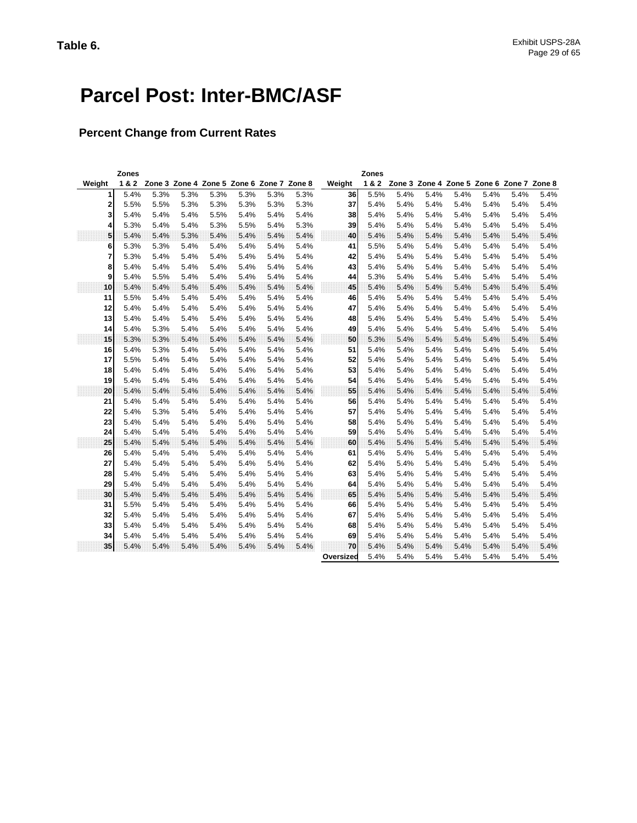# **Parcel Post: Inter-BMC/ASF**

### **Percent Change from Current Rates**

|                | <b>Zones</b> |      |                                           |      |      |      |      |           | <b>Zones</b> |      |                                           |      |      |      |      |
|----------------|--------------|------|-------------------------------------------|------|------|------|------|-----------|--------------|------|-------------------------------------------|------|------|------|------|
| Weight         | 1&2          |      | Zone 3 Zone 4 Zone 5 Zone 6 Zone 7 Zone 8 |      |      |      |      | Weight    | 1&2          |      | Zone 3 Zone 4 Zone 5 Zone 6 Zone 7 Zone 8 |      |      |      |      |
| 1              | 5.4%         | 5.3% | 5.3%                                      | 5.3% | 5.3% | 5.3% | 5.3% | 36        | 5.5%         | 5.4% | 5.4%                                      | 5.4% | 5.4% | 5.4% | 5.4% |
| 2              | 5.5%         | 5.5% | 5.3%                                      | 5.3% | 5.3% | 5.3% | 5.3% | 37        | 5.4%         | 5.4% | 5.4%                                      | 5.4% | 5.4% | 5.4% | 5.4% |
| 3              | 5.4%         | 5.4% | 5.4%                                      | 5.5% | 5.4% | 5.4% | 5.4% | 38        | 5.4%         | 5.4% | 5.4%                                      | 5.4% | 5.4% | 5.4% | 5.4% |
| 4              | 5.3%         | 5.4% | 5.4%                                      | 5.3% | 5.5% | 5.4% | 5.3% | 39        | 5.4%         | 5.4% | 5.4%                                      | 5.4% | 5.4% | 5.4% | 5.4% |
| 5              | 5.4%         | 5.4% | 5.3%                                      | 5.4% | 5.4% | 5.4% | 5.4% | 40        | 5.4%         | 5.4% | 5.4%                                      | 5.4% | 5.4% | 5.4% | 5.4% |
| 6              | 5.3%         | 5.3% | 5.4%                                      | 5.4% | 5.4% | 5.4% | 5.4% | 41        | 5.5%         | 5.4% | 5.4%                                      | 5.4% | 5.4% | 5.4% | 5.4% |
| $\overline{7}$ | 5.3%         | 5.4% | 5.4%                                      | 5.4% | 5.4% | 5.4% | 5.4% | 42        | 5.4%         | 5.4% | 5.4%                                      | 5.4% | 5.4% | 5.4% | 5.4% |
| 8              | 5.4%         | 5.4% | 5.4%                                      | 5.4% | 5.4% | 5.4% | 5.4% | 43        | 5.4%         | 5.4% | 5.4%                                      | 5.4% | 5.4% | 5.4% | 5.4% |
| 9              | 5.4%         | 5.5% | 5.4%                                      | 5.4% | 5.4% | 5.4% | 5.4% | 44        | 5.3%         | 5.4% | 5.4%                                      | 5.4% | 5.4% | 5.4% | 5.4% |
| 10             | 5.4%         | 5.4% | 5.4%                                      | 5.4% | 5.4% | 5.4% | 5.4% | 45        | 5.4%         | 5.4% | 5.4%                                      | 5.4% | 5.4% | 5.4% | 5.4% |
| 11             | 5.5%         | 5.4% | 5.4%                                      | 5.4% | 5.4% | 5.4% | 5.4% | 46        | 5.4%         | 5.4% | 5.4%                                      | 5.4% | 5.4% | 5.4% | 5.4% |
| 12             | 5.4%         | 5.4% | 5.4%                                      | 5.4% | 5.4% | 5.4% | 5.4% | 47        | 5.4%         | 5.4% | 5.4%                                      | 5.4% | 5.4% | 5.4% | 5.4% |
| 13             | 5.4%         | 5.4% | 5.4%                                      | 5.4% | 5.4% | 5.4% | 5.4% | 48        | 5.4%         | 5.4% | 5.4%                                      | 5.4% | 5.4% | 5.4% | 5.4% |
| 14             | 5.4%         | 5.3% | 5.4%                                      | 5.4% | 5.4% | 5.4% | 5.4% | 49        | 5.4%         | 5.4% | 5.4%                                      | 5.4% | 5.4% | 5.4% | 5.4% |
| 15             | 5.3%         | 5.3% | 5.4%                                      | 5.4% | 5.4% | 5.4% | 5.4% | 50        | 5.3%         | 5.4% | 5.4%                                      | 5.4% | 5.4% | 5.4% | 5.4% |
| 16             | 5.4%         | 5.3% | 5.4%                                      | 5.4% | 5.4% | 5.4% | 5.4% | 51        | 5.4%         | 5.4% | 5.4%                                      | 5.4% | 5.4% | 5.4% | 5.4% |
| 17             | 5.5%         | 5.4% | 5.4%                                      | 5.4% | 5.4% | 5.4% | 5.4% | 52        | 5.4%         | 5.4% | 5.4%                                      | 5.4% | 5.4% | 5.4% | 5.4% |
| 18             | 5.4%         | 5.4% | 5.4%                                      | 5.4% | 5.4% | 5.4% | 5.4% | 53        | 5.4%         | 5.4% | 5.4%                                      | 5.4% | 5.4% | 5.4% | 5.4% |
| 19             | 5.4%         | 5.4% | 5.4%                                      | 5.4% | 5.4% | 5.4% | 5.4% | 54        | 5.4%         | 5.4% | 5.4%                                      | 5.4% | 5.4% | 5.4% | 5.4% |
| 20             | 5.4%         | 5.4% | 5.4%                                      | 5.4% | 5.4% | 5.4% | 5.4% | 55        | 5.4%         | 5.4% | 5.4%                                      | 5.4% | 5.4% | 5.4% | 5.4% |
| 21             | 5.4%         | 5.4% | 5.4%                                      | 5.4% | 5.4% | 5.4% | 5.4% | 56        | 5.4%         | 5.4% | 5.4%                                      | 5.4% | 5.4% | 5.4% | 5.4% |
| 22             | 5.4%         | 5.3% | 5.4%                                      | 5.4% | 5.4% | 5.4% | 5.4% | 57        | 5.4%         | 5.4% | 5.4%                                      | 5.4% | 5.4% | 5.4% | 5.4% |
| 23             | 5.4%         | 5.4% | 5.4%                                      | 5.4% | 5.4% | 5.4% | 5.4% | 58        | 5.4%         | 5.4% | 5.4%                                      | 5.4% | 5.4% | 5.4% | 5.4% |
| 24             | 5.4%         | 5.4% | 5.4%                                      | 5.4% | 5.4% | 5.4% | 5.4% | 59        | 5.4%         | 5.4% | 5.4%                                      | 5.4% | 5.4% | 5.4% | 5.4% |
| 25             | 5.4%         | 5.4% | 5.4%                                      | 5.4% | 5.4% | 5.4% | 5.4% | 60        | 5.4%         | 5.4% | 5.4%                                      | 5.4% | 5.4% | 5.4% | 5.4% |
| 26             | 5.4%         | 5.4% | 5.4%                                      | 5.4% | 5.4% | 5.4% | 5.4% | 61        | 5.4%         | 5.4% | 5.4%                                      | 5.4% | 5.4% | 5.4% | 5.4% |
| 27             | 5.4%         | 5.4% | 5.4%                                      | 5.4% | 5.4% | 5.4% | 5.4% | 62        | 5.4%         | 5.4% | 5.4%                                      | 5.4% | 5.4% | 5.4% | 5.4% |
| 28             | 5.4%         | 5.4% | 5.4%                                      | 5.4% | 5.4% | 5.4% | 5.4% | 63        | 5.4%         | 5.4% | 5.4%                                      | 5.4% | 5.4% | 5.4% | 5.4% |
| 29             | 5.4%         | 5.4% | 5.4%                                      | 5.4% | 5.4% | 5.4% | 5.4% | 64        | 5.4%         | 5.4% | 5.4%                                      | 5.4% | 5.4% | 5.4% | 5.4% |
| 30             | 5.4%         | 5.4% | 5.4%                                      | 5.4% | 5.4% | 5.4% | 5.4% | 65        | 5.4%         | 5.4% | 5.4%                                      | 5.4% | 5.4% | 5.4% | 5.4% |
| 31             | 5.5%         | 5.4% | 5.4%                                      | 5.4% | 5.4% | 5.4% | 5.4% | 66        | 5.4%         | 5.4% | 5.4%                                      | 5.4% | 5.4% | 5.4% | 5.4% |
| 32             | 5.4%         | 5.4% | 5.4%                                      | 5.4% | 5.4% | 5.4% | 5.4% | 67        | 5.4%         | 5.4% | 5.4%                                      | 5.4% | 5.4% | 5.4% | 5.4% |
| 33             | 5.4%         | 5.4% | 5.4%                                      | 5.4% | 5.4% | 5.4% | 5.4% | 68        | 5.4%         | 5.4% | 5.4%                                      | 5.4% | 5.4% | 5.4% | 5.4% |
| 34             | 5.4%         | 5.4% | 5.4%                                      | 5.4% | 5.4% | 5.4% | 5.4% | 69        | 5.4%         | 5.4% | 5.4%                                      | 5.4% | 5.4% | 5.4% | 5.4% |
| 35             | 5.4%         | 5.4% | 5.4%                                      | 5.4% | 5.4% | 5.4% | 5.4% | 70        | 5.4%         | 5.4% | 5.4%                                      | 5.4% | 5.4% | 5.4% | 5.4% |
|                |              |      |                                           |      |      |      |      | Oversized | 5.4%         | 5.4% | 5.4%                                      | 5.4% | 5.4% | 5.4% | 5.4% |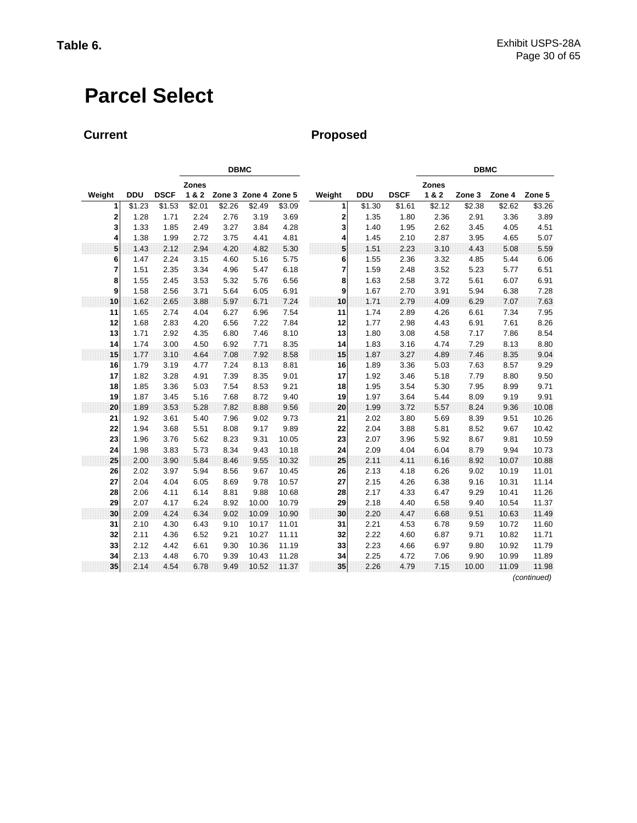# **Parcel Select**

### **Current Proposed**

|        |            |             |              | <b>DBMC</b>          |        |        |        |            |             |              | <b>DBMC</b>       |        |             |  |
|--------|------------|-------------|--------------|----------------------|--------|--------|--------|------------|-------------|--------------|-------------------|--------|-------------|--|
|        |            |             | <b>Zones</b> |                      |        |        |        |            |             | <b>Zones</b> |                   |        |             |  |
| Weight | <b>DDU</b> | <b>DSCF</b> | 1&2          | Zone 3 Zone 4 Zone 5 |        |        | Weight | <b>DDU</b> | <b>DSCF</b> | 1&2          | Zone <sub>3</sub> | Zone 4 | Zone 5      |  |
| 1      | \$1.23     | \$1.53      | \$2.01       | \$2.26               | \$2.49 | \$3.09 | 1      | \$1.30     | \$1.61      | \$2.12       | \$2.38            | \$2.62 | \$3.26      |  |
| 2      | 1.28       | 1.71        | 2.24         | 2.76                 | 3.19   | 3.69   | 2      | 1.35       | 1.80        | 2.36         | 2.91              | 3.36   | 3.89        |  |
| 3      | 1.33       | 1.85        | 2.49         | 3.27                 | 3.84   | 4.28   | 3      | 1.40       | 1.95        | 2.62         | 3.45              | 4.05   | 4.51        |  |
| 4      | 1.38       | 1.99        | 2.72         | 3.75                 | 4.41   | 4.81   | 4      | 1.45       | 2.10        | 2.87         | 3.95              | 4.65   | 5.07        |  |
| 5      | 1.43       | 2.12        | 2.94         | 4.20                 | 4.82   | 5.30   | 5      | 1.51       | 2.23        | 3.10         | 4.43              | 5.08   | 5.59        |  |
| 6      | 1.47       | 2.24        | 3.15         | 4.60                 | 5.16   | 5.75   | 6      | 1.55       | 2.36        | 3.32         | 4.85              | 5.44   | 6.06        |  |
| 7      | 1.51       | 2.35        | 3.34         | 4.96                 | 5.47   | 6.18   | 7      | 1.59       | 2.48        | 3.52         | 5.23              | 5.77   | 6.51        |  |
| 8      | 1.55       | 2.45        | 3.53         | 5.32                 | 5.76   | 6.56   | 8      | 1.63       | 2.58        | 3.72         | 5.61              | 6.07   | 6.91        |  |
| 9      | 1.58       | 2.56        | 3.71         | 5.64                 | 6.05   | 6.91   | 9      | 1.67       | 2.70        | 3.91         | 5.94              | 6.38   | 7.28        |  |
| 10     | 1.62       | 2.65        | 3.88         | 5.97                 | 6.71   | 7.24   | 10     | 1.71       | 2.79        | 4.09         | 6.29              | 7.07   | 7.63        |  |
| 11     | 1.65       | 2.74        | 4.04         | 6.27                 | 6.96   | 7.54   | 11     | 1.74       | 2.89        | 4.26         | 6.61              | 7.34   | 7.95        |  |
| 12     | 1.68       | 2.83        | 4.20         | 6.56                 | 7.22   | 7.84   | 12     | 1.77       | 2.98        | 4.43         | 6.91              | 7.61   | 8.26        |  |
| 13     | 1.71       | 2.92        | 4.35         | 6.80                 | 7.46   | 8.10   | 13     | 1.80       | 3.08        | 4.58         | 7.17              | 7.86   | 8.54        |  |
| 14     | 1.74       | 3.00        | 4.50         | 6.92                 | 7.71   | 8.35   | 14     | 1.83       | 3.16        | 4.74         | 7.29              | 8.13   | 8.80        |  |
| 15     | 1.77       | 3.10        | 4.64         | 7.08                 | 7.92   | 8.58   | 15     | 1.87       | 3.27        | 4.89         | 7.46              | 8.35   | 9.04        |  |
| 16     | 1.79       | 3.19        | 4.77         | 7.24                 | 8.13   | 8.81   | 16     | 1.89       | 3.36        | 5.03         | 7.63              | 8.57   | 9.29        |  |
| 17     | 1.82       | 3.28        | 4.91         | 7.39                 | 8.35   | 9.01   | 17     | 1.92       | 3.46        | 5.18         | 7.79              | 8.80   | 9.50        |  |
| 18     | 1.85       | 3.36        | 5.03         | 7.54                 | 8.53   | 9.21   | 18     | 1.95       | 3.54        | 5.30         | 7.95              | 8.99   | 9.71        |  |
| 19     | 1.87       | 3.45        | 5.16         | 7.68                 | 8.72   | 9.40   | 19     | 1.97       | 3.64        | 5.44         | 8.09              | 9.19   | 9.91        |  |
| 20     | 1.89       | 3.53        | 5.28         | 7.82                 | 8.88   | 9.56   | 20     | 1.99       | 3.72        | 5.57         | 8.24              | 9.36   | 10.08       |  |
| 21     | 1.92       | 3.61        | 5.40         | 7.96                 | 9.02   | 9.73   | 21     | 2.02       | 3.80        | 5.69         | 8.39              | 9.51   | 10.26       |  |
| 22     | 1.94       | 3.68        | 5.51         | 8.08                 | 9.17   | 9.89   | 22     | 2.04       | 3.88        | 5.81         | 8.52              | 9.67   | 10.42       |  |
| 23     | 1.96       | 3.76        | 5.62         | 8.23                 | 9.31   | 10.05  | 23     | 2.07       | 3.96        | 5.92         | 8.67              | 9.81   | 10.59       |  |
| 24     | 1.98       | 3.83        | 5.73         | 8.34                 | 9.43   | 10.18  | 24     | 2.09       | 4.04        | 6.04         | 8.79              | 9.94   | 10.73       |  |
| 25     | 2.00       | 3.90        | 5.84         | 8.46                 | 9.55   | 10.32  | 25     | 2.11       | 4.11        | 6.16         | 8.92              | 10.07  | 10.88       |  |
| 26     | 2.02       | 3.97        | 5.94         | 8.56                 | 9.67   | 10.45  | 26     | 2.13       | 4.18        | 6.26         | 9.02              | 10.19  | 11.01       |  |
| 27     | 2.04       | 4.04        | 6.05         | 8.69                 | 9.78   | 10.57  | 27     | 2.15       | 4.26        | 6.38         | 9.16              | 10.31  | 11.14       |  |
| 28     | 2.06       | 4.11        | 6.14         | 8.81                 | 9.88   | 10.68  | 28     | 2.17       | 4.33        | 6.47         | 9.29              | 10.41  | 11.26       |  |
| 29     | 2.07       | 4.17        | 6.24         | 8.92                 | 10.00  | 10.79  | 29     | 2.18       | 4.40        | 6.58         | 9.40              | 10.54  | 11.37       |  |
| 30     | 2.09       | 4.24        | 6.34         | 9.02                 | 10.09  | 10.90  | 30     | 2.20       | 4.47        | 6.68         | 9.51              | 10.63  | 11.49       |  |
| 31     | 2.10       | 4.30        | 6.43         | 9.10                 | 10.17  | 11.01  | 31     | 2.21       | 4.53        | 6.78         | 9.59              | 10.72  | 11.60       |  |
| 32     | 2.11       | 4.36        | 6.52         | 9.21                 | 10.27  | 11.11  | 32     | 2.22       | 4.60        | 6.87         | 9.71              | 10.82  | 11.71       |  |
| 33     | 2.12       | 4.42        | 6.61         | 9.30                 | 10.36  | 11.19  | 33     | 2.23       | 4.66        | 6.97         | 9.80              | 10.92  | 11.79       |  |
| 34     | 2.13       | 4.48        | 6.70         | 9.39                 | 10.43  | 11.28  | 34     | 2.25       | 4.72        | 7.06         | 9.90              | 10.99  | 11.89       |  |
| 35     | 2.14       | 4.54        | 6.78         | 9.49                 | 10.52  | 11.37  | 35     | 2.26       | 4.79        | 7.15         | 10.00             | 11.09  | 11.98       |  |
|        |            |             |              |                      |        |        |        |            |             |              |                   |        | (continued) |  |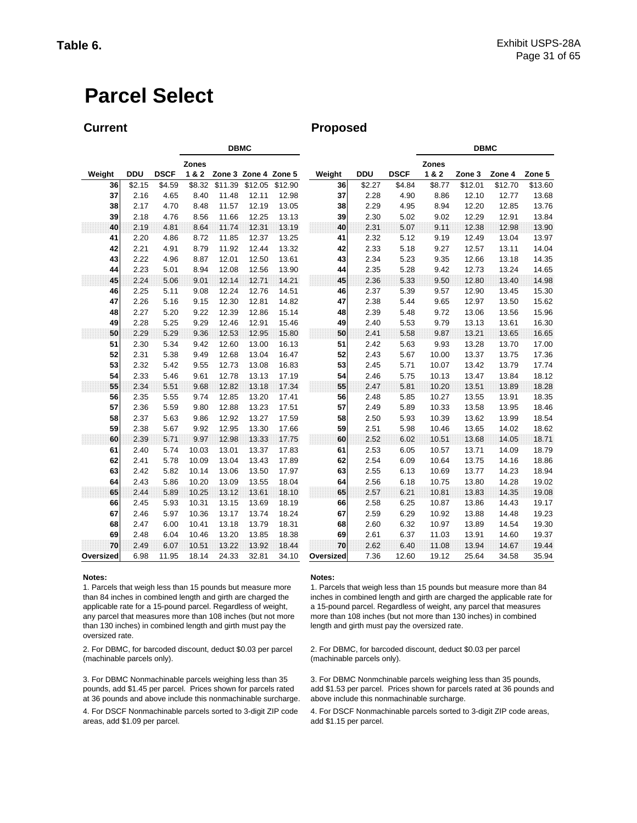# **Parcel Select**

**Current Current Proposed** 

|           |            |             |              | <b>DBMC</b> |                      |         |           |            |             | <b>DBMC</b>  |         |         |         |  |
|-----------|------------|-------------|--------------|-------------|----------------------|---------|-----------|------------|-------------|--------------|---------|---------|---------|--|
|           |            |             | <b>Zones</b> |             |                      |         |           |            |             | <b>Zones</b> |         |         |         |  |
| Weight    | <b>DDU</b> | <b>DSCF</b> | 1&2          |             | Zone 3 Zone 4 Zone 5 |         | Weight    | <b>DDU</b> | <b>DSCF</b> | 1&2          | Zone 3  | Zone 4  | Zone 5  |  |
| 36        | \$2.15     | \$4.59      | \$8.32       | \$11.39     | \$12.05              | \$12.90 | 36        | \$2.27     | \$4.84      | \$8.77       | \$12.01 | \$12.70 | \$13.60 |  |
| 37        | 2.16       | 4.65        | 8.40         | 11.48       | 12.11                | 12.98   | 37        | 2.28       | 4.90        | 8.86         | 12.10   | 12.77   | 13.68   |  |
| 38        | 2.17       | 4.70        | 8.48         | 11.57       | 12.19                | 13.05   | 38        | 2.29       | 4.95        | 8.94         | 12.20   | 12.85   | 13.76   |  |
| 39        | 2.18       | 4.76        | 8.56         | 11.66       | 12.25                | 13.13   | 39        | 2.30       | 5.02        | 9.02         | 12.29   | 12.91   | 13.84   |  |
| 40        | 2.19       | 4.81        | 8.64         | 11.74       | 12.31                | 13.19   | 40        | 2.31       | 5.07        | 9.11         | 12.38   | 12.98   | 13.90   |  |
| 41        | 2.20       | 4.86        | 8.72         | 11.85       | 12.37                | 13.25   | 41        | 2.32       | 5.12        | 9.19         | 12.49   | 13.04   | 13.97   |  |
| 42        | 2.21       | 4.91        | 8.79         | 11.92       | 12.44                | 13.32   | 42        | 2.33       | 5.18        | 9.27         | 12.57   | 13.11   | 14.04   |  |
| 43        | 2.22       | 4.96        | 8.87         | 12.01       | 12.50                | 13.61   | 43        | 2.34       | 5.23        | 9.35         | 12.66   | 13.18   | 14.35   |  |
| 44        | 2.23       | 5.01        | 8.94         | 12.08       | 12.56                | 13.90   | 44        | 2.35       | 5.28        | 9.42         | 12.73   | 13.24   | 14.65   |  |
| 45        | 2.24       | 5.06        | 9.01         | 12.14       | 12.71                | 14.21   | 45        | 2.36       | 5.33        | 9.50         | 12.80   | 13.40   | 14.98   |  |
| 46        | 2.25       | 5.11        | 9.08         | 12.24       | 12.76                | 14.51   | 46        | 2.37       | 5.39        | 9.57         | 12.90   | 13.45   | 15.30   |  |
| 47        | 2.26       | 5.16        | 9.15         | 12.30       | 12.81                | 14.82   | 47        | 2.38       | 5.44        | 9.65         | 12.97   | 13.50   | 15.62   |  |
| 48        | 2.27       | 5.20        | 9.22         | 12.39       | 12.86                | 15.14   | 48        | 2.39       | 5.48        | 9.72         | 13.06   | 13.56   | 15.96   |  |
| 49        | 2.28       | 5.25        | 9.29         | 12.46       | 12.91                | 15.46   | 49        | 2.40       | 5.53        | 9.79         | 13.13   | 13.61   | 16.30   |  |
| 50        | 2.29       | 5.29        | 9.36         | 12.53       | 12.95                | 15.80   | 50        | 2.41       | 5.58        | 9.87         | 13.21   | 13.65   | 16.65   |  |
| 51        | 2.30       | 5.34        | 9.42         | 12.60       | 13.00                | 16.13   | 51        | 2.42       | 5.63        | 9.93         | 13.28   | 13.70   | 17.00   |  |
| 52        | 2.31       | 5.38        | 9.49         | 12.68       | 13.04                | 16.47   | 52        | 2.43       | 5.67        | 10.00        | 13.37   | 13.75   | 17.36   |  |
| 53        | 2.32       | 5.42        | 9.55         | 12.73       | 13.08                | 16.83   | 53        | 2.45       | 5.71        | 10.07        | 13.42   | 13.79   | 17.74   |  |
| 54        | 2.33       | 5.46        | 9.61         | 12.78       | 13.13                | 17.19   | 54        | 2.46       | 5.75        | 10.13        | 13.47   | 13.84   | 18.12   |  |
| 55        | 2.34       | 5.51        | 9.68         | 12.82       | 13.18                | 17.34   | 55        | 2.47       | 5.81        | 10.20        | 13.51   | 13.89   | 18.28   |  |
| 56        | 2.35       | 5.55        | 9.74         | 12.85       | 13.20                | 17.41   | 56        | 2.48       | 5.85        | 10.27        | 13.55   | 13.91   | 18.35   |  |
| 57        | 2.36       | 5.59        | 9.80         | 12.88       | 13.23                | 17.51   | 57        | 2.49       | 5.89        | 10.33        | 13.58   | 13.95   | 18.46   |  |
| 58        | 2.37       | 5.63        | 9.86         | 12.92       | 13.27                | 17.59   | 58        | 2.50       | 5.93        | 10.39        | 13.62   | 13.99   | 18.54   |  |
| 59        | 2.38       | 5.67        | 9.92         | 12.95       | 13.30                | 17.66   | 59        | 2.51       | 5.98        | 10.46        | 13.65   | 14.02   | 18.62   |  |
| 60        | 2.39       | 5.71        | 9.97         | 12.98       | 13.33                | 17.75   | 60        | 2.52       | 6.02        | 10.51        | 13.68   | 14.05   | 18.71   |  |
| 61        | 2.40       | 5.74        | 10.03        | 13.01       | 13.37                | 17.83   | 61        | 2.53       | 6.05        | 10.57        | 13.71   | 14.09   | 18.79   |  |
| 62        | 2.41       | 5.78        | 10.09        | 13.04       | 13.43                | 17.89   | 62        | 2.54       | 6.09        | 10.64        | 13.75   | 14.16   | 18.86   |  |
| 63        | 2.42       | 5.82        | 10.14        | 13.06       | 13.50                | 17.97   | 63        | 2.55       | 6.13        | 10.69        | 13.77   | 14.23   | 18.94   |  |
| 64        | 2.43       | 5.86        | 10.20        | 13.09       | 13.55                | 18.04   | 64        | 2.56       | 6.18        | 10.75        | 13.80   | 14.28   | 19.02   |  |
| 65        | 2.44       | 5.89        | 10.25        | 13.12       | 13.61                | 18.10   | 65        | 2.57       | 6.21        | 10.81        | 13.83   | 14.35   | 19.08   |  |
| 66        | 2.45       | 5.93        | 10.31        | 13.15       | 13.69                | 18.19   | 66        | 2.58       | 6.25        | 10.87        | 13.86   | 14.43   | 19.17   |  |
| 67        | 2.46       | 5.97        | 10.36        | 13.17       | 13.74                | 18.24   | 67        | 2.59       | 6.29        | 10.92        | 13.88   | 14.48   | 19.23   |  |
| 68        | 2.47       | 6.00        | 10.41        | 13.18       | 13.79                | 18.31   | 68        | 2.60       | 6.32        | 10.97        | 13.89   | 14.54   | 19.30   |  |
| 69        | 2.48       | 6.04        | 10.46        | 13.20       | 13.85                | 18.38   | 69        | 2.61       | 6.37        | 11.03        | 13.91   | 14.60   | 19.37   |  |
| 70        | 2.49       | 6.07        | 10.51        | 13.22       | 13.92                | 18.44   | 70        | 2.62       | 6.40        | 11.08        | 13.94   | 14.67   | 19.44   |  |
| Oversized | 6.98       | 11.95       | 18.14        | 24.33       | 32.81                | 34.10   | Oversized | 7.36       | 12.60       | 19.12        | 25.64   | 34.58   | 35.94   |  |

1. Parcels that weigh less than 15 pounds but measure more than 84 inches in combined length and girth are charged the applicable rate for a 15-pound parcel. Regardless of weight, any parcel that measures more than 108 inches (but not more than 130 inches) in combined length and girth must pay the oversized rate.

2. For DBMC, for barcoded discount, deduct \$0.03 per parcel (machinable parcels only).

3. For DBMC Nonmachinable parcels weighing less than 35 pounds, add \$1.45 per parcel. Prices shown for parcels rated at 36 pounds and above include this nonmachinable surcharge.

4. For DSCF Nonmachinable parcels sorted to 3-digit ZIP code areas, add \$1.09 per parcel.

#### **Notes: Notes:**

1. Parcels that weigh less than 15 pounds but measure more than 84 inches in combined length and girth are charged the applicable rate for a 15-pound parcel. Regardless of weight, any parcel that measures more than 108 inches (but not more than 130 inches) in combined length and girth must pay the oversized rate.

2. For DBMC, for barcoded discount, deduct \$0.03 per parcel (machinable parcels only).

3. For DBMC Nonmchinable parcels weighing less than 35 pounds, add \$1.53 per parcel. Prices shown for parcels rated at 36 pounds and above include this nonmachinable surcharge.

4. For DSCF Nonmachinable parcels sorted to 3-digit ZIP code areas, add \$1.15 per parcel.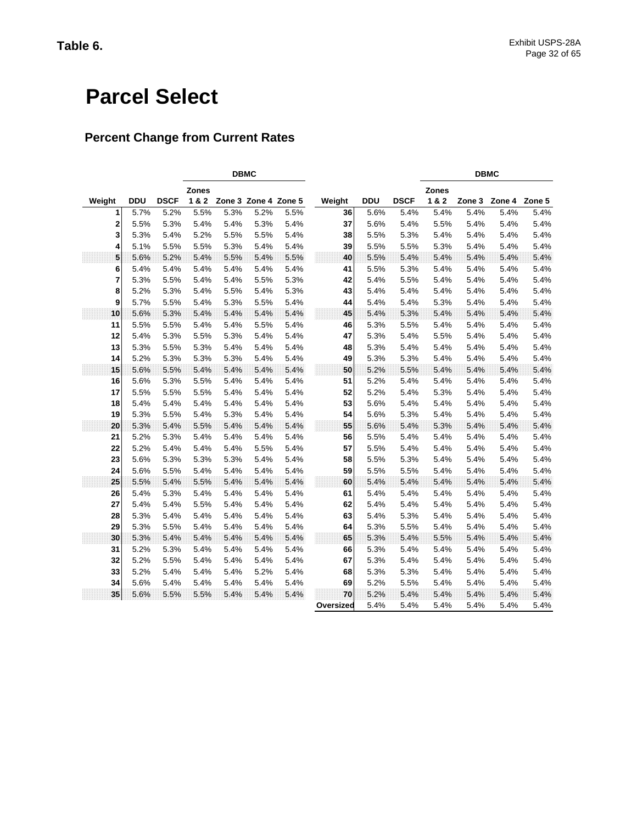# **Parcel Select**

### **Percent Change from Current Rates**

|              | <b>DBMC</b> |             |              |      |                      |      |           |            |             | <b>DBMC</b>  |        |        |        |
|--------------|-------------|-------------|--------------|------|----------------------|------|-----------|------------|-------------|--------------|--------|--------|--------|
|              |             |             | <b>Zones</b> |      |                      |      |           |            |             | <b>Zones</b> |        |        |        |
| Weight       | <b>DDU</b>  | <b>DSCF</b> | 1&2          |      | Zone 3 Zone 4 Zone 5 |      | Weight    | <b>DDU</b> | <b>DSCF</b> | 1 & 2        | Zone 3 | Zone 4 | Zone 5 |
| 1            | 5.7%        | 5.2%        | 5.5%         | 5.3% | 5.2%                 | 5.5% | 36        | 5.6%       | 5.4%        | 5.4%         | 5.4%   | 5.4%   | 5.4%   |
| $\mathbf{2}$ | 5.5%        | 5.3%        | 5.4%         | 5.4% | 5.3%                 | 5.4% | 37        | 5.6%       | 5.4%        | 5.5%         | 5.4%   | 5.4%   | 5.4%   |
| 3            | 5.3%        | 5.4%        | 5.2%         | 5.5% | 5.5%                 | 5.4% | 38        | 5.5%       | 5.3%        | 5.4%         | 5.4%   | 5.4%   | 5.4%   |
| 4            | 5.1%        | 5.5%        | 5.5%         | 5.3% | 5.4%                 | 5.4% | 39        | 5.5%       | 5.5%        | 5.3%         | 5.4%   | 5.4%   | 5.4%   |
| 5            | 5.6%        | 5.2%        | 5.4%         | 5.5% | 5.4%                 | 5.5% | 40        | 5.5%       | 5.4%        | 5.4%         | 5.4%   | 5.4%   | 5.4%   |
| 6            | 5.4%        | 5.4%        | 5.4%         | 5.4% | 5.4%                 | 5.4% | 41        | 5.5%       | 5.3%        | 5.4%         | 5.4%   | 5.4%   | 5.4%   |
| 7            | 5.3%        | 5.5%        | 5.4%         | 5.4% | 5.5%                 | 5.3% | 42        | 5.4%       | 5.5%        | 5.4%         | 5.4%   | 5.4%   | 5.4%   |
| 8            | 5.2%        | 5.3%        | 5.4%         | 5.5% | 5.4%                 | 5.3% | 43        | 5.4%       | 5.4%        | 5.4%         | 5.4%   | 5.4%   | 5.4%   |
| 9            | 5.7%        | 5.5%        | 5.4%         | 5.3% | 5.5%                 | 5.4% | 44        | 5.4%       | 5.4%        | 5.3%         | 5.4%   | 5.4%   | 5.4%   |
| 10           | 5.6%        | 5.3%        | 5.4%         | 5.4% | 5.4%                 | 5.4% | 45        | 5.4%       | 5.3%        | 5.4%         | 5.4%   | 5.4%   | 5.4%   |
| 11           | 5.5%        | 5.5%        | 5.4%         | 5.4% | 5.5%                 | 5.4% | 46        | 5.3%       | 5.5%        | 5.4%         | 5.4%   | 5.4%   | 5.4%   |
| 12           | 5.4%        | 5.3%        | 5.5%         | 5.3% | 5.4%                 | 5.4% | 47        | 5.3%       | 5.4%        | 5.5%         | 5.4%   | 5.4%   | 5.4%   |
| 13           | 5.3%        | 5.5%        | 5.3%         | 5.4% | 5.4%                 | 5.4% | 48        | 5.3%       | 5.4%        | 5.4%         | 5.4%   | 5.4%   | 5.4%   |
| 14           | 5.2%        | 5.3%        | 5.3%         | 5.3% | 5.4%                 | 5.4% | 49        | 5.3%       | 5.3%        | 5.4%         | 5.4%   | 5.4%   | 5.4%   |
| 15           | 5.6%        | 5.5%        | 5.4%         | 5.4% | 5.4%                 | 5.4% | 50        | 5.2%       | 5.5%        | 5.4%         | 5.4%   | 5.4%   | 5.4%   |
| 16           | 5.6%        | 5.3%        | 5.5%         | 5.4% | 5.4%                 | 5.4% | 51        | 5.2%       | 5.4%        | 5.4%         | 5.4%   | 5.4%   | 5.4%   |
| 17           | 5.5%        | 5.5%        | 5.5%         | 5.4% | 5.4%                 | 5.4% | 52        | 5.2%       | 5.4%        | 5.3%         | 5.4%   | 5.4%   | 5.4%   |
| 18           | 5.4%        | 5.4%        | 5.4%         | 5.4% | 5.4%                 | 5.4% | 53        | 5.6%       | 5.4%        | 5.4%         | 5.4%   | 5.4%   | 5.4%   |
| 19           | 5.3%        | 5.5%        | 5.4%         | 5.3% | 5.4%                 | 5.4% | 54        | 5.6%       | 5.3%        | 5.4%         | 5.4%   | 5.4%   | 5.4%   |
| 20           | 5.3%        | 5.4%        | 5.5%         | 5.4% | 5.4%                 | 5.4% | 55        | 5.6%       | 5.4%        | 5.3%         | 5.4%   | 5.4%   | 5.4%   |
| 21           | 5.2%        | 5.3%        | 5.4%         | 5.4% | 5.4%                 | 5.4% | 56        | 5.5%       | 5.4%        | 5.4%         | 5.4%   | 5.4%   | 5.4%   |
| 22           | 5.2%        | 5.4%        | 5.4%         | 5.4% | 5.5%                 | 5.4% | 57        | 5.5%       | 5.4%        | 5.4%         | 5.4%   | 5.4%   | 5.4%   |
| 23           | 5.6%        | 5.3%        | 5.3%         | 5.3% | 5.4%                 | 5.4% | 58        | 5.5%       | 5.3%        | 5.4%         | 5.4%   | 5.4%   | 5.4%   |
| 24           | 5.6%        | 5.5%        | 5.4%         | 5.4% | 5.4%                 | 5.4% | 59        | 5.5%       | 5.5%        | 5.4%         | 5.4%   | 5.4%   | 5.4%   |
| 25           | 5.5%        | 5.4%        | 5.5%         | 5.4% | 5.4%                 | 5.4% | 60        | 5.4%       | 5.4%        | 5.4%         | 5.4%   | 5.4%   | 5.4%   |
| 26           | 5.4%        | 5.3%        | 5.4%         | 5.4% | 5.4%                 | 5.4% | 61        | 5.4%       | 5.4%        | 5.4%         | 5.4%   | 5.4%   | 5.4%   |
| 27           | 5.4%        | 5.4%        | 5.5%         | 5.4% | 5.4%                 | 5.4% | 62        | 5.4%       | 5.4%        | 5.4%         | 5.4%   | 5.4%   | 5.4%   |
| 28           | 5.3%        | 5.4%        | 5.4%         | 5.4% | 5.4%                 | 5.4% | 63        | 5.4%       | 5.3%        | 5.4%         | 5.4%   | 5.4%   | 5.4%   |
| 29           | 5.3%        | 5.5%        | 5.4%         | 5.4% | 5.4%                 | 5.4% | 64        | 5.3%       | 5.5%        | 5.4%         | 5.4%   | 5.4%   | 5.4%   |
| 30           | 5.3%        | 5.4%        | 5.4%         | 5.4% | 5.4%                 | 5.4% | 65        | 5.3%       | 5.4%        | 5.5%         | 5.4%   | 5.4%   | 5.4%   |
| 31           | 5.2%        | 5.3%        | 5.4%         | 5.4% | 5.4%                 | 5.4% | 66        | 5.3%       | 5.4%        | 5.4%         | 5.4%   | 5.4%   | 5.4%   |
| 32           | 5.2%        | 5.5%        | 5.4%         | 5.4% | 5.4%                 | 5.4% | 67        | 5.3%       | 5.4%        | 5.4%         | 5.4%   | 5.4%   | 5.4%   |
| 33           | 5.2%        | 5.4%        | 5.4%         | 5.4% | 5.2%                 | 5.4% | 68        | 5.3%       | 5.3%        | 5.4%         | 5.4%   | 5.4%   | 5.4%   |
| 34           | 5.6%        | 5.4%        | 5.4%         | 5.4% | 5.4%                 | 5.4% | 69        | 5.2%       | 5.5%        | 5.4%         | 5.4%   | 5.4%   | 5.4%   |
| 35           | 5.6%        | 5.5%        | 5.5%         | 5.4% | 5.4%                 | 5.4% | 70        | 5.2%       | 5.4%        | 5.4%         | 5.4%   | 5.4%   | 5.4%   |
|              |             |             |              |      |                      |      | Oversized | 5.4%       | 5.4%        | 5.4%         | 5.4%   | 5.4%   | 5.4%   |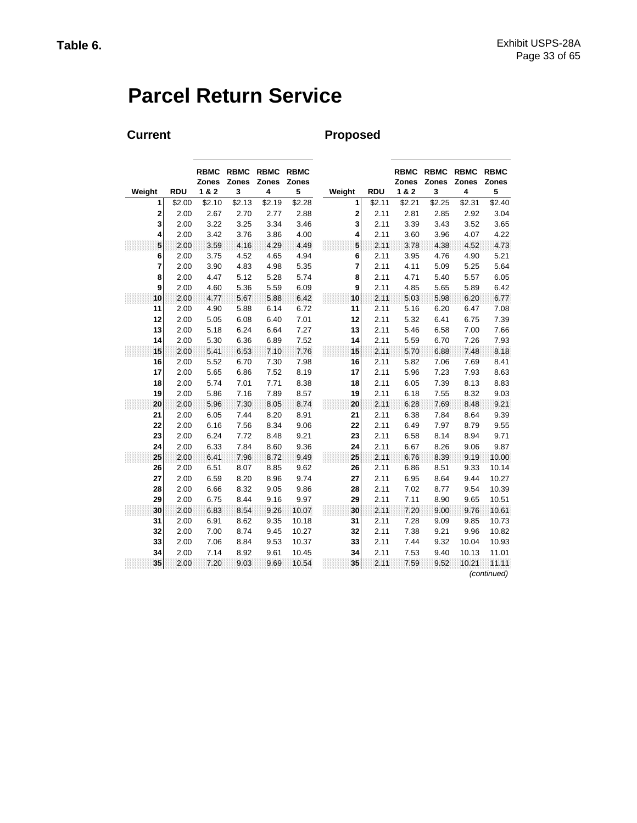# **Parcel Return Service**

## Current **Proposed**

|        |            | <b>RBMC</b><br><b>Zones</b> | <b>RBMC</b><br>Zones | <b>RBMC</b><br>Zones | <b>RBMC</b><br>Zones |             |            | <b>RBMC</b><br><b>Zones</b> | <b>RBMC</b><br>Zones | <b>RBMC</b><br>Zones | <b>RBMC</b><br>Zones |
|--------|------------|-----------------------------|----------------------|----------------------|----------------------|-------------|------------|-----------------------------|----------------------|----------------------|----------------------|
| Weight | <b>RDU</b> | 1 & 2                       | 3                    | 4                    | 5                    | Weight      | <b>RDU</b> | 1&2                         | 3                    | 4                    | 5                    |
| 1      | \$2.00     | \$2.10                      | \$2.13               | \$2.19               | \$2.28               | 1           | \$2.11     | \$2.21                      | \$2.25               | \$2.31               | \$2.40               |
| 2      | 2.00       | 2.67                        | 2.70                 | 2.77                 | 2.88                 | $\mathbf 2$ | 2.11       | 2.81                        | 2.85                 | 2.92                 | 3.04                 |
| 3      | 2.00       | 3.22                        | 3.25                 | 3.34                 | 3.46                 | 3           | 2.11       | 3.39                        | 3.43                 | 3.52                 | 3.65                 |
| 4      | 2.00       | 3.42                        | 3.76                 | 3.86                 | 4.00                 | 4           | 2.11       | 3.60                        | 3.96                 | 4.07                 | 4.22                 |
| 5      | 2.00       | 3.59                        | 4.16                 | 4.29                 | 4.49                 | 5           | 2.11       | 3.78                        | 4.38                 | 4.52                 | 4.73                 |
| 6      | 2.00       | 3.75                        | 4.52                 | 4.65                 | 4.94                 | 6           | 2.11       | 3.95                        | 4.76                 | 4.90                 | 5.21                 |
| 7      | 2.00       | 3.90                        | 4.83                 | 4.98                 | 5.35                 | 7           | 2.11       | 4.11                        | 5.09                 | 5.25                 | 5.64                 |
| 8      | 2.00       | 4.47                        | 5.12                 | 5.28                 | 5.74                 | 8           | 2.11       | 4.71                        | 5.40                 | 5.57                 | 6.05                 |
| 9      | 2.00       | 4.60                        | 5.36                 | 5.59                 | 6.09                 | 9           | 2.11       | 4.85                        | 5.65                 | 5.89                 | 6.42                 |
| 10     | 2.00       | 4.77                        | 5.67                 | 5.88                 | 6.42                 | 10          | 2.11       | 5.03                        | 598                  | 6.20                 | 6.77                 |
| 11     | 2.00       | 4.90                        | 5.88                 | 6.14                 | 6.72                 | 11          | 2.11       | 5.16                        | 6.20                 | 6.47                 | 7.08                 |
| 12     | 2.00       | 5.05                        | 6.08                 | 6.40                 | 7.01                 | 12          | 2.11       | 5.32                        | 6.41                 | 6.75                 | 7.39                 |
| 13     | 2.00       | 5.18                        | 6.24                 | 6.64                 | 7.27                 | 13          | 2.11       | 5.46                        | 6.58                 | 7.00                 | 7.66                 |
| 14     | 2.00       | 5.30                        | 6.36                 | 6.89                 | 7.52                 | 14          | 2.11       | 5.59                        | 6.70                 | 7.26                 | 7.93                 |
| 15     | 2.00       | 5.41                        | 6.53                 | 7.10                 | 7.76                 | 15          | 2.11       | 5.70                        | 6.88                 | 7.48                 | 8.18                 |
| 16     | 2.00       | 5.52                        | 6.70                 | 7.30                 | 7.98                 | 16          | 2.11       | 5.82                        | 7.06                 | 7.69                 | 8.41                 |
| 17     | 2.00       | 5.65                        | 6.86                 | 7.52                 | 8.19                 | 17          | 2.11       | 5.96                        | 7.23                 | 7.93                 | 8.63                 |
| 18     | 2.00       | 5.74                        | 7.01                 | 7.71                 | 8.38                 | 18          | 2.11       | 6.05                        | 7.39                 | 8.13                 | 8.83                 |
| 19     | 2.00       | 5.86                        | 7.16                 | 7.89                 | 8.57                 | 19          | 2.11       | 6.18                        | 7.55                 | 8.32                 | 9.03                 |
| 20     | 2.00       | 5.96                        | 7.30                 | 8.05                 | 8.74                 | 20          | 2.11       | 6.28                        | 7.69                 | 8.48                 | 9.21                 |
| 21     | 2.00       | 6.05                        | 7.44                 | 8.20                 | 8.91                 | 21          | 2.11       | 6.38                        | 7.84                 | 8.64                 | 9.39                 |
| 22     | 2.00       | 6.16                        | 7.56                 | 8.34                 | 9.06                 | 22          | 2.11       | 6.49                        | 7.97                 | 8.79                 | 9.55                 |
| 23     | 2.00       | 6.24                        | 7.72                 | 8.48                 | 9.21                 | 23          | 2.11       | 6.58                        | 8.14                 | 8.94                 | 9.71                 |
| 24     | 2.00       | 6.33                        | 7.84                 | 8.60                 | 9.36                 | 24          | 2.11       | 6.67                        | 8.26                 | 9.06                 | 9.87                 |
| 25     | 2.00       | 6.41                        | 7.96                 | 8.72                 | 9.49                 | 25          | 2.11       | 6.76                        | 8.39                 | 9.19                 | 10.00                |
| 26     | 2.00       | 6.51                        | 8.07                 | 8.85                 | 9.62                 | 26          | 2.11       | 6.86                        | 8.51                 | 9.33                 | 10.14                |
| 27     | 2.00       | 6.59                        | 8.20                 | 8.96                 | 9.74                 | 27          | 2.11       | 6.95                        | 8.64                 | 9.44                 | 10.27                |
| 28     | 2.00       | 6.66                        | 8.32                 | 9.05                 | 9.86                 | 28          | 2.11       | 7.02                        | 8.77                 | 9.54                 | 10.39                |
| 29     | 2.00       | 6.75                        | 8.44                 | 9.16                 | 9.97                 | 29          | 2.11       | 7.11                        | 8.90                 | 9.65                 | 10.51                |
| 30     | 2.00       | 6.83                        | 8.54                 | 9.26                 | 10.07                | 30          | 2.11       | 7.20                        | 9.00                 | 9.76                 | 10.61                |
| 31     | 2.00       | 6.91                        | 8.62                 | 9.35                 | 10.18                | 31          | 2.11       | 7.28                        | 9.09                 | 9.85                 | 10.73                |
| 32     | 2.00       | 7.00                        | 8.74                 | 9.45                 | 10.27                | 32          | 2.11       | 7.38                        | 9.21                 | 9.96                 | 10.82                |
| 33     | 2.00       | 7.06                        | 8.84                 | 9.53                 | 10.37                | 33          | 2.11       | 7.44                        | 9.32                 | 10.04                | 10.93                |
| 34     | 2.00       | 7.14                        | 8.92                 | 9.61                 | 10.45                | 34          | 2.11       | 7.53                        | 9.40                 | 10.13                | 11.01                |
| 35     | 2.00       | 7.20                        | 9.03                 | 9.69                 | 10.54                | 35          | 2.11       | 7.59                        | 9.52                 | 10.21                | 11.11                |
|        |            |                             |                      |                      |                      |             |            |                             |                      |                      | (continued)          |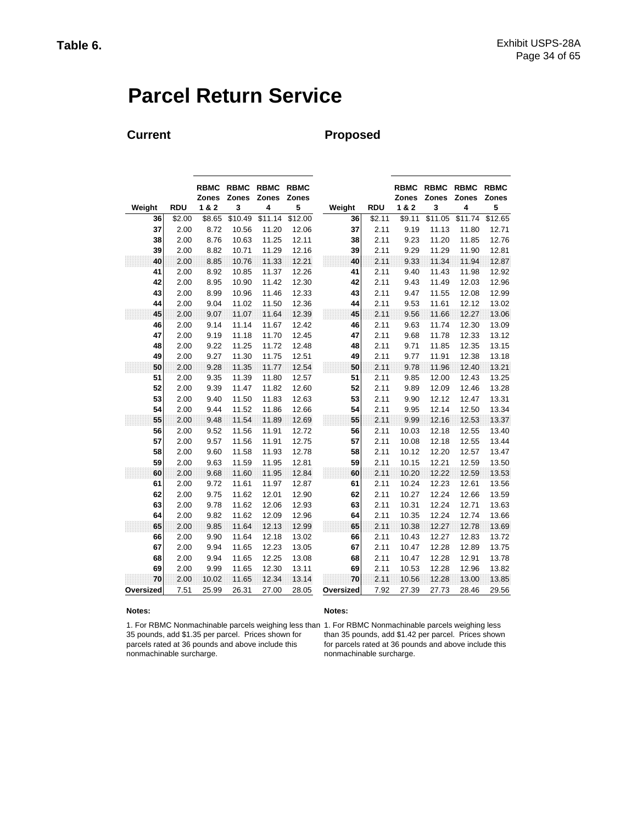# **Parcel Return Service**

## **Current Proposed**

|           |            | <b>RBMC</b><br><b>Zones</b> | <b>RBMC</b><br><b>Zones</b> | <b>RBMC</b><br><b>Zones</b> | <b>RBMC</b><br>Zones |           |            | <b>RBMC</b><br>Zones | <b>RBMC</b><br><b>Zones</b> | <b>RBMC</b><br>Zones | <b>RBMC</b><br>Zones |
|-----------|------------|-----------------------------|-----------------------------|-----------------------------|----------------------|-----------|------------|----------------------|-----------------------------|----------------------|----------------------|
| Weight    | <b>RDU</b> | 1&2                         | 3                           | 4                           | 5                    | Weight    | <b>RDU</b> | 1&2                  | 3                           | 4                    | 5                    |
| 36        | \$2.00     | \$8.65                      | \$10.49                     | \$11.14                     | \$12.00              | 36        | \$2.11     | \$9.11               | \$11.05                     | \$11.74              | \$12.65              |
| 37        | 2.00       | 8.72                        | 10.56                       | 11.20                       | 12.06                | 37        | 2.11       | 9.19                 | 11.13                       | 11.80                | 12.71                |
| 38        | 2.00       | 8.76                        | 10.63                       | 11.25                       | 12.11                | 38        | 2.11       | 9.23                 | 11.20                       | 11.85                | 12.76                |
| 39        | 2.00       | 8.82                        | 10.71                       | 11.29                       | 12.16                | 39        | 2.11       | 9.29                 | 11.29                       | 11.90                | 12.81                |
| 40        | 2.00       | 8.85                        | 10.76                       | 11.33                       | 12.21                | 40        | 2.11       | 9.33                 | 11.34                       | 11.94                | 12.87                |
| 41        | 2.00       | 8.92                        | 10.85                       | 11.37                       | 12.26                | 41        | 2.11       | 9.40                 | 11.43                       | 11.98                | 12.92                |
| 42        | 2.00       | 8.95                        | 10.90                       | 11.42                       | 12.30                | 42        | 2.11       | 9.43                 | 11.49                       | 12.03                | 12.96                |
| 43        | 2.00       | 8.99                        | 10.96                       | 11.46                       | 12.33                | 43        | 2.11       | 9.47                 | 11.55                       | 12.08                | 12.99                |
| 44        | 2.00       | 9.04                        | 11.02                       | 11.50                       | 12.36                | 44        | 2.11       | 9.53                 | 11.61                       | 12.12                | 13.02                |
| 45        | 2.00       | 9.07                        | 11.07                       | 11.64                       | 12.39                | 45        | 2.11       | 9.56                 | 11.66                       | 12.27                | 13.06                |
| 46        | 2.00       | 9.14                        | 11.14                       | 11.67                       | 12.42                | 46        | 2.11       | 9.63                 | 11.74                       | 12.30                | 13.09                |
| 47        | 2.00       | 9.19                        | 11.18                       | 11.70                       | 12.45                | 47        | 2.11       | 9.68                 | 11.78                       | 12.33                | 13.12                |
| 48        | 2.00       | 9.22                        | 11.25                       | 11.72                       | 12.48                | 48        | 2.11       | 9.71                 | 11.85                       | 12.35                | 13.15                |
| 49        | 2.00       | 9.27                        | 11.30                       | 11.75                       | 12.51                | 49        | 2.11       | 9.77                 | 11.91                       | 12.38                | 13.18                |
| 50        | 2.00       | 9.28                        | 11.35                       | 11.77                       | 12.54                | 50        | 2.11       | 9.78                 | 11.96                       | 12.40                | 13.21                |
| 51        | 2.00       | 9.35                        | 11.39                       | 11.80                       | 12.57                | 51        | 2.11       | 9.85                 | 12.00                       | 12.43                | 13.25                |
| 52        | 2.00       | 9.39                        | 11.47                       | 11.82                       | 12.60                | 52        | 2.11       | 9.89                 | 12.09                       | 12.46                | 13.28                |
| 53        | 2.00       | 9.40                        | 11.50                       | 11.83                       | 12.63                | 53        | 2.11       | 9.90                 | 12.12                       | 12.47                | 13.31                |
| 54        | 2.00       | 9.44                        | 11.52                       | 11.86                       | 12.66                | 54        | 2.11       | 9.95                 | 12.14                       | 12.50                | 13.34                |
| 55        | 2.00       | 9.48                        | 11.54                       | 11.89                       | 12.69                | 55        | 2.11       | 9.99                 | 12.16                       | 12.53                | 13.37                |
| 56        | 2.00       | 9.52                        | 11.56                       | 11.91                       | 12.72                | 56        | 2.11       | 10.03                | 12.18                       | 12.55                | 13.40                |
| 57        | 2.00       | 9.57                        | 11.56                       | 11.91                       | 12.75                | 57        | 2.11       | 10.08                | 12.18                       | 12.55                | 13.44                |
| 58        | 2.00       | 9.60                        | 11.58                       | 11.93                       | 12.78                | 58        | 2.11       | 10.12                | 12.20                       | 12.57                | 13.47                |
| 59        | 2.00       | 9.63                        | 11.59                       | 11.95                       | 12.81                | 59        | 2.11       | 10.15                | 12.21                       | 12.59                | 13.50                |
| 60        | 2.00       | 9.68                        | 11.60                       | 11.95                       | 12.84                | 60        | 2.11       | 10.20                | 12.22                       | 12.59                | 13.53                |
| 61        | 2.00       | 9.72                        | 11.61                       | 11.97                       | 12.87                | 61        | 2.11       | 10.24                | 12.23                       | 12.61                | 13.56                |
| 62        | 2.00       | 9.75                        | 11.62                       | 12.01                       | 12.90                | 62        | 2.11       | 10.27                | 12.24                       | 12.66                | 13.59                |
| 63        | 2.00       | 9.78                        | 11.62                       | 12.06                       | 12.93                | 63        | 2.11       | 10.31                | 12.24                       | 12.71                | 13.63                |
| 64        | 2.00       | 9.82                        | 11.62                       | 12.09                       | 12.96                | 64        | 2.11       | 10.35                | 12.24                       | 12.74                | 13.66                |
| 65        | 2.00       | 9.85                        | 11.64                       | 12.13                       | 12.99                | 65        | 2.11       | 10.38                | 12.27                       | 12.78                | 13.69                |
| 66        | 2.00       | 9.90                        | 11.64                       | 12.18                       | 13.02                | 66        | 2.11       | 10.43                | 12.27                       | 12.83                | 13.72                |
| 67        | 2.00       | 9.94                        | 11.65                       | 12.23                       | 13.05                | 67        | 2.11       | 10.47                | 12.28                       | 12.89                | 13.75                |
| 68        | 2.00       | 9.94                        | 11.65                       | 12.25                       | 13.08                | 68        | 2.11       | 10.47                | 12.28                       | 12.91                | 13.78                |
| 69        | 2.00       | 9.99                        | 11.65                       | 12.30                       | 13.11                | 69        | 2.11       | 10.53                | 12.28                       | 12.96                | 13.82                |
| 70        | 2.00       | 10.02                       | 11.65                       | 12.34                       | 13.14                | 70        | 2.11       | 10.56                | 12.28                       | 13.00                | 13.85                |
| Oversized | 7.51       | 25.99                       | 26.31                       | 27.00                       | 28.05                | Oversized | 7.92       | 27.39                | 27.73                       | 28.46                | 29.56                |

#### **Notes: Notes:**

1. For RBMC Nonmachinable parcels weighing less 1. For RBMC Nonmachinable parcels weighing less than 35 pounds, add \$1.35 per parcel. Prices shown for parcels rated at 36 pounds and above include this nonmachinable surcharge.

than 35 pounds, add \$1.42 per parcel. Prices shown for parcels rated at 36 pounds and above include this nonmachinable surcharge.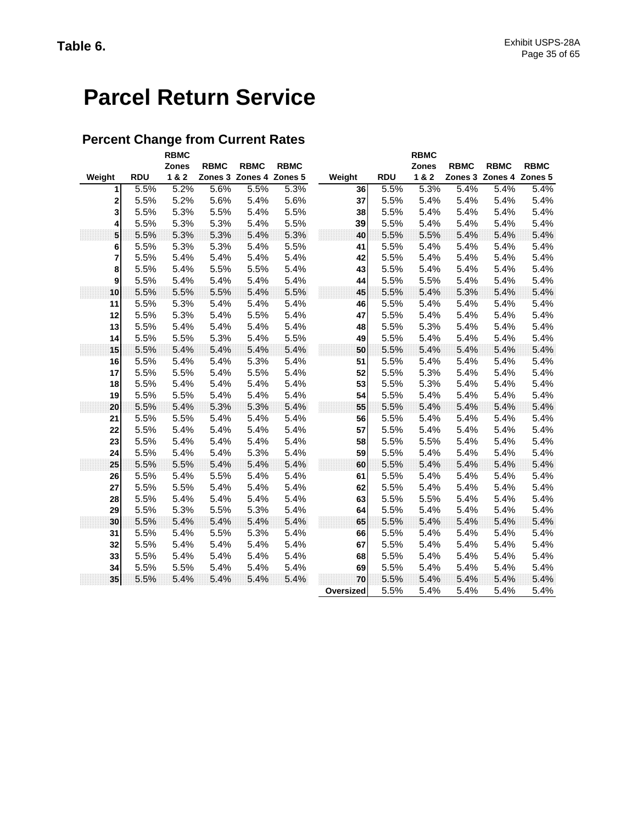# **Parcel Return Service**

## **Percent Change from Current Rates**

|                 |            | <b>RBMC</b><br><b>Zones</b> | <b>RBMC</b> | <b>RBMC</b>             | <b>RBMC</b> |           |            |      | <b>RBMC</b><br><b>Zones</b> | <b>RBMC</b> | <b>RBMC</b>             | <b>RBMC</b> |
|-----------------|------------|-----------------------------|-------------|-------------------------|-------------|-----------|------------|------|-----------------------------|-------------|-------------------------|-------------|
| Weight          | <b>RDU</b> | 1&2                         |             | Zones 3 Zones 4 Zones 5 |             | Weight    | <b>RDU</b> |      | 1&2                         |             | Zones 3 Zones 4 Zones 5 |             |
| 1               | 5.5%       | 5.2%                        | 5.6%        | 5.5%                    | 5.3%        | 36        |            | 5.5% | 5.3%                        | 5.4%        | 5.4%                    | 5.4%        |
| 2               | 5.5%       | 5.2%                        | 5.6%        | 5.4%                    | 5.6%        | 37        |            | 5.5% | 5.4%                        | 5.4%        | 5.4%                    | 5.4%        |
| 3               | 5.5%       | 5.3%                        | 5.5%        | 5.4%                    | 5.5%        | 38        |            | 5.5% | 5.4%                        | 5.4%        | 5.4%                    | 5.4%        |
| 4               | 5.5%       | 5.3%                        | 5.3%        | 5.4%                    | 5.5%        | 39        |            | 5.5% | 5.4%                        | 5.4%        | 5.4%                    | 5.4%        |
| 5               | 5.5%       | 5.3%                        | 5.3%        | 5.4%                    | 5.3%        | 40        |            | 5.5% | 5.5%                        | 5.4%        | 5.4%                    | 5.4%        |
| 6               | 5.5%       | 5.3%                        | 5.3%        | 5.4%                    | 5.5%        | 41        |            | 5.5% | 5.4%                        | 5.4%        | 5.4%                    | 5.4%        |
| 7               | 5.5%       | 5.4%                        | 5.4%        | 5.4%                    | 5.4%        | 42        |            | 5.5% | 5.4%                        | 5.4%        | 5.4%                    | 5.4%        |
| 8               | 5.5%       | 5.4%                        | 5.5%        | 5.5%                    | 5.4%        | 43        |            | 5.5% | 5.4%                        | 5.4%        | 5.4%                    | 5.4%        |
| 9               | 5.5%       | 5.4%                        | 5.4%        | 5.4%                    | 5.4%        | 44        |            | 5.5% | 5.5%                        | 5.4%        | 5.4%                    | 5.4%        |
| 10              | 5.5%       | 5.5%                        | 5.5%        | 5.4%                    | 5.5%        | 45        |            | 5.5% | 5.4%                        | 5.3%        | 5.4%                    | 5.4%        |
| 11              | 5.5%       | 5.3%                        | 5.4%        | 5.4%                    | 5.4%        | 46        |            | 5.5% | 5.4%                        | 5.4%        | 5.4%                    | 5.4%        |
| 12              | 5.5%       | 5.3%                        | 5.4%        | 5.5%                    | 5.4%        | 47        |            | 5.5% | 5.4%                        | 5.4%        | 5.4%                    | 5.4%        |
| 13              | 5.5%       | 5.4%                        | 5.4%        | 5.4%                    | 5.4%        | 48        |            | 5.5% | 5.3%                        | 5.4%        | 5.4%                    | 5.4%        |
| 14              | 5.5%       | 5.5%                        | 5.3%        | 5.4%                    | 5.5%        | 49        |            | 5.5% | 5.4%                        | 5.4%        | 5.4%                    | 5.4%        |
| 15              | 5.5%       | 5.4%                        | 5.4%        | 5.4%                    | 5.4%        | 50        |            | 5.5% | 5.4%                        | 5.4%        | 5.4%                    | 5.4%        |
| 16              | 5.5%       | 5.4%                        | 5.4%        | 5.3%                    | 5.4%        | 51        |            | 5.5% | 5.4%                        | 5.4%        | 5.4%                    | 5.4%        |
| 17              | 5.5%       | 5.5%                        | 5.4%        | 5.5%                    | 5.4%        | 52        |            | 5.5% | 5.3%                        | 5.4%        | 5.4%                    | 5.4%        |
| 18              | 5.5%       | 5.4%                        | 5.4%        | 5.4%                    | 5.4%        | 53        |            | 5.5% | 5.3%                        | 5.4%        | 5.4%                    | 5.4%        |
| 19              | 5.5%       | 5.5%                        | 5.4%        | 5.4%                    | 5.4%        | 54        |            | 5.5% | 5.4%                        | 5.4%        | 5.4%                    | 5.4%        |
| 20              | 5.5%       | 5.4%                        | 5.3%        | 5.3%                    | 5.4%        | 55        |            | 5.5% | 5.4%                        | 5.4%        | 5.4%                    | 5.4%        |
| 21              | 5.5%       | 5.5%                        | 5.4%        | 5.4%                    | 5.4%        | 56        |            | 5.5% | 5.4%                        | 5.4%        | 5.4%                    | 5.4%        |
| 22              | 5.5%       | 5.4%                        | 5.4%        | 5.4%                    | 5.4%        | 57        |            | 5.5% | 5.4%                        | 5.4%        | 5.4%                    | 5.4%        |
| 23              | 5.5%       | 5.4%                        | 5.4%        | 5.4%                    | 5.4%        | 58        |            | 5.5% | 5.5%                        | 5.4%        | 5.4%                    | 5.4%        |
| 24              | 5.5%       | 5.4%                        | 5.4%        | 5.3%                    | 5.4%        | 59        |            | 5.5% | 5.4%                        | 5.4%        | 5.4%                    | 5.4%        |
| 25              | 5.5%       | 5.5%                        | 5.4%        | 5.4%                    | 5.4%        | 60        |            | 5.5% | 5.4%                        | 5.4%        | 5.4%                    | 5.4%        |
| 26              | 5.5%       | 5.4%                        | 5.5%        | 5.4%                    | 5.4%        | 61        |            | 5.5% | 5.4%                        | 5.4%        | 5.4%                    | 5.4%        |
| 27              | 5.5%       | 5.5%                        | 5.4%        | 5.4%                    | 5.4%        | 62        |            | 5.5% | 5.4%                        | 5.4%        | 5.4%                    | 5.4%        |
| 28              | 5.5%       | 5.4%                        | 5.4%        | 5.4%                    | 5.4%        | 63        |            | 5.5% | 5.5%                        | 5.4%        | 5.4%                    | 5.4%        |
| 29              | 5.5%       | 5.3%                        | 5.5%        | 5.3%                    | 5.4%        | 64        |            | 5.5% | 5.4%                        | 5.4%        | 5.4%                    | 5.4%        |
| 30              | 5.5%       | 5.4%                        | 5.4%        | 5.4%                    | 5.4%        | 65        |            | 5.5% | 5.4%                        | 5.4%        | 5.4%                    | 5.4%        |
| 31              | 5.5%       | 5.4%                        | 5.5%        | 5.3%                    | 5.4%        | 66        |            | 5.5% | 5.4%                        | 5.4%        | 5.4%                    | 5.4%        |
| 32              | 5.5%       | 5.4%                        | 5.4%        | 5.4%                    | 5.4%        | 67        |            | 5.5% | 5.4%                        | 5.4%        | 5.4%                    | 5.4%        |
| 33              | 5.5%       | 5.4%                        | 5.4%        | 5.4%                    | 5.4%        | 68        |            | 5.5% | 5.4%                        | 5.4%        | 5.4%                    | 5.4%        |
| 34              | 5.5%       | 5.5%                        | 5.4%        | 5.4%                    | 5.4%        | 69        |            | 5.5% | 5.4%                        | 5.4%        | 5.4%                    | 5.4%        |
| 35 <sup>1</sup> | 5.5%       | 5.4%                        | 5.4%        | 5.4%                    | 5.4%        | 70        |            | 5.5% | 5.4%                        | 5.4%        | 5.4%                    | 5.4%        |
|                 |            |                             |             |                         |             | Oversized |            | 5.5% | 5.4%                        | 5.4%        | 5.4%                    | 5.4%        |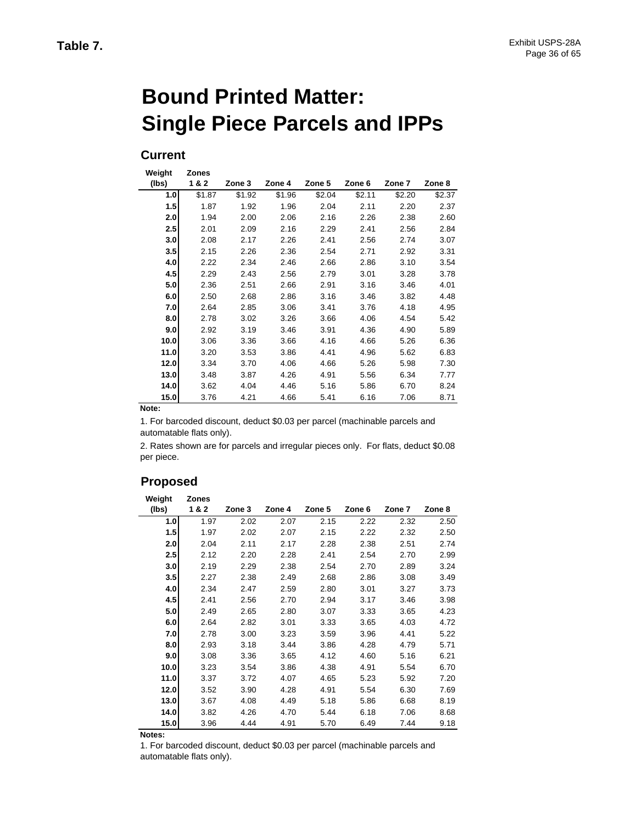# **Bound Printed Matter: Single Piece Parcels and IPPs**

### **Current**

| Weight | <b>Zones</b> |        |        |        |        |        |        |
|--------|--------------|--------|--------|--------|--------|--------|--------|
| (lbs)  | 1&2          | Zone 3 | Zone 4 | Zone 5 | Zone 6 | Zone 7 | Zone 8 |
| 1.0    | \$1.87       | \$1.92 | \$1.96 | \$2.04 | \$2.11 | \$2.20 | \$2.37 |
| 1.5    | 1.87         | 1.92   | 1.96   | 2.04   | 2.11   | 2.20   | 2.37   |
| 2.0    | 1.94         | 2.00   | 2.06   | 2.16   | 2.26   | 2.38   | 2.60   |
| 2.5    | 2.01         | 2.09   | 2.16   | 2.29   | 2.41   | 2.56   | 2.84   |
| 3.0    | 2.08         | 2.17   | 2.26   | 2.41   | 2.56   | 2.74   | 3.07   |
| 3.5    | 2.15         | 2.26   | 2.36   | 2.54   | 2.71   | 2.92   | 3.31   |
| 4.0    | 2.22         | 2.34   | 2.46   | 2.66   | 2.86   | 3.10   | 3.54   |
| 4.5    | 2.29         | 2.43   | 2.56   | 2.79   | 3.01   | 3.28   | 3.78   |
| 5.0    | 2.36         | 2.51   | 2.66   | 2.91   | 3.16   | 3.46   | 4.01   |
| 6.0    | 2.50         | 2.68   | 2.86   | 3.16   | 3.46   | 3.82   | 4.48   |
| 7.0    | 2.64         | 2.85   | 3.06   | 3.41   | 3.76   | 4.18   | 4.95   |
| 8.0    | 2.78         | 3.02   | 3.26   | 3.66   | 4.06   | 4.54   | 5.42   |
| 9.0    | 2.92         | 3.19   | 3.46   | 3.91   | 4.36   | 4.90   | 5.89   |
| 10.0   | 3.06         | 3.36   | 3.66   | 4.16   | 4.66   | 5.26   | 6.36   |
| 11.0   | 3.20         | 3.53   | 3.86   | 4.41   | 4.96   | 5.62   | 6.83   |
| 12.0   | 3.34         | 3.70   | 4.06   | 4.66   | 5.26   | 5.98   | 7.30   |
| 13.0   | 3.48         | 3.87   | 4.26   | 4.91   | 5.56   | 6.34   | 7.77   |
| 14.0   | 3.62         | 4.04   | 4.46   | 5.16   | 5.86   | 6.70   | 8.24   |
| 15.0   | 3.76         | 4.21   | 4.66   | 5.41   | 6.16   | 7.06   | 8.71   |

**Note:**

1. For barcoded discount, deduct \$0.03 per parcel (machinable parcels and automatable flats only).

2. Rates shown are for parcels and irregular pieces only. For flats, deduct \$0.08 per piece.

### **Proposed**

| Weight<br>(lbs) | <b>Zones</b><br>1&2 | Zone 3 | Zone 4 | Zone 5 | Zone 6 | Zone 7 | Zone 8 |
|-----------------|---------------------|--------|--------|--------|--------|--------|--------|
| 1.0             | 1.97                | 2.02   | 2.07   | 2.15   | 2.22   | 2.32   | 2.50   |
| 1.5             | 1.97                | 2.02   | 2.07   | 2.15   | 2.22   | 2.32   | 2.50   |
| 2.0             | 2.04                | 2.11   | 2.17   | 2.28   | 2.38   | 2.51   | 2.74   |
| 2.5             | 2.12                | 2.20   | 2.28   | 2.41   | 2.54   | 2.70   | 2.99   |
| 3.0             | 2.19                | 2.29   | 2.38   | 2.54   | 2.70   | 2.89   | 3.24   |
| 3.5             | 2.27                | 2.38   | 2.49   | 2.68   | 2.86   | 3.08   | 3.49   |
| 4.0             | 2.34                | 2.47   | 2.59   | 2.80   | 3.01   | 3.27   | 3.73   |
| 4.5             | 2.41                | 2.56   | 2.70   | 2.94   | 3.17   | 3.46   | 3.98   |
| 5.0             | 2.49                | 2.65   | 2.80   | 3.07   | 3.33   | 3.65   | 4.23   |
| 6.0             | 2.64                | 2.82   | 3.01   | 3.33   | 3.65   | 4.03   | 4.72   |
| 7.0             | 2.78                | 3.00   | 3.23   | 3.59   | 3.96   | 4.41   | 5.22   |
| 8.0             | 2.93                | 3.18   | 3.44   | 3.86   | 4.28   | 4.79   | 5.71   |
| 9.0             | 3.08                | 3.36   | 3.65   | 4.12   | 4.60   | 5.16   | 6.21   |
| 10.0            | 3.23                | 3.54   | 3.86   | 4.38   | 4.91   | 5.54   | 6.70   |
| 11.0            | 3.37                | 3.72   | 4.07   | 4.65   | 5.23   | 5.92   | 7.20   |
| 12.0            | 3.52                | 3.90   | 4.28   | 4.91   | 5.54   | 6.30   | 7.69   |
| 13.0            | 3.67                | 4.08   | 4.49   | 5.18   | 5.86   | 6.68   | 8.19   |
| 14.0            | 3.82                | 4.26   | 4.70   | 5.44   | 6.18   | 7.06   | 8.68   |
| 15.0            | 3.96                | 4.44   | 4.91   | 5.70   | 6.49   | 7.44   | 9.18   |

**Notes:**

1. For barcoded discount, deduct \$0.03 per parcel (machinable parcels and automatable flats only).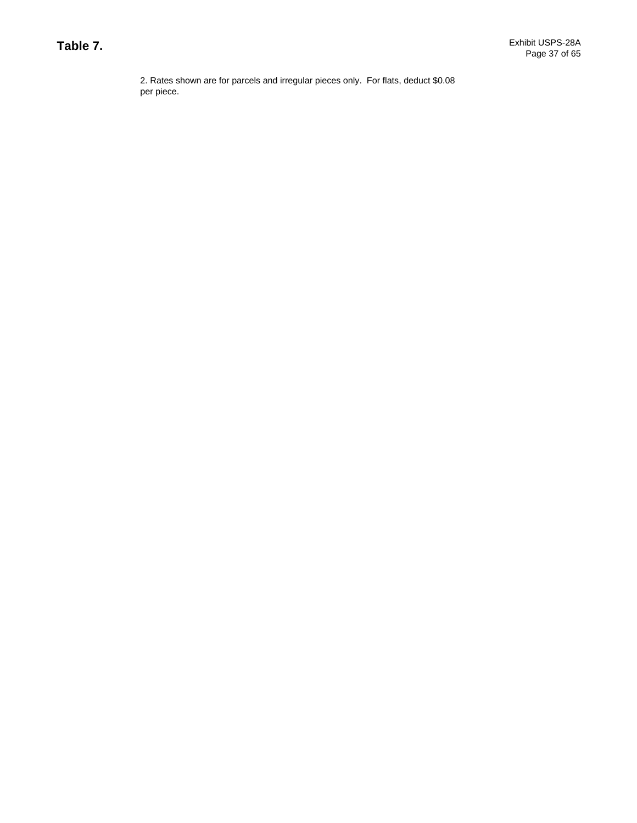2. Rates shown are for parcels and irregular pieces only. For flats, deduct \$0.08 per piece.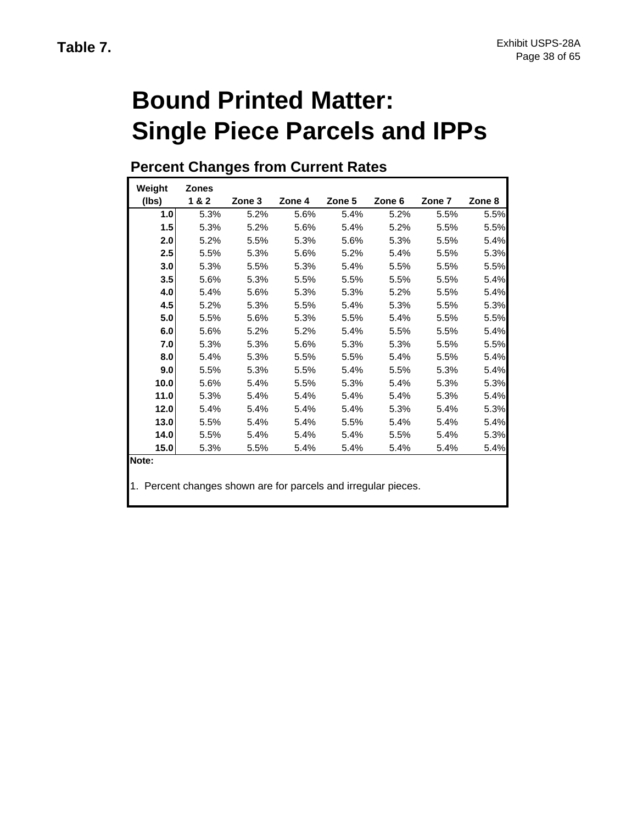# **Bound Printed Matter: Single Piece Parcels and IPPs**

# **Percent Changes from Current Rates**

| Weight           | <b>Zones</b> |        |        |        |        |        |        |
|------------------|--------------|--------|--------|--------|--------|--------|--------|
| (lbs)            | 1&2          | Zone 3 | Zone 4 | Zone 5 | Zone 6 | Zone 7 | Zone 8 |
| 1.0 <sub>l</sub> | 5.3%         | 5.2%   | 5.6%   | 5.4%   | 5.2%   | 5.5%   | 5.5%   |
| 1.5              | 5.3%         | 5.2%   | 5.6%   | 5.4%   | 5.2%   | 5.5%   | 5.5%   |
| 2.0              | 5.2%         | 5.5%   | 5.3%   | 5.6%   | 5.3%   | 5.5%   | 5.4%   |
| 2.5              | 5.5%         | 5.3%   | 5.6%   | 5.2%   | 5.4%   | 5.5%   | 5.3%   |
| 3.0              | 5.3%         | 5.5%   | 5.3%   | 5.4%   | 5.5%   | 5.5%   | 5.5%   |
| 3.5              | 5.6%         | 5.3%   | 5.5%   | 5.5%   | 5.5%   | 5.5%   | 5.4%   |
| 4.0              | 5.4%         | 5.6%   | 5.3%   | 5.3%   | 5.2%   | 5.5%   | 5.4%   |
| 4.5              | 5.2%         | 5.3%   | 5.5%   | 5.4%   | 5.3%   | 5.5%   | 5.3%   |
| 5.0              | 5.5%         | 5.6%   | 5.3%   | 5.5%   | 5.4%   | 5.5%   | 5.5%   |
| 6.0              | 5.6%         | 5.2%   | 5.2%   | 5.4%   | 5.5%   | 5.5%   | 5.4%   |
| 7.0              | 5.3%         | 5.3%   | 5.6%   | 5.3%   | 5.3%   | 5.5%   | 5.5%   |
| 8.0              | 5.4%         | 5.3%   | 5.5%   | 5.5%   | 5.4%   | 5.5%   | 5.4%   |
| 9.0              | 5.5%         | 5.3%   | 5.5%   | 5.4%   | 5.5%   | 5.3%   | 5.4%   |
| 10.0             | 5.6%         | 5.4%   | 5.5%   | 5.3%   | 5.4%   | 5.3%   | 5.3%   |
| 11.0             | 5.3%         | 5.4%   | 5.4%   | 5.4%   | 5.4%   | 5.3%   | 5.4%   |
| 12.0             | 5.4%         | 5.4%   | 5.4%   | 5.4%   | 5.3%   | 5.4%   | 5.3%   |
| 13.0             | 5.5%         | 5.4%   | 5.4%   | 5.5%   | 5.4%   | 5.4%   | 5.4%   |
| 14.0             | 5.5%         | 5.4%   | 5.4%   | 5.4%   | 5.5%   | 5.4%   | 5.3%   |
| 15.0             | 5.3%         | 5.5%   | 5.4%   | 5.4%   | 5.4%   | 5.4%   | 5.4%   |
| Note:            |              |        |        |        |        |        |        |

1. Percent changes shown are for parcels and irregular pieces.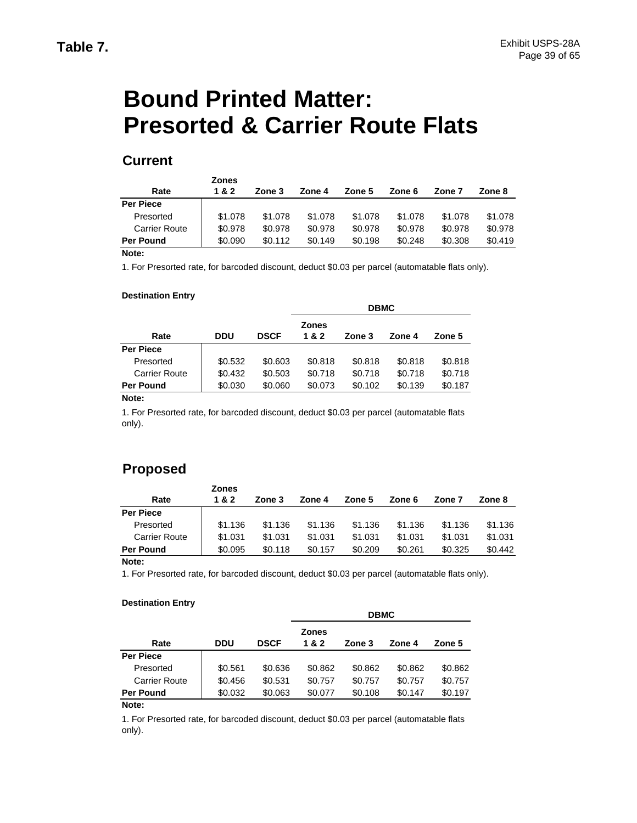# **Bound Printed Matter: Presorted & Carrier Route Flats**

## **Current**

|                      | <b>Zones</b> |         |         |         |         |         |         |
|----------------------|--------------|---------|---------|---------|---------|---------|---------|
| Rate                 | 1 & 2        | Zone 3  | Zone 4  | Zone 5  | Zone 6  | Zone 7  | Zone 8  |
| Per Piece            |              |         |         |         |         |         |         |
| Presorted            | \$1.078      | \$1,078 | \$1,078 | \$1,078 | \$1,078 | \$1,078 | \$1.078 |
| <b>Carrier Route</b> | \$0.978      | \$0.978 | \$0.978 | \$0.978 | \$0.978 | \$0.978 | \$0.978 |
| <b>Per Pound</b>     | \$0.090      | \$0.112 | \$0.149 | \$0.198 | \$0.248 | \$0.308 | \$0.419 |
| $\cdots$             |              |         |         |         |         |         |         |

### **Note:**

1. For Presorted rate, for barcoded discount, deduct \$0.03 per parcel (automatable flats only).

### **Destination Entry**

|                      |         |             |              | <b>DBMC</b> |         |         |
|----------------------|---------|-------------|--------------|-------------|---------|---------|
|                      |         |             | <b>Zones</b> |             |         |         |
| Rate                 | DDU     | <b>DSCF</b> | 1 & 2        | Zone 3      | Zone 4  | Zone 5  |
| <b>Per Piece</b>     |         |             |              |             |         |         |
| Presorted            | \$0.532 | \$0.603     | \$0.818      | \$0.818     | \$0.818 | \$0.818 |
| <b>Carrier Route</b> | \$0.432 | \$0.503     | \$0.718      | \$0.718     | \$0.718 | \$0.718 |
| <b>Per Pound</b>     | \$0.030 | \$0.060     | \$0.073      | \$0.102     | \$0.139 | \$0.187 |

#### **Note:**

1. For Presorted rate, for barcoded discount, deduct \$0.03 per parcel (automatable flats only).

## **Proposed**

|                      | <b>Zones</b> |         |         |         |         |         |         |
|----------------------|--------------|---------|---------|---------|---------|---------|---------|
| Rate                 | 1 & 2        | Zone 3  | Zone 4  | Zone 5  | Zone 6  | Zone 7  | Zone 8  |
| <b>Per Piece</b>     |              |         |         |         |         |         |         |
| Presorted            | \$1.136      | \$1.136 | \$1.136 | \$1.136 | \$1.136 | \$1.136 | \$1.136 |
| <b>Carrier Route</b> | \$1.031      | \$1.031 | \$1.031 | \$1.031 | \$1.031 | \$1.031 | \$1.031 |
| <b>Per Pound</b>     | \$0.095      | \$0.118 | \$0.157 | \$0.209 | \$0.261 | \$0.325 | \$0.442 |
| Note:                |              |         |         |         |         |         |         |

### 1. For Presorted rate, for barcoded discount, deduct \$0.03 per parcel (automatable flats only).

#### **Destination Entry**

|                      |            |             | <b>DBMC</b>  |         |         |         |  |  |
|----------------------|------------|-------------|--------------|---------|---------|---------|--|--|
|                      |            |             | <b>Zones</b> |         |         |         |  |  |
| Rate                 | <b>DDU</b> | <b>DSCF</b> | 1&2          | Zone 3  | Zone 4  | Zone 5  |  |  |
| <b>Per Piece</b>     |            |             |              |         |         |         |  |  |
| Presorted            | \$0.561    | \$0.636     | \$0.862      | \$0.862 | \$0.862 | \$0.862 |  |  |
| <b>Carrier Route</b> | \$0.456    | \$0.531     | \$0.757      | \$0.757 | \$0.757 | \$0.757 |  |  |
| <b>Per Pound</b>     | \$0.032    | \$0.063     | \$0.077      | \$0.108 | \$0.147 | \$0.197 |  |  |

**Note:**

1. For Presorted rate, for barcoded discount, deduct \$0.03 per parcel (automatable flats only).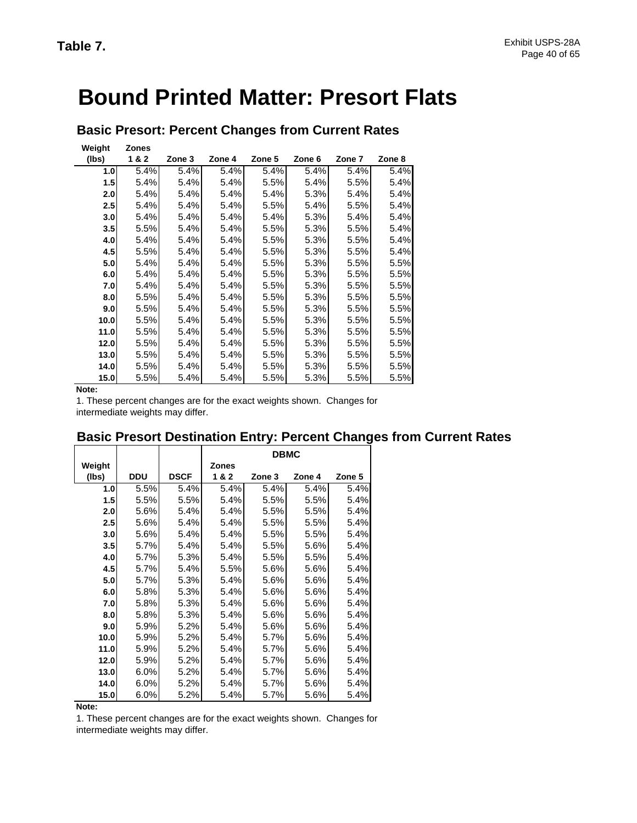# **Bound Printed Matter: Presort Flats**

| Weight<br>(lbs)  | <b>Zones</b><br>1&2 | Zone 3 | Zone 4 | Zone 5 | Zone 6 | Zone 7 | Zone 8 |
|------------------|---------------------|--------|--------|--------|--------|--------|--------|
| 1.0              | 5.4%                | 5.4%   | 5.4%   | 5.4%   | 5.4%   | 5.4%   | 5.4%   |
| $1.5$            | 5.4%                | 5.4%   | 5.4%   | 5.5%   | 5.4%   | 5.5%   | 5.4%   |
| 2.0              | 5.4%                | 5.4%   | 5.4%   | 5.4%   | 5.3%   | 5.4%   | 5.4%   |
| 2.5              | 5.4%                | 5.4%   | 5.4%   | 5.5%   | 5.4%   | 5.5%   | 5.4%   |
| 3.0 <sub>l</sub> | 5.4%                | 5.4%   | 5.4%   | 5.4%   | 5.3%   | 5.4%   | 5.4%   |
| 3.5              | 5.5%                | 5.4%   | 5.4%   | 5.5%   | 5.3%   | 5.5%   | 5.4%   |
| 4.0              | 5.4%                | 5.4%   | 5.4%   | 5.5%   | 5.3%   | 5.5%   | 5.4%   |
| 4.5              | 5.5%                | 5.4%   | 5.4%   | 5.5%   | 5.3%   | 5.5%   | 5.4%   |
| 5.0              | 5.4%                | 5.4%   | 5.4%   | 5.5%   | 5.3%   | 5.5%   | 5.5%   |
| 6.0              | 5.4%                | 5.4%   | 5.4%   | 5.5%   | 5.3%   | 5.5%   | 5.5%   |
| 7.0              | 5.4%                | 5.4%   | 5.4%   | 5.5%   | 5.3%   | 5.5%   | 5.5%   |
| 8.0              | 5.5%                | 5.4%   | 5.4%   | 5.5%   | 5.3%   | 5.5%   | 5.5%   |
| 9.0              | 5.5%                | 5.4%   | 5.4%   | 5.5%   | 5.3%   | 5.5%   | 5.5%   |
| 10.0             | 5.5%                | 5.4%   | 5.4%   | 5.5%   | 5.3%   | 5.5%   | 5.5%   |
| 11.0             | 5.5%                | 5.4%   | 5.4%   | 5.5%   | 5.3%   | 5.5%   | 5.5%   |
| 12.0             | 5.5%                | 5.4%   | 5.4%   | 5.5%   | 5.3%   | 5.5%   | 5.5%   |
| 13.0             | 5.5%                | 5.4%   | 5.4%   | 5.5%   | 5.3%   | 5.5%   | 5.5%   |
| 14.0             | 5.5%                | 5.4%   | 5.4%   | 5.5%   | 5.3%   | 5.5%   | 5.5%   |
| 15.0             | 5.5%                | 5.4%   | 5.4%   | 5.5%   | 5.3%   | 5.5%   | 5.5%   |

## **Basic Presort: Percent Changes from Current Rates**

**Note:**

1. These percent changes are for the exact weights shown. Changes for intermediate weights may differ.

|        |            |             | <b>DBMC</b>  |        |        |        |  |  |  |
|--------|------------|-------------|--------------|--------|--------|--------|--|--|--|
| Weight |            |             | <b>Zones</b> |        |        |        |  |  |  |
| (lbs)  | <b>DDU</b> | <b>DSCF</b> | 1&2          | Zone 3 | Zone 4 | Zone 5 |  |  |  |
| 1.0    | 5.5%       | 5.4%        | 5.4%         | 5.4%   | 5.4%   | 5.4%   |  |  |  |
| 1.5    | 5.5%       | 5.5%        | 5.4%         | 5.5%   | 5.5%   | 5.4%   |  |  |  |
| 2.0    | 5.6%       | 5.4%        | 5.4%         | 5.5%   | 5.5%   | 5.4%   |  |  |  |
| 2.5    | 5.6%       | 5.4%        | 5.4%         | 5.5%   | 5.5%   | 5.4%   |  |  |  |
| 3.0    | 5.6%       | 5.4%        | 5.4%         | 5.5%   | 5.5%   | 5.4%   |  |  |  |
| 3.5    | 5.7%       | 5.4%        | 5.4%         | 5.5%   | 5.6%   | 5.4%   |  |  |  |
| 4.0    | 5.7%       | 5.3%        | 5.4%         | 5.5%   | 5.5%   | 5.4%   |  |  |  |
| 4.5    | 5.7%       | 5.4%        | 5.5%         | 5.6%   | 5.6%   | 5.4%   |  |  |  |
| 5.0    | 5.7%       | 5.3%        | 5.4%         | 5.6%   | 5.6%   | 5.4%   |  |  |  |
| 6.0    | 5.8%       | 5.3%        | 5.4%         | 5.6%   | 5.6%   | 5.4%   |  |  |  |
| 7.0    | 5.8%       | 5.3%        | 5.4%         | 5.6%   | 5.6%   | 5.4%   |  |  |  |
| 8.0    | 5.8%       | 5.3%        | 5.4%         | 5.6%   | 5.6%   | 5.4%   |  |  |  |
| 9.0    | 5.9%       | 5.2%        | 5.4%         | 5.6%   | 5.6%   | 5.4%   |  |  |  |
| 10.0   | 5.9%       | 5.2%        | 5.4%         | 5.7%   | 5.6%   | 5.4%   |  |  |  |
| 11.0   | 5.9%       | 5.2%        | 5.4%         | 5.7%   | 5.6%   | 5.4%   |  |  |  |
| 12.0   | 5.9%       | 5.2%        | 5.4%         | 5.7%   | 5.6%   | 5.4%   |  |  |  |
| 13.0   | 6.0%       | 5.2%        | 5.4%         | 5.7%   | 5.6%   | 5.4%   |  |  |  |
| 14.0   | 6.0%       | 5.2%        | 5.4%         | 5.7%   | 5.6%   | 5.4%   |  |  |  |
| 15.0   | 6.0%       | 5.2%        | 5.4%         | 5.7%   | 5.6%   | 5.4%   |  |  |  |

## **Basic Presort Destination Entry: Percent Changes from Current Rates**

**Note:**

1. These percent changes are for the exact weights shown. Changes for intermediate weights may differ.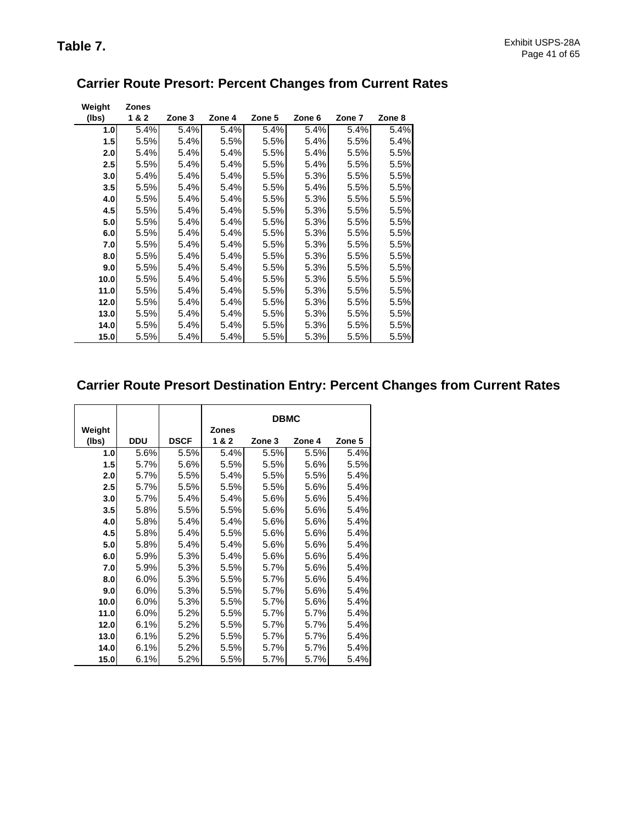| Weight  | <b>Zones</b> |        |        |        |        |        |        |
|---------|--------------|--------|--------|--------|--------|--------|--------|
| (lbs)   | 1&2          | Zone 3 | Zone 4 | Zone 5 | Zone 6 | Zone 7 | Zone 8 |
| 1.0     | 5.4%         | 5.4%   | 5.4%   | 5.4%   | 5.4%   | 5.4%   | 5.4%   |
| 1.5     | 5.5%         | 5.4%   | 5.5%   | 5.5%   | 5.4%   | 5.5%   | 5.4%   |
| 2.0     | 5.4%         | 5.4%   | 5.4%   | 5.5%   | 5.4%   | 5.5%   | 5.5%   |
| $2.5\,$ | 5.5%         | 5.4%   | 5.4%   | 5.5%   | 5.4%   | 5.5%   | 5.5%   |
| 3.0     | 5.4%         | 5.4%   | 5.4%   | 5.5%   | 5.3%   | 5.5%   | 5.5%   |
| 3.5     | 5.5%         | 5.4%   | 5.4%   | 5.5%   | 5.4%   | 5.5%   | 5.5%   |
| 4.0     | 5.5%         | 5.4%   | 5.4%   | 5.5%   | 5.3%   | 5.5%   | 5.5%   |
| 4.5     | 5.5%         | 5.4%   | 5.4%   | 5.5%   | 5.3%   | 5.5%   | 5.5%   |
| 5.0     | 5.5%         | 5.4%   | 5.4%   | 5.5%   | 5.3%   | 5.5%   | 5.5%   |
| 6.0     | 5.5%         | 5.4%   | 5.4%   | 5.5%   | 5.3%   | 5.5%   | 5.5%   |
| 7.0     | 5.5%         | 5.4%   | 5.4%   | 5.5%   | 5.3%   | 5.5%   | 5.5%   |
| 8.0     | 5.5%         | 5.4%   | 5.4%   | 5.5%   | 5.3%   | 5.5%   | 5.5%   |
| 9.0     | 5.5%         | 5.4%   | 5.4%   | 5.5%   | 5.3%   | 5.5%   | 5.5%   |
| 10.0    | 5.5%         | 5.4%   | 5.4%   | 5.5%   | 5.3%   | 5.5%   | 5.5%   |
| 11.0    | 5.5%         | 5.4%   | 5.4%   | 5.5%   | 5.3%   | 5.5%   | 5.5%   |
| 12.0    | 5.5%         | 5.4%   | 5.4%   | 5.5%   | 5.3%   | 5.5%   | 5.5%   |
| 13.0    | 5.5%         | 5.4%   | 5.4%   | 5.5%   | 5.3%   | 5.5%   | 5.5%   |
| 14.0    | 5.5%         | 5.4%   | 5.4%   | 5.5%   | 5.3%   | 5.5%   | 5.5%   |
| 15.0    | 5.5%         | 5.4%   | 5.4%   | 5.5%   | 5.3%   | 5.5%   | 5.5%   |

## **Carrier Route Presort: Percent Changes from Current Rates**

## **Carrier Route Presort Destination Entry: Percent Changes from Current Rates**

|        |            |             |              | <b>DBMC</b> |        |        |
|--------|------------|-------------|--------------|-------------|--------|--------|
| Weight |            |             | <b>Zones</b> |             |        |        |
| (Ibs)  | <b>DDU</b> | <b>DSCF</b> | 1&2          | Zone 3      | Zone 4 | Zone 5 |
| 1.0    | 5.6%       | 5.5%        | 5.4%         | 5.5%        | 5.5%   | 5.4%   |
| 1.5    | 5.7%       | 5.6%        | 5.5%         | 5.5%        | 5.6%   | 5.5%   |
| 2.0    | 5.7%       | 5.5%        | 5.4%         | 5.5%        | 5.5%   | 5.4%   |
| 2.5    | 5.7%       | 5.5%        | 5.5%         | 5.5%        | 5.6%   | 5.4%   |
| 3.0    | 5.7%       | 5.4%        | 5.4%         | 5.6%        | 5.6%   | 5.4%   |
| 3.5    | 5.8%       | 5.5%        | 5.5%         | 5.6%        | 5.6%   | 5.4%   |
| 4.0    | 5.8%       | 5.4%        | 5.4%         | 5.6%        | 5.6%   | 5.4%   |
| 4.5    | 5.8%       | 5.4%        | 5.5%         | 5.6%        | 5.6%   | 5.4%   |
| 5.0    | 5.8%       | 5.4%        | 5.4%         | 5.6%        | 5.6%   | 5.4%   |
| 6.0    | 5.9%       | 5.3%        | 5.4%         | 5.6%        | 5.6%   | 5.4%   |
| 7.0    | 5.9%       | 5.3%        | 5.5%         | 5.7%        | 5.6%   | 5.4%   |
| 8.0    | 6.0%       | 5.3%        | 5.5%         | 5.7%        | 5.6%   | 5.4%   |
| 9.0    | 6.0%       | 5.3%        | 5.5%         | 5.7%        | 5.6%   | 5.4%   |
| 10.0   | 6.0%       | 5.3%        | 5.5%         | 5.7%        | 5.6%   | 5.4%   |
| 11.0   | 6.0%       | 5.2%        | 5.5%         | 5.7%        | 5.7%   | 5.4%   |
| 12.0   | 6.1%       | 5.2%        | 5.5%         | 5.7%        | 5.7%   | 5.4%   |
| 13.0   | 6.1%       | 5.2%        | 5.5%         | 5.7%        | 5.7%   | 5.4%   |
| 14.0   | 6.1%       | 5.2%        | 5.5%         | 5.7%        | 5.7%   | 5.4%   |
| 15.0   | 6.1%       | 5.2%        | 5.5%         | 5.7%        | 5.7%   | 5.4%   |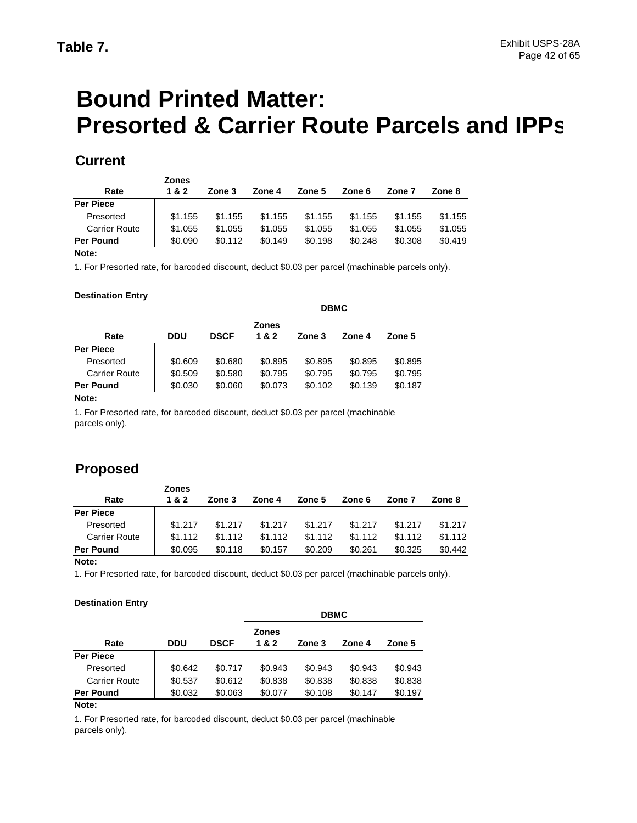# **Bound Printed Matter: Presorted & Carrier Route Parcels and IPPs**

## **Current**

| <b>Zones</b> |         |         |         |         |         |         |
|--------------|---------|---------|---------|---------|---------|---------|
| 1 & 2        | Zone 3  | Zone 4  | Zone 5  | Zone 6  | Zone 7  | Zone 8  |
|              |         |         |         |         |         |         |
| \$1.155      | \$1.155 | \$1.155 | \$1.155 | \$1.155 | \$1.155 | \$1.155 |
| \$1.055      | \$1.055 | \$1.055 | \$1.055 | \$1.055 | \$1.055 | \$1.055 |
| \$0.090      | \$0.112 | \$0.149 | \$0.198 | \$0.248 | \$0.308 | \$0.419 |
|              |         |         |         |         |         |         |

### **Note:**

1. For Presorted rate, for barcoded discount, deduct \$0.03 per parcel (machinable parcels only).

### **Destination Entry**

|                      |         |             | <b>DBMC</b>         |         |         |         |  |
|----------------------|---------|-------------|---------------------|---------|---------|---------|--|
| Rate                 | DDU     | <b>DSCF</b> | <b>Zones</b><br>1&2 | Zone 3  | Zone 4  | Zone 5  |  |
| <b>Per Piece</b>     |         |             |                     |         |         |         |  |
| Presorted            | \$0.609 | \$0.680     | \$0.895             | \$0.895 | \$0.895 | \$0.895 |  |
| <b>Carrier Route</b> | \$0.509 | \$0.580     | \$0.795             | \$0.795 | \$0.795 | \$0.795 |  |
| Per Pound            | \$0.030 | \$0.060     | \$0.073             | \$0.102 | \$0.139 | \$0.187 |  |

#### **Note:**

1. For Presorted rate, for barcoded discount, deduct \$0.03 per parcel (machinable parcels only).

## **Proposed**

|                      | <b>Zones</b> |         |         |         |         |         |         |
|----------------------|--------------|---------|---------|---------|---------|---------|---------|
| Rate                 | 1&2          | Zone 3  | Zone 4  | Zone 5  | Zone 6  | Zone 7  | Zone 8  |
| <b>Per Piece</b>     |              |         |         |         |         |         |         |
| Presorted            | \$1.217      | \$1,217 | \$1.217 | \$1.217 | \$1.217 | \$1.217 | \$1.217 |
| <b>Carrier Route</b> | \$1.112      | \$1.112 | \$1.112 | \$1.112 | \$1.112 | \$1.112 | \$1.112 |
| <b>Per Pound</b>     | \$0.095      | \$0.118 | \$0.157 | \$0.209 | \$0.261 | \$0.325 | \$0.442 |
| Nato-                |              |         |         |         |         |         |         |

#### **Note:**

1. For Presorted rate, for barcoded discount, deduct \$0.03 per parcel (machinable parcels only).

### **Destination Entry**

|                      |         |             | <b>DBMC</b>         |         |         |         |  |
|----------------------|---------|-------------|---------------------|---------|---------|---------|--|
| Rate                 | DDU     | <b>DSCF</b> | <b>Zones</b><br>1&2 | Zone 3  | Zone 4  | Zone 5  |  |
| <b>Per Piece</b>     |         |             |                     |         |         |         |  |
| Presorted            | \$0.642 | \$0.717     | \$0.943             | \$0.943 | \$0.943 | \$0.943 |  |
| <b>Carrier Route</b> | \$0.537 | \$0.612     | \$0.838             | \$0.838 | \$0.838 | \$0.838 |  |
| <b>Per Pound</b>     | \$0.032 | \$0.063     | \$0.077             | \$0.108 | \$0.147 | \$0.197 |  |

**Note:**

1. For Presorted rate, for barcoded discount, deduct \$0.03 per parcel (machinable parcels only).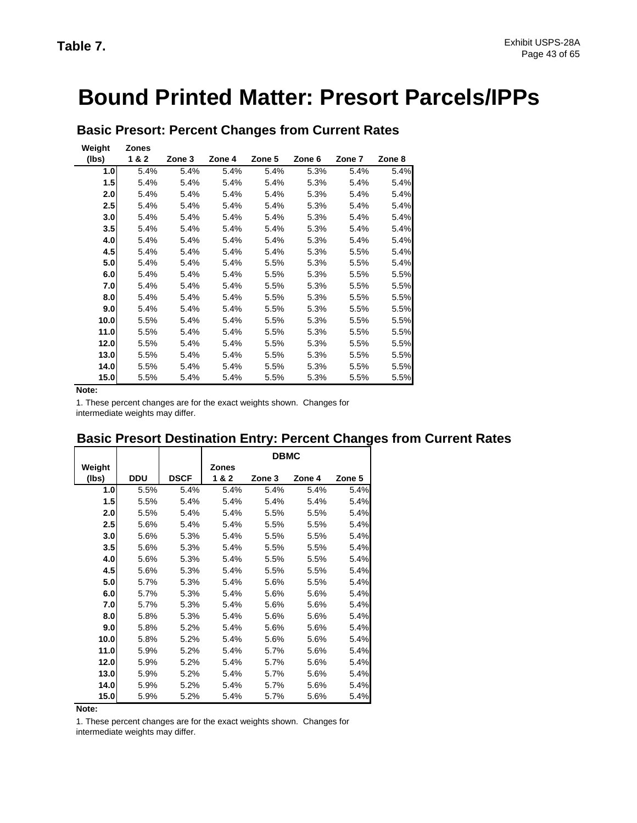# **Bound Printed Matter: Presort Parcels/IPPs**

| Weight<br>(lbs) | <b>Zones</b><br>1&2 | Zone 3 | Zone 4 | Zone 5 | Zone 6 | Zone 7 | Zone 8 |
|-----------------|---------------------|--------|--------|--------|--------|--------|--------|
| 1.0             | 5.4%                | 5.4%   | 5.4%   | 5.4%   | 5.3%   | 5.4%   | 5.4%   |
| 1.5             | 5.4%                | 5.4%   | 5.4%   | 5.4%   | 5.3%   | 5.4%   | 5.4%   |
| 2.0             | 5.4%                | 5.4%   | 5.4%   | 5.4%   | 5.3%   | 5.4%   | 5.4%   |
| 2.5             | 5.4%                | 5.4%   | 5.4%   | 5.4%   | 5.3%   | 5.4%   | 5.4%   |
| 3.0             | 5.4%                | 5.4%   | 5.4%   | 5.4%   | 5.3%   | 5.4%   | 5.4%   |
| 3.5             | 5.4%                | 5.4%   | 5.4%   | 5.4%   | 5.3%   | 5.4%   | 5.4%   |
| 4.0             | 5.4%                | 5.4%   | 5.4%   | 5.4%   | 5.3%   | 5.4%   | 5.4%   |
| 4.5             | 5.4%                | 5.4%   | 5.4%   | 5.4%   | 5.3%   | 5.5%   | 5.4%   |
| 5.0             | 5.4%                | 5.4%   | 5.4%   | 5.5%   | 5.3%   | 5.5%   | 5.4%   |
| 6.0             | 5.4%                | 5.4%   | 5.4%   | 5.5%   | 5.3%   | 5.5%   | 5.5%   |
| 7.0             | 5.4%                | 5.4%   | 5.4%   | 5.5%   | 5.3%   | 5.5%   | 5.5%   |
| 8.0             | 5.4%                | 5.4%   | 5.4%   | 5.5%   | 5.3%   | 5.5%   | 5.5%   |
| 9.0             | 5.4%                | 5.4%   | 5.4%   | 5.5%   | 5.3%   | 5.5%   | 5.5%   |
| 10.0            | 5.5%                | 5.4%   | 5.4%   | 5.5%   | 5.3%   | 5.5%   | 5.5%   |
| 11.0            | 5.5%                | 5.4%   | 5.4%   | 5.5%   | 5.3%   | 5.5%   | 5.5%   |
| 12.0            | 5.5%                | 5.4%   | 5.4%   | 5.5%   | 5.3%   | 5.5%   | 5.5%   |
| 13.0            | 5.5%                | 5.4%   | 5.4%   | 5.5%   | 5.3%   | 5.5%   | 5.5%   |
| 14.0            | 5.5%                | 5.4%   | 5.4%   | 5.5%   | 5.3%   | 5.5%   | 5.5%   |
| 15.0            | 5.5%                | 5.4%   | 5.4%   | 5.5%   | 5.3%   | 5.5%   | 5.5%   |

**Basic Presort: Percent Changes from Current Rates**

**Note:**

1. These percent changes are for the exact weights shown. Changes for intermediate weights may differ.

## **Basic Presort Destination Entry: Percent Changes from Current Rates**

|        |            |             |              | <b>DBMC</b> |        |        |
|--------|------------|-------------|--------------|-------------|--------|--------|
| Weight |            |             | <b>Zones</b> |             |        |        |
| (Ibs)  | <b>DDU</b> | <b>DSCF</b> | 1&2          | Zone 3      | Zone 4 | Zone 5 |
| 1.0    | 5.5%       | 5.4%        | 5.4%         | 5.4%        | 5.4%   | 5.4%   |
| 1.5    | 5.5%       | 5.4%        | 5.4%         | 5.4%        | 5.4%   | 5.4%   |
| 2.0    | 5.5%       | 5.4%        | 5.4%         | 5.5%        | 5.5%   | 5.4%   |
| 2.5    | 5.6%       | 5.4%        | 5.4%         | 5.5%        | 5.5%   | 5.4%   |
| 3.0    | 5.6%       | 5.3%        | 5.4%         | 5.5%        | 5.5%   | 5.4%   |
| 3.5    | 5.6%       | 5.3%        | 5.4%         | 5.5%        | 5.5%   | 5.4%   |
| 4.0    | 5.6%       | 5.3%        | 5.4%         | 5.5%        | 5.5%   | 5.4%   |
| 4.5    | 5.6%       | 5.3%        | 5.4%         | 5.5%        | 5.5%   | 5.4%   |
| 5.0    | 5.7%       | 5.3%        | 5.4%         | 5.6%        | 5.5%   | 5.4%   |
| 6.0    | 5.7%       | 5.3%        | 5.4%         | 5.6%        | 5.6%   | 5.4%   |
| 7.0    | 5.7%       | 5.3%        | 5.4%         | 5.6%        | 5.6%   | 5.4%   |
| 8.0    | 5.8%       | 5.3%        | 5.4%         | 5.6%        | 5.6%   | 5.4%   |
| 9.0    | 5.8%       | 5.2%        | 5.4%         | 5.6%        | 5.6%   | 5.4%   |
| 10.0   | 5.8%       | 5.2%        | 5.4%         | 5.6%        | 5.6%   | 5.4%   |
| 11.0   | 5.9%       | 5.2%        | 5.4%         | 5.7%        | 5.6%   | 5.4%   |
| 12.0   | 5.9%       | 5.2%        | 5.4%         | 5.7%        | 5.6%   | 5.4%   |
| 13.0   | 5.9%       | 5.2%        | 5.4%         | 5.7%        | 5.6%   | 5.4%   |
| 14.0   | 5.9%       | 5.2%        | 5.4%         | 5.7%        | 5.6%   | 5.4%   |
| 15.0   | 5.9%       | 5.2%        | 5.4%         | 5.7%        | 5.6%   | 5.4%   |

**Note:**

1. These percent changes are for the exact weights shown. Changes for intermediate weights may differ.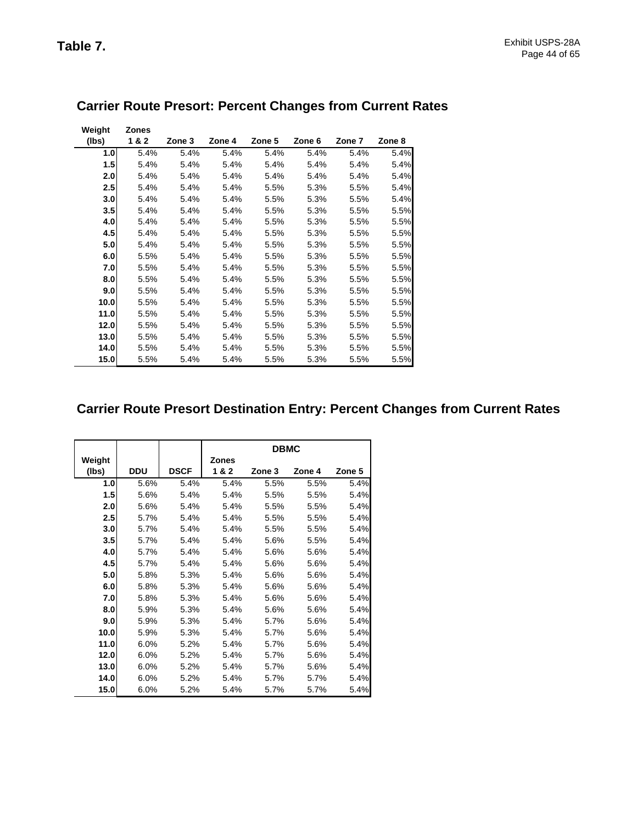| Weight           | <b>Zones</b> |        |        |        |        |         |        |
|------------------|--------------|--------|--------|--------|--------|---------|--------|
| (lbs)            | 1&2          | Zone 3 | Zone 4 | Zone 5 | Zone 6 | Zone 7  | Zone 8 |
| 1.0 <sub>l</sub> | 5.4%         | 5.4%   | 5.4%   | 5.4%   | 5.4%   | 5.4%    | 5.4%   |
| 1.5              | 5.4%         | 5.4%   | 5.4%   | 5.4%   | 5.4%   | 5.4%    | 5.4%   |
| 2.0              | 5.4%         | 5.4%   | 5.4%   | 5.4%   | 5.4%   | 5.4%    | 5.4%   |
| 2.5              | 5.4%         | 5.4%   | 5.4%   | 5.5%   | 5.3%   | 5.5%    | 5.4%   |
| 3.0              | 5.4%         | 5.4%   | 5.4%   | 5.5%   | 5.3%   | 5.5%    | 5.4%   |
| 3.5              | 5.4%         | 5.4%   | 5.4%   | 5.5%   | 5.3%   | 5.5%    | 5.5%   |
| 4.0              | 5.4%         | 5.4%   | 5.4%   | 5.5%   | 5.3%   | 5.5%    | 5.5%   |
| 4.5              | 5.4%         | 5.4%   | 5.4%   | 5.5%   | 5.3%   | 5.5%    | 5.5%   |
| 5.0              | 5.4%         | 5.4%   | 5.4%   | 5.5%   | 5.3%   | 5.5%    | 5.5%   |
| 6.0              | 5.5%         | 5.4%   | 5.4%   | 5.5%   | 5.3%   | 5.5%    | 5.5%   |
| 7.0              | 5.5%         | 5.4%   | 5.4%   | 5.5%   | 5.3%   | $5.5\%$ | 5.5%   |
| 8.0              | 5.5%         | 5.4%   | 5.4%   | 5.5%   | 5.3%   | 5.5%    | 5.5%   |
| 9.0              | 5.5%         | 5.4%   | 5.4%   | 5.5%   | 5.3%   | 5.5%    | 5.5%   |
| 10.0             | 5.5%         | 5.4%   | 5.4%   | 5.5%   | 5.3%   | 5.5%    | 5.5%   |
| 11.0             | 5.5%         | 5.4%   | 5.4%   | 5.5%   | 5.3%   | 5.5%    | 5.5%   |
| 12.0             | 5.5%         | 5.4%   | 5.4%   | 5.5%   | 5.3%   | 5.5%    | 5.5%   |
| 13.0             | 5.5%         | 5.4%   | 5.4%   | 5.5%   | 5.3%   | 5.5%    | 5.5%   |
| 14.0             | 5.5%         | 5.4%   | 5.4%   | 5.5%   | 5.3%   | 5.5%    | 5.5%   |
| 15.0             | 5.5%         | 5.4%   | 5.4%   | 5.5%   | 5.3%   | 5.5%    | 5.5%   |

# **Carrier Route Presort: Percent Changes from Current Rates**

# **Carrier Route Presort Destination Entry: Percent Changes from Current Rates**

|        |            |             |              | <b>DBMC</b> |        |        |
|--------|------------|-------------|--------------|-------------|--------|--------|
| Weight |            |             | <b>Zones</b> |             |        |        |
| (lbs)  | <b>DDU</b> | <b>DSCF</b> | 1&2          | Zone 3      | Zone 4 | Zone 5 |
| 1.0    | 5.6%       | 5.4%        | 5.4%         | 5.5%        | 5.5%   | 5.4%   |
| 1.5    | 5.6%       | 5.4%        | 5.4%         | 5.5%        | 5.5%   | 5.4%   |
| 2.0    | 5.6%       | 5.4%        | 5.4%         | 5.5%        | 5.5%   | 5.4%   |
| 2.5    | 5.7%       | 5.4%        | 5.4%         | 5.5%        | 5.5%   | 5.4%   |
| 3.0    | 5.7%       | 5.4%        | 5.4%         | 5.5%        | 5.5%   | 5.4%   |
| 3.5    | 5.7%       | 5.4%        | 5.4%         | 5.6%        | 5.5%   | 5.4%   |
| 4.0    | 5.7%       | 5.4%        | 5.4%         | 5.6%        | 5.6%   | 5.4%   |
| 4.5    | 5.7%       | 5.4%        | 5.4%         | 5.6%        | 5.6%   | 5.4%   |
| 5.0    | 5.8%       | 5.3%        | 5.4%         | 5.6%        | 5.6%   | 5.4%   |
| 6.0    | 5.8%       | 5.3%        | 5.4%         | 5.6%        | 5.6%   | 5.4%   |
| 7.0    | 5.8%       | 5.3%        | 5.4%         | 5.6%        | 5.6%   | 5.4%   |
| 8.0    | 5.9%       | 5.3%        | 5.4%         | 5.6%        | 5.6%   | 5.4%   |
| 9.0    | 5.9%       | 5.3%        | 5.4%         | 5.7%        | 5.6%   | 5.4%   |
| 10.0   | 5.9%       | 5.3%        | 5.4%         | 5.7%        | 5.6%   | 5.4%   |
| 11.0   | 6.0%       | 5.2%        | 5.4%         | 5.7%        | 5.6%   | 5.4%   |
| 12.0   | 6.0%       | 5.2%        | 5.4%         | 5.7%        | 5.6%   | 5.4%   |
| 13.0   | 6.0%       | 5.2%        | 5.4%         | 5.7%        | 5.6%   | 5.4%   |
| 14.0   | 6.0%       | 5.2%        | 5.4%         | 5.7%        | 5.7%   | 5.4%   |
| 15.0   | 6.0%       | 5.2%        | 5.4%         | 5.7%        | 5.7%   | 5.4%   |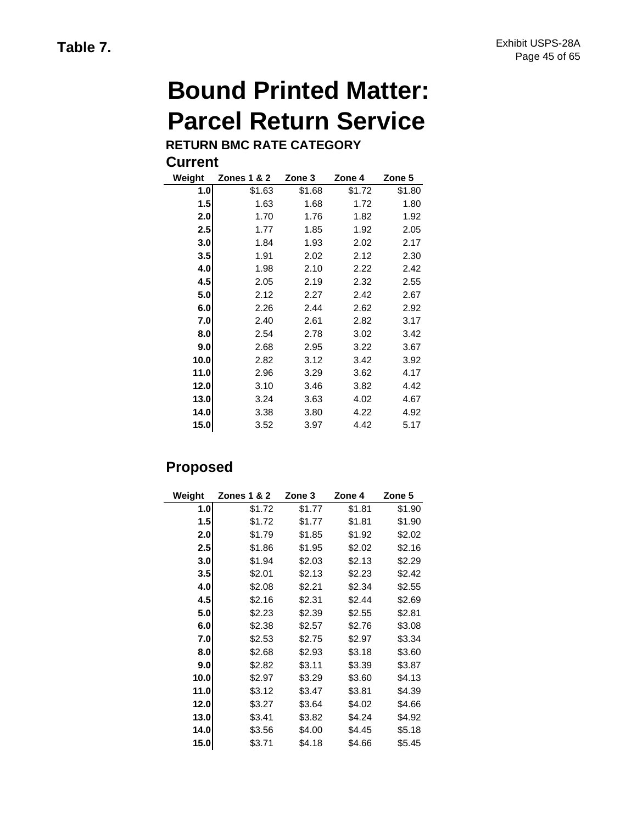# **Bound Printed Matter: Parcel Return Service**

**RETURN BMC RATE CATEGORY**

| Weight | Zones 1 & 2 | Zone 3 | Zone 4 | Zone 5 |
|--------|-------------|--------|--------|--------|
| 1.0    | \$1.63      | \$1.68 | \$1.72 | \$1.80 |
| 1.5    | 1.63        | 1.68   | 1.72   | 1.80   |
| 2.0    | 1.70        | 1.76   | 1.82   | 1.92   |
| 2.5    | 1.77        | 1.85   | 1.92   | 2.05   |
| 3.0    | 1.84        | 1.93   | 2.02   | 2.17   |
| 3.5    | 1.91        | 2.02   | 2.12   | 2.30   |
| 4.0    | 1.98        | 2.10   | 2.22   | 2.42   |
| 4.5    | 2.05        | 2.19   | 2.32   | 2.55   |
| 5.0    | 2.12        | 2.27   | 2.42   | 2.67   |
| 6.0    | 2.26        | 2.44   | 2.62   | 2.92   |
| 7.0    | 2.40        | 2.61   | 2.82   | 3.17   |
| 8.0    | 2.54        | 2.78   | 3.02   | 3.42   |
| 9.0    | 2.68        | 2.95   | 3.22   | 3.67   |
| 10.0   | 2.82        | 3.12   | 3.42   | 3.92   |
| 11.0   | 2.96        | 3.29   | 3.62   | 4.17   |
| 12.0   | 3.10        | 3.46   | 3.82   | 4.42   |
| 13.0   | 3.24        | 3.63   | 4.02   | 4.67   |
| 14.0   | 3.38        | 3.80   | 4.22   | 4.92   |
| 15.0   | 3.52        | 3.97   | 4.42   | 5.17   |

# **Proposed**

| Weight | <b>Zones 1 &amp; 2</b> | Zone 3 | Zone 4 | Zone 5 |
|--------|------------------------|--------|--------|--------|
| 1.0    | \$1.72                 | \$1.77 | \$1.81 | \$1.90 |
| 1.5    | \$1.72                 | \$1.77 | \$1.81 | \$1.90 |
| 2.0    | \$1.79                 | \$1.85 | \$1.92 | \$2.02 |
| 2.5    | \$1.86                 | \$1.95 | \$2.02 | \$2.16 |
| 3.0    | \$1.94                 | \$2.03 | \$2.13 | \$2.29 |
| 3.5    | \$2.01                 | \$2.13 | \$2.23 | \$2.42 |
| 4.0    | \$2.08                 | \$2.21 | \$2.34 | \$2.55 |
| 4.5    | \$2.16                 | \$2.31 | \$2.44 | \$2.69 |
| 5.0    | \$2.23                 | \$2.39 | \$2.55 | \$2.81 |
| 6.0    | \$2.38                 | \$2.57 | \$2.76 | \$3.08 |
| 7.0    | \$2.53                 | \$2.75 | \$2.97 | \$3.34 |
| 8.0    | \$2.68                 | \$2.93 | \$3.18 | \$3.60 |
| 9.0    | \$2.82                 | \$3.11 | \$3.39 | \$3.87 |
| 10.0   | \$2.97                 | \$3.29 | \$3.60 | \$4.13 |
| 11.0   | \$3.12                 | \$3.47 | \$3.81 | \$4.39 |
| 12.0   | \$3.27                 | \$3.64 | \$4.02 | \$4.66 |
| 13.0   | \$3.41                 | \$3.82 | \$4.24 | \$4.92 |
| 14.0   | \$3.56                 | \$4.00 | \$4.45 | \$5.18 |
| 15.0   | \$3.71                 | \$4.18 | \$4.66 | \$5.45 |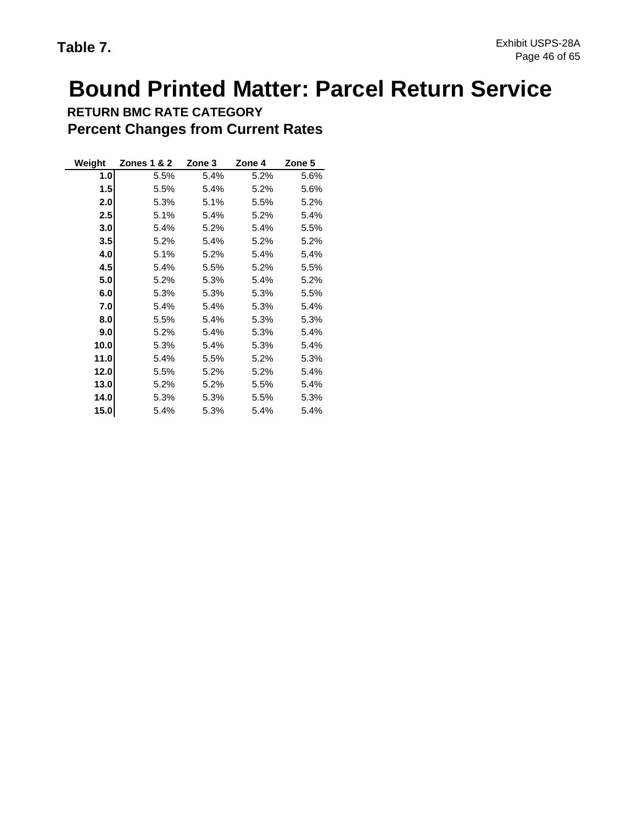# **Bound Printed Matter: Parcel Return Service**

| <b>RETURN BMC RATE CATEGORY</b>           |
|-------------------------------------------|
| <b>Percent Changes from Current Rates</b> |

| Weight | Zones 1 & 2 | Zone 3 | Zone 4 | Zone 5 |
|--------|-------------|--------|--------|--------|
| 1.0    | 5.5%        | 5.4%   | 5.2%   | 5.6%   |
| 1.5    | 5.5%        | 5.4%   | 5.2%   | 5.6%   |
| 2.0    | 5.3%        | 5.1%   | 5.5%   | 5.2%   |
| 2.5    | 5.1%        | 5.4%   | 5.2%   | 5.4%   |
| 3.0    | 5.4%        | 5.2%   | 5.4%   | 5.5%   |
| 3.5    | 5.2%        | 5.4%   | 5.2%   | 5.2%   |
| 4.0    | 5.1%        | 5.2%   | 5.4%   | 5.4%   |
| 4.5    | 5.4%        | 5.5%   | 5.2%   | 5.5%   |
| 5.0    | 5.2%        | 5.3%   | 5.4%   | 5.2%   |
| 6.0    | 5.3%        | 5.3%   | 5.3%   | 5.5%   |
| 7.0    | 5.4%        | 5.4%   | 5.3%   | 5.4%   |
| 8.0    | 5.5%        | 5.4%   | 5.3%   | 5.3%   |
| 9.0    | 5.2%        | 5.4%   | 5.3%   | 5.4%   |
| 10.0   | 5.3%        | 5.4%   | 5.3%   | 5.4%   |
| 11.0   | 5.4%        | 5.5%   | 5.2%   | 5.3%   |
| 12.0   | 5.5%        | 5.2%   | 5.2%   | 5.4%   |
| 13.0   | 5.2%        | 5.2%   | 5.5%   | 5.4%   |
| 14.0   | 5.3%        | 5.3%   | 5.5%   | 5.3%   |
| 15.0   | 5.4%        | 5.3%   | 5.4%   | 5.4%   |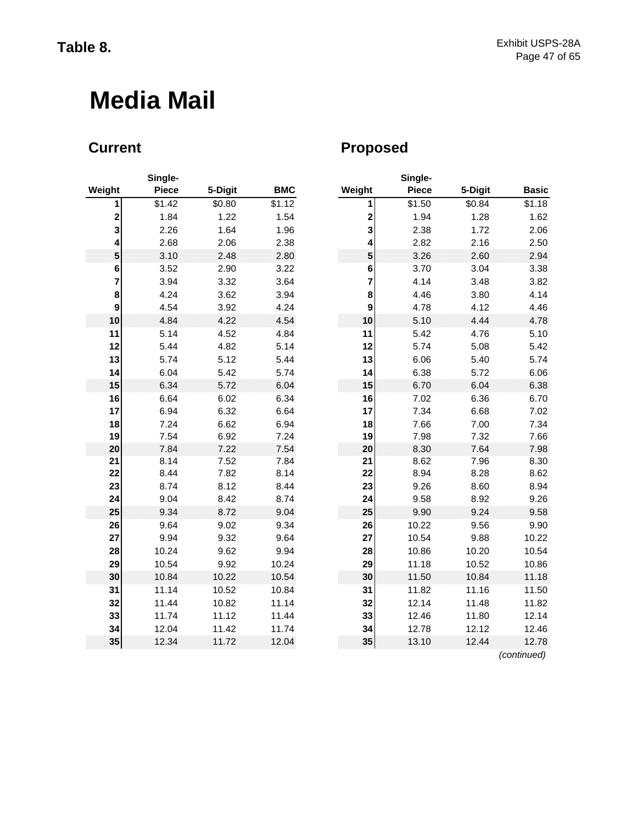# **Media Mail**

| Weight      | Single-<br><b>Piece</b> | 5-Digit      | <b>BMC</b>   | Weight                  |
|-------------|-------------------------|--------------|--------------|-------------------------|
| 1           | \$1.42                  | \$0.80       | \$1.12       | 1                       |
| $\mathbf 2$ | 1.84                    | 1.22         | 1.54         | $\overline{\mathbf{c}}$ |
| 3           | 2.26                    | 1.64         | 1.96         | 3                       |
| 4           | 2.68                    | 2.06         | 2.38         | 4                       |
| 5           | 3.10                    | 2.48         | 2.80         | 5                       |
| 6           | 3.52                    | 2.90         | 3.22         | 6                       |
| 7           | 3.94                    | 3.32         | 3.64         | 7                       |
| 8           | 4.24                    | 3.62         | 3.94         | 8                       |
| 9           | 4.54                    | 3.92         | 4.24         | 9                       |
| 10          | 4.84                    | 4.22         | 4.54         | 10                      |
| 11          | 5.14                    | 4.52         | 4.84         | 11                      |
| 12          | 5.44                    | 4.82         | 5.14         | 12                      |
| 13          | 5.74                    | 5.12         | 5.44         | 13                      |
| 14<br>15    | 6.04                    | 5.42<br>5.72 | 5.74         | 14<br>15                |
| 16          | 6.34<br>6.64            |              | 6.04<br>6.34 | 16                      |
| 17          | 6.94                    | 6.02<br>6.32 | 6.64         | 17                      |
| 18          | 7.24                    | 6.62         | 6.94         | 18                      |
| 19          | 7.54                    | 6.92         | 7.24         | 19                      |
| 20          | 7.84                    | 7.22         | 7.54         | 20                      |
| 21          | 8.14                    | 7.52         | 7.84         | 21                      |
| 22          | 8.44                    | 7.82         | 8.14         | 22                      |
| 23          | 8.74                    | 8.12         | 8.44         | 23                      |
| 24          | 9.04                    | 8.42         | 8.74         | 24                      |
| 25          | 9.34                    | 8.72         | 9.04         | 25                      |
| 26          | 9.64                    | 9.02         | 9.34         | 26                      |
| 27          | 9.94                    | 9.32         | 9.64         | 27                      |
| 28          | 10.24                   | 9.62         | 9.94         | 28                      |
| 29          | 10.54                   | 9.92         | 10.24        | 29                      |
| 30          | 10.84                   | 10.22        | 10.54        | 30                      |
| 31          | 11.14                   | 10.52        | 10.84        | 31                      |
| 32          | 11.44                   | 10.82        | 11.14        | 32                      |
| 33          | 11.74                   | 11.12        | 11.44        | 33                      |
| 34          | 12.04                   | 11.42        | 11.74        | 34                      |
| 35          | 12.34                   | 11.72        | 12.04        | 35                      |

# **Current Current Proposed**

|                         | Single-      |         |            |                         | Single-      |         |              |
|-------------------------|--------------|---------|------------|-------------------------|--------------|---------|--------------|
| ∣ht                     | <b>Piece</b> | 5-Digit | <b>BMC</b> | Weight                  | <b>Piece</b> | 5-Digit | <b>Basic</b> |
| $\mathbf{1}$            | \$1.42       | \$0.80  | \$1.12     | 1                       | \$1.50       | \$0.84  | \$1.18       |
| $\mathbf 2$             | 1.84         | 1.22    | 1.54       | $\overline{\mathbf{c}}$ | 1.94         | 1.28    | 1.62         |
| 3                       | 2.26         | 1.64    | 1.96       | 3                       | 2.38         | 1.72    | 2.06         |
| 4                       | 2.68         | 2.06    | 2.38       | 4                       | 2.82         | 2.16    | 2.50         |
| 5                       | 3.10         | 2.48    | 2.80       | 5                       | 3.26         | 2.60    | 2.94         |
| 6                       | 3.52         | 2.90    | 3.22       | 6                       | 3.70         | 3.04    | 3.38         |
| $\overline{\mathbf{r}}$ | 3.94         | 3.32    | 3.64       | 7                       | 4.14         | 3.48    | 3.82         |
| 8                       | 4.24         | 3.62    | 3.94       | 8                       | 4.46         | 3.80    | 4.14         |
| 9                       | 4.54         | 3.92    | 4.24       | 9                       | 4.78         | 4.12    | 4.46         |
| 10                      | 4.84         | 4.22    | 4.54       | 10                      | 5.10         | 4.44    | 4.78         |
| 11                      | 5.14         | 4.52    | 4.84       | 11                      | 5.42         | 4.76    | 5.10         |
| 12                      | 5.44         | 4.82    | 5.14       | 12                      | 5.74         | 5.08    | 5.42         |
| 13                      | 5.74         | 5.12    | 5.44       | 13                      | 6.06         | 5.40    | 5.74         |
| 14                      | 6.04         | 5.42    | 5.74       | 14                      | 6.38         | 5.72    | 6.06         |
| 15                      | 6.34         | 5.72    | 6.04       | 15                      | 6.70         | 6.04    | 6.38         |
| 16                      | 6.64         | 6.02    | 6.34       | 16                      | 7.02         | 6.36    | 6.70         |
| 17                      | 6.94         | 6.32    | 6.64       | 17                      | 7.34         | 6.68    | 7.02         |
| 18                      | 7.24         | 6.62    | 6.94       | 18                      | 7.66         | 7.00    | 7.34         |
| 19                      | 7.54         | 6.92    | 7.24       | 19                      | 7.98         | 7.32    | 7.66         |
| 20                      | 7.84         | 7.22    | 7.54       | 20                      | 8.30         | 7.64    | 7.98         |
| 21                      | 8.14         | 7.52    | 7.84       | 21                      | 8.62         | 7.96    | 8.30         |
| 22                      | 8.44         | 7.82    | 8.14       | 22                      | 8.94         | 8.28    | 8.62         |
| 23                      | 8.74         | 8.12    | 8.44       | 23                      | 9.26         | 8.60    | 8.94         |
| 24                      | 9.04         | 8.42    | 8.74       | 24                      | 9.58         | 8.92    | 9.26         |
| 25                      | 9.34         | 8.72    | 9.04       | 25                      | 9.90         | 9.24    | 9.58         |
| 26                      | 9.64         | 9.02    | 9.34       | 26                      | 10.22        | 9.56    | 9.90         |
| 27                      | 9.94         | 9.32    | 9.64       | 27                      | 10.54        | 9.88    | 10.22        |
| 28                      | 10.24        | 9.62    | 9.94       | 28                      | 10.86        | 10.20   | 10.54        |
| 29                      | 10.54        | 9.92    | 10.24      | 29                      | 11.18        | 10.52   | 10.86        |
| 30                      | 10.84        | 10.22   | 10.54      | 30                      | 11.50        | 10.84   | 11.18        |
| 31                      | 11.14        | 10.52   | 10.84      | 31                      | 11.82        | 11.16   | 11.50        |
| 32                      | 11.44        | 10.82   | 11.14      | 32                      | 12.14        | 11.48   | 11.82        |
| 33                      | 11.74        | 11.12   | 11.44      | 33                      | 12.46        | 11.80   | 12.14        |
| 34                      | 12.04        | 11.42   | 11.74      | 34                      | 12.78        | 12.12   | 12.46        |
| 35                      | 12.34        | 11.72   | 12.04      | 35                      | 13.10        | 12.44   | 12.78        |
|                         |              |         |            |                         |              |         | (continued)  |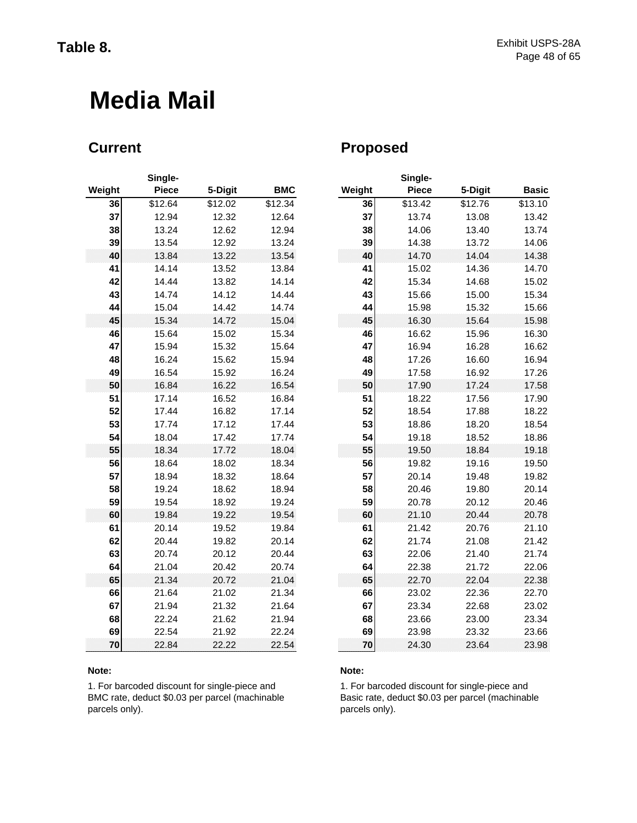# **Media Mail**

|        | Single-      |         |            |        |
|--------|--------------|---------|------------|--------|
| Weight | <b>Piece</b> | 5-Digit | <b>BMC</b> | Weight |
| 36     | \$12.64      | \$12.02 | \$12.34    | 36     |
| 37     | 12.94        | 12.32   | 12.64      | 37     |
| 38     | 13.24        | 12.62   | 12.94      | 38     |
| 39     | 13.54        | 12.92   | 13.24      | 39     |
| 40     | 13.84        | 13.22   | 13.54      | 40     |
| 41     | 14.14        | 13.52   | 13.84      | 41     |
| 42     | 14.44        | 13.82   | 14.14      | 42     |
| 43     | 14.74        | 14.12   | 14.44      | 43     |
| 44     | 15.04        | 14.42   | 14.74      | 44     |
| 45     | 15.34        | 14.72   | 15.04      | 45     |
| 46     | 15.64        | 15.02   | 15.34      | 46     |
| 47     | 15.94        | 15.32   | 15.64      | 47     |
| 48     | 16.24        | 15.62   | 15.94      | 48     |
| 49     | 16.54        | 15.92   | 16.24      | 49     |
| 50     | 16.84        | 16.22   | 16.54      | 50     |
| 51     | 17.14        | 16.52   | 16.84      | 51     |
| 52     | 17.44        | 16.82   | 17.14      | 52     |
| 53     | 17.74        | 17.12   | 17.44      | 53     |
| 54     | 18.04        | 17.42   | 17.74      | 54     |
| 55     | 18.34        | 17.72   | 18.04      | 55     |
| 56     | 18.64        | 18.02   | 18.34      | 56     |
| 57     | 18.94        | 18.32   | 18.64      | 57     |
| 58     | 19.24        | 18.62   | 18.94      | 58     |
| 59     | 19.54        | 18.92   | 19.24      | 59     |
| 60     | 19.84        | 19.22   | 19.54      | 60     |
| 61     | 20.14        | 19.52   | 19.84      | 61     |
| 62     | 20.44        | 19.82   | 20.14      | 62     |
| 63     | 20.74        | 20.12   | 20.44      | 63     |
| 64     | 21.04        | 20.42   | 20.74      | 64     |
| 65     | 21.34        | 20.72   | 21.04      | 65     |
| 66     | 21.64        | 21.02   | 21.34      | 66     |
| 67     | 21.94        | 21.32   | 21.64      | 67     |
| 68     | 22.24        | 21.62   | 21.94      | 68     |
| 69     | 22.54        | 21.92   | 22.24      | 69     |
| 70     | 22.84        | 22.22   | 22.54      | 70     |

### **Note: Note:**

1. For barcoded discount for single-piece and BMC rate, deduct \$0.03 per parcel (machinable parcels only).

## **Current Current Proposed**

|     | Single-      |         |            |        | Single-      |         |              |
|-----|--------------|---------|------------|--------|--------------|---------|--------------|
| ıht | <b>Piece</b> | 5-Digit | <b>BMC</b> | Weight | <b>Piece</b> | 5-Digit | <b>Basic</b> |
| 36  | \$12.64      | \$12.02 | \$12.34    | 36     | \$13.42      | \$12.76 | \$13.10      |
| 37  | 12.94        | 12.32   | 12.64      | 37     | 13.74        | 13.08   | 13.42        |
| 38  | 13.24        | 12.62   | 12.94      | 38     | 14.06        | 13.40   | 13.74        |
| 39  | 13.54        | 12.92   | 13.24      | 39     | 14.38        | 13.72   | 14.06        |
| 40  | 13.84        | 13.22   | 13.54      | 40     | 14.70        | 14.04   | 14.38        |
| 41  | 14.14        | 13.52   | 13.84      | 41     | 15.02        | 14.36   | 14.70        |
| 42  | 14.44        | 13.82   | 14.14      | 42     | 15.34        | 14.68   | 15.02        |
| 43  | 14.74        | 14.12   | 14.44      | 43     | 15.66        | 15.00   | 15.34        |
| 44  | 15.04        | 14.42   | 14.74      | 44     | 15.98        | 15.32   | 15.66        |
| 45  | 15.34        | 14.72   | 15.04      | 45     | 16.30        | 15.64   | 15.98        |
| 46  | 15.64        | 15.02   | 15.34      | 46     | 16.62        | 15.96   | 16.30        |
| 47  | 15.94        | 15.32   | 15.64      | 47     | 16.94        | 16.28   | 16.62        |
| 48  | 16.24        | 15.62   | 15.94      | 48     | 17.26        | 16.60   | 16.94        |
| 49  | 16.54        | 15.92   | 16.24      | 49     | 17.58        | 16.92   | 17.26        |
| 50  | 16.84        | 16.22   | 16.54      | 50     | 17.90        | 17.24   | 17.58        |
| 51  | 17.14        | 16.52   | 16.84      | 51     | 18.22        | 17.56   | 17.90        |
| 52  | 17.44        | 16.82   | 17.14      | 52     | 18.54        | 17.88   | 18.22        |
| 53  | 17.74        | 17.12   | 17.44      | 53     | 18.86        | 18.20   | 18.54        |
| 54  | 18.04        | 17.42   | 17.74      | 54     | 19.18        | 18.52   | 18.86        |
| 55  | 18.34        | 17.72   | 18.04      | 55     | 19.50        | 18.84   | 19.18        |
| 56  | 18.64        | 18.02   | 18.34      | 56     | 19.82        | 19.16   | 19.50        |
| 57  | 18.94        | 18.32   | 18.64      | 57     | 20.14        | 19.48   | 19.82        |
| 58  | 19.24        | 18.62   | 18.94      | 58     | 20.46        | 19.80   | 20.14        |
| 59  | 19.54        | 18.92   | 19.24      | 59     | 20.78        | 20.12   | 20.46        |
| 60  | 19.84        | 19.22   | 19.54      | 60     | 21.10        | 20.44   | 20.78        |
| 61  | 20.14        | 19.52   | 19.84      | 61     | 21.42        | 20.76   | 21.10        |
| 62  | 20.44        | 19.82   | 20.14      | 62     | 21.74        | 21.08   | 21.42        |
| 63  | 20.74        | 20.12   | 20.44      | 63     | 22.06        | 21.40   | 21.74        |
| 64  | 21.04        | 20.42   | 20.74      | 64     | 22.38        | 21.72   | 22.06        |
| 65  | 21.34        | 20.72   | 21.04      | 65     | 22.70        | 22.04   | 22.38        |
| 66  | 21.64        | 21.02   | 21.34      | 66     | 23.02        | 22.36   | 22.70        |
| 67  | 21.94        | 21.32   | 21.64      | 67     | 23.34        | 22.68   | 23.02        |
| 68  | 22.24        | 21.62   | 21.94      | 68     | 23.66        | 23.00   | 23.34        |
| 69  | 22.54        | 21.92   | 22.24      | 69     | 23.98        | 23.32   | 23.66        |
| 70  | 22.84        | 22.22   | 22.54      | 70     | 24.30        | 23.64   | 23.98        |

1. For barcoded discount for single-piece and Basic rate, deduct \$0.03 per parcel (machinable parcels only).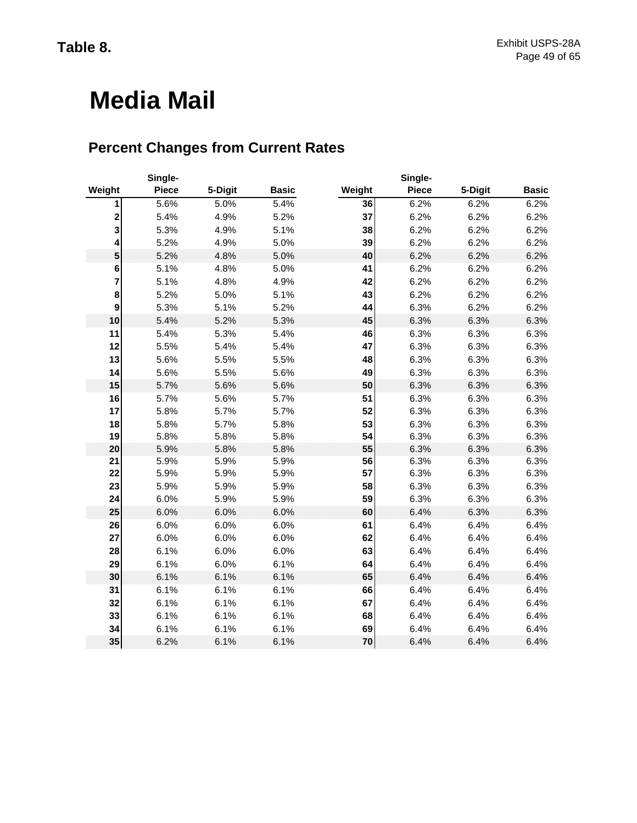# **Media Mail**

# **Percent Changes from Current Rates**

|                  | Single-      |         |              |        | Single-      |         |              |
|------------------|--------------|---------|--------------|--------|--------------|---------|--------------|
| Weight           | <b>Piece</b> | 5-Digit | <b>Basic</b> | Weight | <b>Piece</b> | 5-Digit | <b>Basic</b> |
| 1                | 5.6%         | 5.0%    | 5.4%         | 36     | 6.2%         | 6.2%    | 6.2%         |
| 2                | 5.4%         | 4.9%    | 5.2%         | 37     | 6.2%         | 6.2%    | 6.2%         |
| 3                | 5.3%         | 4.9%    | 5.1%         | 38     | 6.2%         | 6.2%    | 6.2%         |
| 4                | 5.2%         | 4.9%    | 5.0%         | 39     | 6.2%         | 6.2%    | 6.2%         |
| 5                | 5.2%         | 4.8%    | 5.0%         | 40     | 6.2%         | 6.2%    | 6.2%         |
| 6                | 5.1%         | 4.8%    | 5.0%         | 41     | 6.2%         | 6.2%    | 6.2%         |
| 7                | 5.1%         | 4.8%    | 4.9%         | 42     | 6.2%         | 6.2%    | 6.2%         |
| 8                | 5.2%         | 5.0%    | 5.1%         | 43     | 6.2%         | 6.2%    | 6.2%         |
| $\boldsymbol{9}$ | 5.3%         | 5.1%    | 5.2%         | 44     | 6.3%         | 6.2%    | 6.2%         |
| 10               | 5.4%         | 5.2%    | 5.3%         | 45     | 6.3%         | 6.3%    | 6.3%         |
| 11               | 5.4%         | 5.3%    | 5.4%         | 46     | 6.3%         | 6.3%    | 6.3%         |
| 12               | 5.5%         | 5.4%    | 5.4%         | 47     | 6.3%         | 6.3%    | 6.3%         |
| 13               | 5.6%         | 5.5%    | 5.5%         | 48     | 6.3%         | 6.3%    | 6.3%         |
| 14               | 5.6%         | 5.5%    | 5.6%         | 49     | 6.3%         | 6.3%    | 6.3%         |
| 15               | 5.7%         | 5.6%    | 5.6%         | 50     | 6.3%         | 6.3%    | 6.3%         |
| 16               | 5.7%         | 5.6%    | 5.7%         | 51     | 6.3%         | 6.3%    | 6.3%         |
| 17               | 5.8%         | 5.7%    | 5.7%         | 52     | 6.3%         | 6.3%    | 6.3%         |
| 18               | 5.8%         | 5.7%    | 5.8%         | 53     | 6.3%         | 6.3%    | 6.3%         |
| 19               | 5.8%         | 5.8%    | 5.8%         | 54     | 6.3%         | 6.3%    | 6.3%         |
| 20               | 5.9%         | 5.8%    | 5.8%         | 55     | 6.3%         | 6.3%    | 6.3%         |
| 21               | 5.9%         | 5.9%    | 5.9%         | 56     | 6.3%         | 6.3%    | 6.3%         |
| 22               | 5.9%         | 5.9%    | 5.9%         | 57     | 6.3%         | 6.3%    | 6.3%         |
| 23               | 5.9%         | 5.9%    | 5.9%         | 58     | 6.3%         | 6.3%    | 6.3%         |
| 24               | 6.0%         | 5.9%    | 5.9%         | 59     | 6.3%         | 6.3%    | 6.3%         |
| 25               | 6.0%         | 6.0%    | 6.0%         | 60     | 6.4%         | 6.3%    | 6.3%         |
| 26               | 6.0%         | 6.0%    | 6.0%         | 61     | 6.4%         | 6.4%    | 6.4%         |
| 27               | 6.0%         | 6.0%    | 6.0%         | 62     | 6.4%         | 6.4%    | 6.4%         |
| 28               | 6.1%         | 6.0%    | 6.0%         | 63     | 6.4%         | 6.4%    | 6.4%         |
| 29               | 6.1%         | 6.0%    | 6.1%         | 64     | 6.4%         | 6.4%    | 6.4%         |
| 30               | 6.1%         | 6.1%    | 6.1%         | 65     | 6.4%         | 6.4%    | 6.4%         |
| 31               | 6.1%         | 6.1%    | 6.1%         | 66     | 6.4%         | 6.4%    | 6.4%         |
| 32               | 6.1%         | 6.1%    | 6.1%         | 67     | 6.4%         | 6.4%    | 6.4%         |
| 33               | 6.1%         | 6.1%    | 6.1%         | 68     | 6.4%         | 6.4%    | 6.4%         |
| 34               | 6.1%         | 6.1%    | 6.1%         | 69     | 6.4%         | 6.4%    | 6.4%         |
| 35               | 6.2%         | 6.1%    | 6.1%         | 70     | 6.4%         | 6.4%    | 6.4%         |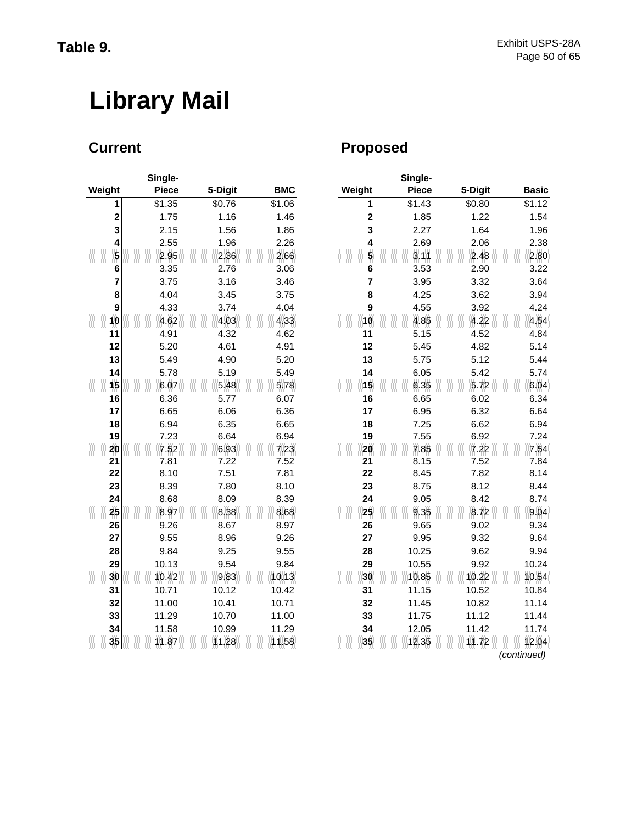# **Library Mail**

| Weight                  | Single-<br><b>Piece</b> | 5-Digit      | <b>BMC</b>   | Weight                  |
|-------------------------|-------------------------|--------------|--------------|-------------------------|
| 1                       | \$1.35                  | \$0.76       | \$1.06       |                         |
| $\overline{\mathbf{c}}$ | 1.75                    | 1.16         | 1.46         | $\overline{\mathbf{c}}$ |
| 3                       | 2.15                    | 1.56         | 1.86         | 3                       |
| 4                       | 2.55                    | 1.96         | 2.26         | 4                       |
| 5                       | 2.95                    | 2.36         | 2.66         | 5                       |
| 6                       | 3.35                    | 2.76         | 3.06         | 6                       |
| 7                       | 3.75                    | 3.16         | 3.46         | 7                       |
| 8                       | 4.04                    | 3.45         | 3.75         | 8                       |
| 9                       | 4.33                    | 3.74         | 4.04         | 9                       |
| 10                      | 4.62                    | 4.03         | 4.33         | 10                      |
| 11                      | 4.91                    | 4.32         | 4.62         | 11                      |
| 12                      | 5.20                    | 4.61         | 4.91         | 12                      |
| 13                      | 5.49                    | 4.90         | 5.20         | 13                      |
| 14                      | 5.78                    | 5.19         | 5.49         | 14                      |
| 15                      | 6.07                    | 5.48         | 5.78         | 15                      |
| 16<br>17                | 6.36<br>6.65            | 5.77<br>6.06 | 6.07<br>6.36 | 16<br>17                |
| 18                      | 6.94                    | 6.35         | 6.65         | 18                      |
| 19                      | 7.23                    | 6.64         | 6.94         | 19                      |
| 20                      | 7.52                    | 6.93         | 7.23         | 20                      |
| 21                      | 7.81                    | 7.22         | 7.52         | 21                      |
| 22                      | 8.10                    | 7.51         | 7.81         | 22                      |
| 23                      | 8.39                    | 7.80         | 8.10         | 23                      |
| 24                      | 8.68                    | 8.09         | 8.39         | 24                      |
| 25                      | 8.97                    | 8.38         | 8.68         | 25                      |
| 26                      | 9.26                    | 8.67         | 8.97         | 26                      |
| 27                      | 9.55                    | 8.96         | 9.26         | 27                      |
| 28                      | 9.84                    | 9.25         | 9.55         | 28                      |
| 29                      | 10.13                   | 9.54         | 9.84         | 29                      |
| 30                      | 10.42                   | 9.83         | 10.13        | 30                      |
| 31                      | 10.71                   | 10.12        | 10.42        | 31                      |
| 32                      | 11.00                   | 10.41        | 10.71        | 32                      |
| 33                      | 11.29                   | 10.70        | 11.00        | 33                      |
| 34                      | 11.58                   | 10.99        | 11.29        | 34                      |
| 35                      | 11.87                   | 11.28        | 11.58        | 35                      |

# **Current Current Proposed**

|                         | Single-      |                    |            |                         | Single-      |         |              |
|-------------------------|--------------|--------------------|------------|-------------------------|--------------|---------|--------------|
| ∣ht                     | <b>Piece</b> | 5-Digit            | <b>BMC</b> | Weight                  | <b>Piece</b> | 5-Digit | <b>Basic</b> |
| $\mathbf{1}$            | \$1.35       | $\overline{$}0.76$ | \$1.06     | 1                       | \$1.43       | \$0.80  | \$1.12       |
| $\bf{2}$                | 1.75         | 1.16               | 1.46       | $\overline{\mathbf{c}}$ | 1.85         | 1.22    | 1.54         |
| 3                       | 2.15         | 1.56               | 1.86       | 3                       | 2.27         | 1.64    | 1.96         |
| 4                       | 2.55         | 1.96               | 2.26       | 4                       | 2.69         | 2.06    | 2.38         |
| 5                       | 2.95         | 2.36               | 2.66       | 5                       | 3.11         | 2.48    | 2.80         |
| 6                       | 3.35         | 2.76               | 3.06       | 6                       | 3.53         | 2.90    | 3.22         |
| $\overline{\mathbf{r}}$ | 3.75         | 3.16               | 3.46       | 7                       | 3.95         | 3.32    | 3.64         |
| 8                       | 4.04         | 3.45               | 3.75       | 8                       | 4.25         | 3.62    | 3.94         |
| 9                       | 4.33         | 3.74               | 4.04       | 9                       | 4.55         | 3.92    | 4.24         |
| 10                      | 4.62         | 4.03               | 4.33       | 10                      | 4.85         | 4.22    | 4.54         |
| 11                      | 4.91         | 4.32               | 4.62       | 11                      | 5.15         | 4.52    | 4.84         |
| 12                      | 5.20         | 4.61               | 4.91       | 12                      | 5.45         | 4.82    | 5.14         |
| 13                      | 5.49         | 4.90               | 5.20       | 13                      | 5.75         | 5.12    | 5.44         |
| 14                      | 5.78         | 5.19               | 5.49       | 14                      | 6.05         | 5.42    | 5.74         |
| 15                      | 6.07         | 5.48               | 5.78       | 15                      | 6.35         | 5.72    | 6.04         |
| 16                      | 6.36         | 5.77               | 6.07       | 16                      | 6.65         | 6.02    | 6.34         |
| 17                      | 6.65         | 6.06               | 6.36       | 17                      | 6.95         | 6.32    | 6.64         |
| 18                      | 6.94         | 6.35               | 6.65       | 18                      | 7.25         | 6.62    | 6.94         |
| 19                      | 7.23         | 6.64               | 6.94       | 19                      | 7.55         | 6.92    | 7.24         |
| 20                      | 7.52         | 6.93               | 7.23       | 20                      | 7.85         | 7.22    | 7.54         |
| 21                      | 7.81         | 7.22               | 7.52       | 21                      | 8.15         | 7.52    | 7.84         |
| 22                      | 8.10         | 7.51               | 7.81       | 22                      | 8.45         | 7.82    | 8.14         |
| 23                      | 8.39         | 7.80               | 8.10       | 23                      | 8.75         | 8.12    | 8.44         |
| 24                      | 8.68         | 8.09               | 8.39       | 24                      | 9.05         | 8.42    | 8.74         |
| 25                      | 8.97         | 8.38               | 8.68       | 25                      | 9.35         | 8.72    | 9.04         |
| 26                      | 9.26         | 8.67               | 8.97       | 26                      | 9.65         | 9.02    | 9.34         |
| 27                      | 9.55         | 8.96               | 9.26       | 27                      | 9.95         | 9.32    | 9.64         |
| 28                      | 9.84         | 9.25               | 9.55       | 28                      | 10.25        | 9.62    | 9.94         |
| 29                      | 10.13        | 9.54               | 9.84       | 29                      | 10.55        | 9.92    | 10.24        |
| 30                      | 10.42        | 9.83               | 10.13      | 30                      | 10.85        | 10.22   | 10.54        |
| 31                      | 10.71        | 10.12              | 10.42      | 31                      | 11.15        | 10.52   | 10.84        |
| 32                      | 11.00        | 10.41              | 10.71      | 32                      | 11.45        | 10.82   | 11.14        |
| 33                      | 11.29        | 10.70              | 11.00      | 33                      | 11.75        | 11.12   | 11.44        |
| 34                      | 11.58        | 10.99              | 11.29      | 34                      | 12.05        | 11.42   | 11.74        |
| 35                      | 11.87        | 11.28              | 11.58      | 35                      | 12.35        | 11.72   | 12.04        |
|                         |              |                    |            |                         |              |         | (continued)  |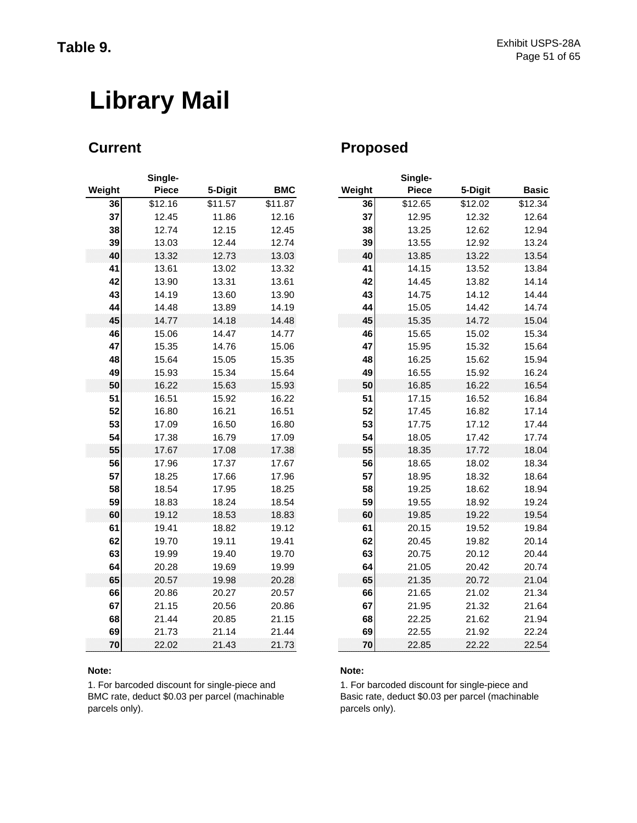# **Library Mail**

|        | Single-      |         |            |        |
|--------|--------------|---------|------------|--------|
| Weight | <b>Piece</b> | 5-Digit | <b>BMC</b> | Weight |
| 36     | \$12.16      | \$11.57 | \$11.87    | 36     |
| 37     | 12.45        | 11.86   | 12.16      | 37     |
| 38     | 12.74        | 12.15   | 12.45      | 38     |
| 39     | 13.03        | 12.44   | 12.74      | 39     |
| 40     | 13.32        | 12.73   | 13.03      | 40     |
| 41     | 13.61        | 13.02   | 13.32      | 41     |
| 42     | 13.90        | 13.31   | 13.61      | 42     |
| 43     | 14.19        | 13.60   | 13.90      | 43     |
| 44     | 14.48        | 13.89   | 14.19      | 44     |
| 45     | 14.77        | 14.18   | 14.48      | 45     |
| 46     | 15.06        | 14.47   | 14.77      | 46     |
| 47     | 15.35        | 14.76   | 15.06      | 47     |
| 48     | 15.64        | 15.05   | 15.35      | 48     |
| 49     | 15.93        | 15.34   | 15.64      | 49     |
| 50     | 16.22        | 15.63   | 15.93      | 50     |
| 51     | 16.51        | 15.92   | 16.22      | 51     |
| 52     | 16.80        | 16.21   | 16.51      | 52     |
| 53     | 17.09        | 16.50   | 16.80      | 53     |
| 54     | 17.38        | 16.79   | 17.09      | 54     |
| 55     | 17.67        | 17.08   | 17.38      | 55     |
| 56     | 17.96        | 17.37   | 17.67      | 56     |
| 57     | 18.25        | 17.66   | 17.96      | 57     |
| 58     | 18.54        | 17.95   | 18.25      | 58     |
| 59     | 18.83        | 18.24   | 18.54      | 59     |
| 60     | 19.12        | 18.53   | 18.83      | 60     |
| 61     | 19.41        | 18.82   | 19.12      | 61     |
| 62     | 19.70        | 19.11   | 19.41      | 62     |
| 63     | 19.99        | 19.40   | 19.70      | 63     |
| 64     | 20.28        | 19.69   | 19.99      | 64     |
| 65     | 20.57        | 19.98   | 20.28      | 65     |
| 66     | 20.86        | 20.27   | 20.57      | 66     |
| 67     | 21.15        | 20.56   | 20.86      | 67     |
| 68     | 21.44        | 20.85   | 21.15      | 68     |
| 69     | 21.73        | 21.14   | 21.44      | 69     |
| 70     | 22.02        | 21.43   | 21.73      | 70     |

### **Note: Note:**

1. For barcoded discount for single-piece and BMC rate, deduct \$0.03 per parcel (machinable parcels only).

## **Current Current Proposed**

|     | Single-      |         |            |        | Single-      |         |              |
|-----|--------------|---------|------------|--------|--------------|---------|--------------|
| ıht | <b>Piece</b> | 5-Digit | <b>BMC</b> | Weight | <b>Piece</b> | 5-Digit | <b>Basic</b> |
| 36  | \$12.16      | \$11.57 | \$11.87    | 36     | \$12.65      | \$12.02 | \$12.34      |
| 37  | 12.45        | 11.86   | 12.16      | 37     | 12.95        | 12.32   | 12.64        |
| 38  | 12.74        | 12.15   | 12.45      | 38     | 13.25        | 12.62   | 12.94        |
| 39  | 13.03        | 12.44   | 12.74      | 39     | 13.55        | 12.92   | 13.24        |
| 40  | 13.32        | 12.73   | 13.03      | 40     | 13.85        | 13.22   | 13.54        |
| 41  | 13.61        | 13.02   | 13.32      | 41     | 14.15        | 13.52   | 13.84        |
| 42  | 13.90        | 13.31   | 13.61      | 42     | 14.45        | 13.82   | 14.14        |
| 43  | 14.19        | 13.60   | 13.90      | 43     | 14.75        | 14.12   | 14.44        |
| 44  | 14.48        | 13.89   | 14.19      | 44     | 15.05        | 14.42   | 14.74        |
| 45  | 14.77        | 14.18   | 14.48      | 45     | 15.35        | 14.72   | 15.04        |
| 46  | 15.06        | 14.47   | 14.77      | 46     | 15.65        | 15.02   | 15.34        |
| 47  | 15.35        | 14.76   | 15.06      | 47     | 15.95        | 15.32   | 15.64        |
| 48  | 15.64        | 15.05   | 15.35      | 48     | 16.25        | 15.62   | 15.94        |
| 49  | 15.93        | 15.34   | 15.64      | 49     | 16.55        | 15.92   | 16.24        |
| 50  | 16.22        | 15.63   | 15.93      | 50     | 16.85        | 16.22   | 16.54        |
| 51  | 16.51        | 15.92   | 16.22      | 51     | 17.15        | 16.52   | 16.84        |
| 52  | 16.80        | 16.21   | 16.51      | 52     | 17.45        | 16.82   | 17.14        |
| 53  | 17.09        | 16.50   | 16.80      | 53     | 17.75        | 17.12   | 17.44        |
| 54  | 17.38        | 16.79   | 17.09      | 54     | 18.05        | 17.42   | 17.74        |
| 55  | 17.67        | 17.08   | 17.38      | 55     | 18.35        | 17.72   | 18.04        |
| 56  | 17.96        | 17.37   | 17.67      | 56     | 18.65        | 18.02   | 18.34        |
| 57  | 18.25        | 17.66   | 17.96      | 57     | 18.95        | 18.32   | 18.64        |
| 58  | 18.54        | 17.95   | 18.25      | 58     | 19.25        | 18.62   | 18.94        |
| 59  | 18.83        | 18.24   | 18.54      | 59     | 19.55        | 18.92   | 19.24        |
| 60  | 19.12        | 18.53   | 18.83      | 60     | 19.85        | 19.22   | 19.54        |
| 61  | 19.41        | 18.82   | 19.12      | 61     | 20.15        | 19.52   | 19.84        |
| 62  | 19.70        | 19.11   | 19.41      | 62     | 20.45        | 19.82   | 20.14        |
| 63  | 19.99        | 19.40   | 19.70      | 63     | 20.75        | 20.12   | 20.44        |
| 64  | 20.28        | 19.69   | 19.99      | 64     | 21.05        | 20.42   | 20.74        |
| 65  | 20.57        | 19.98   | 20.28      | 65     | 21.35        | 20.72   | 21.04        |
| 66  | 20.86        | 20.27   | 20.57      | 66     | 21.65        | 21.02   | 21.34        |
| 67  | 21.15        | 20.56   | 20.86      | 67     | 21.95        | 21.32   | 21.64        |
| 68  | 21.44        | 20.85   | 21.15      | 68     | 22.25        | 21.62   | 21.94        |
| 69  | 21.73        | 21.14   | 21.44      | 69     | 22.55        | 21.92   | 22.24        |
| 70  | 22.02        | 21.43   | 21.73      | 70     | 22.85        | 22.22   | 22.54        |

1. For barcoded discount for single-piece and Basic rate, deduct \$0.03 per parcel (machinable parcels only).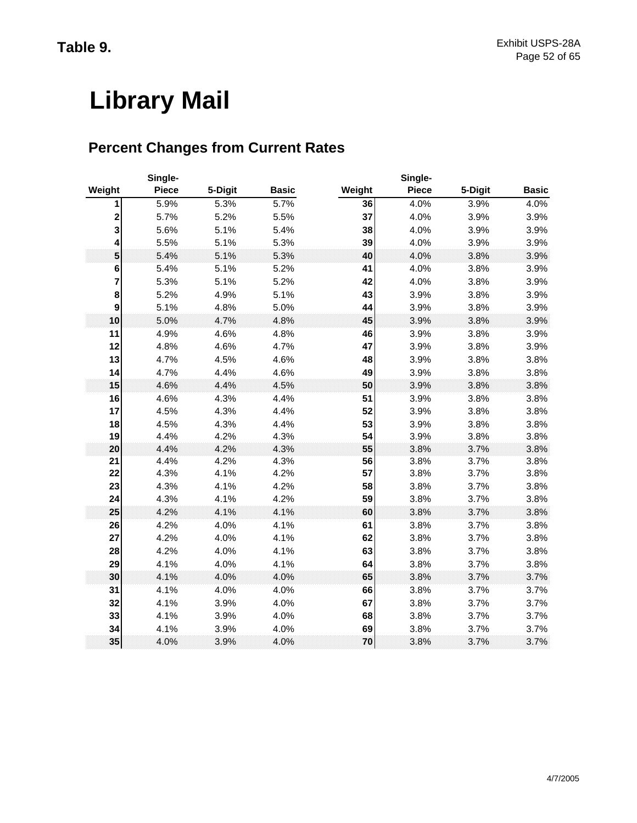# **Library Mail**

# **Percent Changes from Current Rates**

|                  | Single-      |         | Single-      |        |              |         |              |  |  |
|------------------|--------------|---------|--------------|--------|--------------|---------|--------------|--|--|
| Weight           | <b>Piece</b> | 5-Digit | <b>Basic</b> | Weight | <b>Piece</b> | 5-Digit | <b>Basic</b> |  |  |
| 1                | 5.9%         | 5.3%    | 5.7%         | 36     | 4.0%         | 3.9%    | 4.0%         |  |  |
| 2                | 5.7%         | 5.2%    | 5.5%         | 37     | 4.0%         | 3.9%    | 3.9%         |  |  |
| 3                | 5.6%         | 5.1%    | 5.4%         | 38     | 4.0%         | 3.9%    | 3.9%         |  |  |
| 4                | 5.5%         | 5.1%    | 5.3%         | 39     | 4.0%         | 3.9%    | 3.9%         |  |  |
| 5                | 5.4%         | 5.1%    | 5.3%         | 40     | 4.0%         | 3.8%    | 3.9%         |  |  |
| 6                | 5.4%         | 5.1%    | 5.2%         | 41     | 4.0%         | 3.8%    | 3.9%         |  |  |
| 7                | 5.3%         | 5.1%    | 5.2%         | 42     | 4.0%         | 3.8%    | 3.9%         |  |  |
| 8                | 5.2%         | 4.9%    | 5.1%         | 43     | 3.9%         | 3.8%    | 3.9%         |  |  |
| $\boldsymbol{9}$ | 5.1%         | 4.8%    | 5.0%         | 44     | 3.9%         | 3.8%    | 3.9%         |  |  |
| 10               | 5.0%         | 4.7%    | 4.8%         | 45     | 3.9%         | 3.8%    | 3.9%         |  |  |
| 11               | 4.9%         | 4.6%    | 4.8%         | 46     | 3.9%         | 3.8%    | 3.9%         |  |  |
| 12               | 4.8%         | 4.6%    | 4.7%         | 47     | 3.9%         | 3.8%    | 3.9%         |  |  |
| 13               | 4.7%         | 4.5%    | 4.6%         | 48     | 3.9%         | 3.8%    | 3.8%         |  |  |
| 14               | 4.7%         | 4.4%    | 4.6%         | 49     | 3.9%         | 3.8%    | 3.8%         |  |  |
| 15               | 4.6%         | 4.4%    | 4.5%         | 50     | 3.9%         | 3.8%    | 3.8%         |  |  |
| 16               | 4.6%         | 4.3%    | 4.4%         | 51     | 3.9%         | 3.8%    | 3.8%         |  |  |
| 17               | 4.5%         | 4.3%    | 4.4%         | 52     | 3.9%         | 3.8%    | 3.8%         |  |  |
| 18               | 4.5%         | 4.3%    | 4.4%         | 53     | 3.9%         | 3.8%    | 3.8%         |  |  |
| 19               | 4.4%         | 4.2%    | 4.3%         | 54     | 3.9%         | 3.8%    | 3.8%         |  |  |
| 20               | 4.4%         | 4.2%    | 4.3%         | 55     | 3.8%         | 3.7%    | 3.8%         |  |  |
| 21               | 4.4%         | 4.2%    | 4.3%         | 56     | 3.8%         | 3.7%    | 3.8%         |  |  |
| 22               | 4.3%         | 4.1%    | 4.2%         | 57     | 3.8%         | 3.7%    | 3.8%         |  |  |
| 23               | 4.3%         | 4.1%    | 4.2%         | 58     | 3.8%         | 3.7%    | 3.8%         |  |  |
| 24               | 4.3%         | 4.1%    | 4.2%         | 59     | 3.8%         | 3.7%    | 3.8%         |  |  |
| 25               | 4.2%         | 4.1%    | 4.1%         | 60     | 3.8%         | 3.7%    | 3.8%         |  |  |
| 26               | 4.2%         | 4.0%    | 4.1%         | 61     | 3.8%         | 3.7%    | 3.8%         |  |  |
| 27               | 4.2%         | 4.0%    | 4.1%         | 62     | 3.8%         | 3.7%    | 3.8%         |  |  |
| 28               | 4.2%         | 4.0%    | 4.1%         | 63     | 3.8%         | 3.7%    | 3.8%         |  |  |
| 29               | 4.1%         | 4.0%    | 4.1%         | 64     | 3.8%         | 3.7%    | 3.8%         |  |  |
| 30               | 4.1%         | 4.0%    | 4.0%         | 65     | 3.8%         | 3.7%    | 3.7%         |  |  |
| 31               | 4.1%         | 4.0%    | 4.0%         | 66     | 3.8%         | 3.7%    | 3.7%         |  |  |
| 32               | 4.1%         | 3.9%    | 4.0%         | 67     | 3.8%         | 3.7%    | 3.7%         |  |  |
| 33               | 4.1%         | 3.9%    | 4.0%         | 68     | 3.8%         | 3.7%    | 3.7%         |  |  |
| 34               | 4.1%         | 3.9%    | 4.0%         | 69     | 3.8%         | 3.7%    | 3.7%         |  |  |
| 35               | 4.0%         | 3.9%    | 4.0%         | 70     | 3.8%         | 3.7%    | 3.7%         |  |  |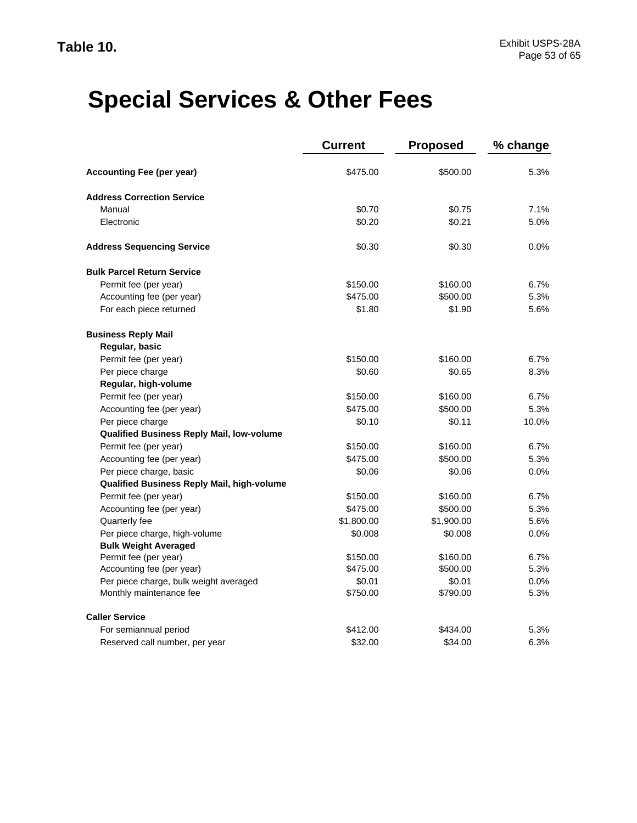|                                            | <b>Current</b> | <b>Proposed</b> | % change |
|--------------------------------------------|----------------|-----------------|----------|
| <b>Accounting Fee (per year)</b>           | \$475.00       | \$500.00        | 5.3%     |
| <b>Address Correction Service</b>          |                |                 |          |
| Manual                                     | \$0.70         | \$0.75          | 7.1%     |
| Electronic                                 | \$0.20         | \$0.21          | 5.0%     |
| <b>Address Sequencing Service</b>          | \$0.30         | \$0.30          | $0.0\%$  |
| <b>Bulk Parcel Return Service</b>          |                |                 |          |
| Permit fee (per year)                      | \$150.00       | \$160.00        | 6.7%     |
| Accounting fee (per year)                  | \$475.00       | \$500.00        | 5.3%     |
| For each piece returned                    | \$1.80         | \$1.90          | 5.6%     |
| <b>Business Reply Mail</b>                 |                |                 |          |
| Regular, basic                             |                |                 |          |
| Permit fee (per year)                      | \$150.00       | \$160.00        | 6.7%     |
| Per piece charge                           | \$0.60         | \$0.65          | 8.3%     |
| Regular, high-volume                       |                |                 |          |
| Permit fee (per year)                      | \$150.00       | \$160.00        | 6.7%     |
| Accounting fee (per year)                  | \$475.00       | \$500.00        | 5.3%     |
| Per piece charge                           | \$0.10         | \$0.11          | 10.0%    |
| Qualified Business Reply Mail, low-volume  |                |                 |          |
| Permit fee (per year)                      | \$150.00       | \$160.00        | 6.7%     |
| Accounting fee (per year)                  | \$475.00       | \$500.00        | 5.3%     |
| Per piece charge, basic                    | \$0.06         | \$0.06          | 0.0%     |
| Qualified Business Reply Mail, high-volume |                |                 |          |
| Permit fee (per year)                      | \$150.00       | \$160.00        | 6.7%     |
| Accounting fee (per year)                  | \$475.00       | \$500.00        | 5.3%     |
| Quarterly fee                              | \$1,800.00     | \$1,900.00      | 5.6%     |
| Per piece charge, high-volume              | \$0.008        | \$0.008         | 0.0%     |
| <b>Bulk Weight Averaged</b>                |                |                 |          |
| Permit fee (per year)                      | \$150.00       | \$160.00        | 6.7%     |
| Accounting fee (per year)                  | \$475.00       | \$500.00        | 5.3%     |
| Per piece charge, bulk weight averaged     | \$0.01         | \$0.01          | 0.0%     |
| Monthly maintenance fee                    | \$750.00       | \$790.00        | 5.3%     |
| <b>Caller Service</b>                      |                |                 |          |
| For semiannual period                      | \$412.00       | \$434.00        | 5.3%     |
| Reserved call number, per year             | \$32.00        | \$34.00         | 6.3%     |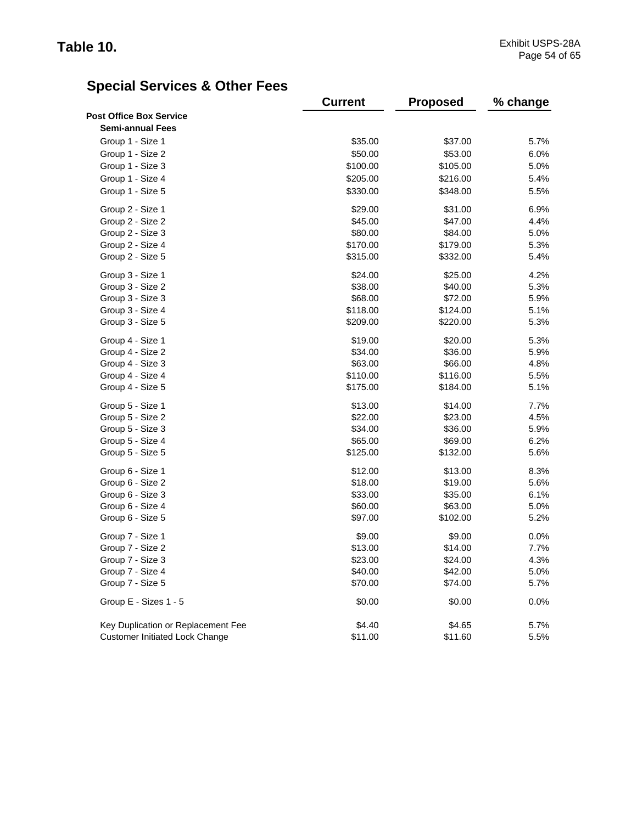|                                       | <b>Current</b> | <b>Proposed</b> | % change |
|---------------------------------------|----------------|-----------------|----------|
| <b>Post Office Box Service</b>        |                |                 |          |
| <b>Semi-annual Fees</b>               |                |                 |          |
| Group 1 - Size 1                      | \$35.00        | \$37.00         | 5.7%     |
| Group 1 - Size 2                      | \$50.00        | \$53.00         | 6.0%     |
| Group 1 - Size 3                      | \$100.00       | \$105.00        | 5.0%     |
| Group 1 - Size 4                      | \$205.00       | \$216.00        | 5.4%     |
| Group 1 - Size 5                      | \$330.00       | \$348.00        | 5.5%     |
| Group 2 - Size 1                      | \$29.00        | \$31.00         | 6.9%     |
| Group 2 - Size 2                      | \$45.00        | \$47.00         | 4.4%     |
| Group 2 - Size 3                      | \$80.00        | \$84.00         | 5.0%     |
| Group 2 - Size 4                      | \$170.00       | \$179.00        | 5.3%     |
| Group 2 - Size 5                      | \$315.00       | \$332.00        | 5.4%     |
| Group 3 - Size 1                      | \$24.00        | \$25.00         | 4.2%     |
| Group 3 - Size 2                      | \$38.00        | \$40.00         | 5.3%     |
| Group 3 - Size 3                      | \$68.00        | \$72.00         | 5.9%     |
| Group 3 - Size 4                      | \$118.00       | \$124.00        | 5.1%     |
| Group 3 - Size 5                      | \$209.00       | \$220.00        | 5.3%     |
| Group 4 - Size 1                      | \$19.00        | \$20.00         | 5.3%     |
| Group 4 - Size 2                      | \$34.00        | \$36.00         | 5.9%     |
| Group 4 - Size 3                      | \$63.00        | \$66.00         | 4.8%     |
| Group 4 - Size 4                      | \$110.00       | \$116.00        | 5.5%     |
| Group 4 - Size 5                      | \$175.00       | \$184.00        | 5.1%     |
| Group 5 - Size 1                      | \$13.00        | \$14.00         | 7.7%     |
| Group 5 - Size 2                      | \$22.00        | \$23.00         | 4.5%     |
| Group 5 - Size 3                      | \$34.00        | \$36.00         | 5.9%     |
| Group 5 - Size 4                      | \$65.00        | \$69.00         | 6.2%     |
| Group 5 - Size 5                      | \$125.00       | \$132.00        | 5.6%     |
| Group 6 - Size 1                      | \$12.00        | \$13.00         | 8.3%     |
| Group 6 - Size 2                      | \$18.00        | \$19.00         | 5.6%     |
| Group 6 - Size 3                      | \$33.00        | \$35.00         | 6.1%     |
| Group 6 - Size 4                      | \$60.00        | \$63.00         | 5.0%     |
| Group 6 - Size 5                      | \$97.00        | \$102.00        | 5.2%     |
| Group 7 - Size 1                      | \$9.00         | \$9.00          | 0.0%     |
| Group 7 - Size 2                      | \$13.00        | \$14.00         | 7.7%     |
| Group 7 - Size 3                      | \$23.00        | \$24.00         | 4.3%     |
| Group 7 - Size 4                      | \$40.00        | \$42.00         | 5.0%     |
| Group 7 - Size 5                      | \$70.00        | \$74.00         | 5.7%     |
| Group E - Sizes 1 - 5                 | \$0.00         | \$0.00          | 0.0%     |
| Key Duplication or Replacement Fee    | \$4.40         | \$4.65          | 5.7%     |
| <b>Customer Initiated Lock Change</b> | \$11.00        | \$11.60         | 5.5%     |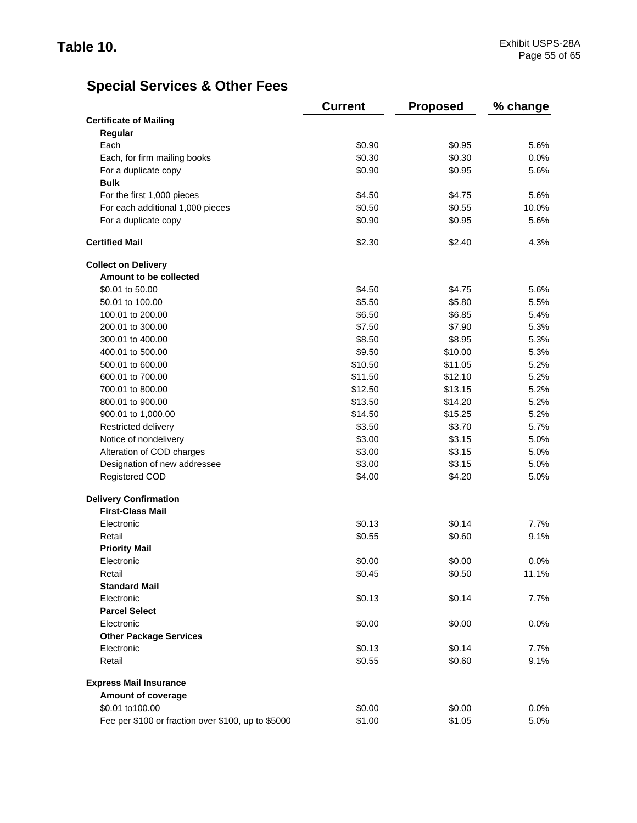|                                                    | <b>Current</b> | <b>Proposed</b> | % change |
|----------------------------------------------------|----------------|-----------------|----------|
| <b>Certificate of Mailing</b>                      |                |                 |          |
| Regular                                            |                |                 |          |
| Each                                               | \$0.90         | \$0.95          | 5.6%     |
| Each, for firm mailing books                       | \$0.30         | \$0.30          | 0.0%     |
| For a duplicate copy                               | \$0.90         | \$0.95          | 5.6%     |
| <b>Bulk</b>                                        |                |                 |          |
| For the first 1,000 pieces                         | \$4.50         | \$4.75          | 5.6%     |
| For each additional 1,000 pieces                   | \$0.50         | \$0.55          | 10.0%    |
| For a duplicate copy                               | \$0.90         | \$0.95          | 5.6%     |
| <b>Certified Mail</b>                              | \$2.30         | \$2.40          | 4.3%     |
| <b>Collect on Delivery</b>                         |                |                 |          |
| Amount to be collected                             |                |                 |          |
| \$0.01 to 50.00                                    | \$4.50         | \$4.75          | 5.6%     |
| 50.01 to 100.00                                    | \$5.50         | \$5.80          | 5.5%     |
| 100.01 to 200.00                                   | \$6.50         | \$6.85          | 5.4%     |
| 200.01 to 300.00                                   | \$7.50         | \$7.90          | 5.3%     |
| 300.01 to 400.00                                   | \$8.50         | \$8.95          | 5.3%     |
| 400.01 to 500.00                                   | \$9.50         | \$10.00         | 5.3%     |
| 500.01 to 600.00                                   | \$10.50        | \$11.05         | 5.2%     |
| 600.01 to 700.00                                   | \$11.50        | \$12.10         | 5.2%     |
| 700.01 to 800.00                                   | \$12.50        | \$13.15         | 5.2%     |
| 800.01 to 900.00                                   | \$13.50        | \$14.20         | 5.2%     |
| 900.01 to 1,000.00                                 | \$14.50        | \$15.25         | 5.2%     |
| Restricted delivery                                | \$3.50         | \$3.70          | 5.7%     |
| Notice of nondelivery                              | \$3.00         | \$3.15          | 5.0%     |
| Alteration of COD charges                          | \$3.00         | \$3.15          | 5.0%     |
| Designation of new addressee                       | \$3.00         | \$3.15          | 5.0%     |
| <b>Registered COD</b>                              | \$4.00         | \$4.20          | 5.0%     |
| <b>Delivery Confirmation</b>                       |                |                 |          |
| <b>First-Class Mail</b>                            |                |                 |          |
| Electronic                                         | \$0.13         | \$0.14          | 7.7%     |
| Retail                                             | \$0.55         | \$0.60          | 9.1%     |
| <b>Priority Mail</b>                               |                |                 |          |
| Electronic                                         | \$0.00         | \$0.00          | 0.0%     |
| Retail                                             | \$0.45         | \$0.50          | 11.1%    |
| <b>Standard Mail</b>                               |                |                 |          |
| Electronic                                         | \$0.13         | \$0.14          | 7.7%     |
| <b>Parcel Select</b>                               |                |                 |          |
| Electronic                                         | \$0.00         | \$0.00          | 0.0%     |
| <b>Other Package Services</b>                      |                |                 |          |
| Electronic                                         | \$0.13         | \$0.14          | 7.7%     |
| Retail                                             | \$0.55         | \$0.60          | 9.1%     |
| <b>Express Mail Insurance</b>                      |                |                 |          |
| Amount of coverage                                 |                |                 |          |
| \$0.01 to100.00                                    | \$0.00         | \$0.00          | 0.0%     |
| Fee per \$100 or fraction over \$100, up to \$5000 | \$1.00         | \$1.05          | 5.0%     |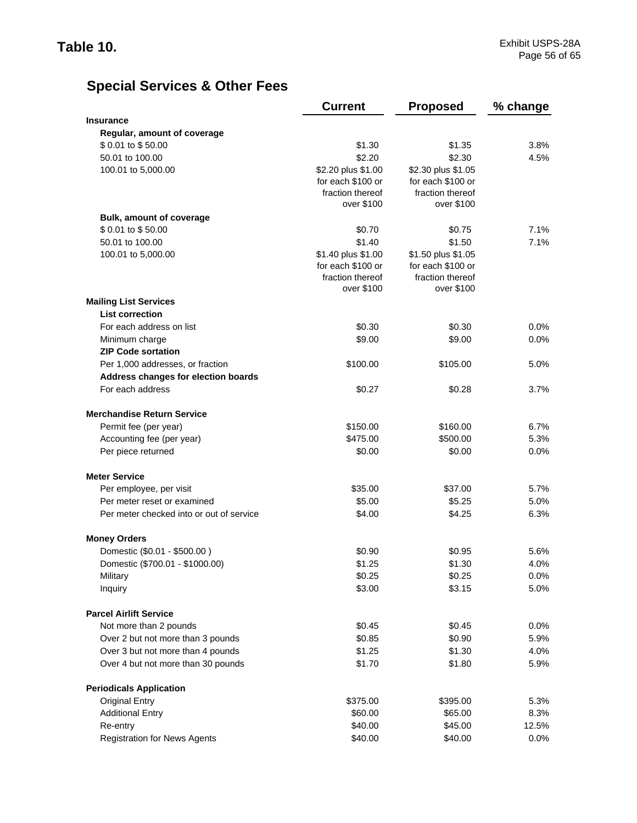|                                          | <b>Current</b>     | <b>Proposed</b>    | % change |
|------------------------------------------|--------------------|--------------------|----------|
| <b>Insurance</b>                         |                    |                    |          |
| Regular, amount of coverage              |                    |                    |          |
| \$0.01 to \$50.00                        | \$1.30             | \$1.35             | 3.8%     |
| 50.01 to 100.00                          | \$2.20             | \$2.30             | 4.5%     |
| 100.01 to 5,000.00                       | \$2.20 plus \$1.00 | \$2.30 plus \$1.05 |          |
|                                          | for each \$100 or  | for each \$100 or  |          |
|                                          | fraction thereof   | fraction thereof   |          |
|                                          | over \$100         | over \$100         |          |
| <b>Bulk, amount of coverage</b>          |                    |                    |          |
| \$0.01 to \$50.00                        | \$0.70             | \$0.75             | 7.1%     |
| 50.01 to 100.00                          | \$1.40             | \$1.50             | 7.1%     |
| 100.01 to 5,000.00                       | \$1.40 plus \$1.00 | \$1.50 plus \$1.05 |          |
|                                          | for each \$100 or  | for each \$100 or  |          |
|                                          | fraction thereof   | fraction thereof   |          |
|                                          | over \$100         | over \$100         |          |
| <b>Mailing List Services</b>             |                    |                    |          |
| <b>List correction</b>                   |                    |                    |          |
| For each address on list                 | \$0.30             | \$0.30             | $0.0\%$  |
| Minimum charge                           | \$9.00             | \$9.00             | 0.0%     |
| <b>ZIP Code sortation</b>                |                    |                    |          |
| Per 1,000 addresses, or fraction         | \$100.00           | \$105.00           | 5.0%     |
| Address changes for election boards      |                    |                    |          |
| For each address                         | \$0.27             | \$0.28             | 3.7%     |
| <b>Merchandise Return Service</b>        |                    |                    |          |
| Permit fee (per year)                    | \$150.00           | \$160.00           | 6.7%     |
| Accounting fee (per year)                | \$475.00           | \$500.00           | 5.3%     |
| Per piece returned                       | \$0.00             | \$0.00             | 0.0%     |
| <b>Meter Service</b>                     |                    |                    |          |
| Per employee, per visit                  | \$35.00            | \$37.00            | 5.7%     |
| Per meter reset or examined              | \$5.00             | \$5.25             | 5.0%     |
| Per meter checked into or out of service | \$4.00             | \$4.25             | 6.3%     |
| <b>Money Orders</b>                      |                    |                    |          |
| Domestic (\$0.01 - \$500.00)             | \$0.90             | \$0.95             | 5.6%     |
| Domestic (\$700.01 - \$1000.00)          | \$1.25             | \$1.30             | 4.0%     |
| Military                                 | \$0.25             | \$0.25             | 0.0%     |
| Inquiry                                  | \$3.00             | \$3.15             | 5.0%     |
| <b>Parcel Airlift Service</b>            |                    |                    |          |
| Not more than 2 pounds                   | \$0.45             | \$0.45             | 0.0%     |
| Over 2 but not more than 3 pounds        | \$0.85             | \$0.90             | 5.9%     |
| Over 3 but not more than 4 pounds        | \$1.25             | \$1.30             | 4.0%     |
| Over 4 but not more than 30 pounds       | \$1.70             | \$1.80             | 5.9%     |
| <b>Periodicals Application</b>           |                    |                    |          |
| <b>Original Entry</b>                    | \$375.00           | \$395.00           | 5.3%     |
| <b>Additional Entry</b>                  | \$60.00            | \$65.00            | 8.3%     |
| Re-entry                                 | \$40.00            | \$45.00            | 12.5%    |
| <b>Registration for News Agents</b>      | \$40.00            | \$40.00            | $0.0\%$  |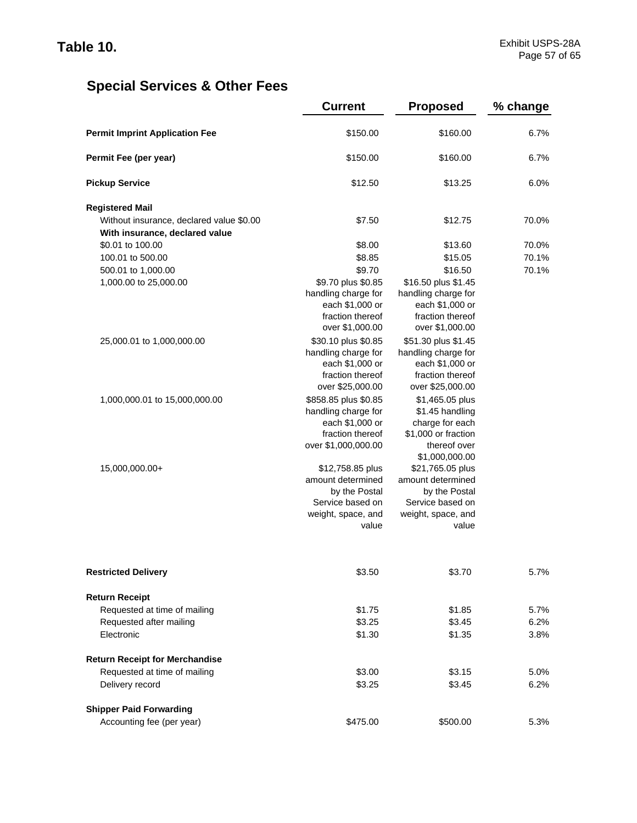|                                          | <b>Current</b>                                                                                            | <b>Proposed</b>                                                                                                | % change |
|------------------------------------------|-----------------------------------------------------------------------------------------------------------|----------------------------------------------------------------------------------------------------------------|----------|
| <b>Permit Imprint Application Fee</b>    | \$150.00                                                                                                  | \$160.00                                                                                                       | 6.7%     |
| Permit Fee (per year)                    | \$150.00                                                                                                  | \$160.00                                                                                                       | 6.7%     |
| <b>Pickup Service</b>                    | \$12.50                                                                                                   | \$13.25                                                                                                        | 6.0%     |
| <b>Registered Mail</b>                   |                                                                                                           |                                                                                                                |          |
| Without insurance, declared value \$0.00 | \$7.50                                                                                                    | \$12.75                                                                                                        | 70.0%    |
| With insurance, declared value           |                                                                                                           |                                                                                                                |          |
| \$0.01 to 100.00                         | \$8.00                                                                                                    | \$13.60                                                                                                        | 70.0%    |
| 100.01 to 500.00                         | \$8.85                                                                                                    | \$15.05                                                                                                        | 70.1%    |
| 500.01 to 1,000.00                       | \$9.70                                                                                                    | \$16.50                                                                                                        | 70.1%    |
| 1,000.00 to 25,000.00                    | \$9.70 plus \$0.85<br>handling charge for<br>each \$1,000 or<br>fraction thereof<br>over \$1,000.00       | \$16.50 plus \$1.45<br>handling charge for<br>each \$1,000 or<br>fraction thereof<br>over \$1,000.00           |          |
| 25,000.01 to 1,000,000.00                | \$30.10 plus \$0.85<br>handling charge for<br>each \$1,000 or<br>fraction thereof<br>over \$25,000.00     | \$51.30 plus \$1.45<br>handling charge for<br>each \$1,000 or<br>fraction thereof<br>over \$25,000.00          |          |
| 1,000,000.01 to 15,000,000.00            | \$858.85 plus \$0.85<br>handling charge for<br>each \$1,000 or<br>fraction thereof<br>over \$1,000,000.00 | \$1,465.05 plus<br>\$1.45 handling<br>charge for each<br>\$1,000 or fraction<br>thereof over<br>\$1,000,000.00 |          |
| 15,000,000.00+                           | \$12,758.85 plus<br>amount determined<br>by the Postal<br>Service based on<br>weight, space, and<br>value | \$21,765.05 plus<br>amount determined<br>by the Postal<br>Service based on<br>weight, space, and<br>value      |          |
| <b>Restricted Delivery</b>               | \$3.50                                                                                                    | \$3.70                                                                                                         | 5.7%     |
| <b>Return Receipt</b>                    |                                                                                                           |                                                                                                                |          |
| Requested at time of mailing             | \$1.75                                                                                                    | \$1.85                                                                                                         | 5.7%     |
| Requested after mailing                  | \$3.25                                                                                                    | \$3.45                                                                                                         | 6.2%     |
| Electronic                               | \$1.30                                                                                                    | \$1.35                                                                                                         | 3.8%     |
| <b>Return Receipt for Merchandise</b>    |                                                                                                           |                                                                                                                |          |
| Requested at time of mailing             | \$3.00                                                                                                    | \$3.15                                                                                                         | 5.0%     |
| Delivery record                          | \$3.25                                                                                                    | \$3.45                                                                                                         | 6.2%     |
| <b>Shipper Paid Forwarding</b>           |                                                                                                           |                                                                                                                |          |
| Accounting fee (per year)                | \$475.00                                                                                                  | \$500.00                                                                                                       | 5.3%     |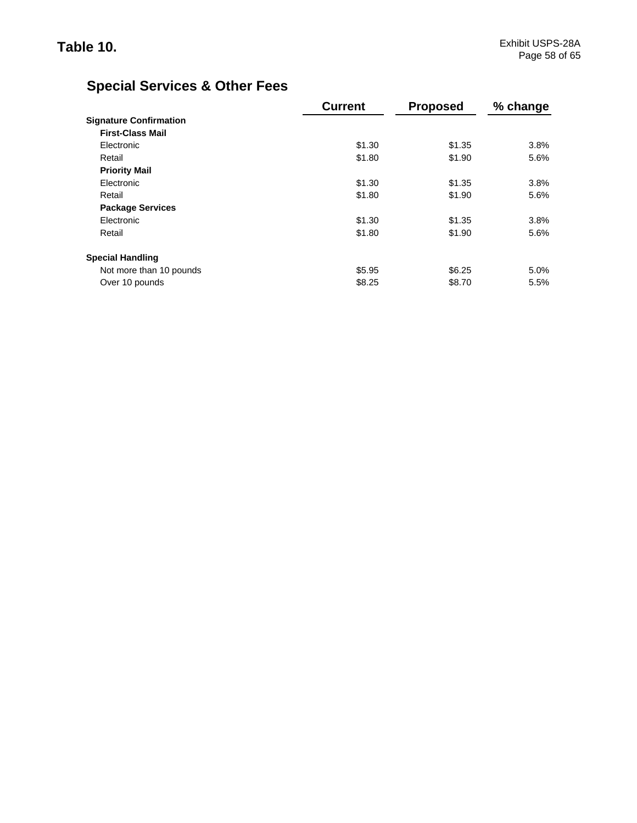|                               | <b>Current</b> | <b>Proposed</b> | % change |
|-------------------------------|----------------|-----------------|----------|
| <b>Signature Confirmation</b> |                |                 |          |
| <b>First-Class Mail</b>       |                |                 |          |
| Electronic                    | \$1.30         | \$1.35          | 3.8%     |
| Retail                        | \$1.80         | \$1.90          | 5.6%     |
| <b>Priority Mail</b>          |                |                 |          |
| Electronic                    | \$1.30         | \$1.35          | 3.8%     |
| Retail                        | \$1.80         | \$1.90          | 5.6%     |
| <b>Package Services</b>       |                |                 |          |
| Electronic                    | \$1.30         | \$1.35          | 3.8%     |
| Retail                        | \$1.80         | \$1.90          | 5.6%     |
| <b>Special Handling</b>       |                |                 |          |
| Not more than 10 pounds       | \$5.95         | \$6.25          | 5.0%     |
| Over 10 pounds                | \$8.25         | \$8.70          | 5.5%     |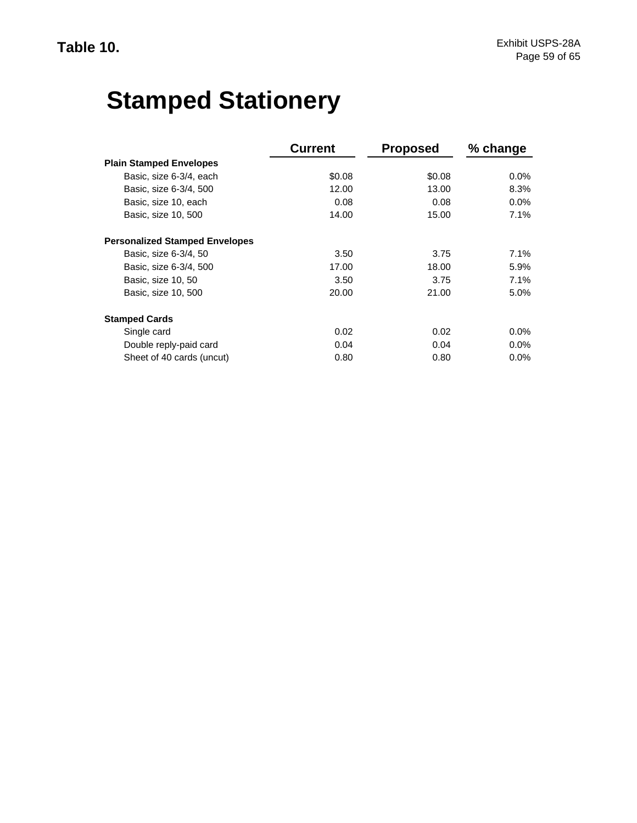# **Stamped Stationery**

|                                       | <b>Current</b> | <b>Proposed</b> | % change |
|---------------------------------------|----------------|-----------------|----------|
| <b>Plain Stamped Envelopes</b>        |                |                 |          |
| Basic, size 6-3/4, each               | \$0.08         | \$0.08          | $0.0\%$  |
| Basic, size 6-3/4, 500                | 12.00          | 13.00           | 8.3%     |
| Basic, size 10, each                  | 0.08           | 0.08            | $0.0\%$  |
| Basic, size 10, 500                   | 14.00          | 15.00           | 7.1%     |
| <b>Personalized Stamped Envelopes</b> |                |                 |          |
| Basic, size 6-3/4, 50                 | 3.50           | 3.75            | 7.1%     |
| Basic, size 6-3/4, 500                | 17.00          | 18.00           | 5.9%     |
| Basic, size 10, 50                    | 3.50           | 3.75            | 7.1%     |
| Basic, size 10, 500                   | 20.00          | 21.00           | 5.0%     |
| <b>Stamped Cards</b>                  |                |                 |          |
| Single card                           | 0.02           | 0.02            | $0.0\%$  |
| Double reply-paid card                | 0.04           | 0.04            | $0.0\%$  |
| Sheet of 40 cards (uncut)             | 0.80           | 0.80            | $0.0\%$  |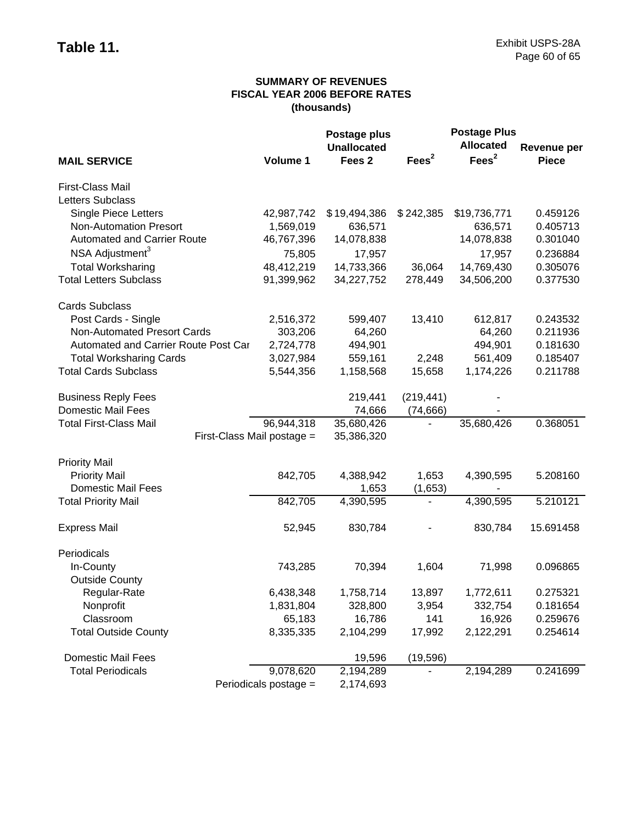## **SUMMARY OF REVENUES FISCAL YEAR 2006 BEFORE RATES (thousands)**

|                                      |                            | Postage plus       |                          | <b>Postage Plus</b> |                    |
|--------------------------------------|----------------------------|--------------------|--------------------------|---------------------|--------------------|
|                                      |                            | <b>Unallocated</b> |                          | <b>Allocated</b>    | <b>Revenue per</b> |
| <b>MAIL SERVICE</b>                  | Volume 1                   | Fees <sub>2</sub>  | Fees <sup>2</sup>        | Fees <sup>2</sup>   | <b>Piece</b>       |
| First-Class Mail                     |                            |                    |                          |                     |                    |
| Letters Subclass                     |                            |                    |                          |                     |                    |
| <b>Single Piece Letters</b>          | 42,987,742                 | \$19,494,386       | \$242,385                | \$19,736,771        | 0.459126           |
| <b>Non-Automation Presort</b>        | 1,569,019                  | 636,571            |                          | 636,571             | 0.405713           |
| <b>Automated and Carrier Route</b>   | 46,767,396                 | 14,078,838         |                          | 14,078,838          | 0.301040           |
| NSA Adjustment <sup>3</sup>          | 75,805                     | 17,957             |                          | 17,957              | 0.236884           |
| <b>Total Worksharing</b>             | 48,412,219                 | 14,733,366         | 36,064                   | 14,769,430          | 0.305076           |
| <b>Total Letters Subclass</b>        | 91,399,962                 | 34,227,752         | 278,449                  | 34,506,200          | 0.377530           |
| <b>Cards Subclass</b>                |                            |                    |                          |                     |                    |
| Post Cards - Single                  | 2,516,372                  | 599,407            | 13,410                   | 612,817             | 0.243532           |
| Non-Automated Presort Cards          | 303,206                    | 64,260             |                          | 64,260              | 0.211936           |
| Automated and Carrier Route Post Car | 2,724,778                  | 494,901            |                          | 494,901             | 0.181630           |
| <b>Total Worksharing Cards</b>       | 3,027,984                  | 559,161            | 2,248                    | 561,409             | 0.185407           |
| <b>Total Cards Subclass</b>          | 5,544,356                  | 1,158,568          | 15,658                   | 1,174,226           | 0.211788           |
| <b>Business Reply Fees</b>           |                            | 219,441            | (219, 441)               |                     |                    |
| <b>Domestic Mail Fees</b>            |                            | 74,666             | (74, 666)                |                     |                    |
| <b>Total First-Class Mail</b>        | 96,944,318                 | 35,680,426         |                          | 35,680,426          | 0.368051           |
|                                      | First-Class Mail postage = | 35,386,320         |                          |                     |                    |
| <b>Priority Mail</b>                 |                            |                    |                          |                     |                    |
| <b>Priority Mail</b>                 | 842,705                    | 4,388,942          | 1,653                    | 4,390,595           | 5.208160           |
| <b>Domestic Mail Fees</b>            |                            | 1,653              | (1,653)                  |                     |                    |
| <b>Total Priority Mail</b>           | 842,705                    | 4,390,595          | $\overline{\phantom{a}}$ | 4,390,595           | 5.210121           |
| <b>Express Mail</b>                  | 52,945                     | 830,784            |                          | 830,784             | 15.691458          |
| Periodicals                          |                            |                    |                          |                     |                    |
| In-County                            | 743,285                    | 70,394             | 1,604                    | 71,998              | 0.096865           |
| <b>Outside County</b>                |                            |                    |                          |                     |                    |
| Regular-Rate                         | 6,438,348                  | 1,758,714          | 13,897                   | 1,772,611           | 0.275321           |
| Nonprofit                            | 1,831,804                  | 328,800            | 3,954                    | 332,754             | 0.181654           |
| Classroom                            | 65,183                     | 16,786             | 141                      | 16,926              | 0.259676           |
| <b>Total Outside County</b>          | 8,335,335                  | 2,104,299          | 17,992                   | 2,122,291           | 0.254614           |
| <b>Domestic Mail Fees</b>            |                            | 19,596             | (19, 596)                |                     |                    |
| <b>Total Periodicals</b>             | 9,078,620                  | 2,194,289          |                          | 2,194,289           | 0.241699           |
|                                      | Periodicals postage =      | 2,174,693          |                          |                     |                    |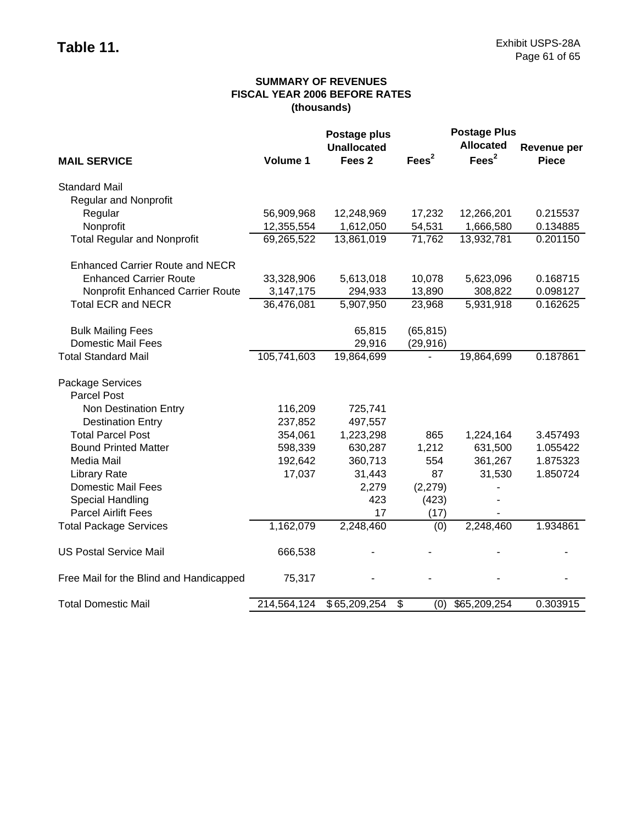## **SUMMARY OF REVENUES FISCAL YEAR 2006 BEFORE RATES (thousands)**

|                                         |             | Postage plus       |                   | <b>Postage Plus</b> |              |
|-----------------------------------------|-------------|--------------------|-------------------|---------------------|--------------|
|                                         |             | <b>Unallocated</b> |                   | <b>Allocated</b>    | Revenue per  |
| <b>MAIL SERVICE</b>                     | Volume 1    | Fees <sub>2</sub>  | Fees <sup>2</sup> | Fees <sup>2</sup>   | <b>Piece</b> |
| <b>Standard Mail</b>                    |             |                    |                   |                     |              |
| <b>Regular and Nonprofit</b>            |             |                    |                   |                     |              |
| Regular                                 | 56,909,968  | 12,248,969         | 17,232            | 12,266,201          | 0.215537     |
| Nonprofit                               | 12,355,554  | 1,612,050          | 54,531            | 1,666,580           | 0.134885     |
| <b>Total Regular and Nonprofit</b>      | 69,265,522  | 13,861,019         | 71,762            | 13,932,781          | 0.201150     |
| <b>Enhanced Carrier Route and NECR</b>  |             |                    |                   |                     |              |
| <b>Enhanced Carrier Route</b>           | 33,328,906  | 5,613,018          | 10,078            | 5,623,096           | 0.168715     |
| Nonprofit Enhanced Carrier Route        | 3,147,175   | 294,933            | 13,890            | 308,822             | 0.098127     |
| <b>Total ECR and NECR</b>               | 36,476,081  | 5,907,950          | 23,968            | 5,931,918           | 0.162625     |
| <b>Bulk Mailing Fees</b>                |             | 65,815             | (65, 815)         |                     |              |
| <b>Domestic Mail Fees</b>               |             | 29,916             | (29, 916)         |                     |              |
| <b>Total Standard Mail</b>              | 105,741,603 | 19,864,699         |                   | 19,864,699          | 0.187861     |
| Package Services                        |             |                    |                   |                     |              |
| <b>Parcel Post</b>                      |             |                    |                   |                     |              |
| Non Destination Entry                   | 116,209     | 725,741            |                   |                     |              |
| <b>Destination Entry</b>                | 237,852     | 497,557            |                   |                     |              |
| <b>Total Parcel Post</b>                | 354,061     | 1,223,298          | 865               | 1,224,164           | 3.457493     |
| <b>Bound Printed Matter</b>             | 598,339     | 630,287            | 1,212             | 631,500             | 1.055422     |
| Media Mail                              | 192,642     | 360,713            | 554               | 361,267             | 1.875323     |
| <b>Library Rate</b>                     | 17,037      | 31,443             | 87                | 31,530              | 1.850724     |
| <b>Domestic Mail Fees</b>               |             | 2,279              | (2, 279)          |                     |              |
| Special Handling                        |             | 423                | (423)             |                     |              |
| <b>Parcel Airlift Fees</b>              |             | 17                 | (17)              |                     |              |
| <b>Total Package Services</b>           | 1,162,079   | 2,248,460          | (0)               | 2,248,460           | 1.934861     |
| <b>US Postal Service Mail</b>           | 666,538     |                    |                   |                     |              |
| Free Mail for the Blind and Handicapped | 75,317      |                    |                   |                     |              |
| <b>Total Domestic Mail</b>              | 214,564,124 | \$65,209,254       | \$<br>(0)         | \$65,209,254        | 0.303915     |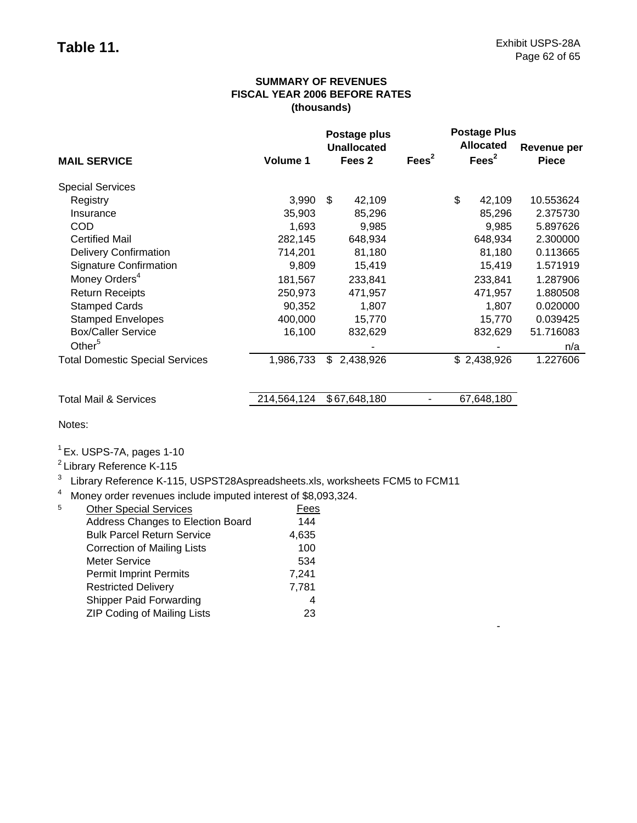-

### **SUMMARY OF REVENUES FISCAL YEAR 2006 BEFORE RATES (thousands)**

|                                        |             | Postage plus<br><b>Unallocated</b> |                   | <b>Postage Plus</b><br><b>Allocated</b> | Revenue per  |
|----------------------------------------|-------------|------------------------------------|-------------------|-----------------------------------------|--------------|
| <b>MAIL SERVICE</b>                    | Volume 1    | Fees 2                             | Fees <sup>2</sup> | Fees <sup>2</sup>                       | <b>Piece</b> |
| <b>Special Services</b>                |             |                                    |                   |                                         |              |
| Registry                               | 3,990       | \$<br>42,109                       |                   | \$<br>42,109                            | 10.553624    |
| Insurance                              | 35,903      | 85,296                             |                   | 85,296                                  | 2.375730     |
| <b>COD</b>                             | 1,693       | 9,985                              |                   | 9,985                                   | 5.897626     |
| <b>Certified Mail</b>                  | 282,145     | 648,934                            |                   | 648,934                                 | 2.300000     |
| <b>Delivery Confirmation</b>           | 714,201     | 81,180                             |                   | 81,180                                  | 0.113665     |
| <b>Signature Confirmation</b>          | 9,809       | 15,419                             |                   | 15,419                                  | 1.571919     |
| Money Orders <sup>4</sup>              | 181,567     | 233,841                            |                   | 233,841                                 | 1.287906     |
| <b>Return Receipts</b>                 | 250,973     | 471,957                            |                   | 471,957                                 | 1.880508     |
| <b>Stamped Cards</b>                   | 90,352      | 1,807                              |                   | 1,807                                   | 0.020000     |
| <b>Stamped Envelopes</b>               | 400,000     | 15,770                             |                   | 15,770                                  | 0.039425     |
| <b>Box/Caller Service</b>              | 16,100      | 832,629                            |                   | 832,629                                 | 51.716083    |
| Other <sup>5</sup>                     |             |                                    |                   |                                         | n/a          |
| <b>Total Domestic Special Services</b> | 1,986,733   | \$.<br>2,438,926                   |                   | \$2,438,926                             | 1.227606     |
| <b>Total Mail &amp; Services</b>       | 214,564,124 | \$67,648,180                       |                   | 67,648,180                              |              |

Notes:

 $<sup>1</sup>$  Ex. USPS-7A, pages 1-10</sup>

2 Library Reference K-115

<sup>3</sup> Library Reference K-115, USPST28Aspreadsheets.xls, worksheets FCM5 to FCM11

<sup>4</sup> Money order revenues include imputed interest of \$8,093,324.

| 5 | <b>Other Special Services</b>      | Fees  |
|---|------------------------------------|-------|
|   | Address Changes to Election Board  | 144   |
|   | <b>Bulk Parcel Return Service</b>  | 4,635 |
|   | <b>Correction of Mailing Lists</b> | 100   |
|   | <b>Meter Service</b>               | 534   |
|   | <b>Permit Imprint Permits</b>      | 7,241 |
|   | <b>Restricted Delivery</b>         | 7,781 |
|   | <b>Shipper Paid Forwarding</b>     |       |
|   | <b>ZIP Coding of Mailing Lists</b> | 23    |
|   |                                    |       |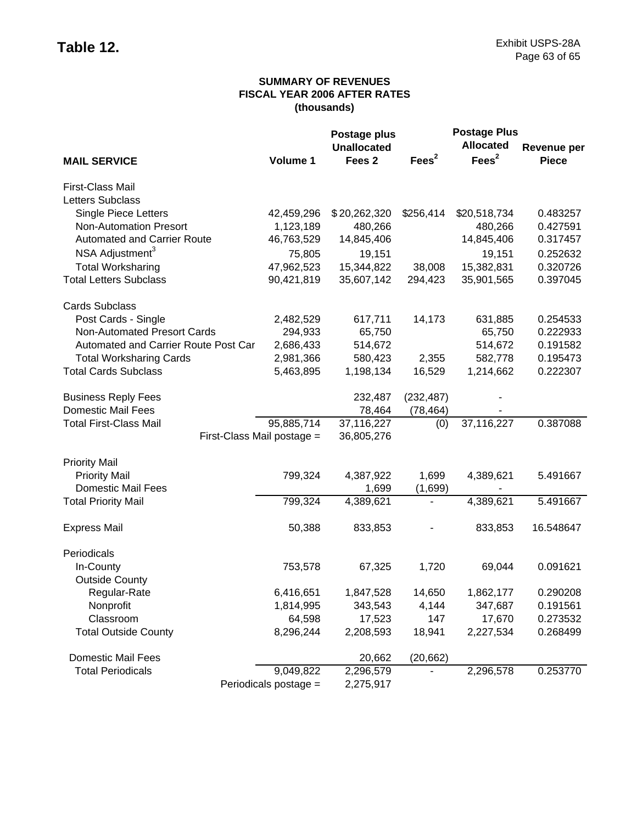## **SUMMARY OF REVENUES FISCAL YEAR 2006 AFTER RATES (thousands)**

|                                      |                       | Postage plus       |                   | <b>Postage Plus</b> |              |  |
|--------------------------------------|-----------------------|--------------------|-------------------|---------------------|--------------|--|
|                                      |                       | <b>Unallocated</b> |                   | <b>Allocated</b>    | Revenue per  |  |
| <b>MAIL SERVICE</b>                  | Volume 1              | Fees <sub>2</sub>  | Fees <sup>2</sup> | Fees <sup>2</sup>   | <b>Piece</b> |  |
| First-Class Mail                     |                       |                    |                   |                     |              |  |
| Letters Subclass                     |                       |                    |                   |                     |              |  |
| <b>Single Piece Letters</b>          | 42,459,296            | \$20,262,320       | \$256,414         | \$20,518,734        | 0.483257     |  |
| <b>Non-Automation Presort</b>        | 1,123,189             | 480,266            |                   | 480,266             | 0.427591     |  |
| <b>Automated and Carrier Route</b>   | 46,763,529            | 14,845,406         |                   | 14,845,406          | 0.317457     |  |
| NSA Adjustment <sup>3</sup>          | 75,805                | 19,151             |                   | 19,151              | 0.252632     |  |
| <b>Total Worksharing</b>             | 47,962,523            | 15,344,822         | 38,008            | 15,382,831          | 0.320726     |  |
| <b>Total Letters Subclass</b>        | 90,421,819            | 35,607,142         | 294,423           | 35,901,565          | 0.397045     |  |
| <b>Cards Subclass</b>                |                       |                    |                   |                     |              |  |
| Post Cards - Single                  | 2,482,529             | 617,711            | 14,173            | 631,885             | 0.254533     |  |
| Non-Automated Presort Cards          | 294,933               | 65,750             |                   | 65,750              | 0.222933     |  |
| Automated and Carrier Route Post Car | 2,686,433             | 514,672            |                   | 514,672             | 0.191582     |  |
| <b>Total Worksharing Cards</b>       | 2,981,366             | 580,423            | 2,355             | 582,778             | 0.195473     |  |
| <b>Total Cards Subclass</b>          | 5,463,895             | 1,198,134          | 16,529            | 1,214,662           | 0.222307     |  |
| <b>Business Reply Fees</b>           |                       | 232,487            | (232, 487)        |                     |              |  |
| <b>Domestic Mail Fees</b>            |                       | 78,464             | (78, 464)         |                     |              |  |
| <b>Total First-Class Mail</b>        | 95,885,714            | 37,116,227         | (0)               | 37,116,227          | 0.387088     |  |
| First-Class Mail postage =           |                       | 36,805,276         |                   |                     |              |  |
| <b>Priority Mail</b>                 |                       |                    |                   |                     |              |  |
| <b>Priority Mail</b>                 | 799,324               | 4,387,922          | 1,699             | 4,389,621           | 5.491667     |  |
| <b>Domestic Mail Fees</b>            |                       | 1,699              | (1,699)           |                     |              |  |
| <b>Total Priority Mail</b>           | 799,324               | 4,389,621          |                   | 4,389,621           | 5.491667     |  |
| <b>Express Mail</b>                  | 50,388                | 833,853            |                   | 833,853             | 16.548647    |  |
| Periodicals                          |                       |                    |                   |                     |              |  |
| In-County                            | 753,578               | 67,325             | 1,720             | 69,044              | 0.091621     |  |
| <b>Outside County</b>                |                       |                    |                   |                     |              |  |
| Regular-Rate                         | 6,416,651             | 1,847,528          | 14,650            | 1,862,177           | 0.290208     |  |
| Nonprofit                            | 1,814,995             | 343,543            | 4,144             | 347,687             | 0.191561     |  |
| Classroom                            | 64,598                | 17,523             | 147               | 17,670              | 0.273532     |  |
| <b>Total Outside County</b>          | 8,296,244             | 2,208,593          | 18,941            | 2,227,534           | 0.268499     |  |
| <b>Domestic Mail Fees</b>            |                       | 20,662             | (20, 662)         |                     |              |  |
| <b>Total Periodicals</b>             | 9,049,822             | 2,296,579          |                   | 2,296,578           | 0.253770     |  |
|                                      | Periodicals postage = | 2,275,917          |                   |                     |              |  |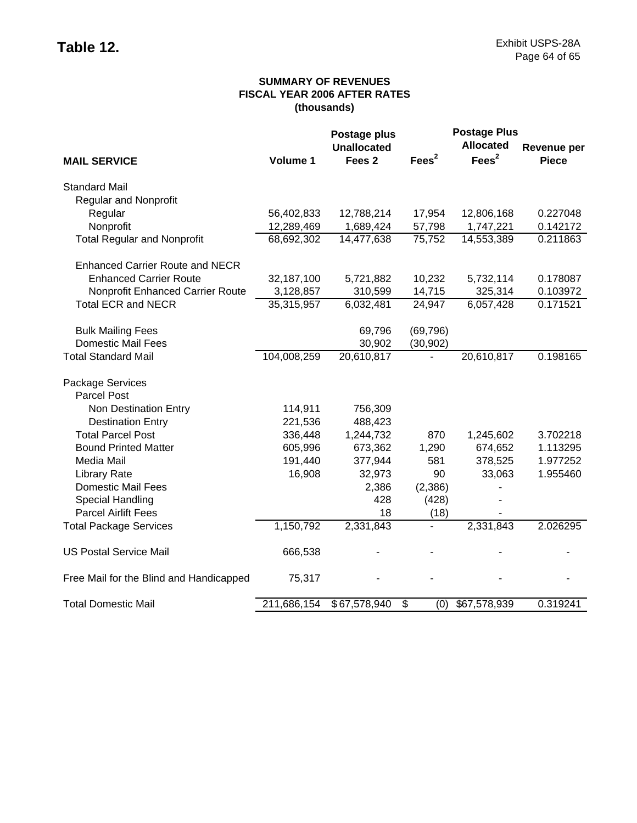## **SUMMARY OF REVENUES FISCAL YEAR 2006 AFTER RATES (thousands)**

|                                         | Postage plus |                    |                                 | <b>Postage Plus</b> |                    |  |
|-----------------------------------------|--------------|--------------------|---------------------------------|---------------------|--------------------|--|
|                                         |              | <b>Unallocated</b> |                                 | <b>Allocated</b>    | <b>Revenue per</b> |  |
| <b>MAIL SERVICE</b>                     | Volume 1     | Fees <sub>2</sub>  | Fees $2$                        | Fees <sup>2</sup>   | <b>Piece</b>       |  |
| <b>Standard Mail</b>                    |              |                    |                                 |                     |                    |  |
| <b>Regular and Nonprofit</b>            |              |                    |                                 |                     |                    |  |
| Regular                                 | 56,402,833   | 12,788,214         | 17,954                          | 12,806,168          | 0.227048           |  |
| Nonprofit                               | 12,289,469   | 1,689,424          | 57,798                          | 1,747,221           | 0.142172           |  |
| <b>Total Regular and Nonprofit</b>      | 68,692,302   | 14,477,638         | 75,752                          | 14,553,389          | 0.211863           |  |
| <b>Enhanced Carrier Route and NECR</b>  |              |                    |                                 |                     |                    |  |
| <b>Enhanced Carrier Route</b>           | 32,187,100   | 5,721,882          | 10,232                          | 5,732,114           | 0.178087           |  |
| Nonprofit Enhanced Carrier Route        | 3,128,857    | 310,599            | 14,715                          | 325,314             | 0.103972           |  |
| <b>Total ECR and NECR</b>               | 35,315,957   | 6,032,481          | 24,947                          | 6,057,428           | 0.171521           |  |
| <b>Bulk Mailing Fees</b>                |              | 69,796             | (69, 796)                       |                     |                    |  |
| <b>Domestic Mail Fees</b>               |              | 30,902             | (30, 902)                       |                     |                    |  |
| <b>Total Standard Mail</b>              | 104,008,259  | 20,610,817         |                                 | 20,610,817          | 0.198165           |  |
| Package Services                        |              |                    |                                 |                     |                    |  |
| <b>Parcel Post</b>                      |              |                    |                                 |                     |                    |  |
| Non Destination Entry                   | 114,911      | 756,309            |                                 |                     |                    |  |
| <b>Destination Entry</b>                | 221,536      | 488,423            |                                 |                     |                    |  |
| <b>Total Parcel Post</b>                | 336,448      | 1,244,732          | 870                             | 1,245,602           | 3.702218           |  |
| <b>Bound Printed Matter</b>             | 605,996      | 673,362            | 1,290                           | 674,652             | 1.113295           |  |
| Media Mail                              | 191,440      | 377,944            | 581                             | 378,525             | 1.977252           |  |
| <b>Library Rate</b>                     | 16,908       | 32,973             | 90                              | 33,063              | 1.955460           |  |
| <b>Domestic Mail Fees</b>               |              | 2,386              | (2,386)                         |                     |                    |  |
| Special Handling                        |              | 428                | (428)                           |                     |                    |  |
| <b>Parcel Airlift Fees</b>              |              | 18                 | (18)                            |                     |                    |  |
| <b>Total Package Services</b>           | 1,150,792    | 2,331,843          | $\overline{\phantom{a}}$        | 2,331,843           | 2.026295           |  |
| <b>US Postal Service Mail</b>           | 666,538      |                    |                                 |                     |                    |  |
| Free Mail for the Blind and Handicapped | 75,317       |                    |                                 |                     |                    |  |
| <b>Total Domestic Mail</b>              | 211,686,154  | \$67,578,940       | $\overline{\mathcal{S}}$<br>(0) | \$67,578,939        | 0.319241           |  |